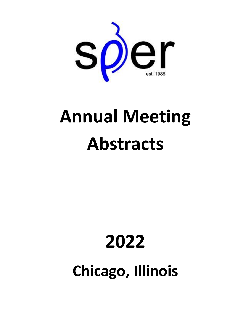

# **Annual Meeting Abstracts**

# **2022**

**Chicago, Illinois**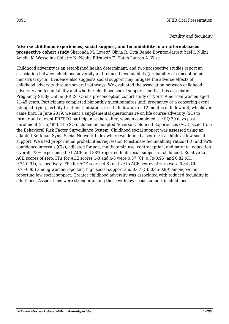#### Fertility and fecundity

**Adverse childhood experiences, social support, and fecundability in an internet-based prospective cohort study** Sharonda M. Lovett\* Olivia R. Orta Renée Boynton-Jarrett Yael I. Nillni Amelia K. Wesselink Collette N. Ncube Elizabeth E. Hatch Lauren A. Wise

Childhood adversity is an established health determinant, and two prospective studies report an association between childhood adversity and reduced fecundability (probability of conception per menstrual cycle). Evidence also suggests social support may mitigate the adverse effects of childhood adversity through several pathways. We evaluated the association between childhood adversity and fecundability and whether childhood social support modifies this association. Pregnancy Study Online (PRESTO) is a preconception cohort study of North American women aged 21-45 years. Participants completed bimonthly questionnaires until pregnancy or a censoring event (stopped trying, fertility treatment initiation, loss to follow-up, or 12 months of follow-up), whichever came first. In June 2019, we sent a supplemental questionnaire on life course adversity (SQ) to former and current PRESTO participants; thereafter, women completed the SQ 30 days postenrollment (n=5,489). The SQ included an adapted Adverse Childhood Experiences (ACE) scale from the Behavioral Risk Factor Surveillance System. Childhood social support was assessed using an adapted Berkman-Syme Social Network Index where we defined a score ≥4 as high vs. low social support. We used proportional probabilities regression to estimate fecundability ratios (FR) and 95% confidence intervals (CIs), adjusted for age, multivitamin use, contraception, and parental education. Overall, 78% experienced ≥1 ACE and 88% reported high social support in childhood. Relative to ACE scores of zero, FRs for ACE scores 1-3 and 4-8 were 0.87 (CI: 0.79-0.95) and 0.82 (CI: 0.74-0.91), respectively. FRs for ACE scores 4-8 relative to ACE scores of zero were 0.84 (CI: 0.75-0.95) among women reporting high social support and 0.67 (CI: 0.45-0.99) among women reporting low social support. Greater childhood adversity was associated with reduced fecundity in adulthood. Associations were stronger among those with low social support in childhood.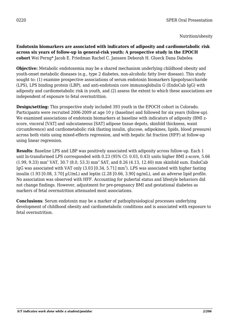**Endotoxin biomarkers are associated with indicators of adiposity and cardiometabolic risk across six years of follow-up in general-risk youth: A prospective study in the EPOCH cohort** Wei Perng\* Jacob E. Friedman Rachel C. Janssen Deborah H. Glueck Dana Dabelea

**Objective:** Metabolic endotoxemia may be a shared mechanism underlying childhood obesity and youth-onset metabolic diseases (e.g., type 2 diabetes, non-alcoholic fatty liver disease). This study sought to: (1) examine prospective associations of serum endotoxin biomarkers lipopolysaccharide (LPS), LPS binding protein (LBP), and anti-endotoxin core immunoglobulin G (EndoCab IgG) with adiposity and cardiometabolic risk in youth, and (2) assess the extent to which these associations are independent of exposure to fetal overnutrition.

**Design/setting:** This prospective study included 393 youth in the EPOCH cohort in Colorado. Participants were recruited 2006-2009 at age 10 y (baseline) and followed for six years (follow-up). We examined associations of endotoxin biomarkers at baseline with indicators of adiposity (BMI zscore, visceral [VAT] and subcutaneous [SAT] adipose tissue depots, skinfold thickness, waist circumference) and cardiometabolic risk (fasting insulin, glucose, adipokines, lipids, blood pressure) across both visits using mixed-effects regression, and with hepatic fat fraction (HFF) at follow-up using linear regression.

**Results**: Baseline LPS and LBP was positively associated with adiposity across follow-up. Each 1 unit ln-transformed LPS corresponded with 0.23 (95% CI: 0.03, 0.43) units higher BMI z-score, 5.66  $(1.99, 9.33)$  mm<sup>3</sup> VAT, 30.7 (8.0, 53.3) mm<sup>3</sup> SAT, and 8.26 (4.13, 12.40) mm skinfold sum. EndoCab IgG was associated with VAT only (3.03 [0.34, 5.71]  $\text{mm}^3$ ). LPS was associated with higher fasting insulin (1.93 [0.08, 3.70] µU/mL) and leptin (2.28 [0.66, 3.90] ng/mL), and an adverse lipid profile. No association was observed with HFF. Accounting for pubertal status and lifestyle behaviors did not change findings. However, adjustment for pre-pregnancy BMI and gestational diabetes as markers of fetal overnutrition attenuated most associations.

**Conclusions**: Serum endotoxin may be a marker of pathophysiological processes underlying development of childhood obesity and cardiometabolic conditions and is associated with exposure to fetal overnutrition.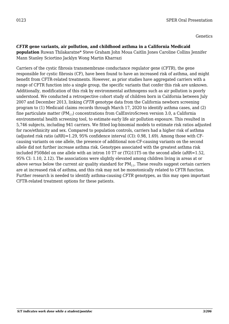Genetics

## *CFTR* **gene variants, air pollution, and childhood asthma in a California Medicaid**

**population** Ruwan Thilakaratne\* Steve Graham John Moua Caitlin Jones Caroline Collins Jennifer Mann Stanley Sciortino Jacklyn Wong Martin Kharrazi

Carriers of the cystic fibrosis transmembrane conductance regulator gene (*CFTR*), the gene responsible for cystic fibrosis (CF), have been found to have an increased risk of asthma, and might benefit from CFTR-related treatments. However, as prior studies have aggregated carriers with a range of CFTR function into a single group, the specific variants that confer this risk are unknown. Additionally, modification of this risk by environmental asthmogens such as air pollution is poorly understood. We conducted a retrospective cohort study of children born in California between July 2007 and December 2013, linking *CFTR* genotype data from the California newborn screening program to (1) Medicaid claims records through March 17, 2020 to identify asthma cases, and (2) fine particulate matter ( $PM_{2.5}$ ) concentrations from CalEnviroScreen version 3.0, a California environmental health screening tool, to estimate early life air pollution exposure. This resulted in 5,746 subjects, including 941 carriers. We fitted log-binomial models to estimate risk ratios adjusted for race/ethnicity and sex. Compared to population controls, carriers had a higher risk of asthma (adjusted risk ratio (aRR)=1.29, 95% confidence interval (CI): 0.98, 1.69). Among those with CFcausing variants on one allele, the presence of additional non-CF-causing variants on the second allele did not further increase asthma risk. Genotypes associated with the greatest asthma risk included F508del on one allele with an intron 10 T7 or (TG)11T5 on the second allele (aRR=1.52, 95% CI: 1.10, 2.12). The associations were slightly elevated among children living in areas at or above *versus* below the current air quality standard for PM<sub>2.5</sub>. These results suggest certain carriers are at increased risk of asthma, and this risk may not be monotonically related to CFTR function. Further research is needed to identify asthma-causing *CFTR* genotypes, as this may open important CFTR-related treatment options for these patients.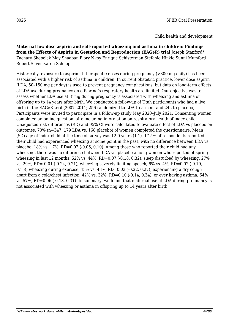**Maternal low dose aspirin and self-reported wheezing and asthma in children: Findings from the Effects of Aspirin in Gestation and Reproduction (EAGeR) trial** Joseph Stanford\* Zachary Shepelak May Shaaban Flory Nkoy Enrique Schisterman Stefanie Hinkle Sunni Mumford Robert Silver Karen Schliep

Historically, exposure to aspirin at therapeutic doses during pregnancy (>300 mg daily) has been associated with a higher risk of asthma in children. In current obstetric practice, lower dose aspirin (LDA, 50–150 mg per day) is used to prevent pregnancy complications, but data on long-term effects of LDA use during pregnancy on offspring's respiratory health are limited. Our objective was to assess whether LDA use at 81mg during pregnancy is associated with wheezing and asthma of offspring up to 14 years after birth. We conducted a follow-up of Utah participants who had a live birth in the EAGeR trial (2007–2011; 256 randomized to LDA treatment and 242 to placebo). Participants were invited to participate in a follow-up study May 2020–July 2021. Consenting women completed an online questionnaire including information on respiratory health of index child. Unadjusted risk differences (RD) and 95% CI were calculated to evaluate effect of LDA vs placebo on outcomes. 70% (n=347, 179 LDA vs. 168 placebo) of women completed the questionnaire. Mean (SD) age of index child at the time of survey was 12.0 years (1.1). 17.5% of respondents reported their child had experienced wheezing at some point in the past, with no difference between LDA vs. placebo, 18% vs. 17%, RD=0.02 (-0.06, 0.10). Among those who reported their child had any wheezing, there was no difference between LDA vs. placebo among women who reported offspring wheezing in last 12 months, 52% vs. 44%, RD=0.07 (-0.18, 0.32); sleep disturbed by wheezing, 27% vs. 29%, RD=-0.01 (-0.24, 0.21); wheezing severely limiting speech, 6% vs. 4%, RD=0.02 (-0.10, 0.15); wheezing during exercise,  $45\%$  vs.  $43\%$ , RD=0.03 (-0.22, 0.27); experiencing a dry cough apart from a cold/chest infection, 42% vs. 32%, RD=0.10 (-0.14, 0.34); or ever having asthma, 64% vs. 57%, RD=0.06 (-0.18, 0.31). In summary, we found that maternal use of LDA during pregnancy is not associated with wheezing or asthma in offspring up to 14 years after birth.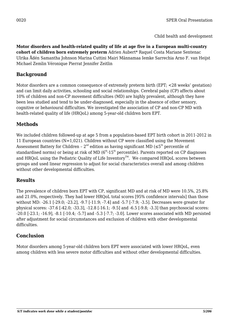**Motor disorders and health-related quality of life at age five in a European multi-country cohort of children born extremely preterm** Adrien Aubert\* Raquel Costa Mariane Sentenac Ulrika Ådén Samantha Johnson Marina Cuttini Mairi Männamaa Iemke Sarrechia Arno F. van Heijst Michael Zemlin Véronique Pierrat Jennifer Zeitlin

# **Background**

Motor disorders are a common consequence of extremely preterm birth (EPT; <28 weeks' gestation) and can limit daily activities, schooling and social relationships. Cerebral palsy (CP) affects about 10% of children and non-CP movement difficulties (MD) are highly prevalent, although they have been less studied and tend to be under-diagnosed, especially in the absence of other sensory, cognitive or behavioural difficulties. We investigated the association of CP and non-CP MD with health-related quality of life (HRQoL) among 5-year-old children born EPT.

# **Methods**

We included children followed-up at age 5 from a population-based EPT birth cohort in 2011-2012 in 11 European countries (N=1,021). Children without CP were classified using the Movement Assessment Battery for Children –  $2^{nd}$  edition as having significant MD ( $\leq 5^{th}$  percentile of standardised norms) or being at risk of MD  $(6<sup>th</sup> - 15<sup>th</sup>$  percentile). Parents reported on CP diagnoses and HROoL using the Pediatric Ouality of Life Inventory<sup> $TM$ </sup>. We compared HROoL scores between groups and used linear regression to adjust for social characteristics overall and among children without other developmental difficulties.

## **Results**

The prevalence of children born EPT with CP, significant MD and at risk of MD were 10.5%, 25.8% and 21.0%, respectively. They had lower HRQoL total scores [95% confidence intervals] than those without MD: -26.1 [-29.0; -23.2], -9.7 [-11.9; -7.4] and -5.7 [-7.9; -3.5]. Decreases were greater for physical scores: -37.6 [-42.0; -33.3], -12.8 [-16.1; -9.5] and -6.5 [-9.8; -3.3] than psychosocial scores: -20.0 [-23.1; -16.9], -8.1 [-10.4; -5.7] and -5.3 [-7.7; -3.0]. Lower scores associated with MD persisted after adjustment for social circumstances and exclusion of children with other developmental difficulties.

# **Conclusion**

Motor disorders among 5-year-old children born EPT were associated with lower HRQoL, even among children with less severe motor difficulties and without other developmental difficulties.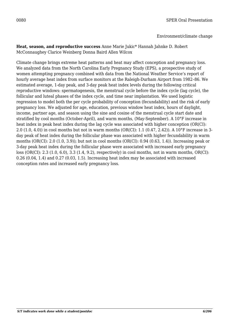Environment/climate change

**Heat, season, and reproductive success** Anne Marie Jukic\* Hannah Jahnke D. Robert McConnaughey Clarice Weinberg Donna Baird Allen Wilcox

Climate change brings extreme heat patterns and heat may affect conception and pregnancy loss. We analyzed data from the North Carolina Early Pregnancy Study (EPS), a prospective study of women attempting pregnancy combined with data from the National Weather Service's report of hourly average heat index from surface monitors at the Raleigh-Durham Airport from 1982–86. We estimated average, 1-day peak, and 3-day peak heat index levels during the following critical reproductive windows: spermatogenesis, the menstrual cycle before the index cycle (lag cycle), the follicular and luteal phases of the index cycle, and time near implantation. We used logistic regression to model both the per cycle probability of conception (fecundability) and the risk of early pregnancy loss. We adjusted for age, education, previous window heat index, hours of daylight, income, partner age, and season using the sine and cosine of the menstrual cycle start date and stratified by cool months (October-April), and warm months, (May-September). A 10°F increase in heat index in peak heat index during the lag cycle was associated with higher conception (OR(CI): 2.0 (1.0, 4.0)) in cool months but not in warm months (OR(CI): 1.1 (0.47, 2.42)). A 10°F increase in 3 day peak of heat index during the follicular phase was associated with higher fecundability in warm months (OR(CI): 2.0 (1.0, 3.9)); but not in cool months (OR(CI): 0.94 (0.63, 1.4)). Increasing peak or 3-day peak heat index during the follicular phase were associated with increased early pregnancy loss (OR(CI): 2.3 (1.0, 6.0), 3.3 (1.4, 9.2), respectively) in cool months, not in warm months, OR(CI): 0.26 (0.04, 1.4) and 0.27 (0.03, 1.5). Increasing heat index may be associated with increased conception rates and increased early pregnancy loss.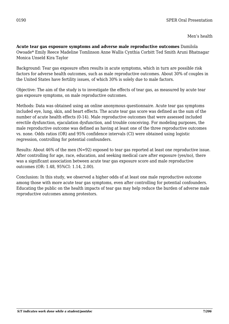Men's health

**Acute tear gas exposure symptoms and adverse male reproductive outcomes** Damilola Owoade\* Emily Reece Madeline Tomlinson Anne Wallis Cynthia Corbitt Ted Smith Aruni Bhatnagar Monica Unseld Kira Taylor

Background: Tear gas exposure often results in acute symptoms, which in turn are possible risk factors for adverse health outcomes, such as male reproductive outcomes. About 30% of couples in the United States have fertility issues, of which 30% is solely due to male factors.

Objective: The aim of the study is to investigate the effects of tear gas, as measured by acute tear gas exposure symptoms, on male reproductive outcomes.

Methods: Data was obtained using an online anonymous questionnaire. Acute tear gas symptoms included eye, lung, skin, and heart effects. The acute tear gas score was defined as the sum of the number of acute health effects (0-14). Male reproductive outcomes that were assessed included erectile dysfunction, ejaculation dysfunction, and trouble conceiving. For modeling purposes, the male reproductive outcome was defined as having at least one of the three reproductive outcomes vs. none. Odds ratios (OR) and 95% confidence intervals (CI) were obtained using logistic regression, controlling for potential confounders.

Results: About 46% of the men (N=92) exposed to tear gas reported at least one reproductive issue. After controlling for age, race, education, and seeking medical care after exposure (yes/no), there was a significant association between acute tear gas exposure score and male reproductive outcomes (OR: 1.48, 95%CI: 1.14, 2.00).

Conclusion: In this study, we observed a higher odds of at least one male reproductive outcome among those with more acute tear gas symptoms, even after controlling for potential confounders. Educating the public on the health impacts of tear gas may help reduce the burden of adverse male reproductive outcomes among protestors.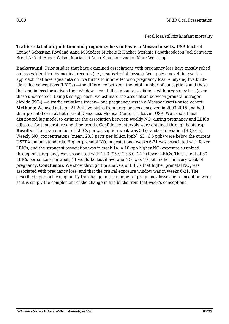#### Fetal loss/stillbirth/infant mortality

**Traffic-related air pollution and pregnancy loss in Eastern Massachusetts, USA** Michael Leung\* Sebastian Rowland Anna M Modest Michele R Hacker Stefania Papatheodorou Joel Schwartz Brent A Coull Ander Wilson Marianthi-Anna Kioumourtzoglou Marc Weisskopf

**Background:** Prior studies that have examined associations with pregnancy loss have mostly relied on losses identified by medical records (i.e., a subset of all losses). We apply a novel time-series approach that leverages data on live births to infer effects on pregnancy loss. Analyzing live birthidentified conceptions (LBICs) —the difference between the total number of conceptions and those that end in loss for a given time window— can tell us about associations with pregnancy loss (even those undetected). Using this approach, we estimate the association between prenatal nitrogen dioxide (NO $_{\scriptscriptstyle 2}$ ) —a traffic emissions tracer— and pregnancy loss in a Massachusetts-based cohort. **Methods:** We used data on 21,204 live births from pregnancies conceived in 2003-2015 and had their prenatal care at Beth Israel Deaconess Medical Center in Boston, USA. We used a linear distributed lag model to estimate the association between weekly  $\rm NO_2$  during pregnancy and LBICs adjusted for temperature and time trends. Confidence intervals were obtained through bootstrap. **Results:** The mean number of LBICs per conception week was 30 (standard deviation [SD]: 6.5). Weekly NO $_{\rm 2}$  concentrations (mean: 23.3 parts per billion [ppb], SD: 6.5 ppb) were below the current USEPA annual standards. Higher prenatal NO $_{\rm 2}$  in gestational weeks 6-21 was associated with fewer LBICs, and the strongest association was in week 14. A 10-ppb higher NO $_{\rm 2}$  exposure sustained throughout pregnancy was associated with 11.0 (95% CI: 8.0, 14.1) fewer LBICs. That is, out of 30 LBICs per conception week, 11 would be lost if average NO $_{\text{2}}$  was 10-ppb higher in every week of pregnancy. **Conclusion:** We show through the analysis of LBICs that higher prenatal NO<sub>2</sub> was associated with pregnancy loss, and that the critical exposure window was in weeks 6-21. The described approach can quantify the change in the number of pregnancy losses per conception week as it is simply the complement of the change in live births from that week's conceptions.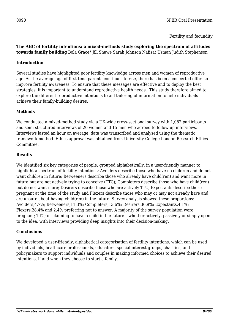Fertility and fecundity

#### **The ABC of fertility intentions: a mixed-methods study exploring the spectrum of attitudes towards family building** Bola Grace\* Jill Shawe Sarah Johnson Nafisat Usman Judith Stephenson

#### **Introduction**

Several studies have highlighted poor fertility knowledge across men and women of reproductive age. As the average age of first-time parents continues to rise, there has been a concerted effort to improve fertility awareness. To ensure that these messages are effective and to deploy the best strategies, it is important to understand reproductive health needs. This study therefore aimed to explore the different reproductive intentions to aid tailoring of information to help individuals achieve their family-building desires.

#### **Methods**

We conducted a mixed-method study via a UK-wide cross-sectional survey with 1,082 participants and semi-structured interviews of 20 women and 15 men who agreed to follow-up interviews. Interviews lasted an hour on average, data was transcribed and analysed using the thematic framework method. Ethics approval was obtained from University College London Research Ethics Committee.

#### **Results**

We identified six key categories of people, grouped alphabetically, in a user-friendly manner to highlight a spectrum of fertility intentions: Avoiders describe those who have no children and do not want children in future; Betweeners describe those who already have child(ren) and want more in future but are not actively trying to conceive (TTC); Completers describe those who have child(ren) but do not want more; Desirers describe those who are actively TTC; Expectants describe those pregnant at the time of the study and Flexers describe those who may or may not already have and are unsure about having child(ren) in the future. Survey analysis showed these proportions: Avoiders,4.7%; Betweeners,11.3%; Completers,13.6%; Desirers,36.9%; Expectants,4.1%; Flexers,28.4% and 2.4% preferring not to answer. A majority of the survey population were pregnant; TTC; or planning to have a child in the future – whether actively, passively or simply open to the idea, with interviews providing deep insights into their decision-making.

#### **Conclusions**

We developed a user-friendly, alphabetical categorisation of fertility intentions, which can be used by individuals, healthcare professionals, educators, special interest groups, charities, and policymakers to support individuals and couples in making informed choices to achieve their desired intentions, if and when they choose to start a family.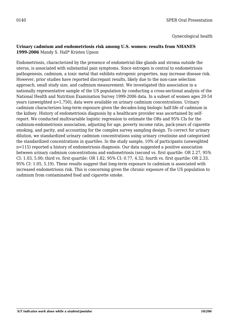Gynecological health

#### **Urinary cadmium and endometriosis risk among U.S. women: results from NHANES 1999-2006** Mandy S. Hall\* Kristen Upson

Endometriosis, characterized by the presence of endometrial-like glands and stroma outside the uterus, is associated with substantial pain symptoms. Since estrogen is central to endometriosis pathogenesis, cadmium, a toxic metal that exhibits estrogenic properties, may increase disease risk. However, prior studies have reported discrepant results, likely due to the non-case selection approach, small study size, and cadmium measurement. We investigated this association in a nationally representative sample of the US population by conducting a cross-sectional analysis of the National Health and Nutrition Examination Survey 1999-2006 data. In a subset of women ages 20-54 years (unweighted n=1,750), data were available on urinary cadmium concentrations. Urinary cadmium characterizes long-term exposure given the decades-long biologic half-life of cadmium in the kidney. History of endometriosis diagnosis by a healthcare provider was ascertained by selfreport. We conducted multivariable logistic regression to estimate the ORs and 95% CIs for the cadmium-endometriosis association, adjusting for age, poverty income ratio, pack-years of cigarette smoking, and parity, and accounting for the complex survey sampling design. To correct for urinary dilution, we standardized urinary cadmium concentrations using urinary creatinine and categorized the standardized concentrations in quartiles. In the study sample, 10% of participants (unweighted n=115) reported a history of endometriosis diagnosis. Our data suggested a positive association between urinary cadmium concentrations and endometriosis (second vs. first quartile: OR 2.27, 95% CI: 1.03, 5.00; third vs. first quartile: OR 1.82, 95% CI: 0.77, 4.32; fourth vs. first quartile: OR 2.33, 95% CI: 1.05, 5.19). These results suggest that long-term exposure to cadmium is associated with increased endometriosis risk. This is concerning given the chronic exposure of the US population to cadmium from contaminated food and cigarette smoke.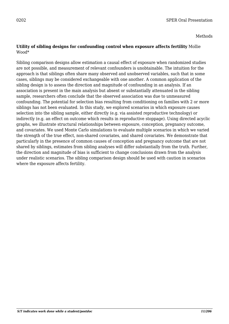#### Methods

#### **Utility of sibling designs for confounding control when exposure affects fertility** Mollie Wood\*

Sibling comparison designs allow estimation a causal effect of exposure when randomized studies are not possible, and measurement of relevant confounders is unobtainable. The intuition for the approach is that siblings often share many observed and unobserved variables, such that in some cases, siblings may be considered exchangeable with one another. A common application of the sibling design is to assess the direction and magnitude of confounding in an analysis. If an association is present in the main analysis but absent or substantially attenuated in the sibling sample, researchers often conclude that the observed association was due to unmeasured confounding. The potential for selection bias resulting from conditioning on families with 2 or more siblings has not been evaluated. In this study, we explored scenarios in which exposure causes selection into the sibling sample, either directly (e.g. via assisted reproductive technology) or indirectly (e.g. an effect on outcome which results in reproductive stoppage). Using directed acyclic graphs, we illustrate structural relationships between exposure, conception, pregnancy outcome, and covariates. We used Monte Carlo simulations to evaluate multiple scenarios in which we varied the strength of the true effect, non-shared covariates, and shared covariates. We demonstrate that particularly in the presence of common causes of conception and pregnancy outcome that are not shared by siblings, estimates from sibling analyses will differ substantially from the truth. Further, the direction and magnitude of bias is sufficient to change conclusions drawn from the analysis under realistic scenarios. The sibling comparison design should be used with caution in scenarios where the exposure affects fertility.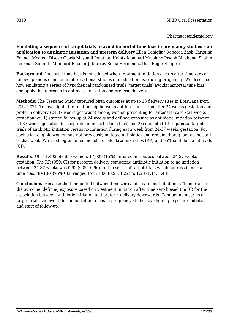#### Pharmacoepidemiology

**Emulating a sequence of target trials to avoid immortal time bias in pregnancy studies – an application to antibiotic initiation and preterm delivery** Ellen Caniglia\* Rebecca Zash Christina Fennell Modiegi Diseko Gloria Mayondi Jonathan Heintz Mompati Mmalane Joseph Makhema Shahin Lockman Sunni L. Mumford Eleanor J. Murray Sonia Hernandez-Diaz Roger Shapiro

**Background:** Immortal time bias is introduced when treatment initiation occurs after time zero of follow-up and is common in observational studies of medication use during pregnancy. We describe how emulating a series of hypothetical randomized trials (target trials) avoids immortal time bias and apply the approach to antibiotic initiation and preterm delivery.

**Methods:** The Tsepamo Study captured birth outcomes at up to 18 delivery sites in Botswana from 2014-2021. To investigate the relationship between antibiotic initiation after 24 weeks gestation and preterm delivery (24-37 weeks gestation) among women presenting for antenatal care <24 weeks gestation we: 1) started follow-up at 24 weeks and defined exposure as antibiotic initiation between 24-37 weeks gestation (susceptible to immortal time bias) and 2) conducted 13 sequential target trials of antibiotic initiation versus no initiation during each week from 24-37 weeks gestation. For each trial, eligible women had not previously initiated antibiotics and remained pregnant at the start of that week. We used log-binomial models to calculate risk ratios (RR) and 95% confidence intervals (CI).

**Results:** Of 111,403 eligible women, 17,009 (15%) initiated antibiotics between 24-37 weeks gestation. The RR (95% CI) for preterm delivery comparing antibiotic initiation to no initiation between 24-37 weeks was 0.92 (0.89, 0.96). In the series of target trials which address immortal time bias, the RRs (95% CIs) ranged from 1.06 (0.93, 1.22) to 1.28 (1.14, 1.43).

**Conclusions:** Because the time period between time zero and treatment initiation is "immortal" to the outcome, defining exposure based on treatment initiation after time zero biased the RR for the association between antibiotic initiation and preterm delivery downwards. Conducting a series of target trials can avoid this immortal time bias in pregnancy studies by aligning exposure initiation and start of follow-up.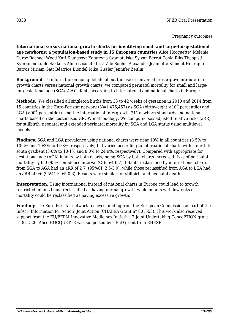**International versus national growth charts for identifying small and large-for-gestational age newborns: a population-based study in 15 European countries** Alice Hocquette\* Mélanie Durox Rachael Wood Kari Klungsoyr Katarzyna Szamotulska Sylvan Berrut Tonia Rihs Theopisti Kyprianou Luule Sakkeus Aline Lecomte Irisa Zile Sophie Alexander Jeannette Klimont Henrique Barros Miriam Gatt Béatrice Blondel Mika Gissler Jennifer Zeitlin

**Background**: To inform the on-going debate about the use of universal prescriptive intrauterine growth charts versus national growth charts, we compared perinatal mortality for small and largefor-gestational-age (SGA/LGA) infants according to international and national charts in Europe.

**Methods**: We classified all singleton births from 33 to 42 weeks of gestation in 2010 and 2014 from 15 countries in the Euro-Peristat network (N=1,475,457) as SGA (birthweight  $\langle 10^{th}$  percentile) and LGA ( $>90<sup>th</sup>$  percentile) using the international Intergrowth-21<sup>st</sup> newborn standards and national charts based on the customised GROW methodology. We computed sex-adjusted relative risks (aRR) for stillbirth, neonatal and extended perinatal mortality by SGA and LGA status using multilevel models.

**Findings**: SGA and LGA prevalence using national charts were near 10% in all countries (8·5% to 10·6% and 10·3% to 14·8%, respectively) but varied according to international charts with a north to south gradient (3·0% to 10·1% and 8·0% to 24·9%, respectively). Compared with appropriate for gestational age (AGA) infants by both charts, being SGA by both charts increased risks of perinatal mortality by 6·0 (95% confidence interval (CI): 5·4-6·7). Infants reclassified by international charts from SGA to AGA had an aRR of 2·7, (95%CI: 2·5-3·0), while those reclassified from AGA to LGA had an aRR of 0·6 (95%CI: 0·5-0·6). Results were similar for stillbirth and neonatal death.

**Interpretation**: Using international instead of national charts in Europe could lead to growth restricted infants being reclassified as having normal growth, while infants with low risks of mortality could be reclassified as having excessive growth.

**Funding:** The Euro-Peristat network receives funding from the European Commission as part of the InfAct (Information for Action) Joint Action (CHAFEA Grant n° 801553). This work also received support from the EU/EFPIA Innovative Medicines Initiative 2 Joint Undertaking ConcePTION grant n° 821520. Alice HOCQUETTE was supported by a PhD grant from EHESP.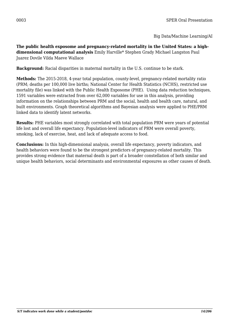Big Data/Machine Learning/AI

**The public health exposome and pregnancy-related mortality in the United States: a highdimensional computational analysis** Emily Harville\* Stephen Grady Michael Langston Paul Juarez Dovile Vilda Maeve Wallace

**Background:** Racial disparities in maternal mortality in the U.S. continue to be stark.

**Methods:** The 2015-2018, 4-year total population, county-level, pregnancy-related mortality ratio (PRM; deaths per 100,000 live births; National Center for Health Statistics (NCHS), restricted use mortality file) was linked with the Public Health Exposome (PHE). Using data reduction techniques, 1591 variables were extracted from over 62,000 variables for use in this analysis, providing information on the relationships between PRM and the social, health and health care, natural, and built environments. Graph theoretical algorithms and Bayesian analysis were applied to PHE/PRM linked data to identify latent networks.

**Results:** PHE variables most strongly correlated with total population PRM were years of potential life lost and overall life expectancy. Population-level indicators of PRM were overall poverty, smoking, lack of exercise, heat, and lack of adequate access to food.

**Conclusions:** In this high-dimensional analysis, overall life expectancy, poverty indicators, and health behaviors were found to be the strongest predictors of pregnancy-related mortality. This provides strong evidence that maternal death is part of a broader constellation of both similar and unique health behaviors, social determinants and environmental exposures as other causes of death.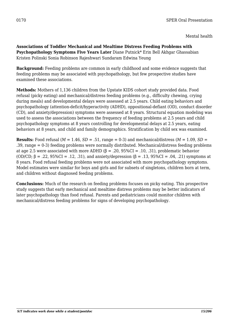Mental health

**Associations of Toddler Mechanical and Mealtime Distress Feeding Problems with Psychopathology Symptoms Five Years Later** Diane Putnick\* Erin Bell Akhgar Ghassabian Kristen Polinski Sonia Robinson Rajeshwari Sundaram Edwina Yeung

**Background:** Feeding problems are common in early childhood and some evidence suggests that feeding problems may be associated with psychopathology, but few prospective studies have examined these associations.

**Methods:** Mothers of 1,136 children from the Upstate KIDS cohort study provided data. Food refusal (picky eating) and mechanical/distress feeding problems (e.g., difficulty chewing, crying during meals) and developmental delays were assessed at 2.5 years. Child eating behaviors and psychopathology (attention-deficit/hyperactivity (ADHD), oppositional-defiant (OD), conduct disorder (CD), and anxiety/depression) symptoms were assessed at 8 years. Structural equation modeling was used to assess the associations between the frequency of feeding problems at 2.5 years and child psychopathology symptoms at 8 years controlling for developmental delays at 2.5 years, eating behaviors at 8 years, and child and family demographics. Stratification by child sex was examined.

**Results:** Food refusal ( $M = 1.46$ ,  $SD = .51$ , range = 0-3) and mechanical/distress ( $M = 1.09$ ,  $SD =$ .39, range = 0-3) feeding problems were normally distributed. Mechanical/distress feeding problems at age 2.5 were associated with more ADHD ( $\beta$  = .20, 95%CI = .10, .31), problematic behavior (OD/CD; β = .22, 95%CI = .12, .31), and anxiety/depression (β = .13, 95%CI = .04, .21) symptoms at 8 years. Food refusal feeding problems were not associated with more psychopathology symptoms. Model estimates were similar for boys and girls and for subsets of singletons, children born at term, and children without diagnosed feeding problems.

**Conclusions:** Much of the research on feeding problems focuses on picky eating. This prospective study suggests that early mechanical and mealtime distress problems may be better indicators of later psychopathology than food refusal. Parents and pediatricians could monitor children with mechanical/distress feeding problems for signs of developing psychopathology.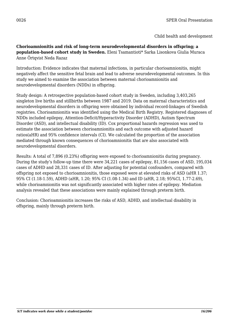**Chorioamnionitis and risk of long-term neurodevelopmental disorders in offspring; a population-based cohort study in Sweden.** Eleni Tsamantioti\* Sarka Lisonkova Giulia Muraca Anne Örtqvist Neda Razaz

Introduction: Evidence indicates that maternal infections, in particular chorioamnionitis, might negatively affect the sensitive fetal brain and lead to adverse neurodevelopmental outcomes. In this study we aimed to examine the association between maternal chorioamnionitis and neurodevelopmental disorders (NDDs) in offspring.

Study design: A retrospective population-based cohort study in Sweden, including 3,403,265 singleton live births and stillbirths between 1987 and 2019. Data on maternal characteristics and neurodevelopmental disorders in offspring were obtained by individual record-linkages of Swedish registries. Chorioamnionitis was identified using the Medical Birth Registry. Registered diagnoses of NDDs included epilepsy, Attention-Deficit/Hyperactivity Disorder (ADHD), Autism Spectrum Disorder (ASD), and intellectual disability (ID). Cox proportional hazards regression was used to estimate the association between chorioamnionitis and each outcome with adjusted hazard ratios(aHR) and 95% confidence intervals (CI). We calculated the proportion of the association mediated through known consequences of chorioamnionitis that are also associated with neurodevelopmental disorders.

Results: A total of 7,896 (0.23%) offspring were exposed to chorioamnionitis during pregnancy. During the study's follow-up time there were 34,221 cases of epilepsy, 81,156 cases of ASD, 195,034 cases of ADHD and 28,331 cases of ID. After adjusting for potential confounders, compared with offspring not exposed to chorioamnionitis, those exposed were at elevated risks of ASD (aHR 1.37; 95% CI (1.18-1.59), ADHD (aHR, 1.20; 95% CI (1.08-1.34) and ID (aHR, 2.18; 95%CI, 1.77-2.69), while chorioamnionitis was not significantly associated with higher rates of epilepsy. Mediation analysis revealed that these associations were mainly explained through preterm birth.

Conclusion: Chorioamnionitis increases the risks of ASD, ADHD, and intellectual disability in offspring, mainly through preterm birth.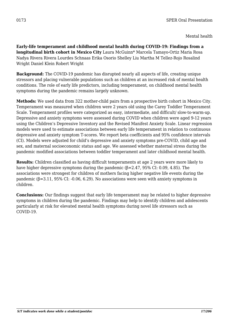**Early-life temperament and childhood mental health during COVID-19: Findings from a longitudinal birth cohort in Mexico City** Laura McGuinn\* Marcela Tamayo-Ortiz Maria Rosa Nadya Rivera Rivera Lourdes Schnaas Erika Osorio Shelley Liu Martha M Tellez-Rojo Rosalind Wright Daniel Klein Robert Wright

**Background:** The COVID-19 pandemic has disrupted nearly all aspects of life, creating unique stressors and placing vulnerable populations such as children at an increased risk of mental health conditions. The role of early life predictors, including temperament, on childhood mental health symptoms during the pandemic remains largely unknown.

**Methods:** We used data from 322 mother-child pairs from a prospective birth cohort in Mexico City. Temperament was measured when children were 2 years old using the Carey Toddler Temperament Scale. Temperament profiles were categorized as easy, intermediate, and difficult/ slow-to-warm-up. Depressive and anxiety symptoms were assessed during COVID when children were aged 9-12 years using the Children's Depressive Inventory and the Revised Manifest Anxiety Scale. Linear regression models were used to estimate associations between early life temperament in relation to continuous depressive and anxiety symptom T-scores. We report beta coefficients and 95% confidence intervals (CI). Models were adjusted for child's depressive and anxiety symptoms pre-COVID, child age and sex, and maternal socioeconomic status and age. We assessed whether maternal stress during the pandemic modified associations between toddler temperament and later childhood mental health.

**Results:** Children classified as having difficult temperaments at age 2 years were more likely to have higher depressive symptoms during the pandemic (β=2.47, 95% CI: 0.09, 4.85). The associations were strongest for children of mothers facing higher negative life events during the pandemic  $(\beta=3.11, 95\% \text{ CI: } -0.06, 6.29)$ . No associations were seen with anxiety symptoms in children.

**Conclusions:** Our findings suggest that early life temperament may be related to higher depressive symptoms in children during the pandemic. Findings may help to identify children and adolescents particularly at risk for elevated mental health symptoms during novel life stressors such as COVID-19.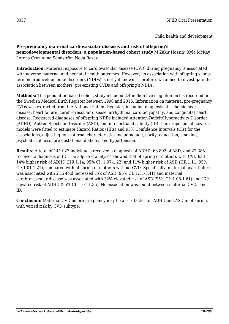## **Pre-pregnancy maternal cardiovascular diseases and risk of offspring's**

**neurodevelopmental disorders: a population-based cohort study** M Zakir Hossin\* Kyla McKay Lorena Cruz Anna Sandström Neda Razaz

**Introduction:** Maternal exposure to cardiovascular disease (CVD) during pregnancy is associated with adverse maternal and neonatal health outcomes. However, its association with offspring's longterm neurodevelopmental disorders (NDDs) is not yet known. Therefore, we aimed to investigate the association between mothers' pre-existing CVDs and offspring's NDDs.

**Methods:** This population-based cohort study included 2.4 million live singleton births recorded in the Swedish Medical Birth Register between 1990 and 2016. Information on maternal pre-pregnancy CVDs was extracted from the National Patient Register, including diagnosis of ischemic heart disease, heart failure, cerebrovascular disease, arrhythmia, cardiomyopathy, and congenital heart disease. Registered diagnoses of offspring NDDs included Attention-Deficit/Hyperactivity Disorder (ADHD), Autism Spectrum Disorder (ASD), and intellectual disability (ID). Cox proportional hazards models were fitted to estimate Hazard Ratios (HRs) and 95% Confidence Intervals (CIs) for the associations, adjusting for maternal characteristics including age, parity, education, smoking, psychiatric illness, pre-gestational diabetes and hypertension.

**Results:** A total of 141 027 individuals received a diagnosis of ADHD, 63 802 of ASD, and 22 385 received a diagnosis of ID. The adjusted analyses showed that offspring of mothers with CVD had 14% higher risk of ADHD (HR 1.14; 95% CI: 1.07-1.22) and 11% higher risk of ASD (HR 1.11; 95% CI: 1.01-1.21), compared with offspring of mothers without CVD. Specifically, maternal heart failure was associated with 2.12-fold increased risk of ASD (95% CI: 1.31-3.41) and maternal cerebrovascular disease was associated with 32% elevated risk of ASD (95% CI: 1.08-1.61) and 17% elevated risk of ADHD (95% CI: 1.01-1.35). No association was found between maternal CVDs and ID.

**Conclusion:** Maternal CVD before pregnancy may be a risk factor for ADHD and ASD in offspring, with varied risk by CVD subtype.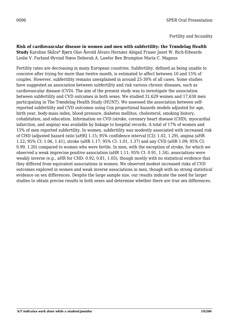#### Fertility and fecundity

**Risk of cardiovascular disease in women and men with subfertility: the Trøndelag Health Study** Karoline Skåra\* Bjørn Olav Åsvold Álvaro Hernáez Abigail Fraser Janet W. Rich-Edwards Leslie V. Farland Øyvind Næss Deborah A. Lawlor Ben Brumpton Maria C. Magnus

Fertility rates are decreasing in many European countries. Subfertility, defined as being unable to conceive after trying for more than twelve month, is estimated to affect between 10 and 15% of couples. However, subfertility remains unexplained in around 25-30% of all cases. Some studies have suggested an association between subfertility and risk various chronic diseases, such as cardiovascular disease (CVD). The aim of the present study was to investigate the association between subfertility and CVD outcomes in both sexes. We studied 31,629 women and 17,630 men participating in The Trøndelag Health Study (HUNT). We assessed the association between selfreported subfertility and CVD outcomes using Cox proportional hazards models adjusted for age, birth year, body-mass index, blood pressure, diabetes mellitus, cholesterol, smoking history, cohabitation, and education. Information on CVD (stroke, coronary heart disease (CHD), myocardial infarction, and angina) was available by linkage to hospital records. A total of 17% of women and 15% of men reported subfertility. In women, subfertility was modestly associated with increased risk of CHD (adjusted hazard ratio [aHR] 1.15; 95% confidence interval [CI]: 1.02, 1.29), angina (aHR 1.22; 95% CI: 1.06, 1.41), stroke (aHR 1.17; 95% CI: 1.01, 1.37) and any CVD (aHR 1.09; 95% CI: 0.99, 1.20) compared to women who were fertile. In men, with the exception of stroke, for which we observed a weak imprecise positive association (aHR 1.11; 95% CI: 0.91, 1.34), associations were weakly inverse (e.g., aHR for CHD: 0.92; 0.81, 1.05), though mostly with no statistical evidence that they differed from equivalent associations in women. We observed modest increased risks of CVD outcomes explored in women and weak inverse associations in men, though with no strong statistical evidence on sex differences. Despite the large sample size, our results indicate the need for larger studies to obtain precise results in both sexes and determine whether there are true sex differences.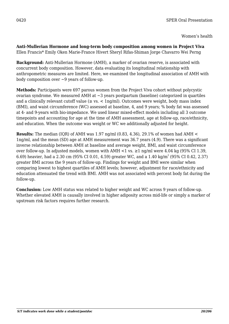**Anti-Mullerian Hormone and long-term body composition among women in Project Viva** Ellen Francis\* Emily Oken Marie-France Hivert Sheryl Rifas-Shiman Jorge Chavarro Wei Perng

**Background:** Anti-Mullerian Hormone (AMH), a marker of ovarian reserve, is associated with concurrent body composition. However, data evaluating its longitudinal relationship with anthropometric measures are limited. Here, we examined the longitudinal association of AMH with body composition over  $\sim$ 9 years of follow-up.

**Methods:** Participants were 697 parous women from the Project Viva cohort without polycystic ovarian syndrome. We measured AMH at ~3 years postpartum (baseline) categorized in quartiles and a clinically relevant cutoff value ( $\geq$  vs.  $\lt$  1ng/ml). Outcomes were weight, body mass index (BMI), and waist circumference (WC) assessed at baseline, 4, and 9 years; % body fat was assessed at 4- and 9-years with bio-impedance. We used linear mixed-effect models including all 3 outcome timepoints and accounting for age at the time of AMH assessment, age at follow-up, race/ethnicity, and education. When the outcome was weight or WC we additionally adjusted for height.

**Results:** The median (IQR) of AMH was 1.97 ng/ml (0.83, 4.36), 29.1% of women had AMH < 1ng/ml, and the mean (SD) age at AMH measurement was 36.7 years (4.9). There was a significant inverse relationship between AMH at baseline and average weight, BMI, and waist circumference over follow-up. In adjusted models, women with AMH <1 vs. ≥1 ng/ml were 4.04 kg (95% CI 1.39, 6.69) heavier, had a 2.30 cm (95% CI 0.01, 4.59) greater WC, and a 1.40 kg/m<sup>2</sup> (95% CI 0.42, 2.37) greater BMI across the 9 years of follow-up. Findings for weight and BMI were similar when comparing lowest to highest quartiles of AMH levels; however, adjustment for race/ethnicity and education attenuated the trend with BMI. AMH was not associated with percent body fat during the follow-up.

**Conclusion:** Low AMH status was related to higher weight and WC across 9 years of follow-up. Whether elevated AMH is causally involved in higher adiposity across mid-life or simply a marker of upstream risk factors requires further research.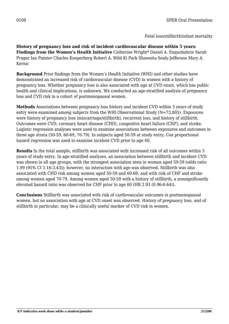**History of pregnancy loss and risk of incident cardiovascular disease within 5 years: Findings from the Women's Health Initiative** Catherine Wright\* Daniel A. Enquobahrie Sarah Prager Ian Painter Charles Kooperberg Robert A. Wild Ki Park Shawnita Sealy-Jefferson Mary A. Kernic

**Background** Prior findings from the Women's Health Initiative (WHI) and other studies have demonstrated an increased risk of cardiovascular disease (CVD) in women with a history of pregnancy loss. Whether pregnancy loss is also associated with age at CVD onset, which has public health and clinical implications, is unknown. We conducted an age-stratified analysis of pregnancy loss and CVD risk in a cohort of postmenopausal women.

**Methods** Associations between pregnancy loss history and incident CVD within 5 years of study entry were examined among subjects from the WHI Observational Study (N=73,805). Exposures were history of pregnancy loss (miscarriage/stillbirth), recurrent loss, and history of stillbirth. Outcomes were CVD, coronary heart disease (CHD), congestive heart failure (CHF), and stroke. Logistic regression analyses were used to examine associations between exposures and outcomes in three age strata (50-59, 60-69, 70-79). In subjects aged 50-59 at study entry, Cox proportional hazard regression was used to examine incident CVD prior to age 60.

**Results** In the total sample, stillbirth was associated with increased risk of all outcomes within 5 years of study entry. In age-stratified analyses, an association between stillbirth and incident CVD was shown in all age groups, with the strongest association seen in women aged 50-59 (odds ratio 1.99 (95% CI 1.16-3.43)); however, no interaction with age was observed. Stillbirth was also associated with CHD risk among women aged 50-59 and 60-69, and with risk of CHF and stroke among women aged 70-79. Among women aged 50-59 with a history of stillbirth, a nonsignificantly elevated hazard ratio was observed for CHF prior to age 60 (HR 2.93 (0.96-6.64)).

**Conclusions** Stillbirth was associated with risk of cardiovascular outcomes in postmenopausal women, but no association with age at CVD onset was observed. History of pregnancy loss, and of stillbirth in particular, may be a clinically useful marker of CVD risk in women.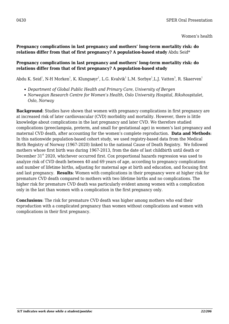### **Pregnancy complications in last pregnancy and mothers' long-term mortality risk: do relations differ from that of first pregnancy? A population-based study** Abdu Seid\*

#### **Pregnancy complications in last pregnancy and mothers' long-term mortality risk: do relations differ from that of first pregnancy? A population-based study**

Abdu K. Seid $^1$ , N-H Morken $^1$ , K. Klungsøyr $^1$ , L.G. Kvalvik $^1$  L.M. Sorbye $^1$ ,L.J. Vatten $^3$ , R. Skaerven $^1$ 

- *Department of Global Public Health and Primary Care, University of Bergen*
- *Norwegian Research Centre for Women's Health, Oslo University Hospital, Rikshospitalet, Oslo, Norway*

**Background**: Studies have shown that women with pregnancy complications in first pregnancy are at increased risk of later cardiovascular (CVD) morbidity and mortality. However, there is little knowledge about complications in the last pregnancy and later CVD. We therefore studied complications (preeclampsia, preterm, and small for gestational age) in women's last pregnancy and maternal CVD death, after accounting for the women's complete reproduction. **Data and Methods**: In this nationwide population-based cohort study, we used registry-based data from the Medical Birth Registry of Norway (1967-2020) linked to the national Cause of Death Registry. We followed mothers whose first birth was during 1967-2013, from the date of last childbirth until death or December 31<sup>st</sup> 2020, whichever occurred first. Cox proportional hazards regression was used to analyze risk of CVD death between 40 and 69 years of age, according to pregnancy complications and number of lifetime births, adjusting for maternal age at birth and education, and focusing first and last pregnancy. **Results**: Women with complications in their pregnancy were at higher risk for premature CVD death compared to mothers with two lifetime births and no complications. The higher risk for premature CVD death was particularly evident among women with a complication only in the last than women with a complication in the first pregnancy only.

**Conclusions**: The risk for premature CVD death was higher among mothers who end their reproduction with a complicated pregnancy than women without complications and women with complications in their first pregnancy.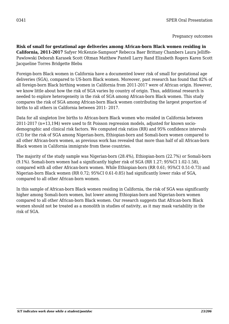## Pregnancy outcomes

**Risk of small for gestational age deliveries among African-born Black women residing in California, 2011-2017** Safyer McKenzie-Sampson\* Rebecca Baer Brittany Chambers Laura Jelliffe-Pawlowski Deborah Karasek Scott Oltman Matthew Pantell Larry Rand Elizabeth Rogers Karen Scott Jacqueline Torres Bridgette Blebu

Foreign-born Black women in California have a documented lower risk of small for gestational age deliveries (SGA), compared to US-born Black women. Moreover, past research has found that 82% of all foreign-born Black birthing women in California from 2011-2017 were of African origin. However, we know little about how the risk of SGA varies by country of origin. Thus, additional research is needed to explore heterogeneity in the risk of SGA among African-born Black women. This study compares the risk of SGA among African-born Black women contributing the largest proportion of births to all others in California between 2011- 2017.

Data for all singleton live births to African-born Black women who resided in California between 2011-2017 (n=13,194) were used to fit Poisson regression models, adjusted for known sociodemographic and clinical risk factors. We computed risk ratios (RR) and 95% confidence intervals (CI) for the risk of SGA among Nigerian-born, Ethiopian-born and Somali-born women compared to all other African-born women, as previous work has revealed that more than half of all African-born Black women in California immigrate from these countries.

The majority of the study sample was Nigerian-born (28.4%), Ethiopian-born (22.7%) or Somali-born (9.1%). Somali-born women had a significantly higher risk of SGA (RR 1.27; 95%CI 1.02-1.58), compared with all other African-born women. While Ethiopian-born (RR 0.61; 95%CI 0.51-0.73) and Nigerian-born Black women (RR 0.72; 95%CI 0.61-0.85) had significantly lower risks of SGA, compared to all other African-born women.

In this sample of African-born Black women residing in California, the risk of SGA was significantly higher among Somali-born women, but lower among Ethiopian-born and Nigerian-born women compared to all other African-born Black women. Our research suggests that African-born Black women should not be treated as a monolith in studies of nativity, as it may mask variability in the risk of SGA.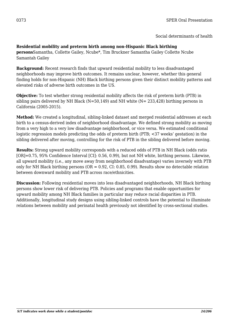Social determinants of health

#### **Residential mobility and preterm birth among non-Hispanic Black birthing**

**persons**Samantha, Collette Gailey, Ncube\*, Tim Bruckner Samantha Gailey Collette Ncube Samantah Gailey

**Background:** Recent research finds that upward residential mobility to less disadvantaged neighborhoods may improve birth outcomes. It remains unclear, however, whether this general finding holds for non-Hispanic (NH) Black birthing persons given their distinct mobility patterns and elevated risks of adverse birth outcomes in the US.

**Objective:** To test whether strong residential mobility affects the risk of preterm birth (PTB) in sibling pairs delivered by NH Black ( $N=50,149$ ) and NH white ( $N=233,428$ ) birthing persons in California (2005-2015).

**Method:** We created a longitudinal, sibling-linked dataset and merged residential addresses at each birth to a census-derived index of neighborhood disadvantage. We defined strong mobility as moving from a very high to a very low disadvantage neighborhood, or vice versa. We estimated conditional logistic regression models predicting the odds of preterm birth (PTB; <37 weeks' gestation) in the sibling delivered after moving, controlling for the risk of PTB in the sibling delivered before moving.

**Results:** Strong upward mobility corresponds with a reduced odds of PTB in NH Black (odds ratio [OR]=0.75, 95% Confidence Interval [CI]: 0.56, 0.99), but not NH white, birthing persons. Likewise, all upward mobility (i.e., any move away from neighborhood disadvantage) varies inversely with PTB only for NH Black birthing persons ( $OR = 0.92$ ,  $CI: 0.85, 0.99$ ). Results show no detectable relation between downward mobility and PTB across race/ethnicities.

**Discussion:** Following residential moves into less disadvantaged neighborhoods, NH Black birthing persons show lower risk of delivering PTB. Policies and programs that enable opportunities for upward mobility among NH Black families in particular may reduce racial disparities in PTB. Additionally, longitudinal study designs using sibling-linked controls have the potential to illuminate relations between mobility and perinatal health previously not identified by cross-sectional studies.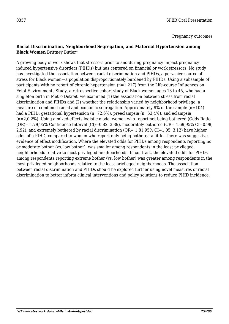Pregnancy outcomes

#### **Racial Discrimination, Neighborhood Segregation, and Maternal Hypertension among Black Women** Brittney Butler\*

A growing body of work shows that stressors prior to and during pregnancy impact pregnancyinduced hypertensive disorders (PIHDs) but has centered on financial or work stressors. No study has investigated the association between racial discrimination and PIHDs, a pervasive source of stress for Black women—a population disproportionately burdened by PIHDs. Using a subsample of participants with no report of chronic hypertension (n=1,217) from the Life-course Influences on Fetal Environments Study, a retrospective cohort study of Black women ages 18 to 45, who had a singleton birth in Metro Detroit, we examined (1) the association between stress from racial discrimination and PIHDs and (2) whether the relationship varied by neighborhood privilege, a measure of combined racial and economic segregation. Approximately 9% of the sample (n=104) had a PIHD: gestational hypertension (n=72,6%), preeclampsia (n=53,4%), and eclampsia (n=2,0.2%). Using a mixed-effects logistic model women who report not being bothered (Odds Ratio (OR)= 1.79,95% Confidence Interval (CI)=0.82, 3.89), moderately bothered (OR= 1.69,95% CI=0.98, 2.92), and extremely bothered by racial discrimination (OR= 1.81,95% CI=1.05, 3.12) have higher odds of a PIHD, compared to women who report only being bothered a little. There was suggestive evidence of effect modification. Where the elevated odds for PIHDs among respondents reporting no or moderate bother (vs. low bother), was smaller among respondents in the least privileged neighborhoods relative to most privileged neighborhoods. In contrast, the elevated odds for PIHDs among respondents reporting extreme bother (vs. low bother) was greater among respondents in the most privileged neighborhoods relative to the least privileged neighborhoods. The association between racial discrimination and PIHDs should be explored further using novel measures of racial discrimination to better inform clinical interventions and policy solutions to reduce PIHD incidence.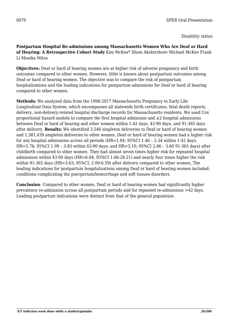Disability status

**Postpartum Hospital Re-admissions among Massachusetts Women Who Are Deaf or Hard of Hearing: A Retrospective Cohort Study** Kim McKee\* Ilhom Akobirshoev Michael McKee Frank Li Monika Mitra

**Objectives:** Deaf or hard of hearing women are at higher risk of adverse pregnancy and birth outcomes compared to other women. However, little is known about postpartum outcomes among Deaf or hard of hearing women. The objective was to compare the risk of postpartum hospitalizations and the leading indications for postpartum admissions for Deaf or hard of hearing compared to other women.

**Methods:** We analyzed data from the 1998-2017 Massachusetts Pregnancy to Early Life Longitudinal Data System, which encompasses all statewide birth certificates, fetal death reports, delivery, non-delivery-related hospital discharge records for Massachusetts residents. We used Cox proportional hazard models to compare the first hospital admission and ≥2 hospital admissions between Deaf or hard of hearing and other women within 1-42 days, 43-90 days, and 91-365 days after delivery. **Results:** We identified 3,546 singleton deliveries to Deaf or hard of hearing women and 1,381,439 singleton deliveries to other women. Deaf or hard of hearing women had a higher risk for any hospital admissions across all periods (HR=1.84; 95%CI 1.46 – 2.34 within 1-42 days; HR=2.76; 95%CI 1.99 – 3.83 within 43-90 days; and HR=3.10; 95%CI 2.66 – 3.60 91-365 days) after childbirth compared to other women. They had almost seven times higher risk for repeated hospital admissions within 43-90 days (HR=6.84; 95%CI 1.66-28.21) and nearly four times higher the risk within 91-365 days (HR=3.63; 95%CI, 2.00-6.59) after delivery compared to other women. The leading indications for postpartum hospitalizations among Deaf or hard of hearing women included: conditions complicating the puerperium/hemorrhage and soft tissues disorders.

**Conclusion**: Compared to other women, Deaf or hard of hearing women had significantly higher prevalence re-admission across all postpartum periods and for repeated re-admissions >42 days. Leading postpartum indications were distinct from that of the general population.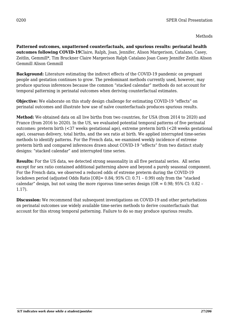Methods

**Patterned outcomes, unpatterned counterfactuals, and spurious results: perinatal health outcomes following COVID-19**Claire, Ralph, Joan, Jennifer, Alison Margerison, Catalano, Casey, Zeitlin, Gemmill\*, Tim Bruckner Claire Margerison Ralph Catalano Joan Casey Jennifer Zeitlin Alison Gemmill Alison Gemmill

**Background:** Literature estimating the indirect effects of the COVID-19 pandemic on pregnant people and gestation continues to grow. The predominant methods currently used, however, may produce spurious inferences because the common "stacked calendar" methods do not account for temporal patterning in perinatal outcomes when deriving counterfactual estimates.

**Objective:** We elaborate on this study design challenge for estimating COVID-19 "effects" on perinatal outcomes and illustrate how use of naïve counterfactuals produces spurious results.

**Method:** We obtained data on all live births from two countries, for USA (from 2014 to 2020) and France (from 2016 to 2020). In the US, we evaluated potential temporal patterns of five perinatal outcomes: preterm birth (<37 weeks gestational age), extreme preterm birth (<28 weeks gestational age), cesarean delivery, total births, and the sex ratio at birth. We applied interrupted time-series methods to identify patterns. For the French data, we examined weekly incidence of extreme preterm birth and compared inferences drawn about COVID-19 "effects" from two distinct study designs: "stacked calendar" and interrupted time series.

**Results:** For the US data, we detected strong seasonality in all five perinatal series. All series except for sex ratio contained additional patterning above and beyond a purely seasonal component. For the French data, we observed a reduced odds of extreme preterm during the COVID-19 lockdown period (adjusted Odds Ratio [OR]= 0.84; 95% CI: 0.71 – 0.99) only from the "stacked calendar" design, but not using the more rigorous time-series design (OR = 0.98; 95% CI: 0.82 – 1.17).

**Discussion:** We recommend that subsequent investigations on COVID-19 and other perturbations on perinatal outcomes use widely available time-series methods to derive counterfactuals that account for this strong temporal patterning. Failure to do so may produce spurious results.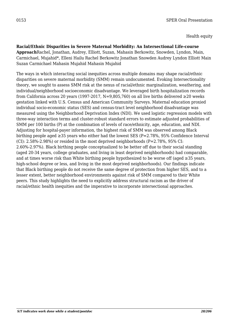Health equity

**Racial/Ethnic Disparities in Severe Maternal Morbidity: An Intersectional Life-course Approach**Rachel, Jonathan, Audrey, Elliott, Suzan, Mahasin Berkowitz, Snowden, Lyndon, Main, Carmichael, Mujahid\*, Elleni Hailu Rachel Berkowitz Jonathan Snowden Audrey Lyndon Elliott Main Suzan Carmichael Mahasin Mujahid Mahasin Mujahid

The ways in which interacting social inequities across multiple domains may shape racial/ethnic disparities on severe maternal morbidity (SMM) remain undocumented. Evoking Intersectionality theory, we sought to assess SMM risk at the nexus of racial/ethnic marginalization, weathering, and individual/neighborhood socioeconomic disadvantage. We leveraged birth hospitalization records from California across 20 years (1997-2017, N=9,805,760) on all live births delivered ≥20 weeks gestation linked with U.S. Census and American Community Surveys. Maternal education proxied individual socio-economic status (SES) and census-tract level neighborhood disadvantage was measured using the Neighborhood Deprivation Index (NDI). We used logistic regression models with three-way interaction terms and cluster-robust standard errors to estimate adjusted probabilities of SMM per 100 births (P) at the combination of levels of race/ethnicity, age, education, and NDI. Adjusting for hospital-payer information, the highest risk of SMM was observed among Black birthing people aged ≥35 years who either had the lowest SES (P=2.78%, 95% Confidence Interval (CI):  $2.58\%$ -2.98%) or resided in the most deprived neighborhoods (P=2.78%, 95% CI: 2.60%-2.97%). Black birthing people conceptualized to be better off due to their social standing (aged 20-34 years, college graduates, and living in least deprived neighborhoods) had comparable, and at times worse risk than White birthing people hypothesized to be worse off (aged ≥35 years, high-school degree or less, and living in the most deprived neighborhoods). Our findings indicate that Black birthing people do not receive the same degree of protection from higher SES, and to a lesser extent, better neighborhood environments against risk of SMM compared to their White peers. This study highlights the need to explicitly address structural racism as the driver of racial/ethnic health inequities and the imperative to incorporate intersectional approaches.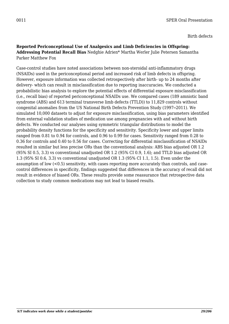Birth defects

#### **Reported Periconceptional Use of Analgesics and Limb Deficiencies in Offspring: Addressing Potential Recall Bias** Nedghie Adrien\* Martha Werler Julie Petersen Samantha Parker Matthew Fox

Case-control studies have noted associations between non-steroidal anti-inflammatory drugs (NSAIDs) used in the periconceptional period and increased risk of limb defects in offspring. However, exposure information was collected retrospectively after birth- up to 24 months after delivery- which can result in misclassification due to reporting inaccuracies. We conducted a probabilistic bias analysis to explore the potential effects of differential exposure misclassification (i.e., recall bias) of reported periconceptional NSAIDs use. We compared cases (189 amniotic band syndrome (ABS) and 613 terminal transverse limb defects (TTLD)) to 11,829 controls without congenital anomalies from the US National Birth Defects Prevention Study (1997─2011). We simulated 10,000 datasets to adjust for exposure misclassification, using bias parameters identified from external validation studies of medication use among pregnancies with and without birth defects. We conducted our analyses using symmetric triangular distributions to model the probability density functions for the specificity and sensitivity. Specificity lower and upper limits ranged from 0.81 to 0.94 for controls, and 0.96 to 0.99 for cases. Sensitivity ranged from 0.28 to 0.36 for controls and 0.40 to 0.56 for cases. Correcting for differential misclassification of NSAIDs resulted in similar but less precise ORs than the conventional analysis: ABS bias adjusted OR 1.2 (95% SI 0.5, 3.3) vs conventional unadjusted OR 1.2 (95% CI 0.9, 1.6); and TTLD bias adjusted OR 1.3 (95% SI 0.6, 3.3) vs conventional unadjusted OR 1.3 (95% CI 1.1, 1.5). Even under the assumption of low (<0.5) sensitivity, with cases reporting more accurately than controls, and casecontrol differences in specificity, findings suggested that differences in the accuracy of recall did not result in evidence of biased ORs. These results provide some reassurance that retrospective data collection to study common medications may not lead to biased results.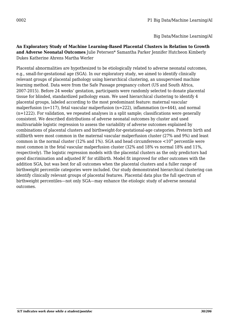Big Data/Machine Learning/AI

**An Exploratory Study of Machine Learning-Based Placental Clusters in Relation to Growth and Adverse Neonatal Outcomes** Julie Petersen\* Samantha Parker Jennifer Hutcheon Kimberly Dukes Katherine Ahrens Martha Werler

Placental abnormalities are hypothesized to be etiologically related to adverse neonatal outcomes, e.g., small-for-gestational age (SGA). In our exploratory study, we aimed to identify clinically relevant groups of placental pathology using hierarchical clustering, an unsupervised machine learning method. Data were from the Safe Passage pregnancy cohort (US and South Africa, 2007-2015). Before 24 weeks' gestation, participants were randomly selected to donate placental tissue for blinded, standardized pathology exam. We used hierarchical clustering to identify 4 placental groups, labeled according to the most predominant feature: maternal vascular malperfusion (n=117), fetal vascular malperfusion (n=222), inflammation (n=444), and normal (n=1222). For validation, we repeated analyses in a split sample; classifications were generally consistent. We described distributions of adverse neonatal outcomes by cluster and used multivariable logistic regression to assess the variability of adverse outcomes explained by combinations of placental clusters and birthweight-for-gestational-age categories. Preterm birth and stillbirth were most common in the maternal vascular malperfusion cluster (27% and 9%) and least common in the normal cluster (12% and 1%). SGA and head circumference  $\lt 10^{th}$  percentile were most common in the fetal vascular malperfusion cluster (32% and 18% vs normal 18% and 11%, respectively). The logistic regression models with the placental clusters as the only predictors had good discrimination and adjusted  $\mathsf{R}^2$  for stillbirth. Model fit improved for other outcomes with the addition SGA, but was best for all outcomes when the placental clusters and a fuller range of birthweight percentile categories were included. Our study demonstrated hierarchical clustering can identify clinically relevant groups of placental features. Placental data plus the full spectrum of birthweight percentiles—not only SGA—may enhance the etiologic study of adverse neonatal outcomes.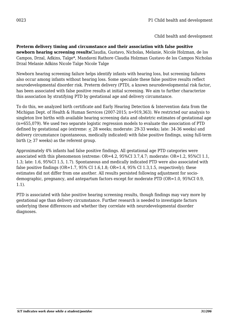**Preterm delivery timing and circumstance and their association with false positive newborn hearing screening results**Claudia, Gustavo, Nicholas, Melanie, Nicole Holzman, de los Campos, Drzal, Adkins, Talge\*, Mandavni Rathore Claudia Holzman Gustavo de los Campos Nicholas Drzal Melanie Adkins Nicole Talge Nicole Talge

Newborn hearing screening failure helps identify infants with hearing loss, but screening failures also occur among infants without hearing loss. Some speculate these false positive results reflect neurodevelopmental disorder risk. Preterm delivery (PTD), a known neurodevelopmental risk factor, has been associated with false positive results at initial screening. We aim to further characterize this association by stratifying PTD by gestational age and delivery circumstance.

To do this, we analyzed birth certificate and Early Hearing Detection & Intervention data from the Michigan Dept. of Health & Human Services (2007-2015; n=919,363). We restricted our analysis to singleton live births with available hearing screening data and obstetric estimates of gestational age (n=655,079). We used two separate logistic regression models to evaluate the association of PTD defined by gestational age (extreme: < 28 weeks; moderate: 29-33 weeks; late: 34-36 weeks) and delivery circumstance (spontaneous, medically indicated) with false positive findings, using full-term birth (> 37 weeks) as the referent group.

Approximately 4% infants had false positive findings. All gestational age PTD categories were associated with this phenomenon (extreme: OR=4.2, 95%CI 3.7,4.7; moderate: OR=1.2, 95%CI 1.1, 1.3; late: 1.6, 95%CI 1.5, 1.7). Spontaneous and medically indicated PTD were also associated with false positive findings ( $OR=1.7$ ,  $95\%$  CI 1.6,1.8;  $OR=1.4$ ,  $95\%$  CI 1.3,1.5, respectively); these estimates did not differ from one another. All results persisted following adjustment for sociodemographic, pregnancy, and antepartum factors except for moderate PTD (OR=1.0, 95%CI 0.9, 1.1).

PTD is associated with false positive hearing screening results, though findings may vary more by gestational age than delivery circumstance. Further research is needed to investigate factors underlying these differences and whether they correlate with neurodevelopmental disorder diagnoses.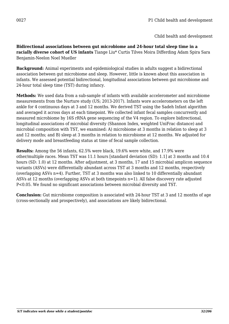**Bidirectional associations between gut microbiome and 24-hour total sleep time in a racially diverse cohort of US infants** Tiange Liu\* Curtis Tilves Moira Differding Adam Spira Sara Benjamin-Neelon Noel Mueller

**Background:** Animal experiments and epidemiological studies in adults suggest a bidirectional association between gut microbiome and sleep. However, little is known about this association in infants. We assessed potential bidirectional, longitudinal associations between gut microbiome and 24-hour total sleep time (TST) during infancy.

**Methods:** We used data from a sub-sample of infants with available accelerometer and microbiome measurements from the Nurture study (US; 2013-2017). Infants wore accelerometers on the left ankle for 4 continuous days at 3 and 12 months. We derived TST using the Sadeh Infant algorithm and averaged it across days at each timepoint. We collected infant fecal samples concurrently and measured microbiome by 16S rRNA gene sequencing of the V4 region. To explore bidirectional, longitudinal associations of microbial diversity (Shannon Index, weighted UniFrac distance) and microbial composition with TST, we examined: A) microbiome at 3 months in relation to sleep at 3 and 12 months; and B) sleep at 3 months in relation to microbiome at 12 months. We adjusted for delivery mode and breastfeeding status at time of fecal sample collection.

**Results:** Among the 56 infants, 62.5% were black, 19.6% were white, and 17.9% were other/multiple races. Mean TST was 11.1 hours [standard deviation (SD): 1.1] at 3 months and 10.4 hours (SD: 1.0) at 12 months. After adjustment, at 3 months, 17 and 15 microbial amplicon sequence variants (ASVs) were differentially abundant across TST at 3 months and 12 months, respectively (overlapping ASVs n=4). Further, TST at 3 months was also linked to 10 differentially abundant ASVs at 12 months (overlapping ASVs at both timepoints n=1). All false discovery rate adjusted P<0.05. We found no significant associations between microbial diversity and TST.

**Conclusion:** Gut microbiome composition is associated with 24-hour TST at 3 and 12 months of age (cross-sectionally and prospectively), and associations are likely bidirectional.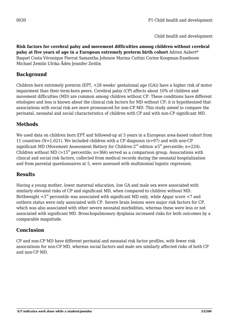**Risk factors for cerebral palsy and movement difficulties among children without cerebral palsy at five years of age in a European extremely preterm birth cohort** Adrien Aubert\* Raquel Costa Véronique Pierrat Samantha Johnson Marina Cuttini Corine Koopman-Esseboom Michael Zemlin Ulrika Ådén Jennifer Zeitlin

## **Background**

Children born extremely preterm (EPT, <28 weeks' gestational age (GA)) have a higher risk of motor impairment than their term-born peers. Cerebral palsy (CP) affects about 10% of children and movement difficulties (MD) are common among children without CP. These conditions have different etiologies and less is known about the clinical risk factors for MD without CP; it is hypothesized that associations with social risk are more pronounced for non-CP MD. This study aimed to compare the perinatal, neonatal and social characteristics of children with CP and with non-CP significant MD.

## **Methods**

We used data on children born EPT and followed-up at 5 years in a European area-based cohort from 11 countries ( $N=1,021$ ). We included children with a CP diagnosis ( $n=97$ ) and with non-CP significant MD (Movement Assessment Battery for Children-2<sup>nd</sup> edition  $\leq 5^{th}$  percentile; n=224). Children without MD ( $>15<sup>th</sup>$  percentile; n=366) served as a comparison group. Associations with clinical and social risk factors, collected from medical records during the neonatal hospitalization and from parental questionnaires at 5, were assessed with multinomial logistic regression.

## **Results**

Having a young mother, lower maternal education, low GA and male sex were associated with similarly elevated risks of CP and significant MD, when compared to children without MD. Birthweight  $\langle 3^{rd}$  percentile was associated with significant MD only, while Apgar score  $\langle 7 \rangle$  and outborn status were only associated with CP. Severe brain lesions were major risk factors for CP, which was also associated with other severe neonatal morbidities, whereas these were less or not associated with significant MD. Bronchopulmonary dysplasia increased risks for both outcomes by a comparable magnitude.

## **Conclusion**

CP and non-CP MD have different perinatal and neonatal risk factor profiles, with fewer risk associations for non-CP MD, whereas social factors and male sex similarly affected risks of both CP and non-CP MD.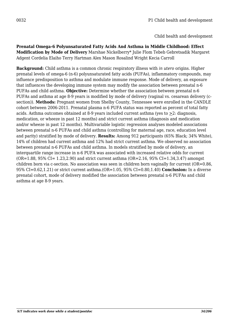**Prenatal Omega-6 Polyunsaturated Fatty Acids And Asthma in Middle Childhood: Effect Modification by Mode of Delivery** Marshae Nickelberry\* Julie Flom Tebeb Gebretsadik Margaret Adgent Cordelia Elaiho Terry Hartman Alex Mason Rosalind Wright Kecia Carroll

**Background:** Child asthma is a common chronic respiratory illness with *in utero* origins. Higher prenatal levels of omega-6 (n-6) polyunsaturated fatty acids (PUFAs), inflammatory compounds, may influence predisposition to asthma and modulate immune response. Mode of delivery, an exposure that influences the developing immune system may modify the association between prenatal n-6 PUFAs and child asthma. **Objective:** Determine whether the association between prenatal n-6 PUFAs and asthma at age 8-9 years is modified by mode of delivery (vaginal vs. cesarean delivery (csection)). **Methods:** Pregnant women from Shelby County, Tennessee were enrolled in the CANDLE cohort between 2006-2011. Prenatal plasma n-6 PUFA status was reported as percent of total fatty acids. Asthma outcomes obtained at 8-9 years included current asthma (yes to  $\geq$ 2: diagnosis, medication, or wheeze in past 12 months) and strict current asthma (diagnosis and medication and/or wheeze in past 12 months). Multivariable logistic regression analyses modeled associations between prenatal n-6 PUFAs and child asthma (controlling for maternal age, race, education level and parity) stratified by mode of delivery. **Results:** Among 912 participants (65% Black; 34% White), 14% of children had current asthma and 12% had strict current asthma. We observed no association between prenatal n-6 PUFAs and child asthma. In models stratified by mode of delivery, an interquartile range increase in n-6 PUFA was associated with increased relative odds for current  $(OR=1.88, 95\% CI = 1.23, 2.90)$  and strict current asthma  $(OR=2.16, 95\% CI = 1.34, 3.47)$  amongst children born via c-section. No association was seen in children born vaginally for current (OR=0.86, 95% CI=0.62,1.21) or strict current asthma.(OR=1.05, 95% CI=0.80,1.40) **Conclusion:** In a diverse prenatal cohort, mode of delivery modified the association between prenatal n-6 PUFAs and child asthma at age 8-9 years.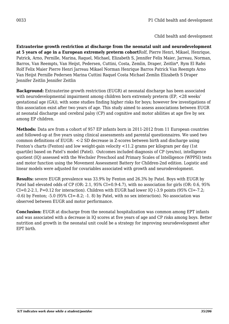**Extrauterine growth restriction at discharge from the neonatal unit and neurodevelopment at 5 years of age in a European extremely preterm cohort**Rolf, Pierre Henri, Mikael, Henrique, Patrick, Arno, Pernille, Marina, Raquel, Michael, Elizabeth S, Jennifer Felix Maier, Jarreau, Norman, Barros, Van Reempts, Van Heijst, Pedersen, Cuttini, Costa, Zemlin, Draper, Zeitlin\*, Rym El Rafei Rolf Felix Maier Pierre Henri Jarreau Mikael Norman Henrique Barros Patrick Van Reempts Arno Van Heijst Pernille Pedersen Marina Cuttini Raquel Costa Michael Zemlin Elizabeth S Draper Jennifer Zeitlin Jennifer Zeitlin

**Background:** Extrauterine growth restriction (EUGR) at neonatal discharge has been associated with neurodevelopmental impairment among children born extremely preterm (EP, <28 weeks' gestational age (GA)), with some studies finding higher risks for boys; however few investigations of this association exist after two years of age. This study aimed to assess associations between EUGR at neonatal discharge and cerebral palsy (CP) and cognitive and motor abilities at age five by sex among EP children.

**Methods:** Data are from a cohort of 957 EP infants born in 2011-2012 from 11 European countries and followed-up at five years using clinical assessments and parental questionnaires. We used two common definitions of EUGR: <-2 SD decrease in Z-scores between birth and discharge using Fenton's charts (Fenton) and low weight-gain velocity <11.2 grams per kilogram per day (1st quartile) based on Patel's model (Patel). Outcomes included diagnosis of CP (yes/no), intelligence quotient (IQ) assessed with the Wechsler Preschool and Primary Scales of Intelligence (WPPSI) tests and motor function using the Movement Assessment Battery for Children-2nd edition. Logistic and linear models were adjusted for covariables associated with growth and neurodevelopment.

**Results:** severe EUGR prevalence was 33.9% by Fenton and 26.3% by Patel. Boys with EUGR by Patel had elevated odds of CP (OR: 2.1, 95% CI=0.9-4.7), with no association for girls (OR: 0.6, 95% CI=0.2-2.1, P=0.12 for interaction). Children with EUGR had lower IQ (-3.9 points (95% CI=-7.2; -0.6) by Fenton; -5.0 (95% CI=-8.2; -1. 8) by Patel, with no sex interaction). No association was observed between EUGR and motor performance.

**Conclusion:** EUGR at discharge from the neonatal hospitalization was common among EPT infants and was associated with a decrease in IQ scores at five years of age and CP risks among boys. Better nutrition and growth in the neonatal unit could be a strategy for improving neurodevelopment after EPT birth.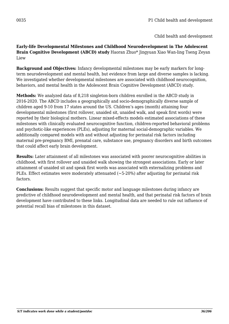Child health and development

**Early-life Developmental Milestones and Childhood Neurodevelopment in The Adolescent Brain Cognitive Development (ABCD) study** Haoran Zhuo\* Jingyuan Xiao Wan-ling Tseng Zeyan Liew

**Background and Objectives:** Infancy developmental milestones may be early markers for longterm neurodevelopment and mental health, but evidence from large and diverse samples is lacking. We investigated whether developmental milestones are associated with childhood neurocognition, behaviors, and mental health in the Adolescent Brain Cognitive Development (ABCD) study.

**Methods:** We analyzed data of 8,218 singleton-born children enrolled in the ABCD study in 2016-2020. The ABCD includes a geographically and socio-demographically diverse sample of children aged 9-10 from 17 states around the US. Children's ages (month) attaining four developmental milestones (first rollover, unaided sit, unaided walk, and speak first words) were reported by their biological mothers. Linear mixed-effects models estimated associations of these milestones with clinically evaluated neurocognitive function, children-reported behavioral problems and psychotic-like experiences (PLEs), adjusting for maternal social-demographic variables. We additionally compared models with and without adjusting for perinatal risk factors including maternal pre-pregnancy BMI, prenatal care, substance use, pregnancy disorders and birth outcomes that could affect early brain development.

**Results:** Later attainment of all milestones was associated with poorer neurocognitive abilities in childhood, with first rollover and unaided walk showing the strongest associations. Early or later attainment of unaided sit and speak first words was associated with externalizing problems and PLEs. Effect estimates were moderately attenuated (~5-20%) after adjusting for perinatal risk factors.

**Conclusions:** Results suggest that specific motor and language milestones during infancy are predictive of childhood neurodevelopment and mental health, and that perinatal risk factors of brain development have contributed to these links. Longitudinal data are needed to rule out influence of potential recall bias of milestones in this dataset.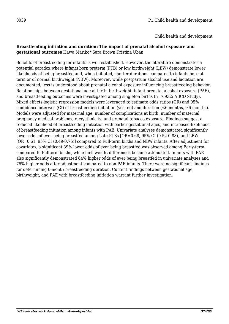Child health and development

#### **Breastfeeding initiation and duration: The impact of prenatal alcohol exposure and gestational outcomes** Hawa Mariko\* Sara Brown Kristina Uban

Benefits of breastfeeding for infants is well established. However, the literature demonstrates a potential paradox where infants born preterm (PTB) or low birthweight (LBW) demonstrate lower likelihoods of being breastfed and, when initiated, shorter durations compared to infants born at term or of normal birthweight (NBW). Moreover, while postpartum alcohol use and lactation are documented, less is understood about prenatal alcohol exposure influencing breastfeeding behavior. Relationships between gestational age at birth, birthweight, infant prenatal alcohol exposure (PAE), and breastfeeding outcomes were investigated among singleton births (n=7,932; ABCD Study). Mixed effects logistic regression models were leveraged to estimate odds ratios (OR) and 95% confidence intervals (CI) of breastfeeding initiation (yes, no) and duration (<6 months,  $\geq 6$  months). Models were adjusted for maternal age, number of complications at birth, number of maternal pregnancy medical problems, race/ethnicity, and prenatal tobacco exposure. Findings suggest a reduced likelihood of breastfeeding initiation with earlier gestational ages, and increased likelihood of breastfeeding initiation among infants with PAE. Univariate analyses demonstrated significantly lower odds of ever being breastfed among Late-PTBs [OR=0.68, 95% CI (0.52-0.88)] and LBW [OR=0.61, 95% CI (0.49-0.76)] compared to Full-term births and NBW infants. After adjustment for covariates, a significant 39% lower odds of ever being breastfed was observed among Early-term compared to Fullterm births, while birthweight differences became attenuated. Infants with PAE also significantly demonstrated 64% higher odds of ever being breastfed in univariate analyses and 76% higher odds after adjustment compared to non-PAE infants. There were no significant findings for determining 6-month breastfeeding duration. Current findings between gestational age, birthweight, and PAE with breastfeeding initiation warrant further investigation.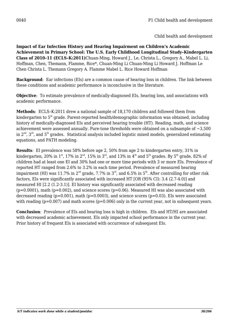Child health and development

**Impact of Ear Infection History and Hearing Impairment on Children's Academic Achievement in Primary School: The U.S. Early Childhood Longitudinal Study–Kindergarten Class of 2010–11 (ECLS–K:2011)**Chuan-Ming, Howard J., Le, Christa L., Gregory A., Mabel L. Li, Hoffman, Chen, Themann, Flamme, Rice\*, Chuan-Ming Li Chuan-Ming Li Howard J. Hoffman Le Chen Christa L. Themann Gregory A. Flamme Mabel L. Rice Howard Hoffman

**Background**: Ear infections (EIs) are a common cause of hearing loss in children. The link between these conditions and academic performance is inconclusive in the literature.

**Objective**: To estimate prevalence of medically-diagnosed EIs, hearing loss, and associations with academic performance.

**Methods**: ECLS–K:2011 drew a national sample of 18,170 children and followed them from kindergarten to  $5<sup>th</sup>$  grade. Parent-reported health/demographic information was obtained, including history of medically-diagnosed EIs and perceived hearing trouble (HT). Reading, math, and science achievement were assessed annually. Pure-tone thresholds were obtained on a subsample of  $\sim 3.500$ in  $2<sup>nd</sup>$ ,  $3<sup>rd</sup>$ , and  $5<sup>th</sup>$  grades. Statistical analysis included logistic mixed models, generalized estimating equations, and PATH modeling.

**Results**: EI prevalence was 58% before age 2, 50% from age 2 to kindergarten entry, 31% in kindergarten, 20% in 1<sup>st</sup>, 17% in 2<sup>nd</sup>, 15% in 3<sup>rd</sup>, and 13% in 4<sup>th</sup> and 5<sup>th</sup> grades. By 5<sup>th</sup> grade, 82% of children had at least one EI and 30% had one or more time periods with 3 or more EIs. Prevalence of reported HT ranged from 2.6% to 3.2% in each time period. Prevalence of measured hearing impairment (HI) was 11.7% in  $2^{nd}$  grade, 7.7% in  $3^{rd}$ , and 6.5% in  $5^{th}$ . After controlling for other risk factors, EIs were significantly associated with increased HT [OR (95% CI): 3.4 (2.7-4.0)] and measured HI [2.2 (1.2-3.1)]. EI history was significantly associated with decreased reading  $(p=0.0001)$ , math  $(p=0.002)$ , and science scores  $(p=0.06)$ . Measured HI was also associated with decreased reading ( $p=0.001$ ), math ( $p=0.0003$ ), and science scores ( $p=0.03$ ). EIs were associated with reading ( $p=0.007$ ) and math scores ( $p=0.006$ ) only in the current year, not in subsequent years.

**Conclusion**: Prevalence of EIs and hearing loss is high in children. EIs and HT/HI are associated with decreased academic achievement. EIs only impacted school performance in the current year. Prior history of frequent EIs is associated with occurrence of subsequent EIs.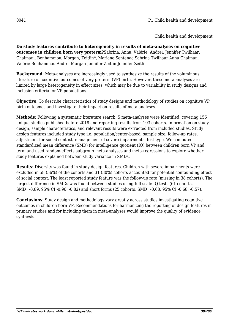**Do study features contribute to heterogeneity in results of meta-analyses on cognitive outcomes in children born very preterm?**Sabrina, Anna, Valérie, Andrei, Jennifer Twilhaar, Chaimani, Benhammou, Morgan, Zeitlin\*, Mariane Sentenac Sabrina Twilhaar Anna Chaimani Valérie Benhammou Andrei Morgan Jennifer Zeitlin Jennifer Zeitlin

**Background:** Meta-analyses are increasingly used to synthesize the results of the voluminous literature on cognitive outcomes of very preterm (VP) birth. However, these meta-analyses are limited by large heterogeneity in effect sizes, which may be due to variability in study designs and inclusion criteria for VP populations.

**Objective:** To describe characteristics of study designs and methodology of studies on cognitive VP birth outcomes and investigate their impact on results of meta-analyses.

**Methods:** Following a systematic literature search, 5 meta-analyses were identified, covering 156 unique studies published before 2018 and reporting results from 103 cohorts. Information on study design, sample characteristics, and relevant results were extracted from included studies. Study design features included study type i.e. population/center-based, sample size, follow-up rates, adjustment for social context, management of severe impairments, test type. We computed standardized mean difference (SMD) for intelligence quotient (IQ) between children born VP and term and used random-effects subgroup meta-analyses and meta-regressions to explore whether study features explained between-study variance in SMDs.

**Results:** Diversity was found in study design features. Children with severe impairments were excluded in 58 (56%) of the cohorts and 31 (30%) cohorts accounted for potential confounding effect of social context. The least reported study feature was the follow-up rate (missing in 38 cohorts). The largest difference in SMDs was found between studies using full-scale IQ tests (61 cohorts, SMD=-0.89, 95% CI -0.96, -0.82) and short forms (25 cohorts, SMD=-0.68, 95% CI -0.68, -0.57).

**Conclusions**: Study design and methodology vary greatly across studies investigating cognitive outcomes in children born VP. Recommendations for harmonizing the reporting of design features in primary studies and for including them in meta-analyses would improve the quality of evidence synthesis.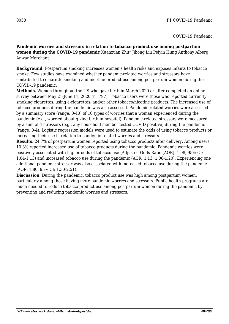**Pandemic worries and stressors in relation to tobacco product use among postpartum women during the COVID-19 pandemic** Xuanxuan Zhu\* Jihong Liu Peiyin Hung Anthony Alberg Anwar Merchant

**Background.** Postpartum smoking increases women's health risks and exposes infants to tobacco smoke. Few studies have examined whether pandemic-related worries and stressors have contributed to cigarette smoking and nicotine product use among postpartum women during the COVID-19 pandemic.

**Methods.** Women throughout the US who gave birth in March 2020 or after completed an online survey between May 21-June 11, 2020 (n=797). Tobacco users were those who reported currently smoking cigarettes, using e-cigarettes, and/or other tobacco/nicotine products. The increased use of tobacco products during the pandemic was also assessed. Pandemic-related worries were assessed by a summary score (range: 0-40) of 10 types of worries that a woman experienced during the pandemic (e.g., worried about giving birth in hospital). Pandemic-related stressors were measured by a sum of 4 stressors (e.g., any household member tested COVID positive) during the pandemic (range: 0-4). Logistic regression models were used to estimate the odds of using tobacco products or increasing their use in relation to pandemic-related worries and stressors.

**Results.** 24.7% of postpartum women reported using tobacco products after delivery. Among users, 10.8% reported increased use of tobacco products during the pandemic. Pandemic worries were positively associated with higher odds of tobacco use (Adjusted Odds Ratio [AOR]: 1.08, 95% CI: 1.04-1.13) and increased tobacco use during the pandemic (AOR: 1.13; 1.06-1.20). Experiencing one additional pandemic stressor was also associated with increased tobacco use during the pandemic (AOR: 1.80, 95% CI: 1.30-2.51).

**Discussion.** During the pandemic, tobacco product use was high among postpartum women, particularly among those having more pandemic worries and stressors. Public health programs are much needed to reduce tobacco product use among postpartum women during the pandemic by preventing and reducing pandemic worries and stressors.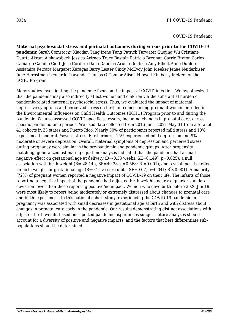**Maternal psychosocial stress and perinatal outcomes during versus prior to the COVID-19 pandemic** Sarah Comstock\* Xiaodan Tang Irene Tung Patrick Tarwater Guojing Wu Cristiane Duarte Akram Alshawabkeh Jessica Arizaga Tracy Bastain Patricia Brennan Carrie Breton Carlos Camargo Camille Cioffi Jose Cordero Dana Dabelea Arielle Deutsch Amy Elliott Anne Dunlop Assiamira Ferrara Margaret Karagas Barry Lester Cindy McEvoy John Meeker Jenae Neiderhiser Julie Herbstman Leonardo Trasande Thomas O'Connor Alison Hipwell Kimberly McKee for the ECHO Program

Many studies investigating the pandemic focus on the impact of COVID infection. We hypothesized that the pandemic may also indirectly affect women and children via the substantial burden of pandemic-related maternal psychosocial stress. Thus, we evaluated the impact of maternal depressive symptoms and perceived stress on birth outcomes among pregnant women enrolled in the Environmental Influences on Child Health Outcomes (ECHO) Program prior to and during the pandemic. We also assessed COVID-specific stressors, including changes in prenatal care, across specific pandemic time periods. We used data collected from 2016 Jan 1-2021 May 31 from a total of 41 cohorts in 23 states and Puerto Rico. Nearly 30% of participants reported mild stress and 10% experienced moderate/severe stress. Furthermore, 15% experienced mild depression and 9% moderate or severe depression. Overall, maternal symptoms of depression and perceived stress during pregnancy were similar in the pre-pandemic and pandemic groups. After propensity matching, generalized estimating equation analyses indicated that the pandemic had a small negative effect on gestational age at delivery  $(B=-0.33$  weeks,  $SE=0.149$ ),  $p=0.025$ ), a null association with birth weight (B=-28.14g, SE=49.28, p=0.568;  $R^2$ =0.001), and a small positive effect on birth weight for gestational age (B=0.15 z-score units,  $SE=0.07$ , p=0.041;  $R^2$ <0.001). A majority (72%) of pregnant women reported a negative impact of COVID-19 on their life. The infants of those reporting a negative impact of the pandemic had adjusted birth weights nearly a quarter standard deviation lower than those reporting positive/no impact. Women who gave birth before 2020 Jun 19 were most likely to report being moderately or extremely distressed about changes to prenatal care and birth experiences. In this national cohort study, experiencing the COVID-19 pandemic in pregnancy was associated with small decreases in gestational age at birth and with distress about changes in prenatal care early in the pandemic. Our results demonstrating distinct associations with adjusted birth weight based on reported pandemic experiences suggest future analyses should account for a diversity of positive and negative impacts, and the factors that best differentiate subpopulations should be determined.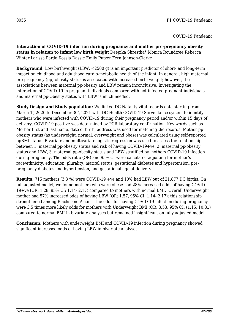**Interaction of COVID-19 infection during pregnancy and mother pre-pregnancy obesity status in relation to infant low birth weight** Deepika Shrestha\* Monica Roundtree Rebecca Winter Larissa Pardo Kossia Dassie Emily Putzer Fern Johnson-Clarke

**Background.** Low birthweight (LBW, <2500 g) is an important predictor of short- and long-term impact on childhood and adulthood cardio-metabolic health of the infant. In general, high maternal pre-pregnancy (pp)-obesity status is associated with increased birth weight; however, the associations between maternal pp-obesity and LBW remain inconclusive. Investigating the interaction of COVID-19 in pregnant individuals compared with not-infected pregnant individuals and maternal pp-Obesity status with LBW is much needed.

**Study Design and Study population:** We linked DC Natality vital records data starting from March  $1^\mathrm{t}$ , 2020 to December 30 $^\mathrm{h}$ , 2021 with DC Health COVID-19 Surveillance system to identify mothers who were infected with COVID-19 during their pregnancy period and/or within 15 days of delivery. COVID-19 positive was determined by PCR laboratory confirmation. Key words such as Mother first and last name, date of birth, address was used for matching the records. Mother ppobesity status (as underweight, normal, overweight and obese) was calculated using self-reported ppBMI status. Bivariate and multivariate logistic regression was used to assess the relationship between 1. maternal pp-obesity status and risk of having COVID-19+ve, 2. maternal pp-obesity status and LBW, 3. maternal pp-obesity status and LBW stratified by mothers COVID-19 infection during pregnancy. The odds ratio (OR) and 95% CI were calculated adjusting for mother's race/ethnicity, education, plurality, marital status, gestational diabetes and hypertension, prepregnancy diabetes and hypertension, and gestational age at delivery.

**Results:** 715 mothers (3.3 %) were COVID-19 +ve and 10% had LBW out of 21,877 DC births. On full adjusted model, we found mothers who were obese had 28% increased odds of having COVID 19+ve (OR: 1.28, 95% CI: 1.14- 2.17) compared to mothers with normal BMI. Overall Underweight mother had 57% increased odds of having LBW (OR: 1.57, 95% CI: 1.14- 2.17); this relationship strengthened among Blacks and Asians. The odds for having COVID-19 infection during pregnancy were 3.5 times more likely odds for mothers with Underweight BMI (OR: 3.53, 95% CI: (1.15, 10.81) compared to normal BMI in bivariate analyses but remained insignificant on fully adjusted model.

**Conclusion:** Mothers with underweight BMI and COVID-19 infection during pregnancy showed significant increased odds of having LBW in bivariate analyses.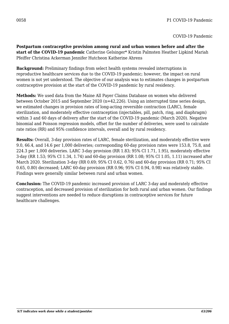**Postpartum contraceptive provision among rural and urban women before and after the start of the COVID-19 pandemic** Catherine Gelsinger\* Kristin Palmsten Heather Lipkind Mariah Pfeiffer Christina Ackerman Jennifer Hutcheon Katherine Ahrens

**Background:** Preliminary findings from select health systems revealed interruptions in reproductive healthcare services due to the COVID-19 pandemic; however, the impact on rural women is not yet understood. The objective of our analysis was to estimates changes in postpartum contraceptive provision at the start of the COVID-19 pandemic by rural residency.

**Methods:** We used data from the Maine All Payer Claims Database on women who delivered between October 2015 and September 2020 (n=42,226). Using an interrupted time series design, we estimated changes in provision rates of long-acting reversible contraction (LARC), female sterilization, and moderately effective contraception (injectables, pill, patch, ring, and diaphragm) within 3 and 60 days of delivery after the start of the COVID-19 pandemic (March 2020). Negative binomial and Poisson regression models, offset for the number of deliveries, were used to calculate rate ratios (RR) and 95% confidence intervals, overall and by rural residency.

**Results:** Overall, 3-day provision rates of LARC, female sterilization, and moderately effective were 9.0, 66.4, and 14.6 per 1,000 deliveries; corresponding 60-day provision rates were 153.8, 75.8, and 224.3 per 1,000 deliveries. LARC 3-day provision (RR 1.83; 95% CI 1.71, 1.95), moderately effective 3-day (RR 1.53; 95% CI 1.34, 1.74) and 60-day provision (RR 1.08; 95% CI 1.05, 1.11) increased after March 2020. Sterilization 3-day (RR 0.69; 95% CI 0.62, 0.76) and 60-day provision (RR 0.71; 95% CI 0.65, 0.80) decreased; LARC 60-day provision (RR 0.96; 95% CI 0.94, 0.98) was relatively stable. Findings were generally similar between rural and urban women.

**Conclusion:** The COVID-19 pandemic increased provision of LARC 3-day and moderately effective contraception, and decreased provision of sterilization for both rural and urban women. Our findings suggest interventions are needed to reduce disruptions in contraceptive services for future healthcare challenges.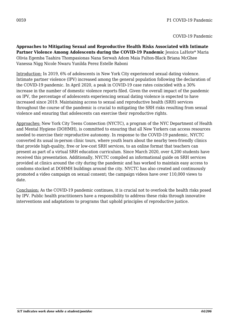**Approaches to Mitigating Sexual and Reproductive Health Risks Associated with Intimate** Partner Violence Among Adolescents during the COVID-19 Pandemic Jessica LaHote\* Maria Olivia Egemba Taahira Thompasionas Nana Serwah Adom Maia Fulton-Black Briana McGhee Vanessa Nigg Nicole Nwaru Yunilda Perez Estelle Raboni

Introduction: In 2019, 6% of adolescents in New York City experienced sexual dating violence. Intimate partner violence (IPV) increased among the general population following the declaration of the COVID-19 pandemic. In April 2020, a peak in COVID-19 case rates coincided with a 30% increase in the number of domestic violence reports filed. Given the overall impact of the pandemic on IPV, the percentage of adolescents experiencing sexual dating violence is expected to have increased since 2019. Maintaining access to sexual and reproductive health (SRH) services throughout the course of the pandemic is crucial to mitigating the SRH risks resulting from sexual violence and ensuring that adolescents can exercise their reproductive rights.

Approaches: New York City Teens Connection (NYCTC), a program of the NYC Department of Health and Mental Hygiene (DOHMH), is committed to ensuring that all New Yorkers can access resources needed to exercise their reproductive autonomy. In response to the COVID-19 pandemic, NYCTC converted its usual in-person clinic tours, where youth learn about the nearby teen-friendly clinics that provide high-quality, free or low-cost SRH services, to an online format that teachers can present as part of a virtual SRH education curriculum. Since March 2020, over 4,200 students have received this presentation. Additionally, NYCTC compiled an informational guide on SRH services provided at clinics around the city during the pandemic and has worked to maintain easy access to condoms stocked at DOHMH buildings around the city. NYCTC has also created and continuously promoted a video campaign on sexual consent; the campaign videos have over 110,000 views to date.

Conclusion: As the COVID-19 pandemic continues, it is crucial not to overlook the health risks posed by IPV. Public health practitioners have a responsibility to address these risks through innovative interventions and adaptations to programs that uphold principles of reproductive justice.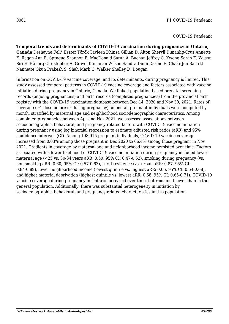**Temporal trends and determinants of COVID-19 vaccination during pregnancy in Ontario, Canada** Deshayne Fell\* Eszter Török Tavleen Dhinsa Gillian D. Alton Sheryll Dimanlig-Cruz Annette K. Regan Ann E. Sprague Shannon E. MacDonald Sarah A. Buchan Jeffrey C. Kwong Sarah E. Wilson Siri E. Håberg Christopher A. Gravel Kumanan Wilson Sandra Dunn Darine El-Chaâr Jon Barrett Nannette Okun Prakesh S. Shah Mark C. Walker Shelley D. Dougan

Information on COVID-19 vaccine coverage, and its determinants, during pregnancy is limited. This study assessed temporal patterns in COVID-19 vaccine coverage and factors associated with vaccine initiation during pregnancy in Ontario, Canada. We linked population-based prenatal screening records (ongoing pregnancies) and birth records (completed pregnancies) from the provincial birth registry with the COVID-19 vaccination database between Dec 14, 2020 and Nov 30, 2021. Rates of coverage (≥1 dose before or during pregnancy) among all pregnant individuals were computed by month, stratified by maternal age and neighborhood sociodemographic characteristics. Among completed pregnancies between Apr and Nov 2021, we assessed associations between sociodemographic, behavioral, and pregnancy-related factors with COVID-19 vaccine initiation during pregnancy using log binomial regression to estimate adjusted risk ratios (aRR) and 95% confidence intervals (CI). Among 198,915 pregnant individuals, COVID-19 vaccine coverage increased from 0.03% among those pregnant in Dec 2020 to 66.4% among those pregnant in Nov 2021. Gradients in coverage by maternal age and neighborhood income persisted over time. Factors associated with a lower likelihood of COVID-19 vaccine initiation during pregnancy included lower maternal age (<25 vs. 30-34 years aRR: 0.50, 95% CI: 0.47-0.52), smoking during pregnancy (vs. non-smoking aRR: 0.60, 95% CI: 0.57-0.63), rural residence (vs. urban aRR: 0.87, 95% CI: 0.84-0.89), lower neighborhood income (lowest quintile vs. highest aRR: 0.66, 95% CI: 0.64-0.68), and higher material deprivation (highest quintile vs. lowest aRR: 0.68, 95% CI: 0.65-0.71). COVID-19 vaccine coverage during pregnancy in Ontario increased over time, but remained lower than in the general population. Additionally, there was substantial heterogeneity in initiation by sociodemographic, behavioral, and pregnancy-related characteristics in this population.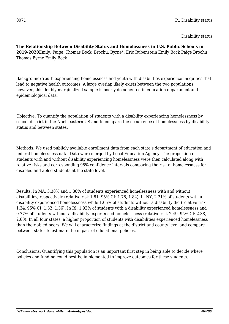**The Relationship Between Disability Status and Homelessness in U.S. Public Schools in 2019-2020**Emily, Paige, Thomas Bock, Brochu, Byrne\*, Eric Rubenstein Emily Bock Paige Brochu Thomas Byrne Emily Bock

Background: Youth experiencing homelessness and youth with disabilities experience inequities that lead to negative health outcomes. A large overlap likely exists between the two populations; however, this doubly marginalized sample is poorly documented in education department and epidemiological data.

Objective: To quantify the population of students with a disability experiencing homelessness by school district in the Northeastern US and to compare the occurrence of homelessness by disability status and between states.

Methods: We used publicly available enrollment data from each state's department of education and federal homelessness data. Data were merged by Local Education Agency. The proportion of students with and without disability experiencing homelessness were then calculated along with relative risks and corresponding 95% confidence intervals comparing the risk of homelessness for disabled and abled students at the state level.

Results: In MA, 3.38% and 1.86% of students experienced homelessness with and without disabilities, respectively (relative risk 1.81, 95% CI: 1.78, 1.84). In NY, 2.21% of students with a disability experienced homelessness while 1.65% of students without a disability did (relative risk 1.34, 95% CI: 1.32, 1.36). In RI, 1.92% of students with a disability experienced homelessness and 0.77% of students without a disability experienced homelessness (relative risk 2.49, 95% CI: 2.38, 2.60). In all four states, a higher proportion of students with disabilities experienced homelessness than their abled peers. We will characterize findings at the district and county level and compare between states to estimate the impact of educational policies.

Conclusions: Quantifying this population is an important first step in being able to decide where policies and funding could best be implemented to improve outcomes for these students.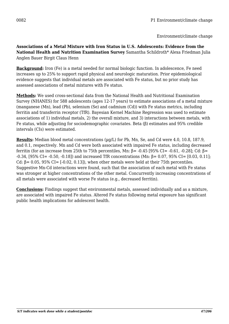**Associations of a Metal Mixture with Iron Status in U.S. Adolescents: Evidence from the National Health and Nutrition Examination Survey** Samantha Schildroth\* Alexa Friedman Julia Anglen Bauer Birgit Claus Henn

**Background:** Iron (Fe) is a metal needed for normal biologic function. In adolescence, Fe need increases up to 25% to support rapid physical and neurologic maturation. Prior epidemiological evidence suggests that individual metals are associated with Fe status, but no prior study has assessed associations of metal mixtures with Fe status.

**Methods:** We used cross-sectional data from the National Health and Nutritional Examination Survey (NHANES) for 588 adolescents (ages 12-17 years) to estimate associations of a metal mixture (manganese (Mn), lead (Pb), selenium (Se) and cadmium (Cd)) with Fe status metrics, including ferritin and transferrin receptor (TfR). Bayesian Kernel Machine Regression was used to estimate associations of 1) individual metals, 2) the overall mixture, and 3) interactions between metals, with Fe status, while adjusting for sociodemographic covariates. Beta (β) estimates and 95% credible intervals (CIs) were estimated.

**Results:** Median blood metal concentrations ( $\mu$ g/L) for Pb, Mn, Se, and Cd were 4.0, 10.8, 187.9, and 0.1, respectively. Mn and Cd were both associated with impaired Fe status, including decreased ferritin (for an increase from 25th to 75th percentiles, Mn: β= -0.45 [95% CI= -0.61, -0.28]; Cd: β= -0.34, [95% CI= -0.50, -0.18]) and increased TfR concentrations (Mn: β= 0.07, 95% CI= [0.03, 0.11]; Cd:  $\beta$  = 0.05, 95% CI = [-0.02, 0.13]), when other metals were held at their 75th percentiles. Suggestive Mn-Cd interactions were found, such that the association of each metal with Fe status was stronger at higher concentrations of the other metal. Concurrently increasing concentrations of all metals were associated with worse Fe status (e.g., decreased ferritin).

**Conclusions:** Findings suggest that environmental metals, assessed individually and as a mixture, are associated with impaired Fe status. Altered Fe status following metal exposure has significant public health implications for adolescent health.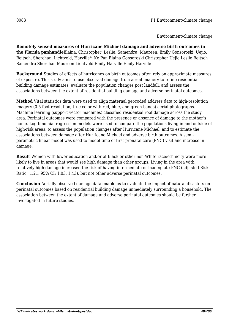**Remotely sensed measures of Hurricane Michael damage and adverse birth outcomes in the Florida panhandle**Elaina, Christopher, Leslie, Samendra, Maureen, Emily Gonsoroski, Uejio, Beitsch, Sherchan, Lichtveld, Harville\*, Ke Pan Elaina Gonsoroski Christopher Uejio Leslie Beitsch Samendra Sherchan Maureen Lichtveld Emily Harville Emily Harville

**Background** Studies of effects of hurricanes on birth outcomes often rely on approximate measures of exposure. This study aims to use observed damage from aerial imagery to refine residential building damage estimates, evaluate the population changes post landfall, and assess the associations between the extent of residential building damage and adverse perinatal outcomes.

**Method** Vital statistics data were used to align maternal geocoded address data to high-resolution imagery (0.5-foot resolution, true color with red, blue, and green bands) aerial photographs. Machine learning (support vector machines) classified residential roof damage across the study area. Perinatal outcomes were compared with the presence or absence of damage to the mother's home. Log-binomial regression models were used to compare the populations living in and outside of high-risk areas, to assess the population changes after Hurricane Michael, and to estimate the associations between damage after Hurricane Michael and adverse birth outcomes. A semiparametric linear model was used to model time of first prenatal care (PNC) visit and increase in damage.

**Result** Women with lower education and/or of Black or other non-White race/ethnicity were more likely to live in areas that would see high damage than other groups. Living in the area with relatively high damage increased the risk of having intermediate or inadequate PNC (adjusted Risk Ratio=1.21, 95% CI: 1.03, 1.43), but not other adverse perinatal outcomes.

**Conclusion** Aerially observed damage data enable us to evaluate the impact of natural disasters on perinatal outcomes based on residential building damage immediately surrounding a household. The association between the extent of damage and adverse perinatal outcomes should be further investigated in future studies.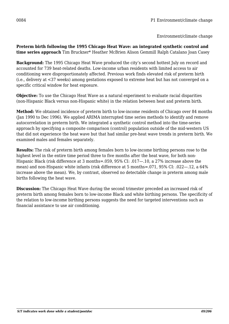**Preterm birth following the 1995 Chicago Heat Wave: an integrated synthetic control and time series approach** Tim Bruckner\* Heather McBrien Alison Gemmill Ralph Catalano Joan Casey

**Background:** The 1995 Chicago Heat Wave produced the city's second hottest July on record and accounted for 739 heat-related deaths. Low-income urban residents with limited access to air conditioning were disproportionately affected. Previous work finds elevated risk of preterm birth (i.e., delivery at <37 weeks) among gestations exposed to extreme heat but has not converged on a specific critical window for heat exposure.

**Objective:** To use the Chicago Heat Wave as a natural experiment to evaluate racial disparities (non-Hispanic Black versus non-Hispanic white) in the relation between heat and preterm birth.

**Method:** We obtained incidence of preterm birth to low-income residents of Chicago over 84 months (Jan 1990 to Dec 1996). We applied ARIMA interrupted time series methods to identify and remove autocorrelation in preterm birth. We integrated a synthetic control method into the time-series approach by specifying a composite comparison (control) population outside of the mid-western US that did not experience the heat wave but that had similar pre-heat wave trends in preterm birth. We examined males and females separately.

**Results:** The risk of preterm birth among females born to low-income birthing persons rose to the highest level in the entire time period three to five months after the heat wave, for both non-Hispanic Black (risk difference at 3 months=.059, 95% CI: .017—.10, a 27% increase above the mean) and non-Hispanic white infants (risk difference at 5 months=.071, 95% CI: .022—.12, a 64% increase above the mean). We, by contrast, observed no detectable change in preterm among male births following the heat wave.

**Discussion:** The Chicago Heat Wave during the second trimester preceded an increased risk of preterm birth among females born to low-income Black and white birthing persons. The specificity of the relation to low-income birthing persons suggests the need for targeted interventions such as financial assistance to use air conditioning.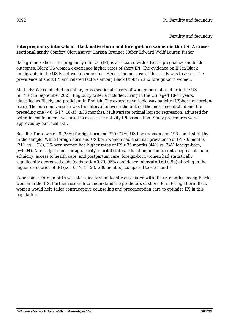#### **Interpregnancy intervals of Black native-born and foreign-born women in the US: A crosssectional study** Comfort Olorunsaiye\* Larissa Brunner Huber Edward Wolff Lauren Fisher

Background: Short interpregnancy interval (IPI) is associated with adverse pregnancy and birth outcomes. Black US women experience higher rates of short IPI. The evidence on IPI in Black immigrants in the US is not well documented. Hence, the purpose of this study was to assess the prevalence of short IPI and related factors among Black US-born and foreign-born women.

Methods: We conducted an online, cross-sectional survey of women born abroad or in the US (n=418) in September 2021. Eligibility criteria included: living in the US, aged 18-44 years, identified as Black, and proficient in English. The exposure variable was nativity (US-born or foreignborn). The outcome variable was the interval between the birth of the most recent child and the preceding one ( $\leq 6$ , 6-17, 18-35,  $\geq 36$  months). Multivariate ordinal logistic regression, adjusted for potential confounders, was used to assess the nativity-IPI association. Study procedures were approved by our local IRB.

Results: There were 98 (23%) foreign-born and 320 (77%) US-born women and 196 non-first births in the sample. While foreign-born and US-born women had a similar prevalence of IPI <6 months (21% vs. 17%), US-born women had higher rates of IPI  $\geq$ 36 months (44% vs. 34% foreign-born, *p*=0.04). After adjustment for age, parity, marital status, education, income, contraceptive attitude, ethnicity, access to health care, and postpartum care, foreign-born women had statistically significantly decreased odds (odds ratio=0.79, 95% confidence interval=0.60-0.99) of being in the higher categories of IPI (i.e.,  $6-17$ ,  $18-23$ ,  $\geq 36$  months), compared to  $\leq 6$  months.

Conclusion: Foreign birth was statistically significantly associated with IPI <6 months among Black women in the US. Further research to understand the predictors of short IPI in foreign-born Black women would help tailor contraceptive counseling and preconception care to optimize IPI in this population.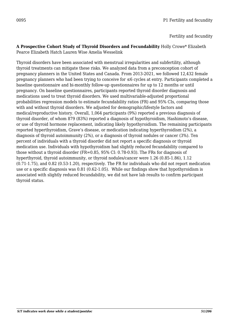Fertility and fecundity

#### **A Prospective Cohort Study of Thyroid Disorders and Fecundability** Holly Crowe\* Elizabeth Pearce Elizabeth Hatch Lauren Wise Amelia Wesselink

Thyroid disorders have been associated with menstrual irregularities and subfertility, although thyroid treatments can mitigate these risks. We analyzed data from a preconception cohort of pregnancy planners in the United States and Canada. From 2013-2021, we followed 12,432 female pregnancy planners who had been trying to conceive for ≤6 cycles at entry. Participants completed a baseline questionnaire and bi-monthly follow-up questionnaires for up to 12 months or until pregnancy. On baseline questionnaires, participants reported thyroid disorder diagnosis and medications used to treat thyroid disorders. We used multivariable-adjusted proportional probabilities regression models to estimate fecundability ratios (FR) and 95% CIs, comparing those with and without thyroid disorders. We adjusted for demographic/lifestyle factors and medical/reproductive history. Overall, 1,064 participants (9%) reported a previous diagnosis of thyroid disorder, of whom 879 (83%) reported a diagnosis of hypothyroidism, Hashimoto's disease, or use of thyroid hormone replacement, indicating likely hypothyroidism. The remaining participants reported hyperthyroidism, Grave's disease, or medication indicating hyperthyroidism (2%), a diagnosis of thyroid autoimmunity (2%), or a diagnosis of thyroid nodules or cancer (3%). Ten percent of individuals with a thyroid disorder did not report a specific diagnosis or thyroid medication use. Individuals with hypothyroidism had slightly reduced fecundability compared to those without a thyroid disorder (FR=0.85, 95% CI: 0.78-0.93). The FRs for diagnosis of hyperthyroid, thyroid autoimmunity, or thyroid nodules/cancer were 1.26 (0.85-1.86), 1.12 (0.71-1.75), and 0.82 (0.53-1.20), respectively. The FR for individuals who did not report medication use or a specific diagnosis was 0.81 (0.62-1.05). While our findings show that hypothyroidism is associated with slightly reduced fecundability, we did not have lab results to confirm participant thyroid status.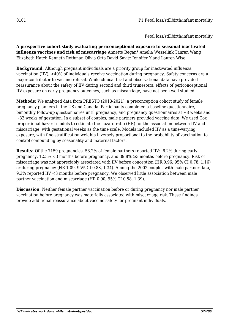**A prospective cohort study evaluating periconceptional exposure to seasonal inactivated influenza vaccines and risk of miscarriage** Annette Regan\* Amelia Wesselink Tanran Wang Elizabeth Hatch Kenneth Rothman Olivia Orta David Savitz Jennifer Yland Lauren Wise

**Background:** Although pregnant individuals are a priority group for inactivated influenza vaccination (IIV), <40% of individuals receive vaccination during pregnancy. Safety concerns are a major contributor to vaccine refusal. While clinical trial and observational data have provided reassurance about the safety of IIV during second and third trimesters, effects of periconceptional IIV exposure on early pregnancy outcomes, such as miscarriage, have not been well studied.

**Methods:** We analyzed data from PRESTO (2013-2021), a preconception cohort study of female pregnancy planners in the US and Canada. Participants completed a baseline questionnaire, bimonthly follow-up questionnaires until pregnancy, and pregnancy questionnaires at ~8 weeks and  $\sim$ 32 weeks of gestation. In a subset of couples, male partners provided vaccine data. We used Cox proportional hazard models to estimate the hazard ratio (HR) for the association between IIV and miscarriage, with gestational weeks as the time scale. Models included IIV as a time-varying exposure, with fine-stratification weights inversely proportional to the probability of vaccination to control confounding by seasonality and maternal factors.

**Results:** Of the 7159 pregnancies, 58.2% of female partners reported IIV: 6.2% during early pregnancy, 12.3% <3 months before pregnancy, and 39.8% ≥3 months before pregnancy. Risk of miscarriage was not appreciably associated with IIV before conception (HR 0.96; 95% CI 0.78, 1.16) or during pregnancy (HR 1.09, 95% CI 0.88, 1.34). Among the 2002 couples with male partner data, 9.3% reported IIV <3 months before pregnancy. We observed little association between male partner vaccination and miscarriage (HR 0.90; 95% CI 0.58, 1.39).

**Discussion:** Neither female partner vaccination before or during pregnancy nor male partner vaccination before pregnancy was materially associated with miscarriage risk. These findings provide additional reassurance about vaccine safety for pregnant individuals.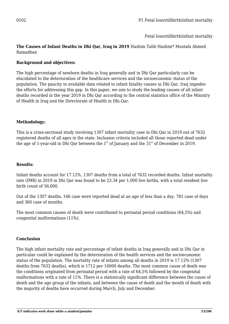Fetal loss/stillbirth/infant mortality

## **The Causes of Infant Deaths in Dhi Qar, Iraq in 2019** Hashim Talib Hashim\* Mustafa Ahmed Ramadhan

## **Background and objectives:**

The high percentage of newborn deaths in Iraq generally and in Dhi Qar particularly can be elucidated to the deterioration of the healthcare services and the socioeconomic status of the population. The paucity in available data related to infant fatality causes in Dhi Qar, Iraq impedes the efforts for addressing this gap. In this paper, we aim to study the leading causes of all infant deaths recorded in the year 2019 in Dhi Qar according to the central statistics office of the Ministry of Health in Iraq and the Directorate of Health in Dhi Qar.

## **Methodology:**

This is a cross-sectional study involving 1307 infant mortality case in Dhi Qar in 2019 out of 7632 registered deaths of all ages in the state. Inclusion criteria included all those reported dead under the age of 1-year-old in Dhi Qar between the  $1<sup>st</sup>$  of January and the  $31<sup>st</sup>$  of December in 2019.

#### **Results:**

Infant deaths account for 17.12%, 1307 deaths from a total of 7632 recorded deaths. Infant mortality rate (IMR) in 2019 in Dhi Qar was found to be 23.34 per 1,000 live births, with a total resident live birth count of 56,000.

Out of the 1307 deaths, 166 case were reported dead at an age of less than a day, 781 case of days and 360 case of months.

The most common causes of death were contributed to perinatal period conditions (64,5%) and congenital malformations (11%).

#### **Conclusion**

The high infant mortality rate and percentage of infant deaths in Iraq generally and in Dhi Qar in particular could be explained by the deterioration of the health services and the socioeconomic status of the population. The mortality rate of infants among all deaths in 2019 is 17.12% (1307 deaths from 7632 deaths), which is 1712 per 10000 deaths. The most common cause of death was the conditions originated from perinatal period with a rate of 64,5% followed by the congenital malformations with a rate of 11%. There is a statistically significant difference between the cause of death and the age group of the infants, and between the cause of death and the month of death with the majority of deaths have occurred during March, July and December.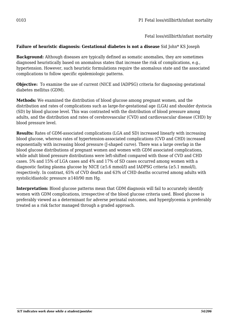Fetal loss/stillbirth/infant mortality

## **Failure of heuristic diagnosis: Gestational diabetes is not a disease** Sid John\* KS Joseph

**Background:** Although diseases are typically defined as somatic anomalies, they are sometimes diagnosed heuristically based on anomalous states that increase the risk of complications, e.g., hypertension. However, such heuristic formulations require the anomalous state and the associated complications to follow specific epidemiologic patterns.

**Objective:** To examine the use of current (NICE and IADPSG) criteria for diagnosing gestational diabetes mellitus (GDM).

**Methods:** We examined the distribution of blood glucose among pregnant women, and the distribution and rates of complications such as large-for-gestational age (LGA) and shoulder dystocia (SD) by blood glucose level. This was contrasted with the distribution of blood pressure among adults, and the distribution and rates of cerebrovascular (CVD) and cardiovascular disease (CHD) by blood pressure level.

**Results:** Rates of GDM-associated complications (LGA and SD) increased linearly with increasing blood glucose, whereas rates of hypertension-associated complications (CVD and CHD) increased exponentially with increasing blood pressure (J-shaped curve). There was a large overlap in the blood glucose distributions of pregnant women and women with GDM associated complications, while adult blood pressure distributions were left-shifted compared with those of CVD and CHD cases. 5% and 15% of LGA cases and 4% and 17% of SD cases occurred among women with a diagnostic fasting plasma glucose by NICE ( $\geq$ 5.6 mmol/l) and IADPSG criteria ( $\geq$ 5.1 mmol/l), respectively. In contrast, 65% of CVD deaths and 63% of CHD deaths occurred among adults with systolic/diastolic pressure  $\geq$ 140/90 mm Hg.

**Interpretation:** Blood glucose patterns mean that GDM diagnosis will fail to accurately identify women with GDM complications, irrespective of the blood glucose criteria used. Blood glucose is preferably viewed as a determinant for adverse perinatal outcomes, and hyperglycemia is preferably treated as a risk factor managed through a graded approach.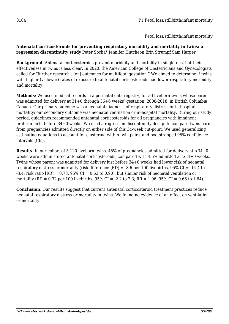Fetal loss/stillbirth/infant mortality

## **Antenatal corticosteroids for preventing respiratory morbidity and mortality in twins: a regression discontinuity study** Peter Socha\* Jennifer Hutcheon Erin Strumpf Sam Harper

**Background**: Antenatal corticosteroids prevent morbidity and mortality in singletons, but their effectiveness in twins is less clear. In 2020, the American College of Obstetricians and Gynecologists called for "further research…[on] outcomes for multifetal gestation." We aimed to determine if twins with higher (vs lower) rates of exposure to antenatal corticosteroids had lower respiratory morbidity and mortality.

**Methods**: We used medical records in a perinatal data registry, for all liveborn twins whose parent was admitted for delivery at 31+0 through 36+6 weeks' gestation, 2008-2018, in British Columbia, Canada. Our primary outcome was a neonatal diagnosis of respiratory distress or in-hospital mortality; our secondary outcome was neonatal ventilation or in-hospital mortality. During our study period, guidelines recommended antenatal corticosteroids for all pregnancies with imminent preterm birth before 34+0 weeks. We used a regression discontinuity design to compare twins born from pregnancies admitted directly on either side of this 34-week cut-point. We used generalizing estimating equations to account for clustering within twin pairs, and bootstrapped 95% confidence intervals (CIs).

**Results**: In our cohort of 5,120 liveborn twins, 45% of pregnancies admitted for delivery at <34+0 weeks were administered antenatal corticosteroids, compared with 4.6% admitted at ≥34+0 weeks. Twins whose parent was admitted for delivery just before 34+0 weeks had lower risk of neonatal respiratory distress or mortality (risk difference [RD] = -8.6 per 100 livebirths, 95% CI = -14.4 to  $-3.4$ ; risk ratio  $[RR] = 0.78$ , 95% CI = 0.63 to 0.90), but similar risk of neonatal ventilation or mortality (RD = 0.32 per 100 livebirths, 95% CI = -2.2 to 2.3; RR = 1.06, 95% CI = 0.66 to 1.64).

**Conclusion**: Our results suggest that current antenatal corticosteroid treatment practices reduce neonatal respiratory distress or mortality in twins. We found no evidence of an effect on ventilation or mortality.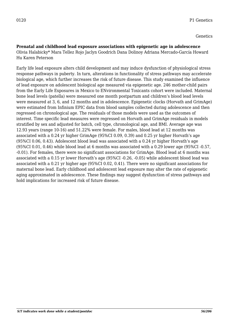# **Prenatal and childhood lead exposure associations with epigenetic age in adolescence**

Olivia Halabicky\* Mara Tellez Rojo Jaclyn Goodrich Dana Dolinoy Adriana Mercado-García Howard Hu Karen Peterson

Early life lead exposure alters child development and may induce dysfunction of physiological stress response pathways in puberty. In turn, alterations in functionality of stress pathways may accelerate biological age, which further increases the risk of future disease. This study examined the influence of lead exposure on adolescent biological age measured via epigenetic age. 246 mother-child pairs from the Early Life Exposures in Mexico to ENvironmental Toxicants cohort were included. Maternal bone lead levels (patella) were measured one month postpartum and children's blood lead levels were measured at 3, 6, and 12 months and in adolescence. Epigenetic clocks (Horvath and GrimAge) were estimated from Infinium EPIC data from blood samples collected during adolescence and then regressed on chronological age. The residuals of those models were used as the outcomes of interest. Time specific lead measures were regressed on Horvath and GrimAge residuals in models stratified by sex and adjusted for batch, cell type, chronological age, and BMI. Average age was 12.93 years (range 10-16) and 51.22% were female. For males, blood lead at 12 months was associated with a 0.24 yr higher GrimAge (95%CI 0.09, 0.39) and 0.25 yr higher Horvath's age (95%CI 0.06, 0.43). Adolescent blood lead was associated with a 0.24 yr higher Horvath's age (95%CI 0.01, 0.46) while blood lead at 6 months was associated with a 0.29 lower age (95%CI -0.57, -0.01). For females, there were no significant associations for GrimAge. Blood lead at 6 months was associated with a 0.15 yr lower Horvath's age (95%CI -0.26, -0.05) while adolescent blood lead was associated with a 0.21 yr higher age (95%CI 0.02, 0.41). There were no significant associations for maternal bone lead. Early childhood and adolescent lead exposure may alter the rate of epigenetic aging approximated in adolescence. These findings may suggest dysfunction of stress pathways and hold implications for increased risk of future disease.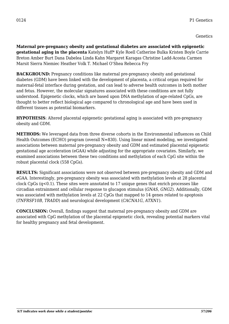**Maternal pre-pregnancy obesity and gestational diabetes are associated with epigenetic gestational aging in the placenta** Katelyn Huff\* Kyle Roell Catherine Bulka Kristen Boyle Carrie Breton Amber Burt Dana Dabelea Linda Kahn Margaret Karagas Christine Ladd-Acosta Carmen Marsit Sierra Niemiec Heather Volk T. Michael O'Shea Rebecca Fry

**BACKGROUND:** Pregnancy conditions like maternal pre-pregnancy obesity and gestational diabetes (GDM) have been linked with the development of placenta, a critical organ required for maternal-fetal interface during gestation, and can lead to adverse health outcomes in both mother and fetus. However, the molecular signatures associated with these conditions are not fully understood. Epigenetic clocks, which are based upon DNA methylation of age-related CpGs, are thought to better reflect biological age compared to chronological age and have been used in different tissues as potential biomarkers.

**HYPOTHESIS**: Altered placental epigenetic gestational aging is associated with pre-pregnancy obesity and GDM.

**METHODS:** We leveraged data from three diverse cohorts in the Environmental influences on Child Health Outcomes (ECHO) program (overall N=830). Using linear mixed modeling, we investigated associations between maternal pre-pregnancy obesity and GDM and estimated placental epigenetic gestational age acceleration (eGAA) while adjusting for the appropriate covariates. Similarly, we examined associations between these two conditions and methylation of each CpG site within the robust placental clock (558 CpGs).

**RESULTS:** Significant associations were not observed between pre-pregnancy obesity and GDM and eGAA. Interestingly, pre-pregnancy obesity was associated with methylation levels at 28 placental clock CpGs (q<0.1). These sites were annotated to 17 unique genes that enrich processes like circadian entrainment and cellular response to glucagon stimulus (*GNAS, GNG2*). Additionally, GDM was associated with methylation levels at 22 CpGs that mapped to 14 genes related to apoptosis (*TNFRSF10B, TRADD*) and neurological development (*CACNA1G, ATXN1*).

**CONCLUSION:** Overall, findings suggest that maternal pre-pregnancy obesity and GDM are associated with CpG methylation of the placental epigenetic clock, revealing potential markers vital for healthy pregnancy and fetal development.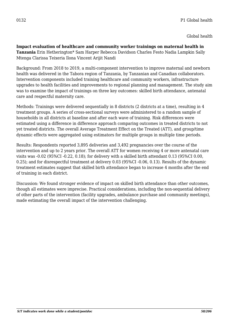Global health

**Impact evaluation of healthcare and community worker trainings on maternal health in Tanzania** Erin Hetherington\* Sam Harper Rebecca Davidson Charles Festo Nadia Lampkin Sally Mtenga Clarissa Teixeria Ilona Vincent Arijit Nandi

Background: From 2018 to 2019, a multi-component intervention to improve maternal and newborn health was delivered in the Tabora region of Tanzania, by Tanzanian and Canadian collaborators. Intervention components included training healthcare and community workers, infrastructure upgrades to health facilities and improvements to regional planning and management. The study aim was to examine the impact of trainings on three key outcomes: skilled birth attendance, antenatal care and respectful maternity care.

Methods: Trainings were delivered sequentially in 8 districts (2 districts at a time), resulting in 4 treatment groups. A series of cross-sectional surveys were administered to a random sample of households in all districts at baseline and after each wave of training. Risk differences were estimated using a difference in difference approach comparing outcomes in treated districts to not yet treated districts. The overall Average Treatment Effect on the Treated (ATT), and group/time dynamic effects were aggregated using estimators for multiple groups in multiple time periods.

Results: Respondents reported 3,895 deliveries and 3,492 pregnancies over the course of the intervention and up to 2 years prior. The overall ATT for women receiving 4 or more antenatal care visits was -0.02 (95%CI -0.22, 0.18); for delivery with a skilled birth attendant 0.13 (95%CI 0.00, 0.25); and for disrespectful treatment at delivery 0.03 (95%CI -0.06, 0.13). Results of the dynamic treatment estimates suggest that skilled birth attendance began to increase 4 months after the end of training in each district.

Discussion: We found stronger evidence of impact on skilled birth attendance than other outcomes, though all estimates were imprecise. Practical considerations, including the non-sequential delivery of other parts of the intervention (facility upgrades, ambulance purchase and community meetings), made estimating the overall impact of the intervention challenging.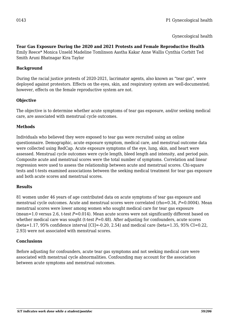Gynecological health

# **Tear Gas Exposure During the 2020 and 2021 Protests and Female Reproductive Health**

Emily Reece\* Monica Unseld Madeline Tomlinson Aastha Kakar Anne Wallis Cynthia Corbitt Ted Smith Aruni Bhatnagar Kira Taylor

#### **Background**

During the racial justice protests of 2020-2021, lacrimator agents, also known as "tear gas", were deployed against protestors. Effects on the eyes, skin, and respiratory system are well-documented; however, effects on the female reproductive system are not.

## **Objective**

The objective is to determine whether acute symptoms of tear gas exposure, and/or seeking medical care, are associated with menstrual cycle outcomes.

## **Methods**

Individuals who believed they were exposed to tear gas were recruited using an online questionnaire. Demographic, acute exposure symptom, medical care, and menstrual outcome data were collected using RedCap. Acute exposure symptoms of the eye, lung, skin, and heart were assessed. Menstrual cycle outcomes were cycle length, bleed length and intensity, and period pain. Composite acute and menstrual scores were the total number of symptoms. Correlation and linear regression were used to assess the relationship between acute and menstrual scores. Chi-square tests and t-tests examined associations between the seeking medical treatment for tear gas exposure and both acute scores and menstrual scores.

# **Results**

81 women under 46 years of age contributed data on acute symptoms of tear gas exposure and menstrual cycle outcomes. Acute and menstrual scores were correlated (rho=0.34, *P*=0.0004). Mean menstrual scores were lower among women who sought medical care for tear gas exposure (mean=1.0 versus 2.6, t-test *P*=0.014). Mean acute scores were not significantly different based on whether medical care was sought (t-test *P*=0.48). After adjusting for confounders, acute scores (beta=1.17, 95% confidence interval  $\text{[CI]} = -0.20, 2.54$ ) and medical care (beta=1.35, 95% CI=0.22, 2.93) were not associated with menstrual scores.

#### **Conclusions**

Before adjusting for confounders, acute tear gas symptoms and not seeking medical care were associated with menstrual cycle abnormalities. Confounding may account for the association between acute symptoms and menstrual outcomes.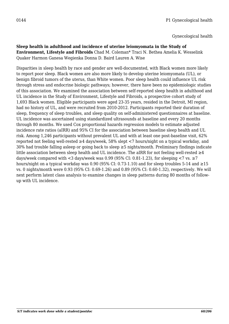# **Sleep health in adulthood and incidence of uterine leiomyomata in the Study of**

**Environment, Lifestyle and Fibroids** Chad M. Coleman\* Traci N. Bethea Amelia K. Wesselink Quaker Harmon Ganesa Wegienka Donna D. Baird Lauren A. Wise

Disparities in sleep health by race and gender are well-documented, with Black women more likely to report poor sleep. Black women are also more likely to develop uterine leiomyomata (UL), or benign fibroid tumors of the uterus, than White women. Poor sleep health could influence UL risk through stress and endocrine biologic pathways; however, there have been no epidemiologic studies of this association. We examined the association between self-reported sleep health in adulthood and UL incidence in the Study of Environment, Lifestyle and Fibroids, a prospective cohort study of 1,693 Black women. Eligible participants were aged 23-35 years, resided in the Detroit, MI region, had no history of UL, and were recruited from 2010-2012. Participants reported their duration of sleep, frequency of sleep troubles, and sleep quality on self-administered questionnaires at baseline. UL incidence was ascertained using standardized ultrasounds at baseline and every 20 months through 80 months. We used Cox proportional hazards regression models to estimate adjusted incidence rate ratios (aIRR) and 95% CI for the association between baseline sleep health and UL risk. Among 1,246 participants without prevalent UL and with at least one post-baseline visit, 62% reported not feeling well-rested ≥4 days/week, 58% slept <7 hours/night on a typical workday, and 30% had trouble falling asleep or going back to sleep ≥5 nights/month. Preliminary findings indicate little association between sleep health and UL incidence. The aIRR for not feeling well-rested  $\geq 4$ days/week compared with <3 days/week was 0.99 (95% CI: 0.81-1.23), for sleeping <7 vs.  $\geq$ 7 hours/night on a typical workday was 0.90 (95% CI: 0.73-1.10) and for sleep troubles 5-14 and  $\geq$ 15 vs. 0 nights/month were 0.93 (95% CI: 0.69-1.26) and 0.89 (95% CI: 0.60-1.32), respectively. We will next perform latent class analysis to examine changes in sleep patterns during 80 months of followup with UL incidence.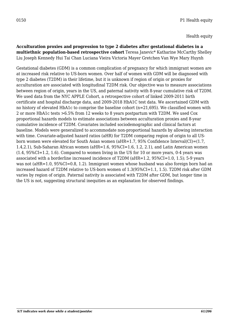**Acculturation proxies and progression to type 2 diabetes after gestational diabetes in a multiethnic population-based retrospective cohort** Teresa Janevic\* Katharine McCarthy Shelley Liu Joseph Kennedy Hui Tai Chan Luciana Vieira Victoria Mayer Gretchen Van Wye Mary Huynh

Gestational diabetes (GDM) is a common complication of pregnancy for which immigrant women are at increased risk relative to US-born women. Over half of women with GDM will be diagnosed with type 2 diabetes (T2DM) in their lifetime, but it is unknown if region of origin or proxies for acculturation are associated with longitudinal T2DM risk. Our objective was to measure associations between region of origin, years in the US, and paternal nativity with 8-year cumulative risk of T2DM. We used data from the NYC APPLE Cohort, a retrospective cohort of linked 2009-2011 birth certificate and hospital discharge data, and 2009-2018 HbA1C test data. We ascertained GDM with no history of elevated HbA1c to comprise the baseline cohort (n=21,695). We classified women with 2 or more HbA1c tests >6.5% from 12 weeks to 8 years postpartum with T2DM. We used Cox proportional hazards models to estimate associations between acculturation proxies and 8-year cumulative incidence of T2DM. Covariates included sociodemographic and clinical factors at baseline. Models were generalized to accommodate non-proportional hazards by allowing interaction with time. Covariate-adjusted hazard ratios (aHR) for T2DM comparing region of origin to all USborn women were elevated for South Asian women (aHR=1.7, 95% Confidence Interval(CI)=(1.7, 1.4,2.1), Sub-Saharan African women (aHR=1.6,  $95\%CI=1.6$ , 1.2, 2.1), and Latin American women  $(1.4, 95\%CI=1.2, 1.6)$ . Compared to women living in the US for 10 or more years, 0-4 years was associated with a borderline increased incidence of T2DM (aHR=1.2, 95%CI=1.0, 1.5); 5-9 years was not (aHR=1.0, 95%CI=0.8, 1.2). Immigrant women whose husband was also foreign born had an increased hazard of T2DM relative to US-born women of 1.3(95%CI=1.1, 1.5). T2DM risk after GDM varies by region of origin. Paternal nativity is associated with T2DM after GDM, but longer time in the US is not, suggesting structural inequities as an explanation for observed findings.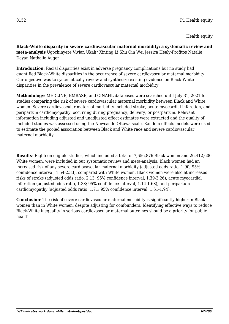Health equity

**Black-White disparity in severe cardiovascular maternal morbidity: a systematic review and meta-analysis** Ugochinyere Vivian Ukah\* Xinting Li Shu Qin Wei Jessica Healy-Profitós Natalie Dayan Nathalie Auger

**Introduction**: Racial disparities exist in adverse pregnancy complications but no study had quantified Black-White disparities in the occurrence of severe cardiovascular maternal morbidity. Our objective was to systematically review and synthesize existing evidence on Black-White disparities in the prevalence of severe cardiovascular maternal morbidity.

**Methodology**: MEDLINE, EMBASE, and CINAHL databases were searched until July 31, 2021 for studies comparing the risk of severe cardiovascular maternal morbidity between Black and White women. Severe cardiovascular maternal morbidity included stroke, acute myocardial infarction, and peripartum cardiomyopathy, occurring during pregnancy, delivery, or postpartum. Relevant information including adjusted and unadjusted effect estimates were extracted and the quality of included studies was assessed using the Newcastle-Ottawa scale. Random-effects models were used to estimate the pooled association between Black and White race and severe cardiovascular maternal morbidity.

**Results**: Eighteen eligible studies, which included a total of 7,656,876 Black women and 26,412,600 White women, were included in our systematic review and meta-analysis. Black women had an increased risk of any severe cardiovascular maternal morbidity (adjusted odds ratio, 1.90; 95% confidence interval, 1.54-2.33), compared with White women. Black women were also at increased risks of stroke (adjusted odds ratio, 2.13; 95% confidence interval, 1.39-3.26), acute myocardial infarction (adjusted odds ratio, 1.38; 95% confidence interval, 1.14-1.68), and peripartum cardiomyopathy (adjusted odds ratio, 1.71; 95% confidence interval, 1.51-1.94).

**Conclusion**: The risk of severe cardiovascular maternal morbidity is significantly higher in Black women than in White women, despite adjusting for confounders. Identifying effective ways to reduce Black-White inequality in serious cardiovascular maternal outcomes should be a priority for public health.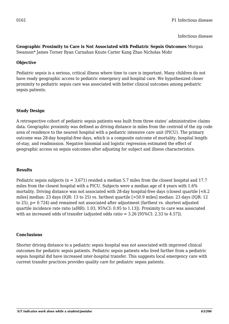Infectious disease

#### **Geographic Proximity to Care is Not Associated with Pediatric Sepsis Outcomes** Morgan Swanson\* James Torner Ryan Carnahan Knute Carter Kang Zhao Nicholas Mohr

# **Objective**

Pediatric sepsis is a serious, critical illness where time to care is important. Many children do not have ready geographic access to pediatric emergency and hospital care. We hypothesized closer proximity to pediatric sepsis care was associated with better clinical outcomes among pediatric sepsis patients.

## **Study Design**

A retrospective cohort of pediatric sepsis patients was built from three states' administrative claims data. Geographic proximity was defined as driving distance in miles from the centroid of the zip code area of residence to the nearest hospital with a pediatric intensive care unit (PICU). The primary outcome was 28-day hospital-free days, which is a composite outcome of mortality, hospital lengthof-stay, and readmission. Negative binomial and logistic regression estimated the effect of geographic access on sepsis outcomes after adjusting for subject and illness characteristics.

#### **Results**

Pediatric sepsis subjects ( $n = 3.671$ ) resided a median 5.7 miles from the closest hospital and 17.7 miles from the closest hospital with a PICU. Subjects were a median age of 4 years with 1.6% mortality. Driving distance was not associated with 28-day hospital-free days (closest quartile [<6.2 miles] median: 23 days (IQR: 13 to 25) vs. farthest quartile [>50.9 miles] median: 23 days (IQR: 12 to 25), p= 0.724) and remained not associated after adjustment (farthest vs. shortest adjusted quartile incidence rate ratio (aIRR): 1.03, 95%CI: 0.95 to 1.13]). Proximity to care was associated with an increased odds of transfer (adjusted odds ratio = 3.26 [95%CI: 2.33 to 4.57]).

#### **Conclusions**

Shorter driving distance to a pediatric sepsis hospital was not associated with improved clinical outcomes for pediatric sepsis patients. Pediatric sepsis patients who lived farther from a pediatric sepsis hospital did have increased inter-hospital transfer. This suggests local emergency care with current transfer practices provides quality care for pediatric sepsis patients.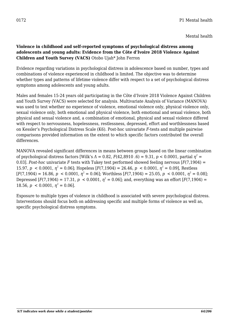# **Violence in childhood and self-reported symptoms of psychological distress among adolescents and young adults: Evidence from the Côte d'Ivoire 2018 Violence Against Children and Youth Survey (VACS)** Otobo Ujah\* John Ferron

Evidence regarding variations in psychological distress in adolescence based on number, types and combinations of violence experienced in childhood is limited. The objective was to determine whether types and patterns of lifetime violence differ with respect to a set of psychological distress symptoms among adolescents and young adults.

Males and females 15-24 years old participating in the Côte d'Ivoire 2018 Violence Against Children and Youth Survey (VACS) were selected for analysis. Multivariate Analysis of Variance (MANOVA) was used to test whether no experience of violence, emotional violence only, physical violence only, sexual violence only, both emotional and physical violence, both emotional and sexual violence, both physical and sexual violence and, a combination of emotional, physical and sexual violence differed with respect to nervousness, hopelessness, restlessness, depressed, effort and worthlessness based on Kessler's Psychological Distress Scale (K6). Post-hoc univariate *F*-tests and multiple pairwise comparisons provided information on the extent to which specific factors contributed the overall differences.

MANOVA revealed significant differences in means between groups based on the linear combination of psychological distress factors [Wilk's  $\Lambda = 0.82$ ,  $F(42,8910,6) = 9.31$ ,  $p < 0.0001$ , partial  $\eta^2 =$ 0.03]. *Post-hoc* univariate *F* tests with Tukey test performed showed feeling nervous  $[F(7,1904) =$ 15.97,  $p \le 0.0001$ ,  $\eta^2 = 0.06$ ; Hopeless [ $F(7,1904) = 26.46$ ,  $p \le 0.0001$ ,  $\eta^2 = 0.09$ ], Restless  $[F(7,1904) = 16.86, p < 0.0001, \eta^2 = 0.06]$ ; Worthless  $[F(7,1904) = 25.05, p < 0.0001, \eta^2 = 0.08]$ ; Depressed [F(7,1904) = 17.31,  $p < 0.0001$ ,  $\eta^2 = 0.06$ ]; and, everything was an effort [F(7,1904) = 18.56,  $p < 0.0001$ ,  $\eta^2 = 0.06$ .

Exposure to multiple types of violence in childhood is associated with severe psychological distress. Interventions should focus both on addressing specific and multiple forms of violence as well as, specific psychological distress symptoms.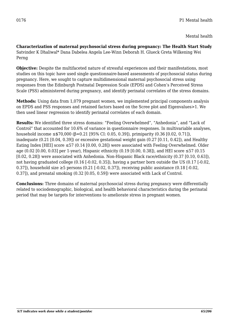**Characterization of maternal psychosocial stress during pregnancy: The Health Start Study** Satvinder K Dhaliwal\* Dana Dabelea Angela Lee-Winn Deborah H. Glueck Greta Wilkening Wei Perng

**Objective:** Despite the multifaceted nature of stressful experiences and their manifestations, most studies on this topic have used single questionnaire-based assessments of psychosocial status during pregnancy. Here, we sought to capture multidimensional maternal psychosocial stress using responses from the Edinburgh Postnatal Depression Scale (EPDS) and Cohen's Perceived Stress Scale (PSS) administered during pregnancy, and identify perinatal correlates of the stress domains.

**Methods:** Using data from 1,079 pregnant women, we implemented principal components analysis on EPDS and PSS responses and retained factors based on the Scree plot and Eigenvalues>1. We then used linear regression to identify perinatal correlates of each domain.

**Results:** We identified three stress domains: "Feeling Overwhelmed", "Anhedonia", and "Lack of Control" that accounted for 10.6% of variance in questionnaire responses. In multivariable analyses, household income ≤\$70,000 (β=0.21 [95% CI: 0.05, 0.39]), primiparity (0.36 [0.02, 0.71]), inadequate (0.21 [0.04, 0.39]) or excessive gestational weight gain (0.27 [0.11, 0.42]), and Healthy Eating Index [HEI] score  $\leq$  57 (0.14 [0.00, 0.28]) were associated with Feeling Overwhelmed. Older age (0.02 [0.00, 0.03] per 1-year), Hispanic ethnicity (0.19 [0.00, 0.38]), and HEI score ≤57 (0.15 [0.02, 0.28]) were associated with Anhedonia. Non-Hispanic Black race/ethnicity (0.37 [0.10, 0.63]), not having graduated college (0.16 [-0.02, 0.35]), having a partner born outside the US (0.17 [-0.02, 0.37]), household size  $\geq$ 5 persons (0.21 [-0.02, 0.37]), receiving public assistance (0.18 [-0.02, 0.37]), and prenatal smoking (0.32 [0.05, 0.59]) were associated with Lack of Control.

**Conclusions:** Three domains of maternal psychosocial stress during pregnancy were differentially related to sociodemographic, biological, and health behavioral characteristics during the perinatal period that may be targets for interventions to ameliorate stress in pregnant women.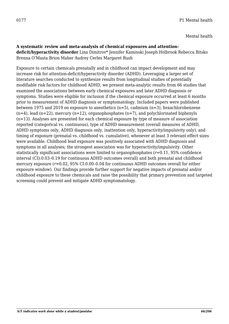# Mental health

# **A systematic review and meta-analysis of chemical exposures and attention-**

**deficit/hyperactivity disorder** Lina Dimitrov\* Jennifer Kaminski Joseph Holbrook Rebecca Bitsko Brenna O'Masta Brion Maher Audrey Cerles Margaret Rush

Exposure to certain chemicals prenatally and in childhood can impact development and may increase risk for attention-deficit/hyperactivity disorder (ADHD). Leveraging a larger set of literature searches conducted to synthesize results from longitudinal studies of potentially modifiable risk factors for childhood ADHD, we present meta-analytic results from 66 studies that examined the associations between early chemical exposures and later ADHD diagnosis or symptoms. Studies were eligible for inclusion if the chemical exposure occurred at least 6 months prior to measurement of ADHD diagnosis or symptomatology. Included papers were published between 1975 and 2019 on exposure to anesthetics (n=5), cadmium (n=3), hexachlorobenzene  $(n=4)$ , lead  $(n=22)$ , mercury  $(n=12)$ , organophosphates  $(n=7)$ , and polychlorinated biphenyls (n=13). Analyses are presented for each chemical exposure by type of measure of association reported (categorical vs. continuous), type of ADHD measurement (overall measures of ADHD, ADHD symptoms only, ADHD diagnosis only, inattention only, hyperactivity/impulsivity only), and timing of exposure (prenatal vs. childhood vs. cumulative), whenever at least 3 relevant effect sizes were available. Childhood lead exposure was positively associated with ADHD diagnosis and symptoms in all analyses; the strongest association was for hyperactivity/impulsivity. Other statistically significant associations were limited to organophosphates (*r*=0.11, 95% confidence interval (CI):0.03–0.19 for continuous ADHD outcomes overall) and both prenatal and childhood mercury exposure (*r*=0.02, 95% CI:0.00–0.04 for continuous ADHD outcomes overall for either exposure window). Our findings provide further support for negative impacts of prenatal and/or childhood exposure to these chemicals and raise the possibility that primary prevention and targeted screening could prevent and mitigate ADHD symptomatology.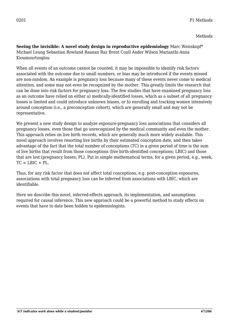**Seeing the invisible: A novel study design in reproductive epidemiology** Marc Weisskopf\* Michael Leung Sebastian Rowland Raanan Raz Brent Coull Ander Wilson Marianthi-Anna Kioumourtzoglou

When all events of an outcome cannot be counted, it may be impossible to identify risk factors associated with the outcome due to small numbers, or bias may be introduced if the events missed are non-random. An example is pregnancy loss because many of these events never come to medical attention, and some may not even be recognized by the mother. This greatly limits the research that can be done into risk factors for pregnancy loss. The few studies that have examined pregnancy loss as an outcome have relied on either a) medically-identified losses, which as a subset of all pregnancy losses is limited and could introduce unknown biases, or b) enrolling and tracking women intensively around conception (i.e., a preconception cohort), which are generally small and may not be representative.

We present a new study design to analyze exposure-pregnancy loss associations that considers all pregnancy losses, even those that go unrecognized by the medical community and even the mother. This approach relies on live birth records, which are generally much more widely available. This novel approach involves resorting live births by their estimated conception date, and then takes advantage of the fact that the total number of conceptions (TC) in a given period of time is the sum of live births that result from those conceptions (live birth-identified conceptions; LBIC) and those that are lost (pregnancy losses; PL). Put in simple mathematical terms, for a given period, e.g., week,  $TC = LBIC + PI$ .

Thus, for any risk factor that does not affect total conceptions, e.g. post-conception exposures, associations with total pregnancy loss can be inferred from associations with LBIC, which are identifiable.

Here we describe this novel, inferred-effects approach, its implementation, and assumptions required for causal inference. This new approach could be a powerful method to study effects on events that have to date been hidden to epidemiologists.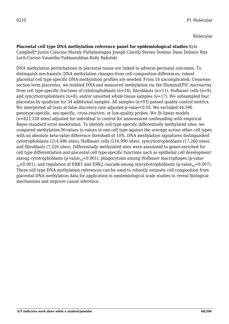**Placental cell type DNA methylation reference panel for epidemiological studies** Kyle Campbell\* Justin Colacino Muraly Puttabyatappa Joseph Ciarelli Steven Domino Dana Dolinoy Rita Loch-Caruso Vasantha Padmanabhan Kelly Bakulski

DNA methylation perturbations in placental tissue are linked to adverse perinatal outcomes. To distinguish mechanistic DNA methylation changes from cell composition differences, robust placental cell type-specific DNA methylation profiles are needed. From 18 uncomplicated, Cesareansection term placentas, we isolated DNA and measured methylation via the IlluminaEPIC microarray from cell type-specific fractions of cytotrophoblasts (n=14), fibroblasts (n=11), Hofbauer cells (n=9), and syncytiotrophoblasts ( $n=8$ ), and/or unsorted whole tissue samples ( $n=17$ ). We subsampled four placentas by quadrant for 34 additional samples. All samples (n=93) passed quality control metrics. We interpreted all tests at false discovery rate adjusted p-value<0.05. We excluded 44,590 genotype-specific, sex-specific, cross-reactive, or low-quality probes. We fit linear models (n=821,328 sites) adjusted for individual to control for unmeasured confounding with empirical Bayes standard error moderation. To identify cell type-specific differentially methylated sites, we compared methylation M-values to values in one cell type against the average across other cell types with an absolute beta-value difference threshold of 10%. DNA methylation signatures distinguished cytotrophoblasts (214,496 sites), Hofbauer cells (216,990 sites), syncytiotrophoblasts (17,260 sites), and fibroblasts (7,220 sites). Differentially methylated sites were annotated to genes enriched for cell type differentiation and placental cell type-specific functions such as epithelial cell development among cytotrophoblasts (p-value<sub>adj</sub><0.001), phagocytosis among Hofbauer macrophages (p-value<sup>-</sup>  $_{\text{adj}}$ <0.001), and regulation of ERK1 and ERK2 cascade among syncytiotrophoblasts (p-value<sub>adj</sub>=0.007). These cell type DNA methylation references can be used to robustly estimate cell composition from placental DNA methylation data for application in epidemiological scale studies to reveal biological mechanisms and improve casual inference.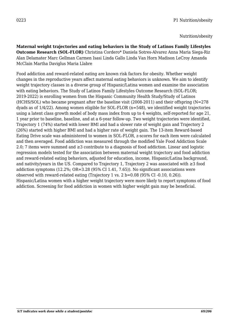Nutrition/obesity

**Maternal weight trajectories and eating behaviors in the Study of Latinos Family Lifestyles Outcome Research (SOL-FLOR)** Christina Cordero\* Daniela Sotres-Alvarez Anna Maria Siega-Riz Alan Delamater Marc Gellman Carmen Isasi Linda Gallo Linda Van Horn Madison LeCroy Amanda McClain Martha Daviglus Maria Llabre

Food addiction and reward-related eating are known risk factors for obesity. Whether weight changes in the reproductive years affect maternal eating behaviors is unknown. We aim to identify weight trajectory classes in a diverse group of Hispanic/Latina women and examine the association with eating behaviors. The Study of Latinos Family Lifestyles Outcome Research (SOL-FLOR; 2019-2022) is enrolling women from the Hispanic Community Health Study/Study of Latinos (HCHS/SOL) who became pregnant after the baseline visit (2008-2011) and their offspring (N=278 dyads as of 1/4/22). Among women eligible for SOL-FLOR (n=548), we identified weight trajectories using a latent class growth model of body mass index from up to 4 weights, self-reported for age 21, 1 year prior to baseline, baseline, and at a 6-year follow-up. Two weight trajectories were identified, Trajectory 1 (74%) started with lower BMI and had a slower rate of weight gain and Trajectory 2 (26%) started with higher BMI and had a higher rate of weight gain. The 13-item Reward-based Eating Drive scale was administered to women in SOL-FLOR, z-scores for each item were calculated and then averaged. Food addiction was measured through the modified Yale Food Addiction Scale 2.0; 7 items were summed and ≥3 contribute to a diagnosis of food addiction. Linear and logistic regression models tested for the association between maternal weight trajectory and food addiction and reward-related eating behaviors, adjusted for education, income, Hispanic/Latina background, and nativity/years in the US. Compared to Trajectory 1, Trajectory 2 was associated with ≥3 food addiction symptoms (12.2%; OR=3.28 (95% CI 1.41, 7.65)). No significant associations were observed with reward-related eating (Trajectory 1 vs. 2 b=0.08 (95% CI -0.10, 0.26)). Hispanic/Latina women with a higher weight trajectory were more likely to report symptoms of food addiction. Screening for food addiction in women with higher weight gain may be beneficial.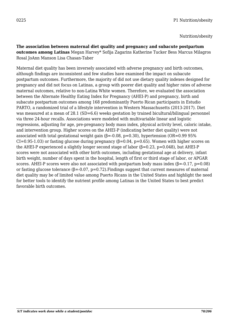Nutrition/obesity

**The association between maternal diet quality and pregnancy and subacute postpartum outcomes among Latinas** Megan Harvey\* Sofija Zagarins Katherine Tucker Bess Marcus Milagros Rosal JoAnn Manson Lisa Chasan-Taber

Maternal diet quality has been inversely associated with adverse pregnancy and birth outcomes, although findings are inconsistent and few studies have examined the impact on subacute postpartum outcomes. Furthermore, the majority of did not use dietary quality indexes designed for pregnancy and did not focus on Latinas, a group with poorer diet quality and higher rates of adverse maternal outcomes, relative to non-Latina White women. Therefore, we evaluated the association between the Alternate Healthy Eating Index for Pregnancy (AHEI-P) and pregnancy, birth and subacute postpartum outcomes among 168 predominantly Puerto Rican participants in Estudio PARTO, a randomized trial of a lifestyle intervention in Western Massachusetts (2013-2017). Diet was measured at a mean of 28.1 (SD=6.6) weeks gestation by trained bicultural/bilingual personnel via three 24-hour recalls. Associations were modeled with multivariable linear and logistic regressions, adjusting for age, pre-pregnancy body mass index, physical activity level, caloric intake, and intervention group. Higher scores on the AHEI-P (indicating better diet quality) were not associated with total gestational weight gain  $(\beta = 0.08, p = 0.30)$ , hypertension (OR=0.99 95%)  $CI=0.95-1.03$ ) or fasting glucose during pregnancy ( $\beta=0.04$ ,  $p=0.65$ ). Women with higher scores on the AHEI-P experienced a slightly longer second stage of labor  $(\beta = 0.23, p = 0.048)$ , but AHEI-P scores were not associated with other birth outcomes, including gestational age at delivery, infant birth weight, number of days spent in the hospital, length of first or third stage of labor, or APGAR scores. AHEI-P scores were also not associated with postpartum body mass index ( $\beta$ =-0.17, p=0.08) or fasting glucose tolerance  $(\beta = 0.07, p = 0.72)$ . Findings suggest that current measures of maternal diet quality may be of limited value among Puerto Ricans in the United States and highlight the need for better tools to identify the nutrient profile among Latinas in the United States to best predict favorable birth outcomes.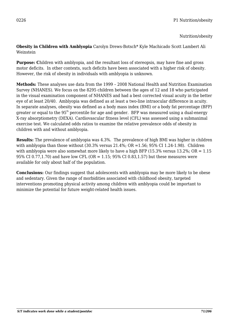Nutrition/obesity

**Obesity in Children with Amblyopia** Carolyn Drews-Botsch\* Kyle Machicado Scott Lambert Ali Weinstein

**Purpose: C**hildren with amblyopia, and the resultant loss of stereopsis, may have fine and gross motor deficits. In other contexts, such deficits have been associated with a higher risk of obesity. However, the risk of obesity in individuals with amblyopia is unknown.

**Methods:** These analyses use data from the 1999 – 2008 National Health and Nutrition Examination Survey (NHANES). We focus on the 8295 children between the ages of 12 and 18 who participated in the visual examination component of NHANES and had a best corrected visual acuity in the better eye of at least 20/40. Amblyopia was defined as at least a two-line intraocular difference in acuity. In separate analyses, obesity was defined as a body mass index (BMI) or a body fat percentage (BFP) greater or equal to the  $95<sup>th</sup>$  percentile for age and gender. BFP was measured using a dual-energy X-ray absorptiometry (DEXA). Cardiovascular fitness level (CFL) was assessed using a submaximal exercise test. We calculated odds ratios to examine the relative prevalence odds of obesity in children with and without amblyopia.

**Results:** The prevalence of amblyopia was 4.3%. The prevalence of high BMI was higher in children with amblyopia than those without  $(30.3\%$  versus  $21.4\%$ ; OR = 1.56; 95% CI 1.24-1.98). Children with amblyopia were also somewhat more likely to have a high BFP (15.3% versus 13.2%;  $OR = 1.15$ ) 95% CI 0.77,1.70) and have low CFL (OR = 1.15; 95% CI 0.83,1.57) but these measures were available for only about half of the population.

**Conclusions:** Our findings suggest that adolescents with amblyopia may be more likely to be obese and sedentary. Given the range of morbidities associated with childhood obesity, targeted interventions promoting physical activity among children with amblyopia could be important to minimize the potential for future weight-related health issues.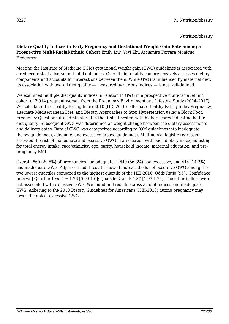Nutrition/obesity

### **Dietary Quality Indices in Early Pregnancy and Gestational Weight Gain Rate among a Prospective Multi-Racial/Ethnic Cohort** Emily Liu\* Yeyi Zhu Assiamira Ferrara Monique Hedderson

Meeting the Institute of Medicine (IOM) gestational weight gain (GWG) guidelines is associated with a reduced risk of adverse perinatal outcomes. Overall diet quality comprehensively assesses dietary components and accounts for interactions between them. While GWG is influenced by maternal diet, its association with overall diet quality — measured by various indices — is not well-defined.

We examined multiple diet quality indices in relation to GWG in a prospective multi-racial/ethnic cohort of 2,914 pregnant women from the Pregnancy Environment and Lifestyle Study (2014–2017). We calculated the Healthy Eating Index 2010 (HEI-2010), alternate Healthy Eating Index-Pregnancy, alternate Mediterranean Diet, and Dietary Approaches to Stop Hypertension using a Block Food Frequency Questionnaire administered in the first trimester, with higher scores indicating better diet quality. Subsequent GWG was determined as weight change between the dietary assessments and delivery dates. Rate of GWG was categorized according to IOM guidelines into inadequate (below guidelines), adequate, and excessive (above guidelines). Multinomial logistic regression assessed the risk of inadequate and excessive GWG in association with each dietary index, adjusting for total energy intake, race/ethnicity, age, parity, household income, maternal education, and prepregnancy BMI.

Overall, 860 (29.5%) of pregnancies had adequate, 1,640 (56.3%) had excessive, and 414 (14.2%) had inadequate GWG. Adjusted model results showed increased odds of excessive GWG among the two lowest quartiles compared to the highest quartile of the HEI-2010: Odds Ratio [95% Confidence Interval] Quartile 1 vs.  $4 = 1.26$  [0.99-1.6]; Quartile 2 vs.  $4: 1.37$  [1.07-1.74]. The other indices were not associated with excessive GWG. We found null results across all diet indices and inadequate GWG. Adhering to the 2010 Dietary Guidelines for Americans (HEI-2010) during pregnancy may lower the risk of excessive GWG.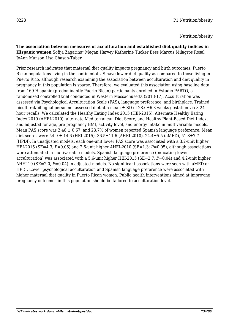**The association between measures of acculturation and established diet quality indices in Hispanic women** Sofija Zagarins\* Megan Harvey Katherine Tucker Bess Marcus Milagros Rosal JoAnn Manson Lisa Chasan-Taber

Prior research indicates that maternal diet quality impacts pregnancy and birth outcomes. Puerto Rican populations living in the continental US have lower diet quality as compared to those living in Puerto Rico, although research examining the association between acculturation and diet quality in pregnancy in this population is sparse. Therefore, we evaluated this association using baseline data from 169 Hispanic (predominantly Puerto Rican) participants enrolled in Estudio PARTO, a randomized controlled trial conducted in Western Massachusetts (2013-17). Acculturation was assessed via Psychological Acculturation Scale (PAS), language preference, and birthplace. Trained bicultural/bilingual personnel assessed diet at a mean ± SD of 28.6±6.3 weeks gestation via 3 24 hour recalls. We calculated the Healthy Eating Index 2015 (HEI-2015), Alternate Healthy Eating Index 2010 (AHEI-2010), alternate Mediterranean Diet Score, and Healthy Plant-Based Diet Index, and adjusted for age, pre-pregnancy BMI, activity level, and energy intake in multivariable models. Mean PAS score was  $2.46 \pm 0.67$ , and  $23.7\%$  of women reported Spanish language preference. Mean diet scores were  $54.9 \pm 14.6$  (HEI-2015),  $36.5 \pm 11.6$  (AHEI-2010),  $24.4 \pm 5.5$  (aMED),  $51.8 \pm 7.7$ (HPDI). In unadjusted models, each one-unit lower PAS score was associated with a 3.2-unit higher HEI-2015 (SE=4.3; *P*=0.06) and 2.6-unit higher AHEI-2010 (SE=1.3; *P*=0.05), although associations were attenuated in multivariable models. Spanish language preference (indicating lower acculturation) was associated with a 5.6-unit higher HEI-2015 (SE=2.7, *P*=0.04) and 4.2-unit higher AHEI-10 (SE=2.0, *P*=0.04) in adjusted models. No significant associations were seen with aMED or HPDI. Lower psychological acculturation and Spanish language preference were associated with higher maternal diet quality in Puerto Rican women. Public health interventions aimed at improving pregnancy outcomes in this population should be tailored to acculturation level.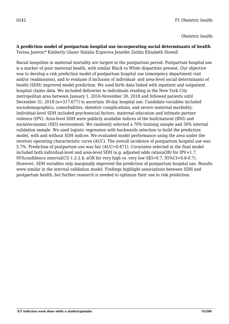# **A prediction model of postpartum hospital use incorporating social determinants of health**

Teresa Janevic\* Kimberly Glazer Natalia Ergorova Jennifer Zeitlin Elizabeth Howell

Racial inequities in maternal mortality are largest in the postpartum period. Postpartum hospital use is a marker of poor maternal health, with similar Black vs White disparities present. Our objective was to develop a risk prediction model of postpartum hospital use (emergency department visit and/or readmission), and to evaluate if inclusion of individual- and area-level social determinants of health (SDH) improved model prediction. We used birth data linked with inpatient and outpatient hospital claims data. We included deliveries to individuals residing in the New York City metropolitan area between January 1, 2016-November 30, 2018 and followed patients until December 31, 2018 (n=317,677) to ascertain 30-day hospital use. Candidate variables included sociodemographics, comorbidities, obstetric complications, and severe maternal morbidity. Individual-level SDH included psychosocial factors, maternal education and intimate partner violence (IPV). Area-level SDH were publicly available indices of the built/natural (BNI) and social/economic (SEI) environment. We randomly selected a 70% training sample and 30% internal validation sample. We used logistic regression with backwards selection to build the prediction model, with and without SDH indices. We evaluated model performance using the area under the receiver operating characteristic curve (AUC). The overall incidence of postpartum hospital use was 5.7%. Prediction of postpartum use was fair (AUC=0.671). Covariates selected in the final model included both individual-level and area-level SDH (e.g. adjusted odds ratio(aOR) for IPV=1.7, 95%confidence interval(CI) 1.2-2.4; aOR for very high vs. very low SEI=0.7, 95%CI=0.6-0.7). However, SDH variables only marginally improved the prediction of postpartum hospital use. Results were similar in the internal validation model. Findings highlight associations between SDH and postpartum health, but further research is needed to optimize their use in risk prediction.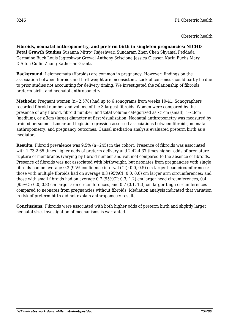**Fibroids, neonatal anthropometry, and preterm birth in singleton pregnancies: NICHD Fetal Growth Studies** Susanna Mitro\* Rajeshwari Sundaram Zhen Chen Shyamal Peddada Germaine Buck Louis Jagteshwar Grewal Anthony Sciscione Jessica Gleason Karin Fuchs Mary D'Alton Cuilin Zhang Katherine Grantz

**Background:** Leiomyomata (fibroids) are common in pregnancy. However, findings on the association between fibroids and birthweight are inconsistent. Lack of consensus could partly be due to prior studies not accounting for delivery timing. We investigated the relationship of fibroids, preterm birth, and neonatal anthropometry.

**Methods:** Pregnant women (n=2,578) had up to 6 sonograms from weeks 10-41. Sonographers recorded fibroid number and volume of the 3 largest fibroids. Women were compared by the presence of any fibroid, fibroid number, and total volume categorized as <1cm (small), 1-<3cm (medium), or ≥3cm (large) diameter at first visualization. Neonatal anthropometry was measured by trained personnel. Linear and logistic regression assessed associations between fibroids, neonatal anthropometry, and pregnancy outcomes. Causal mediation analysis evaluated preterm birth as a mediator.

**Results:** Fibroid prevalence was 9.5% (n=245) in the cohort. Presence of fibroids was associated with 1.73-2.65 times higher odds of preterm delivery and 2.42-4.37 times higher odds of premature rupture of membranes (varying by fibroid number and volume) compared to the absence of fibroids. Presence of fibroids was not associated with birthweight, but neonates from pregnancies with single fibroids had on average 0.3 (95% confidence interval (CI): 0.0, 0.5) cm larger head circumferences; those with multiple fibroids had on average 0.3 (95%CI: 0.0, 0.6) cm larger arm circumferences; and those with small fibroids had on average 0.7 (95%CI: 0.3, 1.2) cm larger head circumferences, 0.4 (95%CI: 0.0, 0.8) cm larger arm circumferences, and 0.7 (0.1, 1.3) cm larger thigh circumferences compared to neonates from pregnancies without fibroids. Mediation analysis indicated that variation in risk of preterm birth did not explain anthropometry results.

**Conclusions:** Fibroids were associated with both higher odds of preterm birth and slightly larger neonatal size. Investigation of mechanisms is warranted.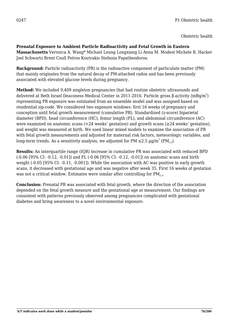### **Prenatal Exposure to Ambient Particle Radioactivity and Fetal Growth in Eastern**

**Massachusetts** Veronica A. Wang\* Michael Leung Longxiang Li Anna M. Modest Michele R. Hacker Joel Schwartz Brent Coull Petros Koutrakis Stefania Papatheodorou

**Background:** Particle radioactivity (PR) is the radioactive component of particulate matter (PM) that mainly originates from the natural decay of PM-attached radon and has been previously associated with elevated glucose levels during pregnancy.

**Method:** We included 9,409 singleton pregnancies that had routine obstetric ultrasounds and delivered at Beth Israel Deaconess Medical Center in 2011-2016. Particle gross β-activity (mBq/m $^3$ ) representing PR exposure was estimated from an ensemble model and was assigned based on residential zip-code. We considered two exposure windows: first 16 weeks of pregnancy and conception until fetal growth measurement (cumulative PR). Standardized (z-score) biparietal diameter (BPD), head circumference (HC), femur length (FL), and abdominal circumference (AC) were examined on anatomic scans (<24 weeks' gestation) and growth scans (≥24 weeks' gestation), and weight was measured at birth. We used linear mixed models to examine the association of PR with fetal growth measurements and adjusted for maternal risk factors, meteorologic variables, and long-term trends. As a sensitivity analysis, we adjusted for PM  ${\leq}2.5$   $\mu$ g/m $^3$  (PM $_{2.5}$ ).

**Results:** An interquartile range (IQR) increase in cumulative PR was associated with reduced BPD (-0.06 [95% CI: -0.12, -0.01]) and FL (-0.06 [95% CI: -0.12, -0.01]) on anatomic scans and birth weight (-0.05 [95% CI: -0.11, -0.001]). While the association with AC was positive in early growth scans, it decreased with gestational age and was negative after week 35. First 16 weeks of gestation was not a critical window. Estimates were similar after controlling for  $PM_{2.5}$ .

**Conclusion:** Prenatal PR was associated with fetal growth, where the direction of the association depended on the fetal growth measure and the gestational age at measurement. Our findings are consistent with patterns previously observed among pregnancies complicated with gestational diabetes and bring awareness to a novel environmental exposure.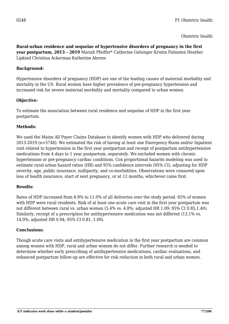**Rural-urban residence and sequelae of hypertensive disorders of pregnancy in the first year postpartum, 2013 – 2019** Mariah Pfeiffer\* Catherine Gelsinger Kristin Palmsten Heather Lipkind Christina Ackerman Katherine Ahrens

# **Background:**

Hypertensive disorders of pregnancy (HDP) are one of the leading causes of maternal morbidity and mortality in the US. Rural women have higher prevalence of pre-pregnancy hypertension and increased risk for severe maternal morbidity and mortality compared to urban women.

# **Objective:**

To estimate the association between rural residence and sequelae of HDP in the first year postpartum.

### **Methods:**

We used the Maine All Payer Claims Database to identify women with HDP who delivered during 2013-2019 (n=5748). We estimated the risk of having at least one Emergency Room and/or Inpatient visit related to hypertension in the first year postpartum and receipt of postpartum antihypertensive medications from 4 days to 1 year postpartum, separately. We excluded women with chronic hypertension or pre-pregnancy cardiac conditions. Cox proportional hazards modeling was used to estimate rural-urban hazard ratios (HR) and 95% confidence intervals (95% CI), adjusting for HDP severity, age, public insurance, nulliparity, and co-morbidities. Observations were censored upon loss of health insurance, start of next pregnancy, or at 12 months, whichever came first.

# **Results:**

Rates of HDP increased from 6.9% to 11.0% of all deliveries over the study period. 65% of women with HDP were rural residents. Risk of at least one acute care visit in the first year postpartum was not different between rural vs. urban women (5.4% vs. 4.8%; adjusted HR 1.09; 95% CI 0.85,1.40). Similarly, receipt of a prescription for antihypertensive medication was not different (13.1% vs. 14.0%; adjusted HR 0.94; 95% CI 0.81, 1.09).

### **Conclusions:**

Though acute care visits and antihypertensive medication in the first year postpartum are common among women with HDP, rural and urban women do not differ. Further research is needed to determine whether early prescribing of antihypertensive medications, cardiac evaluations, and enhanced postpartum follow-up are effective for risk reduction in both rural and urban women.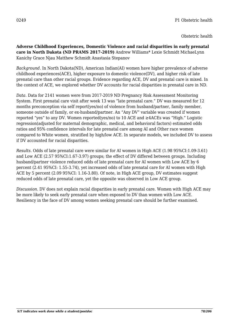**Adverse Childhood Experiences, Domestic Violence and racial disparities in early prenatal care in North Dakota (ND PRAMS 2017-2019)** Andrew Williams\* Lexie Schmidt MichaeLynn Kanichy Grace Njau Matthew Schmidt Anastasia Stepanov

*Background.* In North Dakota(ND), American Indian(AI) women have higher prevalence of adverse childhood experiences(ACE), higher exposure to domestic violence(DV), and higher risk of late prenatal care than other racial groups. Evidence regarding ACE, DV and prenatal care is mixed. In the context of ACE, we explored whether DV accounts for racial disparities in prenatal care in ND.

*Data.* Data for 2141 women were from 2017-2019 ND Pregnancy Risk Assessment Monitoring System. First prenatal care visit after week 13 was "late prenatal care." DV was measured for 12 months preconception via self report(yes/no) of violence from husband/partner, family member, someone outside of family, or ex-husband/partner. An "Any DV" variable was created if women reported "yes" to any DV. Women reported(yes/no) to 10 ACE and ≥4ACEs was "High." Logistic regression(adjusted for maternal demographic, medical, and behavioral factors) estimated odds ratios and 95% confidence intervals for late prenatal care among AI and Other race women compared to White women, stratified by high/low ACE. In separate models, we included DV to assess if DV accounted for racial disparities.

*Results.* Odds of late prenatal care were similar for AI women in High ACE (1.98 95%CI:1.09-3.61) and Low ACE (2.57 95%CI:1.67-3.97) groups; the effect of DV differed between groups. Including husband/partner violence reduced odds of late prenatal care for AI women with Low ACE by 6 percent (2.41 95%CI: 1.55-3.74), yet increased odds of late prenatal care for AI women with High ACE by 5 percent (2.09 95%CI: 1.16-3.80). Of note, in High ACE group, DV estimates suggest reduced odds of late prenatal care, yet the opposite was observed in Low ACE group.

*Discussion.* DV does not explain racial disparities in early prenatal care. Women with High ACE may be more likely to seek early prenatal care when exposed to DV than women with Low ACE. Resiliency in the face of DV among women seeking prenatal care should be further examined.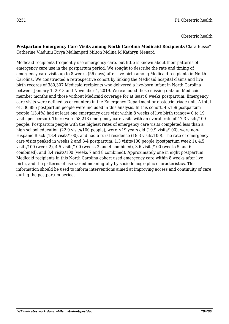#### **Postpartum Emergency Care Visits among North Carolina Medicaid Recipients** Clara Busse\* Catherine Vladutiu Divya Mallampati Milton Molina M Kathryn Menard

Medicaid recipients frequently use emergency care, but little is known about their patterns of emergency care use in the postpartum period. We sought to describe the rate and timing of emergency care visits up to 8 weeks (56 days) after live birth among Medicaid recipients in North Carolina. We constructed a retrospective cohort by linking the Medicaid hospital claims and live birth records of 380,307 Medicaid recipients who delivered a live-born infant in North Carolina between January 1, 2013 and November 4, 2019. We excluded those missing data on Medicaid member months and those without Medicaid coverage for at least 8 weeks postpartum. Emergency care visits were defined as encounters in the Emergency Department or obstetric triage unit. A total of 336,885 postpartum people were included in this analysis. In this cohort, 45,159 postpartum people (13.4%) had at least one emergency care visit within 8 weeks of live birth (range= 0 to 19 visits per person). There were 58,213 emergency care visits with an overall rate of 17.3 visits/100 people. Postpartum people with the highest rates of emergency care visits completed less than a high school education (22.9 visits/100 people), were  $\leq$ 19 years old (19.9 visits/100), were non-Hispanic Black (18.4 visits/100), and had a rural residence (18.3 visits/100). The rate of emergency care visits peaked in weeks 2 and 3-4 postpartum: 1.3 visits/100 people (postpartum week 1), 4.5 visits/100 (week 2), 4.5 visits/100 (weeks 3 and 4 combined), 3.6 visits/100 (weeks 5 and 6 combined), and 3.4 visits/100 (weeks 7 and 8 combined). Approximately one in eight postpartum Medicaid recipients in this North Carolina cohort used emergency care within 8 weeks after live birth, and the patterns of use varied meaningfully by sociodemographic characteristics. This information should be used to inform interventions aimed at improving access and continuity of care during the postpartum period.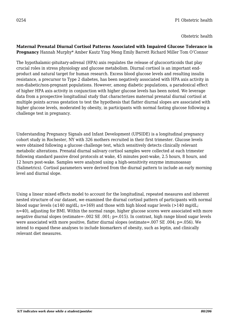#### **Maternal Prenatal Diurnal Cortisol Patterns Associated with Impaired Glucose Tolerance in Pregnancy** Hannah Murphy\* Amber Kautz Ying Meng Emily Barrett Richard Miller Tom O'Connor

The hypothalamic-pituitary-adrenal (HPA) axis regulates the release of glucocorticoids that play crucial roles in stress physiology and glucose metabolism. Diurnal cortisol is an important endproduct and natural target for human research. Excess blood glucose levels and resulting insulin resistance, a precursor to Type 2 diabetes, has been negatively associated with HPA axis activity in non-diabetic/non-pregnant populations. However, among diabetic populations, a paradoxical effect of higher HPA axis activity in conjunction with higher glucose levels has been noted. We leverage data from a prospective longitudinal study that characterizes maternal prenatal diurnal cortisol at multiple points across gestation to test the hypothesis that flatter diurnal slopes are associated with higher glucose levels, moderated by obesity, in participants with normal fasting glucose following a challenge test in pregnancy.

Understanding Pregnancy Signals and Infant Development (UPSIDE) is a longitudinal pregnancy cohort study in Rochester, NY with 326 mothers recruited in their first trimester. Glucose levels were obtained following a glucose challenge test, which sensitively detects clinically relevant metabolic alterations. Prenatal diurnal salivary cortisol samples were collected at each trimester following standard passive drool protocols at wake, 45 minutes post-wake, 2.5 hours, 8 hours, and 12 hours post-wake. Samples were analyzed using a high-sensitivity enzyme immunoassay (Salimetrics). Cortisol parameters were derived from the diurnal pattern to include an early morning level and diurnal slope.

Using a linear mixed effects model to account for the longitudinal, repeated measures and inherent nested structure of our dataset, we examined the diurnal cortisol pattern of participants with normal blood sugar levels ( $\leq$ 140 mg/dL; n=169) and those with high blood sugar levels ( $>$ 140 mg/dL; n=40), adjusting for BMI. Within the normal range, higher glucose scores were associated with more negative diurnal slopes (estimate=-.002 SE .001; p=.015). In contrast, high range blood sugar levels were associated with more positive, flatter diurnal slopes (estimate=.007 SE .004; p=.056). We intend to expand these analyses to include biomarkers of obesity, such as leptin, and clinically relevant diet measures.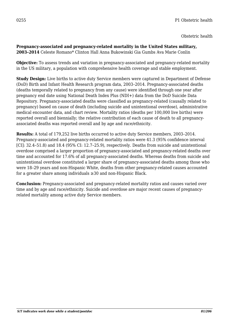**Pregnancy-associated and pregnancy-related mortality in the United States military, 2003–2014** Celeste Romano\* Clinton Hall Anna Bukowinski Gia Gumbs Ava Marie Conlin

**Objective:** To assess trends and variation in pregnancy-associated and pregnancy-related mortality in the US military, a population with comprehensive health coverage and stable employment.

**Study Design:** Live births to active duty Service members were captured in Department of Defense (DoD) Birth and Infant Health Research program data, 2003–2014. Pregnancy-associated deaths (deaths temporally related to pregnancy from any cause) were identified through one year after pregnancy end date using National Death Index Plus (NDI+) data from the DoD Suicide Data Repository. Pregnancy-associated deaths were classified as pregnancy-related (causally related to pregnancy) based on cause of death (including suicide and unintentional overdose), administrative medical encounter data, and chart review. Mortality ratios (deaths per 100,000 live births) were reported overall and biennially; the relative contribution of each cause of death to all pregnancyassociated deaths was reported overall and by age and race/ethnicity.

**Results:** A total of 179,252 live births occurred to active duty Service members, 2003–2014. Pregnancy-associated and pregnancy-related mortality ratios were 41.3 (95% confidence interval [CI]: 32.4–51.8) and 18.4 (95% CI: 12.7–25.9), respectively. Deaths from suicide and unintentional overdose comprised a larger proportion of pregnancy-associated and pregnancy-related deaths over time and accounted for 17.6% of all pregnancy-associated deaths. Whereas deaths from suicide and unintentional overdose constituted a larger share of pregnancy-associated deaths among those who were 18–29 years and non-Hispanic White, deaths from other pregnancy-related causes accounted for a greater share among individuals ≥30 and non-Hispanic Black.

**Conclusion:** Pregnancy-associated and pregnancy-related mortality ratios and causes varied over time and by age and race/ethnicity. Suicide and overdose are major recent causes of pregnancyrelated mortality among active duty Service members.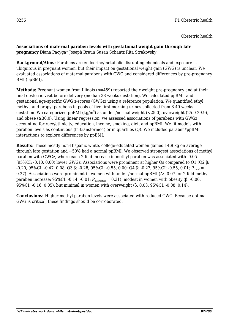#### **Associations of maternal paraben levels with gestational weight gain through late pregnancy** Diana Pacyga\* Joseph Braun Susan Schantz Rita Strakovsky

**Background/Aims:** Parabens are endocrine/metabolic disrupting chemicals and exposure is ubiquitous in pregnant women, but their impact on gestational weight gain (GWG) is unclear. We evaluated associations of maternal parabens with GWG and considered differences by pre-pregnancy BMI (ppBMI).

**Methods:** Pregnant women from Illinois (n=459) reported their weight pre-pregnancy and at their final obstetric visit before delivery (median 38 weeks gestation). We calculated ppBMI- and gestational age-specific GWG z-scores (GWGz) using a reference population. We quantified ethyl, methyl, and propyl parabens in pools of five first-morning urines collected from 8-40 weeks gestation. We categorized ppBMI (kg/m $^2$ ) as under-/normal weight (<25.0), overweight (25.0-29.9), and obese (≥30.0). Using linear regression, we assessed associations of parabens with GWGz accounting for race/ethnicity, education, income, smoking, diet, and ppBMI. We fit models with paraben levels as continuous (ln-transformed) or in quartiles (Q). We included paraben\*ppBMI interactions to explore differences by ppBMI.

**Results:** These mostly non-Hispanic white, college-educated women gained 14.9 kg on average through late gestation and  $\sim$ 50% had a normal ppBMI. We observed strongest associations of methyl paraben with GWGz, where each 2-fold increase in methyl paraben was associated with -0.05 (95%CI: -0.10, 0.00) lower GWGz. Associations were prominent at higher Qs compared to Q1 (Q2 β: -0.20, 95%CI: -0.47, 0.08; Q3 β: -0.28, 95%CI: -0.55, 0.00; Q4 β: -0.27, 95%CI: -0.55, 0.01; *Ptrend* = 0.27). Associations were prominent in women with under-/normal ppBMI (Δ: -0.07 for 2-fold methyl paraben increase; 95%CI: -0.14, -0.01;  $P_{\text{interaction}} = 0.31$ ), modest in women with obesity (β: -0.06, 95%CI: -0.16, 0.05), but minimal in women with overweight (β: 0.03, 95%CI: -0.08, 0.14).

**Conclusions:** Higher methyl paraben levels were associated with reduced GWG. Because optimal GWG is critical, these findings should be corroborated.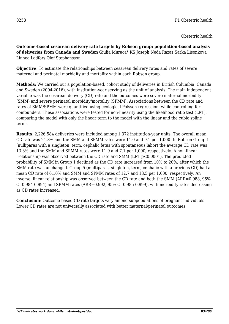**Outcome-based cesarean delivery rate targets by Robson group: population-based analysis of deliveries from Canada and Sweden** Giulia Muraca\* KS Joseph Neda Razaz Sarka Lisonkova Linnea Ladfors Olof Stephansson

**Objective**: To estimate the relationships between cesarean delivery rates and rates of severe maternal and perinatal morbidity and mortality within each Robson group.

**Methods**: We carried out a population-based, cohort study of deliveries in British Columbia, Canada and Sweden (2004-2016), with institution-year serving as the unit of analysis. The main independent variable was the cesarean delivery (CD) rate and the outcomes were severe maternal morbidity (SMM) and severe perinatal morbidity/mortality (SPMM). Associations between the CD rate and rates of SMM/SPMM were quantified using ecological Poisson regression, while controlling for confounders. These associations were tested for non-linearity using the likelihood ratio test (LRT), comparing the model with only the linear term to the model with the linear and the cubic spline terms.

**Results**: 2,226,584 deliveries were included among 1,372 institution-year units. The overall mean CD rate was 21.8% and the SMM and SPMM rates were 11.0 and 9.1 per 1,000. In Robson Group 1 (nulliparas with a singleton, term, cephalic fetus with spontaneous labor) the average CD rate was 13.3% and the SMM and SPMM rates were 11.9 and 7.1 per 1,000, respectively. A non-linear relationship was observed between the CD rate and SMM (LRT p<0.0001). The predicted probability of SMM in Group 1 declined as the CD rate increased from 10% to 20%, after which the SMM rate was unchanged. Group 5 (multiparas, singleton, term, cephalic with a previous CD) had a mean CD rate of 61.0% and SMM and SPMM rates of 12.7 and 13.5 per 1,000, respectively. An inverse, linear relationship was observed between the CD rate and both the SMM (ARR=0.988, 95% CI 0.984-0.994) and SPMM rates (ARR=0.992, 95% CI 0.985-0.999), with morbidity rates decreasing as CD rates increased.

**Conclusion**: Outcome-based CD rate targets vary among subpopulations of pregnant individuals. Lower CD rates are not universally associated with better maternal/perinatal outcomes.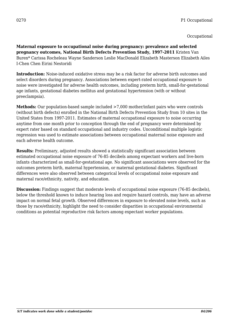**Maternal exposure to occupational noise during pregnancy: prevalence and selected pregnancy outcomes, National Birth Defects Prevention Study, 1997-2011** Kristen Van Buren\* Carissa Rocheleau Wayne Sanderson Leslie MacDonald Elizabeth Masterson Elizabeth Ailes I-Chen Chen Eirini Nestoridi

**Introduction:** Noise-induced oxidative stress may be a risk factor for adverse birth outcomes and select disorders during pregnancy. Associations between expert-rated occupational exposure to noise were investigated for adverse health outcomes, including preterm birth, small-for-gestational age infants, gestational diabetes mellitus and gestational hypertension (with or without preeclampsia).

**Methods:** Our population-based sample included  $>7,000$  mother/infant pairs who were controls (without birth defects) enrolled in the National Birth Defects Prevention Study from 10 sites in the United States from 1997-2011. Estimates of maternal occupational exposure to noise occurring anytime from one month prior to conception through the end of pregnancy were determined by expert rater based on standard occupational and industry codes. Unconditional multiple logistic regression was used to estimate associations between occupational maternal noise exposure and each adverse health outcome.

**Results:** Preliminary, adjusted results showed a statistically significant association between estimated occupational noise exposure of 76-85 decibels among expectant workers and live-born infants characterized as small-for-gestational age. No significant associations were observed for the outcomes preterm birth, maternal hypertension, or maternal gestational diabetes. Significant differences were also observed between categorical levels of occupational noise exposure and maternal race/ethnicity, nativity, and education.

**Discussion:** Findings suggest that moderate levels of occupational noise exposure (76-85 decibels), below the threshold known to induce hearing loss and require hazard controls, may have an adverse impact on normal fetal growth. Observed differences in exposure to elevated noise levels, such as those by race/ethnicity, highlight the need to consider disparities in occupational environmental conditions as potential reproductive risk factors among expectant worker populations.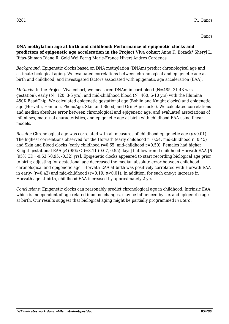**DNA methylation age at birth and childhood: Performance of epigenetic clocks and predictors of epigenetic age acceleration in the Project Viva cohort** Anne K. Bozack\* Sheryl L. Rifas-Shiman Diane R. Gold Wei Perng Marie-France Hivert Andres Cardenas

*Background:* Epigenetic clocks based on DNA methylation (DNAm) predict chronological age and estimate biological aging. We evaluated correlations between chronological and epigenetic age at birth and childhood, and investigated factors associated with epigenetic age acceleration (EAA).

*Methods:* In the Project Viva cohort, we measured DNAm in cord blood (N=485, 31-43 wks gestation), early (N=120, 3-5 yrs), and mid-childhood blood (N=460, 6-10 yrs) with the Illumina 450K BeadChip. We calculated epigenetic gestational age (Bohlin and Knight clocks) and epigenetic age (Horvath, Hannum, PhenoAge, Skin and Blood, and GrimAge clocks). We calculated correlations and median absolute error between chronological and epigenetic age, and evaluated associations of infant sex, maternal characteristics, and epigenetic age at birth with childhood EAA using linear models.

*Results:* Chronological age was correlated with all measures of childhood epigenetic age (*p*<0.01). The highest correlations observed for the Horvath (early childhood  $r=0.54$ , mid-childhood  $r=0.45$ ) and Skin and Blood clocks (early childhood  $r=0.65$ , mid-childhood  $r=0.59$ ). Females had higher Knight gestational EAA [*B* (95% CI)=3.11 (0.07, 0.55) days] but lower mid-childhood Horvath EAA [*B* (95% CI)=-0.63 (-0.95, -0.32) yrs]. Epigenetic clocks appeared to start recording biological age prior to birth; adjusting for gestational age decreased the median absolute error between childhood chronological and epigenetic age. Horvath EAA at birth was positively correlated with Horvath EAA in early- (r=0.42) and mid-childhood (r=0.19; *p*<0.01). In addition, for each one-yr increase in Horvath age at birth, childhood EAA increased by approximately 2 yrs.

*Conclusions:* Epigenetic clocks can reasonably predict chronological age in childhood. Intrinsic EAA, which is independent of age-related immune changes, may be influenced by sex and epigenetic age at birth. Our results suggest that biological aging might be partially programmed *in utero*.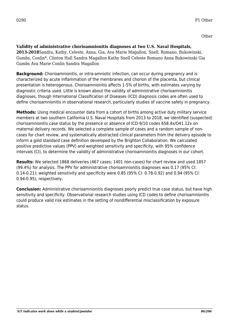**Validity of administrative chorioamnionitis diagnoses at two U.S. Naval Hospitals, 2013-2018**Sandra, Kathy, Celeste, Anna, Gia, Ava Marie Magallon, Snell, Romano, Bukowinski, Gumbs, Conlin\*, Clinton Hall Sandra Magallon Kathy Snell Celeste Romano Anna Bukowinski Gia Gumbs Ava Marie Conlin Sandra Magallon

**Background:** Chorioamnionitis, or intra-amniotic infection, can occur during pregnancy and is characterized by acute inflammation of the membranes and chorion of the placenta, but clinical presentation is heterogenous. Chorioamnionitis affects 1-5% of births, with estimates varying by diagnostic criteria used. Little is known about the validity of administrative chorioamnionitis diagnoses, though International Classification of Diseases (ICD) diagnosis codes are often used to define chorioamnionitis in observational research, particularly studies of vaccine safety in pregnancy.

**Methods:** Using medical encounter data from a cohort of births among active duty military service members at two southern California U.S. Naval Hospitals from 2013 to 2018, we identified (suspected) chorioamnionitis case status by the presence or absence of ICD-9/10 codes 658.4x/O41.12x on maternal delivery records. We selected a complete sample of cases and a random sample of noncases for chart review, and systematically abstracted clinical parameters from the delivery episode to inform a gold standard case definition developed by the Brighton Collaboration. We calculated positive predictive values (PPV) and weighted sensitivity and specificity, with 95% confidence intervals (CI), to determine the validity of administrative chorioamnionitis diagnoses in our cohort.

**Results:** We selected 1868 deliveries (467 cases; 1401 non-cases) for chart review and used 1857 (99.4%) for analysis. The PPV for administrative chorioamnionitis diagnoses was 0.17 (95% CI: 0.14-0.21); weighted sensitivity and specificity were 0.85 (95% CI: 0.78-0.92) and 0.94 (95% CI: 0.94-0.95), respectively.

**Conclusion:** Administrative chorioamnionitis diagnoses poorly predict true case status, but have high sensitivity and specificity. Observational research studies using ICD codes to define chorioamnionitis could produce valid risk estimates in the setting of nondifferential misclassification by exposure status.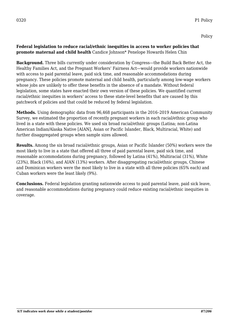### **Federal legislation to reduce racial/ethnic inequities in access to worker policies that promote maternal and child health** Candice Johnson\* Penelope Howards Helen Chin

**Background.** Three bills currently under consideration by Congress—the Build Back Better Act, the Healthy Families Act, and the Pregnant Workers' Fairness Act—would provide workers nationwide with access to paid parental leave, paid sick time, and reasonable accommodations during pregnancy. These policies promote maternal and child health, particularly among low-wage workers whose jobs are unlikely to offer these benefits in the absence of a mandate. Without federal legislation, some states have enacted their own version of these policies. We quantified current racial/ethnic inequities in workers' access to these state-level benefits that are caused by this patchwork of policies and that could be reduced by federal legislation.

**Methods.** Using demographic data from 96,468 participants in the 2016–2019 American Community Survey, we estimated the proportion of recently pregnant workers in each racial/ethnic group who lived in a state with these policies. We used six broad racial/ethnic groups (Latina; non-Latina American Indian/Alaska Native [AIAN], Asian or Pacific Islander, Black, Multiracial, White) and further disaggregated groups when sample sizes allowed.

**Results.** Among the six broad racial/ethnic groups, Asian or Pacific Islander (50%) workers were the most likely to live in a state that offered all three of paid parental leave, paid sick time, and reasonable accommodations during pregnancy, followed by Latina (41%), Multiracial (31%), White (23%), Black (16%), and AIAN (13%) workers. After disaggregating racial/ethnic groups, Chinese and Dominican workers were the most likely to live in a state with all three policies (65% each) and Cuban workers were the least likely (9%).

**Conclusions.** Federal legislation granting nationwide access to paid parental leave, paid sick leave, and reasonable accommodations during pregnancy could reduce existing racial/ethnic inequities in coverage.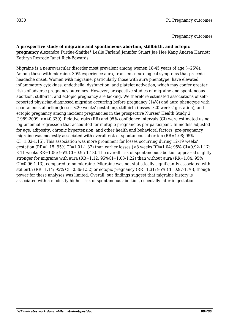#### **A prospective study of migraine and spontaneous abortion, stillbirth, and ectopic**

**pregnancy** Alexandra Purdue-Smithe\* Leslie Farland Jennifer Stuart Jae Hee Kang Andrea Harriott Kathryn Rexrode Janet Rich-Edwards

Migraine is a neurovascular disorder most prevalent among women 18-45 years of age (~25%). Among those with migraine, 30% experience aura, transient neurological symptoms that precede headache onset. Women with migraine, particularly those with aura phenotype, have elevated inflammatory cytokines, endothelial dysfunction, and platelet activation, which may confer greater risks of adverse pregnancy outcomes. However, prospective studies of migraine and spontaneous abortion, stillbirth, and ectopic pregnancy are lacking. We therefore estimated associations of selfreported physician-diagnosed migraine occurring before pregnancy (14%) and aura phenotype with spontaneous abortion (losses <20 weeks' gestation), stillbirth (losses ≥20 weeks' gestation), and ectopic pregnancy among incident pregnancies in the prospective Nurses' Health Study 2 (1989-2009; n=40,339). Relative risks (RR) and 95% confidence intervals (CI) were estimated using log-binomial regression that accounted for multiple pregnancies per participant. In models adjusted for age, adiposity, chronic hypertension, and other health and behavioral factors, pre-pregnancy migraine was modestly associated with overall risk of spontaneous abortion (RR=1.08; 95% CI=1.02-1.15). This association was more prominent for losses occurring during 12-19 weeks' gestation (RR=1.15; 95% CI=1.01-1.32) than earlier losses (<8 weeks RR=1.04; 95% CI=0.92-1.17; 8-11 weeks RR=1.06; 95% CI=0.95-1.18). The overall risk of spontaneous abortion appeared slightly stronger for migraine with aura (RR=1.12;  $95\%$ CI=1.03-1.22) than without aura (RR=1.04; 95%) CI=0.96-1.13), compared to no migraine. Migraine was not statistically significantly associated with stillbirth (RR=1.14; 95% CI=0.86-1.52) or ectopic pregnancy (RR=1.31; 95% CI=0.97-1.76), though power for these analyses was limited. Overall, our findings suggest that migraine history is associated with a modestly higher risk of spontaneous abortion, especially later in gestation.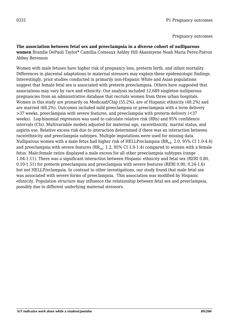### **The association between fetal sex and preeclampsia in a diverse cohort of nulliparous women** Brandie DePaoli Taylor\* Camillia Comeaux Ashley Hill Akaninyene Noah Maria Perez-Patron Abbey Berenson

Women with male fetuses have higher risk of pregnancy loss, preterm birth, and infant mortality. Differences in placental adaptations to maternal stressors may explain these epidemiologic findings. Interestingly, prior studies conducted in primarily non-Hispanic White and Asian populations suggest that female fetal sex is associated with preterm preeclampsia. Others have suggested that associations may vary by race and ethnicity. Our analysis included 12,689 singleton nulliparous pregnancies from an administrative database that recruits women from three urban hospitals. Women in this study are primarily on Medicaid/Chip (55.2%), are of Hispanic ethnicity (48.2%) and are married (68.2%). Outcomes included mild preeclampsia or preeclampsia with a term delivery >37 weeks, preeclampsia with severe features, and preeclampsia with preterm delivery (<37 weeks). Log-binomial regression was used to calculate relative risk (RRs) and 95% confidence intervals (CIs). Multivariable models adjusted for maternal age, race/ethnicity, marital status, and aspirin use. Relative excess risk due to interaction determined if there was an interaction between race/ethnicity and preeclampsia subtypes. Multiple imputations were used for missing data. Nulliparous women with a male fetus had higher risk of HELLP/eclampsia ( $RR_{\text{adj}}$ . 2.0, 95% CI 1.0-4.4) and preeclampsia with severe features ( $RR_{\text{adi}}$ . 1.2, 95% CI 1.0-1.4) compared to women with a female fetus. Male:female ratios displayed a male excess for all other preeclampsia subtypes (range 1.04-1.11). There was a significant interaction between Hispanic ethnicity and fetal sex (RERI 0.80, 0.10-1.51) for preterm preeclampsia and preeclampsia with severe features (RERI 0.90, 0.24-1.6) but not HELLP/eclampsia. In contrast to other investigations, our study found that male fetal sex was associated with severe forms of preeclampsia. This association was modified by Hispanic ethnicity. Population structure may influence the relationship between fetal sex and preeclampsia, possibly due to different underlying maternal stressors.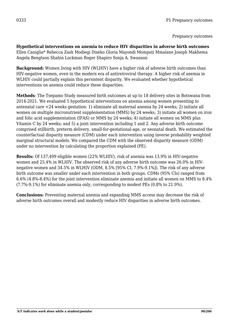**Hypothetical interventions on anemia to reduce HIV disparities in adverse birth outcomes** Ellen Caniglia\* Rebecca Zash Modiegi Diseko Gloria Mayondi Mompati Mmalane Joseph Makhema Angela Bengtson Shahin Lockman Roger Shapiro Sonja A. Swanson

**Background:** Women living with HIV (WLHIV) have a higher risk of adverse birth outcomes than HIV-negative women, even in the modern era of antiretroviral therapy. A higher risk of anemia in WLHIV could partially explain this persistent disparity. We evaluated whether hypothetical interventions on anemia could reduce these disparities.

**Methods**: The Tsepamo Study measured birth outcomes at up to 18 delivery sites in Botswana from 2014-2021. We evaluated 5 hypothetical interventions on anemia among women presenting to antenatal care <24 weeks gestation: 1) eliminate all maternal anemia by 24 weeks; 2) initiate all women on multiple micronutrient supplementation (MMS) by 24 weeks; 3) initiate all women on iron and folic acid supplementation (IFAS) or MMS by 24 weeks; 4) initiate all women on MMS plus Vitamin C by 24 weeks; and 5) a joint intervention including 1 and 2. Any adverse birth outcome comprised stillbirth, preterm delivery, small-for-gestational-age, or neonatal death. We estimated the counterfactual disparity measure (CDM) under each intervention using inverse probability weighted marginal structural models. We compared the CDM with the observed disparity measure (ODM) under no intervention by calculating the proportion explained (PE).

**Results:** Of 137,499 eligible women (22% WLHIV), risk of anemia was 13.9% in HIV-negative women and 25.4% in WLHIV. The observed risk of any adverse birth outcome was 26.0% in HIVnegative women and 34.5% in WLHIV (ODM, 8.5% [95% CI, 7.9%-9.1%]). The risk of any adverse birth outcome was smaller under each intervention in both groups. CDMs (95% CIs) ranged from 6.6% (4.8%-8.4%) for the joint intervention eliminate anemia and initiate all women on MMS to 8.4% (7.7%-9.1%) for eliminate anemia only, corresponding to modest PEs (0.8% to 21.9%).

**Conclusions:** Preventing maternal anemia and expanding MMS access may decrease the risk of adverse birth outcomes overall and modestly reduce HIV disparities in adverse birth outcomes.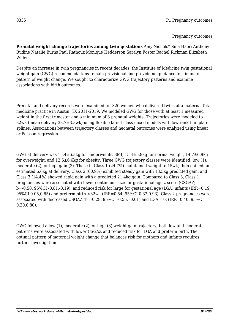**Prenatal weight change trajectories among twin gestations** Amy Nichols\* Sina Haeri Anthony Rudine Natalie Burns Paul Rathouz Monique Hedderson Saralyn Foster Rachel Rickman Elizabeth Widen

Despite an increase in twin pregnancies in recent decades, the Institute of Medicine twin gestational weight gain (GWG) recommendations remain provisional and provide no guidance for timing or pattern of weight change. We sought to characterize GWG trajectory patterns and examine associations with birth outcomes.

Prenatal and delivery records were examined for 320 women who delivered twins at a maternal-fetal medicine practice in Austin, TX 2011-2019. We modeled GWG for those with at least 1 measured weight in the first trimester and a minimum of 3 prenatal weights. Trajectories were modeled to 32wk (mean delivery 33.7±3.3wk) using flexible latent class mixed models with low-rank thin plate splines. Associations between trajectory classes and neonatal outcomes were analyzed using linear or Poisson regression.

GWG at delivery was  $15.4\pm6.3$ kg for underweight BMI,  $15.4\pm5.8$ kg for normal weight,  $14.7\pm6.9$ kg for overweight, and 12.5±6.6kg for obesity. Three GWG trajectory classes were identified: low (1), moderate (2), or high gain (3). Those in Class 1 (24.7%) maintained weight to 15wk, then gained an estimated 6.6kg at delivery. Class 2 (60.9%) exhibited steady gain with 13.5kg predicted gain, and Class 3 (14.4%) showed rapid gain with a predicted 21.4kg gain. Compared to Class 3, Class 1 pregnancies were associated with lower continuous size for gestational age z-score (CSGAZ; b=-0.50, 95%CI -0.81,-0.19), and reduced risk for large for gestational age (LGA) infants (IRR=0.19, 95%CI 0.05,0.65) and preterm birth <32wk (IRR=0.54, 95%CI 0.32,0.93). Class 2 pregnancies were associated with decreased CSGAZ (b=-0.28, 95%CI -0.55, -0.01) and LGA risk (IRR=0.40, 95%CI 0.20,0.80).

GWG followed a low (1), moderate (2), or high (3) weight gain trajectory; both low and moderate patterns were associated with lower CSGAZ and reduced risk for LGA and preterm birth. The optimal pattern of maternal weight change that balances risk for mothers and infants requires further investigation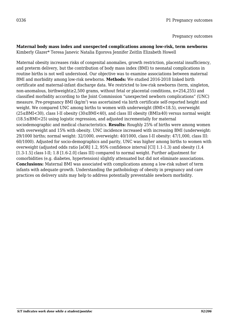# **Maternal body mass index and unexpected complications among low-risk, term newborns**

Kimberly Glazer\* Teresa Janevic Natalia Egorova Jennifer Zeitlin Elizabeth Howell

Maternal obesity increases risks of congenital anomalies, growth restriction, placental insufficiency, and preterm delivery, but the contribution of body mass index (BMI) to neonatal complications in routine births is not well understood. Our objective was to examine associations between maternal BMI and morbidity among low-risk newborns. **Methods:** We studied 2016-2018 linked birth certificate and maternal-infant discharge data. We restricted to low-risk newborns (term, singleton, non-anomalous, birthweight≥2,500 grams, without fetal or placental conditions, n=254,255) and classified morbidity according to the Joint Commission "unexpected newborn complications" (UNC) measure. Pre-pregnancy BMI (kg/m<sup>2</sup>) was ascertained via birth certificate self-reported height and weight. We compared UNC among births to women with underweight (BMI<18.5), overweight (25≤BMI<30), class I-II obesity (30≤BMI<40), and class III obesity (BMI≥40) versus normal weight (18.5≤BMI<25) using logistic regression, and adjusted incrementally for maternal sociodemographic and medical characteristics. **Results:** Roughly 25% of births were among women with overweight and 15% with obesity. UNC incidence increased with increasing BMI (underweight: 29/1000 births; normal weight: 32/1000, overweight: 40/1000, class I-II obesity: 47/1,000, class III: 60/1000). Adjusted for socio-demographics and parity, UNC was higher among births to women with overweight (adjusted odds ratio [aOR] 1.2, 95% confidence interval [CI] 1.1-1.3) and obesity (1.4 [1.3-1.5] class I-II; 1.8 [1.6-2.0] class III) compared to normal weight. Further adjustment for comorbidities (e.g. diabetes, hypertension) slightly attenuated but did not eliminate associations. **Conclusions:** Maternal BMI was associated with complications among a low-risk subset of term infants with adequate growth. Understanding the pathobiology of obesity in pregnancy and care practices on delivery units may help to address potentially preventable newborn morbidity.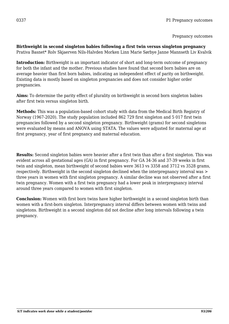**Birthweight in second singleton babies following a first twin versus singleton pregnancy** Prativa Basnet\* Rolv Skjaerven Nils-Halvden Morken Linn Marie Sørbye Janne Mannseth Liv Kvalvik

**Introduction:** Birthweight is an important indicator of short and long-term outcome of pregnancy for both the infant and the mother. Previous studies have found that second born babies are on average heavier than first born babies, indicating an independent effect of parity on birthweight. Existing data is mostly based on singleton pregnancies and does not consider higher order pregnancies.

**Aims:** To determine the parity effect of plurality on birthweight in second born singleton babies after first twin versus singleton birth.

**Methods:** This was a population-based cohort study with data from the Medical Birth Registry of Norway (1967-2020). The study population included 862 729 first singleton and 5 017 first twin pregnancies followed by a second singleton pregnancy. Birthweight (grams) for second singletons were evaluated by means and ANOVA using STATA. The values were adjusted for maternal age at first pregnancy, year of first pregnancy and maternal education.

**Results:** Second singleton babies were heavier after a first twin than after a first singleton. This was evident across all gestational ages (GA) in first pregnancy. For GA 34-36 and 37-39 weeks in first twin and singleton, mean birthweight of second babies were 3613 vs 3358 and 3712 vs 3528 grams, respectively. Birthweight in the second singleton declined when the interpregnancy interval was > three years in women with first singleton pregnancy. A similar decline was not observed after a first twin pregnancy. Women with a first twin pregnancy had a lower peak in interpregnancy interval around three years compared to women with first singleton.

**Conclusion:** Women with first born twins have higher birthweight in a second singleton birth than women with a first-born singleton. Interpregnancy interval differs between women with twins and singletons. Birthweight in a second singleton did not decline after long intervals following a twin pregnancy.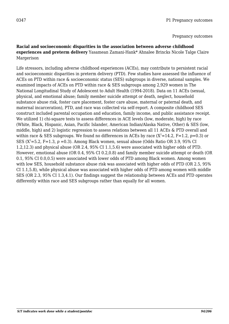#### **Racial and socioeconomic disparities in the association between adverse childhood experiences and preterm delivery** Yasamean Zamani-Hank\* Ahnalee Brincks Nicole Talge Claire Margerison

Life stressors, including adverse childhood experiences (ACEs), may contribute to persistent racial and socioeconomic disparities in preterm delivery (PTD). Few studies have assessed the influence of ACEs on PTD within race & socioeconomic status (SES) subgroups in diverse, national samples. We examined impacts of ACEs on PTD within race & SES subgroups among 2,929 women in The National Longitudinal Study of Adolescent to Adult Health (1994-2018). Data on 11 ACEs (sexual, physical, and emotional abuse; family member suicide attempt or death, neglect, household substance abuse risk, foster care placement, foster care abuse, maternal or paternal death, and maternal incarceration), PTD, and race was collected via self-report. A composite childhood SES construct included parental occupation and education, family income, and public assistance receipt. We utilized 1) chi-square tests to assess differences in ACE levels (low, moderate, high) by race (White, Black, Hispanic, Asian, Pacific Islander, American Indian/Alaska Native, Other) & SES (low, middle, high) and 2) logistic regression to assess relations between all 11 ACEs & PTD overall and within race & SES subgroups. We found no differences in ACEs by race  $(X^2=14.2, F=1.2, p=0.3)$  or SES  $(X^2=5.2, F=1.3, p=0.3)$ . Among Black women, sexual abuse (Odds Ratio OR 3.9, 95% CI 1.2,12.3) and physical abuse (OR 2.4, 95% CI 1.1,5.6) were associated with higher odds of PTD. However, emotional abuse (OR 0.4, 95% CI 0.2,0.8) and family member suicide attempt or death (OR 0.1, 95% CI 0.0,0.5) were associated with lower odds of PTD among Black women. Among women with low SES, household substance abuse risk was associated with higher odds of PTD (OR 2.5, 95% CI 1.1,5.8), while physical abuse was associated with higher odds of PTD among women with middle SES (OR 2.3, 95% CI 1.3,4.1). Our findings suggest the relationship between ACEs and PTD operates differently within race and SES subgroups rather than equally for all women.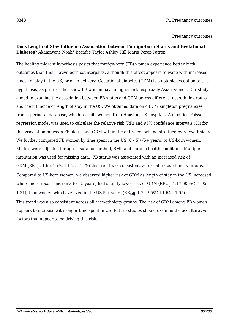#### **Does Length of Stay Influence Association between Foreign-born Status and Gestational Diabetes?** Akaninyene Noah\* Brandie Taylor Ashley Hill Maria Perez-Patron

The healthy migrant hypothesis posits that foreign-born (FB) women experience better birth outcomes than their native-born counterparts, although this effect appears to wane with increased length of stay in the US, prior to delivery. Gestational diabetes (GDM) is a notable exception to this hypothesis, as prior studies show FB women have a higher risk, especially Asian women. Our study aimed to examine the association between FB status and GDM across different race/ethnic groups and the influence of length of stay in the US. We obtained data on 43,777 singleton pregnancies from a perinatal database, which recruits women from Houston, TX hospitals. A modified Poisson regression model was used to calculate the relative risk (RR) and 95% confidence intervals (CI) for the association between FB status and GDM within the entire cohort and stratified by race/ethnicity. We further compared FB women by time spent in the US  $(0 - 5)$ /  $(5 + \text{years})$  to US-born women. Models were adjusted for age, insurance method, BMI, and chronic health conditions. Multiple imputation was used for missing data. FB status was associated with an increased risk of GDM (RRadj. 1.65, 95%CI 1.53 – 1.79) this trend was consistent, across all race/ethnicity groups. Compared to US-born women, we observed higher risk of GDM as length of stay in the US increased where more recent migrants (0 - 5 years) had slightly lower risk of GDM ( $RR_{\text{adj}}$ , 1.17, 95%CI 1.05 -1.31), than women who have lived in the US  $5 +$  years ( $RR_{\text{adi}}$  1.79, 95%CI 1.64 - 1.95). This trend was also consistent across all race/ethnicity groups. The risk of GDM among FB women appears to increase with longer time spent in US. Future studies should examine the acculturative factors that appear to be driving this risk.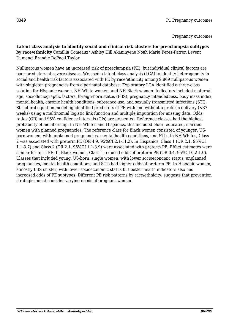**Latent class analysis to identify social and clinical risk clusters for preeclampsia subtypes by race/ethnicity** Camillia Comeaux\* Ashley Hill Akaninyene Noah Maria Perez-Patron Levent Dumenci Brandie DePaoli Taylor

Nulliparous women have an increased risk of preeclampsia (PE), but individual clinical factors are poor predictors of severe disease. We used a latent class analysis (LCA) to identify heterogeneity in social and health risk factors associated with PE by race/ethnicity among 9,809 nulliparous women with singleton pregnancies from a perinatal database. Exploratory LCA identified a three-class solution for Hispanic women, NH-White women, and NH-Black women. Indicators included maternal age, sociodemographic factors, foreign-born status (FBS), pregnancy intendedness, body mass index, mental health, chronic health conditions, substance use, and sexually transmitted infections (STI). Structural equation modeling identified predictors of PE with and without a preterm delivery (<37 weeks) using a multinomial logistic link function and multiple imputation for missing data. Odds ratios (OR) and 95% confidence intervals (CIs) are presented. Reference classes had the highest probability of membership. In NH-Whites and Hispanics, this included older, educated, married women with planned pregnancies. The reference class for Black women consisted of younger, USborn women, with unplanned pregnancies, mental health conditions, and STIs. In NH-Whites, Class 2 was associated with preterm PE (OR 4.9, 95%CI 2.1-11.2). In Hispanics, Class 1 (OR 2.1, 95%CI 1.1-3.7) and Class 2 (OR 2.1, 95%CI 1.1-3.9) were associated with preterm PE. Effect estimates were similar for term PE. In Black women, Class 1 reduced odds of preterm PE (OR 0.4, 95%CI 0.2-1.0). Classes that included young, US-born, single women, with lower socioeconomic status, unplanned pregnancies, mental health conditions, and STIs had higher odds of preterm PE. In Hispanic women, a mostly FBS cluster, with lower socioeconomic status but better health indicators also had increased odds of PE subtypes. Different PE risk patterns by race/ethnicity, suggests that prevention strategies must consider varying needs of pregnant women.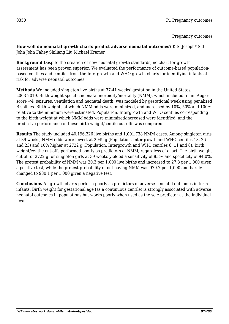**How well do neonatal growth charts predict adverse neonatal outcomes?** K.S. Joseph\* Sid John John Fahey Shiliang Liu Michael Kramer

**Background** Despite the creation of new neonatal growth standards, no chart for growth assessment has been proven superior. We evaluated the performance of outcome-based populationbased centiles and centiles from the Intergrowth and WHO growth charts for identifying infants at risk for adverse neonatal outcomes.

**Methods** We included singleton live births at 37-41 weeks' gestation in the United States, 2003-2019. Birth weight-specific neonatal morbidity/mortality (NMM), which included 5-min Apgar score <4, seizures, ventilation and neonatal death, was modeled by gestational week using penalized B-splines. Birth weights at which NMM odds were minimized, and increased by 10%, 50% and 100% relative to the minimum were estimated. Population, Intergrowth and WHO centiles corresponding to the birth weight at which NMM odds were minimized/increased were identified, and the predictive performance of these birth weight/centile cut-offs was compared.

**Results** The study included 40,196,326 live births and 1,001,738 NMM cases. Among singleton girls at 39 weeks, NMM odds were lowest at 2949 g (Population, Intergrowth and WHO centiles 18, 26 and 23) and 10% higher at 2722 g (Population, Intergrowth and WHO centiles 6, 11 and 8). Birth weight/centile cut-offs performed poorly as predictors of NMM, regardless of chart. The birth weight cut-off of 2722 g for singleton girls at 39 weeks yielded a sensitivity of 8.3% and specificity of 94.0%. The pretest probability of NMM was 20.3 per 1,000 live births and increased to 27.8 per 1,000 given a positive test, while the pretest probability of not having NMM was 979.7 per 1,000 and barely changed to 980.1 per 1,000 given a negative test.

**Conclusions** All growth charts perform poorly as predictors of adverse neonatal outcomes in term infants. Birth weight for gestational age (as a continuous centile) is strongly associated with adverse neonatal outcomes in populations but works poorly when used as the sole predictor at the individual level.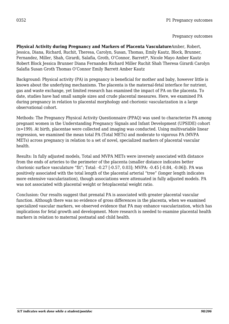**Physical Activity during Pregnancy and Markers of Placenta Vasculature**Amber, Robert, Jessica, Diana, Richard, Ruchit, Theresa, Carolyn, Susan, Thomas, Emily Kautz, Block, Brunner, Fernandez, Miller, Shah, Girardi, Salafia, Groth, O'Connor, Barrett\*, Nicole Mayo Amber Kautz Robert Block Jessica Brunner Diana Fernandez Richard Miller Ruchit Shah Theresa Girardi Carolyn Salafia Susan Groth Thomas O'Connor Emily Barrett Amber Kautz

Background: Physical activity (PA) in pregnancy is beneficial for mother and baby, however little is known about the underlying mechanisms. The placenta is the maternal-fetal interface for nutrient, gas and waste exchange, yet limited research has examined the impact of PA on the placenta. To date, studies have had small sample sizes and crude placental measures. Here, we examined PA during pregnancy in relation to placental morphology and chorionic vascularization in a large observational cohort.

Methods: The Pregnancy Physical Activity Questionnaire (PPAQ) was used to characterize PA among pregnant women in the Understanding Pregnancy Signals and Infant Development (UPSIDE) cohort (n=199). At birth, placentae were collected and imaging was conducted. Using multivariable linear regression, we examined the mean total PA (Total METs) and moderate to vigorous PA (MVPA METs) across pregnancy in relation to a set of novel, specialized markers of placental vascular health.

Results: In fully adjusted models, Total and MVPA METs were inversely associated with distance from the ends of arteries to the perimeter of the placenta (smaller distance indicates better chorionic surface vasculature "fit"; Total: -0.27 [-0.57, 0.03]; MVPA: -0.45 [-0.84, -0.06]). PA was positively associated with the total length of the placental arterial "tree" (longer length indicates more extensive vascularization), though associations were attenuated in fully adjusted models. PA was not associated with placental weight or fetoplacental weight ratio.

Conclusion: Our results suggest that prenatal PA is associated with greater placental vascular function. Although there was no evidence of gross differences in the placenta, when we examined specialized vascular markers, we observed evidence that PA may enhance vascularization, which has implications for fetal growth and development. More research is needed to examine placental health markers in relation to maternal postnatal and child health.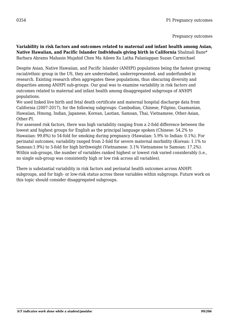**Variability in risk factors and outcomes related to maternal and infant health among Asian, Native Hawaiian, and Pacific Islander Individuals giving birth in California** Shalmali Bane\* Barbara Abrams Mahasin Mujahid Chen Ma Aileen Xu Latha Palaniappan Suzan Carmichael

Despite Asian, Native Hawaiian, and Pacific Islander (ANHPI) populations being the fastest growing racial/ethnic group in the US, they are understudied, underrepresented, and underfunded in research. Existing research often aggregates these populations, thus obscuring diversity and disparities among ANHPI sub-groups. Our goal was to examine variability in risk factors and outcomes related to maternal and infant health among disaggregated subgroups of ANHPI populations.

We used linked live birth and fetal death certificate and maternal hospital discharge data from California (2007-2017), for the following subgroups: Cambodian, Chinese, Filipino, Guamanian, Hawaiian, Hmong, Indian, Japanese, Korean, Laotian, Samoan, Thai, Vietnamese, Other-Asian, Other-PI.

For assessed risk factors, there was high variability ranging from a 2-fold difference between the lowest and highest groups for English as the principal language spoken (Chinese: 54.2% to Hawaiian: 99.8%) to 54-fold for smoking during pregnancy (Hawaiian: 5.9% to Indian: 0.1%). For perinatal outcomes, variability ranged from 2-fold for severe maternal morbidity (Korean: 1.1% to Samoan:1.9%) to 5-fold for high birthweight (Vietnamese: 3.1% Vietnamese to Samoan: 17.2%). Within sub-groups, the number of variables ranked highest or lowest risk varied considerably (i.e., no single sub-group was consistently high or low risk across all variables).

There is substantial variability in risk factors and perinatal health outcomes across ANHPI subgroups, and for high- or low-risk status across these variables within subgroups. Future work on this topic should consider disaggregated subgroups.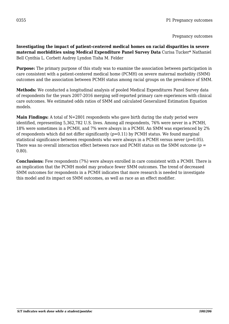**Investigating the impact of patient-centered medical homes on racial disparities in severe maternal morbidities using Medical Expenditure Panel Survey Data** Curisa Tucker\* Nathaniel Bell Cynthia L. Corbett Audrey Lyndon Tisha M. Felder

**Purpose:** The primary purpose of this study was to examine the association between participation in care consistent with a patient-centered medical home (PCMH) on severe maternal morbidity (SMM) outcomes and the association between PCMH status among racial groups on the prevalence of SMM.

**Methods:** We conducted a longitudinal analysis of pooled Medical Expenditures Panel Survey data of respondents for the years 2007-2016 merging self-reported primary care experiences with clinical care outcomes. We estimated odds ratios of SMM and calculated Generalized Estimation Equation models.

**Main Findings:** A total of N=2801 respondents who gave birth during the study period were identified, representing 5,362,782 U.S. lives. Among all respondents, 76% were never in a PCMH, 18% were sometimes in a PCMH, and 7% were always in a PCMH. An SMM was experienced by 2% of respondents which did not differ significantly (*p*=0.11) by PCMH status. We found marginal statistical significance between respondents who were always in a PCMH versus never (*p*=0.05). There was no overall interaction effect between race and PCMH status on the SMM outcome (*p* = 0.80).

**Conclusions:** Few respondents (7%) were always enrolled in care consistent with a PCMH. There is an implication that the PCMH model may produce fewer SMM outcomes. The trend of decreased SMM outcomes for respondents in a PCMH indicates that more research is needed to investigate this model and its impact on SMM outcomes, as well as race as an effect modifier.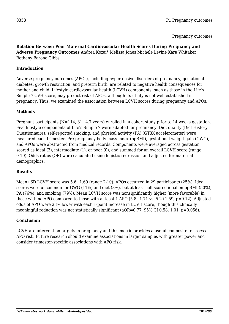#### **Relation Between Poor Maternal Cardiovascular Health Scores During Pregnancy and Adverse Pregnancy Outcomes** Andrea Kozai\* Melissa Jones Michele Levine Kara Whitaker Bethany Barone Gibbs

### **Introduction**

Adverse pregnancy outcomes (APOs), including hypertensive disorders of pregnancy, gestational diabetes, growth restriction, and preterm birth, are related to negative health consequences for mother and child. Lifestyle cardiovascular health (LCVH) components, such as those in the Life's Simple 7 CVH score, may predict risk of APOs, although its utility is not well-established in pregnancy. Thus, we examined the association between LCVH scores during pregnancy and APOs.

### **Methods**

Pregnant participants ( $N=114$ ,  $31+4.7$  years) enrolled in a cohort study prior to 14 weeks gestation. Five lifestyle components of Life's Simple 7 were adapted for pregnancy. Diet quality (Diet History Questionnaire), self-reported smoking, and physical activity (PA) (GT3X accelerometer) were measured each trimester. Pre-pregnancy body mass index (ppBMI), gestational weight gain (GWG), and APOs were abstracted from medical records. Components were averaged across gestation, scored as ideal (2), intermediate (1), or poor (0), and summed for an overall LCVH score (range 0-10). Odds ratios (OR) were calculated using logistic regression and adjusted for maternal demographics.

#### **Results**

Mean $\pm$ SD LCVH score was 5.6 $\pm$ 1.69 (range 2-10). APOs occurred in 29 participants (25%). Ideal scores were uncommon for GWG (11%) and diet (8%), but at least half scored ideal on ppBMI (50%), PA (76%), and smoking (79%). Mean LCVH score was nonsignificantly higher (more favorable) in those with no APO compared to those with at least 1 APO  $(5.8 \pm 1.71 \text{ vs. } 5.2 \pm 1.59, \text{ p} = 0.12)$ . Adjusted odds of APO were 23% lower with each 1-point increase in LCVH score, though this clinically meaningful reduction was not statistically significant (aOR=0.77, 95% CI 0.58, 1.01, p=0.056).

#### **Conclusion**

LCVH are intervention targets in pregnancy and this metric provides a useful composite to assess APO risk. Future research should examine associations in larger samples with greater power and consider trimester-specific associations with APO risk.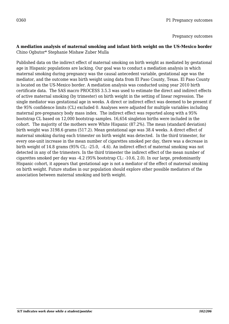#### **A mediation analysis of maternal smoking and infant birth weight on the US-Mexico border** Chino Ogbutor\* Stephanie Mishaw Zuber Mulla

Published data on the indirect effect of maternal smoking on birth weight as mediated by gestational age in Hispanic populations are lacking. Our goal was to conduct a mediation analysis in which maternal smoking during pregnancy was the causal antecedent variable, gestational age was the mediator, and the outcome was birth weight using data from El Paso County, Texas. El Paso County is located on the US-Mexico border. A mediation analysis was conducted using year 2010 birth certificate data. The SAS macro PROCESS 3.5.3 was used to estimate the direct and indirect effects of active maternal smoking (by trimester) on birth weight in the setting of linear regression. The single mediator was gestational age in weeks. A direct or indirect effect was deemed to be present if the 95% confidence limits (CL) excluded 0. Analyses were adjusted for multiple variables including maternal pre-pregnancy body mass index. The indirect effect was reported along with a 95% bootstrap CL based on 12,000 bootstrap samples. 16,654 singleton births were included in the cohort. The majority of the mothers were White Hispanic (87.2%). The mean (standard deviation) birth weight was 3198.6 grams (517.2). Mean gestational age was 38.4 weeks. A direct effect of maternal smoking during each trimester on birth weight was detected. In the third trimester, for every one-unit increase in the mean number of cigarettes smoked per day, there was a decrease in birth weight of 14.8 grams (95% CL: -25.0, -4.6). An indirect effect of maternal smoking was not detected in any of the trimesters. In the third trimester the indirect effect of the mean number of cigarettes smoked per day was -4.2 (95% bootstrap CL: -10.6, 2.0). In our large, predominantly Hispanic cohort, it appears that gestational age is not a mediator of the effect of maternal smoking on birth weight. Future studies in our population should explore other possible mediators of the association between maternal smoking and birth weight.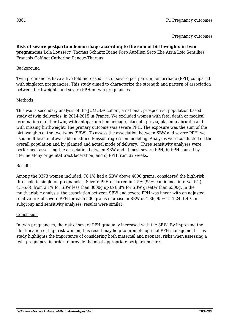#### **Risk of severe postpartum hemorrhage according to the sum of birthweights in twin**

**pregnancies** Lola Loussert\* Thomas Schmitz Diane Korb Aurélien Seco Elie Azria Loïc Sentilhes François Goffinet Catherine Deneux-Tharaux

#### **Background**

Twin pregnancies have a five-fold increased risk of severe postpartum hemorrhage (PPH) compared with singleton pregnancies. This study aimed to characterize the strength and pattern of association between birthweights and severe PPH in twin pregnancies.

### Methods

This was a secondary analysis of the JUMODA cohort, a national, prospective, population-based study of twin deliveries, in 2014-2015 in France. We excluded women with fetal death or medical termination of either twin, with antepartum hemorrhage, placenta previa, placenta abruptio and with missing birthweight. The primary outcome was severe PPH. The exposure was the sum of the birthweights of the two twins (SBW). To assess the association between SBW and severe PPH, we used multilevel multivariable modified Poisson regression modeling. Analyses were conducted on the overall population and by planned and actual mode of delivery. Three sensitivity analyses were performed, assessing the association between SBW and a) most severe PPH, b) PPH caused by uterine atony or genital tract laceration, and c) PPH from 32 weeks.

#### Results

Among the 8373 women included, 76.1% had a SBW above 4000 grams, considered the high-risk threshold in singleton pregnancies. Severe PPH occurred in 4.5% (95% confidence interval (CI) 4.1-5.0), from 2.1% for SBW less than 3000g up to 8.8% for SBW greater than 6500g. In the multivariable analysis, the association between SBW and severe PPH was linear with an adjusted relative risk of severe PPH for each 500 grams increase in SBW of 1.36, 95% CI 1.24–1.49. In subgroup and sensitivity analyses, results were similar.

#### Conclusion

In twin pregnancies, the risk of severe PPH gradually increased with the SBW. By improving the identification of high-risk women, this result may help to promote optimal PPH management. This study highlights the importance of considering both maternal and neonatal risks when assessing a twin pregnancy, in order to provide the most appropriate peripartum care.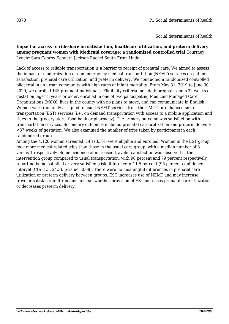### **Impact of access to rideshare on satisfaction, healthcare utilization, and preterm delivery among pregnant women with Medicaid coverage: a randomized controlled trial** Courtney Lynch\* Sara Conroy Kenneth Jackson Rachel Smith Erinn Hade

Lack of access to reliable transportation is a barrier to receipt of prenatal care. We aimed to assess the impact of modernization of non-emergency medical transportation (NEMT) services on patient satisfaction, prenatal care utilization, and preterm delivery. We conducted a randomized controlled pilot trial in an urban community with high rates of infant mortality. From May 31, 2019 to June 30, 2020, we enrolled 143 pregnant individuals. Eligibility criteria included: pregnant and <32 weeks of gestation, age 18 years or older, enrolled in one of two participating Medicaid Managed Care Organizations (MCO), lives in the county with no plans to move, and can communicate in English. Women were randomly assigned to usual NEMT services from their MCO or enhanced smart transportation (EST) services (i.e., on demand transportation with access to a mobile application and rides to the grocery store, food bank or pharmacy). The primary outcome was satisfaction with transportation services. Secondary outcomes included prenatal care utilization and preterm delivery <37 weeks of gestation. We also examined the number of trips taken by participants in each randomized group.

Among the 4,120 women screened, 143 (3.5%) were eligible and enrolled. Women in the EST group took more medical-related trips than those in the usual care group, with a median number of 8 versus 1 respectively. Some evidence of increased traveler satisfaction was observed in the intervention group compared to usual transportation, with 90 percent and 79 percent respectively reporting being satisfied or very satisfied [risk difference = 11.5 percent (95 percent confidence interval (CI): -1.3, 24.3), p-value=0.08]. There were no meaningful differences in prenatal care utilization or preterm delivery between groups. EST increases use of NEMT and may increase traveler satisfaction. It remains unclear whether provision of EST increases prenatal care utilization or decreases preterm delivery.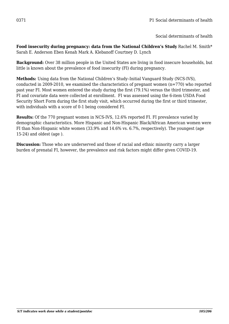**Food insecurity during pregnancy: data from the National Children's Study** Rachel M. Smith\* Sarah E. Anderson Eben Kenah Mark A. Klebanoff Courtney D. Lynch

**Background:** Over 38 million people in the United States are living in food insecure households, but little is known about the prevalence of food insecurity (FI) during pregnancy.

**Methods:** Using data from the National Children's Study–Initial Vanguard Study (NCS-IVS), conducted in 2009-2010, we examined the characteristics of pregnant women (n=770) who reported past year FI. Most women entered the study during the first (79.1%) versus the third trimester, and FI and covariate data were collected at enrollment. FI was assessed using the 6-item USDA Food Security Short Form during the first study visit, which occurred during the first or third trimester, with individuals with a score of 0-1 being considered FI.

**Results:** Of the 770 pregnant women in NCS-IVS, 12.6% reported FI. FI prevalence varied by demographic characteristics. More Hispanic and Non-Hispanic Black/African American women were FI than Non-Hispanic white women (33.9% and 14.6% vs. 6.7%, respectively). The youngest (age  $15-24$ ) and oldest (age).

**Discussion:** Those who are underserved and those of racial and ethnic minority carry a larger burden of prenatal FI, however, the prevalence and risk factors might differ given COVID-19.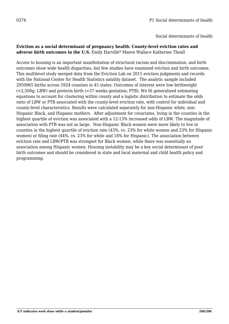#### **Eviction as a social determinant of pregnancy health: County-level eviction rates and adverse birth outcomes in the U.S.** Emily Harville\* Maeve Wallace Katherine Theall

Access to housing is an important manifestation of structural racism and discrimination, and birth outcomes show wide health disparities, but few studies have examined eviction and birth outcomes. This multilevel study merged data from the Eviction Lab on 2015 eviction judgments and records with the National Center for Health Statistics natality dataset. The analytic sample included 2950965 births across 5924 counties in 45 states. Outcomes of interest were low birthweight (<2,500g; LBW) and preterm birth (<37 weeks gestation; PTB). We fit generalized estimating equations to account for clustering within county and a logistic distribution to estimate the odds ratio of LBW or PTB associated with the county-level eviction rate, with control for individual and county-level characteristics. Results were calculated separately for non-Hispanic white, non-Hispanic Black, and Hispanic mothers. After adjustment for covariates, living in the counties in the highest quartile of eviction was associated with a 12-13% increased odds of LBW. The magnitude of association with PTB was not as large. Non-Hispanic Black women were more likely to live in counties in the highest quartile of eviction rate (43%, vs. 23% for white women and 23% for Hispanic women) or filing rate (44%, vs. 23% for white and 18% for Hispanic). The association between eviction rate and LBW/PTB was strongest for Black women, while there was essentially no association among Hispanic women. Housing instability may be a key social determinant of poor birth outcomes and should be considered in state and local maternal and child health policy and programming.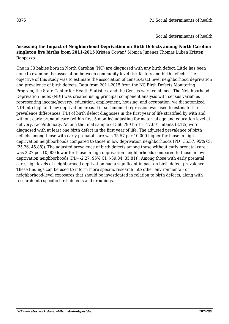#### **Assessing the Impact of Neighborhood Deprivation on Birth Defects among North Carolina singleton live births from 2011-2015** Kristen Cowan\* Monica Jimenez Thomas Luben Kristen Rappazzo

One in 33 babies born in North Carolina (NC) are diagnosed with any birth defect. Little has been done to examine the association between community-level risk factors and birth defects. The objective of this study was to estimate the association of census-tract level neighborhood deprivation and prevalence of birth defects. Data from 2011-2015 from the NC Birth Defects Monitoring Program, the State Center for Health Statistics, and the Census were combined. The Neighborhood Deprivation Index (NDI) was created using principal component analysis with census variables representing income/poverty, education, employment, housing, and occupation; we dichotomized NDI into high and low deprivation areas. Linear binomial regression was used to estimate the prevalence differences (PD) of birth defect diagnoses in the first year of life stratified by with and without early prenatal care (within first 5 months) adjusting for maternal age and education level at delivery, race/ethnicity. Among the final sample of 566,799 births, 17,691 infants (3.1%) were diagnosed with at least one birth defect in the first year of life. The adjusted prevalence of birth defects among those with early prenatal care was 35.57 per 10,000 higher for those in high deprivation neighborhoods compared to those in low deprivation neighborhoods (PD=35.57, 95% CI: (25.26, 45.88)). The adjusted prevalence of birth defects among those without early prenatal care was 2.27 per 10,000 lower for those in high deprivation neighborhoods compared to those in low deprivation neighborhoods (PD=-2.27, 95% CI: (-39.84, 35.81)). Among those with early prenatal care, high levels of neighborhood deprivation had a significant impact on birth defect prevalence. These findings can be used to inform more specific research into other environmental- or neighborhood-level exposures that should be investigated in relation to birth defects, along with research into specific birth defects and groupings.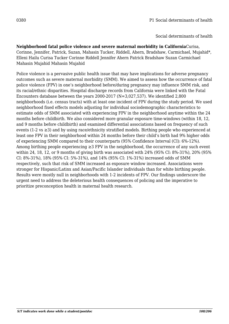Social determinants of health

**Neighborhood fatal police violence and severe maternal morbidity in California**Curisa, Corinne, Jennifer, Patrick, Suzan, Mahasin Tucker, Riddell, Ahern, Bradshaw, Carmichael, Mujahid\*, Elleni Hailu Curisa Tucker Corinne Riddell Jennifer Ahern Patrick Bradshaw Suzan Carmichael Mahasin Mujahid Mahasin Mujahid

Police violence is a pervasive public health issue that may have implications for adverse pregnancy outcomes such as severe maternal morbidity (SMM). We aimed to assess how the occurrence of fatal police violence (FPV) in one's neighborhood before/during pregnancy may influence SMM risk, and its racial/ethnic disparities. Hospital discharge records from California were linked with the Fatal Encounters database between the years 2000-2017 (N=3,027,537). We identified 2,800 neighborhoods (i.e. census tracts) with at least one incident of FPV during the study period. We used neighborhood fixed effects models adjusting for individual sociodemographic characteristics to estimate odds of SMM associated with experiencing FPV in the neighborhood anytime within the 24 months before childbirth. We also considered more granular exposure time-windows (within 18, 12, and 9 months before childbirth) and examined differential associations based on frequency of such events (1-2 vs ≥3) and by using race/ethnicity stratified models. Birthing people who experienced at least one FPV in their neighborhood within 24 months before their child's birth had 9% higher odds of experiencing SMM compared to their counterparts (95% Confidence Interval (CI): 6%-12%). Among birthing people experiencing ≥3 FPV in the neighborhood, the occurrence of any such event within 24, 18, 12, or 9 months of giving birth was associated with 24% (95% CI: 8%-31%), 20% (95% CI: 8%-31%), 18% (95% CI: 5%-31%), and 14% (95% CI: 1%-31%) increased odds of SMM respectively, such that risk of SMM increased as exposure window increased. Associations were stronger for Hispanic/Latinx and Asian/Pacific Islander individuals than for white birthing people. Results were mostly null in neighborhoods with 1-2 incidents of FPV. Our findings underscore the urgent need to address the deleterious health consequences of policing and the imperative to prioritize preconception health in maternal health research.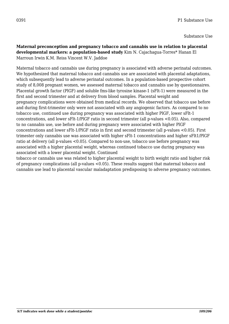Substance Use

### **Maternal preconception and pregnancy tobacco and cannabis use in relation to placental developmental markers: a population-based study** Kim N. Cajachagua-Torres\* Hanan El Marroun Irwin K.M. Reiss Vincent W.V. Jaddoe

Maternal tobacco and cannabis use during pregnancy is associated with adverse perinatal outcomes. We hypothesized that maternal tobacco and cannabis use are associated with placental adaptations, which subsequently lead to adverse perinatal outcomes. In a population-based prospective cohort study of 8,008 pregnant women, we assessed maternal tobacco and cannabis use by questionnaires. Placental growth factor (PlGF) and soluble fms-like tyrosine kinase-1 (sFlt-1) were measured in the first and second trimester and at delivery from blood samples. Placental weight and pregnancy complications were obtained from medical records. We observed that tobacco use before and during first-trimester only were not associated with any angiogenic factors. As compared to no tobacco use, continued use during pregnancy was associated with higher PlGF, lower sFlt-1 concentrations, and lower sFlt-1/PlGF ratio in second trimester (all p-values <0.05). Also, compared to no cannabis use, use before and during pregnancy were associated with higher PlGF concentrations and lower sFlt-1/PlGF ratio in first and second trimester (all p-values <0.05). First trimester only cannabis use was associated with higher sFlt-1 concentrations and higher sFlt1/PlGF ratio at delivery (all p-values <0.05). Compared to non-use, tobacco use before pregnancy was associated with a higher placental weight, whereas continued tobacco use during pregnancy was associated with a lower placental weight. Continued

tobacco or cannabis use was related to higher placental weight to birth weight ratio and higher risk of pregnancy complications (all p-values <0.05). These results suggest that maternal tobacco and cannabis use lead to placental vascular maladaptation predisposing to adverse pregnancy outcomes.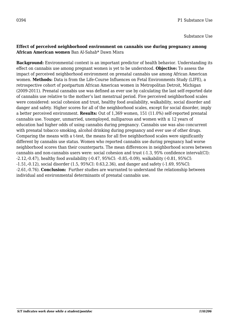Substance Use

#### **Effect of perceived neighborhood environment on cannabis use during pregnancy among African American women** Ban Al-Sahab\* Dawn Misra

**Background:** Environmental context is an important predictor of health behavior. Understanding its effect on cannabis use among pregnant women is yet to be understood. **Objective:** To assess the impact of perceived neighborhood environment on prenatal cannabis use among African American women. **Methods:** Data is from the Life-Course Influences on Fetal Environments Study (LIFE), a retrospective cohort of postpartum African American women in Metropolitan Detroit, Michigan (2009-2011). Prenatal cannabis use was defined as ever use by calculating the last self-reported date of cannabis use relative to the mother's last menstrual period. Five perceived neighborhood scales were considered: social cohesion and trust, healthy food availability, walkability, social disorder and danger and safety. Higher scores for all of the neighborhood scales, except for social disorder, imply a better perceived environment. **Results:** Out of 1,369 women, 151 (11.0%) self-reported prenatal cannabis use. Younger, unmarried, unemployed, nulliparous and women with  $\leq 12$  years of education had higher odds of using cannabis during pregnancy. Cannabis use was also concurrent with prenatal tobacco smoking, alcohol drinking during pregnancy and ever use of other drugs. Comparing the means with a t-test, the means for all five neighborhood scales were significantly different by cannabis use status. Women who reported cannabis use during pregnancy had worse neighborhood scores than their counterparts. The mean differences in neighborhood scores between cannabis and non-cannabis users were: social cohesion and trust (-1.3, 95% confidence interval(CI): -2.12,-0.47), healthy food availability (-0.47, 95%CI: -0.85,-0.09), walkability (-0.81, 95%CI: -1.51,-0.12), social disorder (1.5, 95%CI: 0.63,2.36), and danger and safety (-1.69, 95%CI: -2.61,-0.76). **Conclusion:** Further studies are warranted to understand the relationship between individual and environmental determinants of prenatal cannabis use.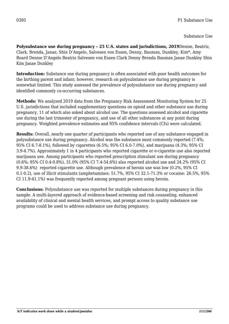### Substance Use

**Polysubstance use during pregnancy – 25 U.S. states and jurisdictions, 2019**Denise, Beatriz, Clark, Brenda, Janae, Shin D'Angelo, Salvesen von Essen, Denny, Bauman, Dunkley, Kim\*, Amy Board Denise D'Angelo Beatriz Salvesen von Essen Clark Denny Brenda Bauman Janae Dunkley Shin Kim Janae Dunkley

**Introduction:** Substance use during pregnancy is often associated with poor health outcomes for the birthing parent and infant; however, research on polysubstance use during pregnancy is somewhat limited. This study assessed the prevalence of polysubstance use during pregnancy and identified commonly co-occurring substances.

**Methods:** We analyzed 2019 data from the Pregnancy Risk Assessment Monitoring System for 25 U.S. jurisdictions that included supplementary questions on opioid and other substance use during pregnancy, 11 of which also asked about alcohol use. The questions assessed alcohol and cigarette use during the last trimester of pregnancy, and use of all other substances at any point during pregnancy. Weighted prevalence estimates and 95% confidence intervals (CIs) were calculated.

**Results:** Overall, nearly one quarter of participants who reported use of any substance engaged in polysubstance use during pregnancy. Alcohol was the substance most commonly reported (7.4%; 95% CI 6.7-8.1%), followed by cigarettes (6.5%; 95% CI 6.0-7.0%), and marijuana (4.3%; 95% CI 3.9-4.7%). Approximately 1 in 4 participants who reported cigarette or e-cigarette use also reported marijuana use. Among participants who reported prescription stimulant use during pregnancy (0.6%; 95% CI 0.4-0.8%), 31.0% (95% CI 7.4-54.6%) also reported alcohol use and 24.2% (95% CI 9.9-38.6%) reported cigarette use. Although prevalence of heroin use was low (0.2%, 95% CI 0.1-0.2), use of illicit stimulants (amphetamines: 51.7%, 95% CI 32.1-71.3% or cocaine: 26.5%, 95% CI 11.9-41.1%) was frequently reported among pregnant persons using heroin.

**Conclusions:** Polysubstance use was reported for multiple substances during pregnancy in this sample. A multi-layered approach of evidence-based screening and risk counseling, enhanced availability of clinical and mental health services, and prompt access to quality substance use programs could be used to address substance use during pregnancy.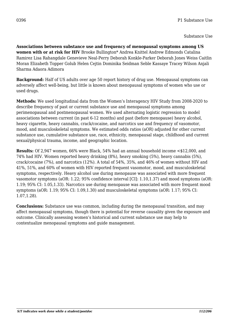**Associations between substance use and frequency of menopausal symptoms among US women with or at risk for HIV** Brooke Bullington\* Andrea Knittel Andrew Edmonds Catalina Ramirez Lisa Rahangdale Genevieve Neal-Perry Deborah Konkle-Parker Deborah Jones Weiss Caitlin Moran Elizabeth Topper Golub Helen Cejtin Dominika Seidman Seble Kassaye Tracey Wilson Anjali Sharma Adaora Adimora

**Background:** Half of US adults over age 50 report history of drug use. Menopausal symptoms can adversely affect well-being, but little is known about menopausal symptoms of women who use or used drugs.

**Methods:** We used longitudinal data from the Women's Interagency HIV Study from 2008-2020 to describe frequency of past or current substance use and menopausal symptoms among perimenopausal and postmenopausal women. We used alternating logistic regression to model associations between current (in past 6-12 months) and past (before menopause) heavy alcohol, heavy cigarette, heavy cannabis, crack/cocaine, and narcotics use and frequency of vasomotor, mood, and musculoskeletal symptoms. We estimated odds ratios (aOR) adjusted for other current substance use, cumulative substance use, race, ethnicity, menopausal stage, childhood and current sexual/physical trauma, income, and geographic location.

**Results:** Of 2,947 women, 66% were Black, 54% had an annual household income <\$12,000, and 74% had HIV. Women reported heavy drinking (8%), heavy smoking (5%), heavy cannabis (5%), crack/cocaine (7%), and narcotics (12%). A total of 54%, 35%, and 46% of women without HIV and 41%, 51%, and 60% of women with HIV reported frequent vasomotor, mood, and musculoskeletal symptoms, respectively. Heavy alcohol use during menopause was associated with more frequent vasomotor symptoms (aOR: 1.22; 95% confidence interval [CI]: 1.10,1.37) and mood symptoms (aOR: 1.19; 95% CI: 1.05,1.33). Narcotics use during menopause was associated with more frequent mood symptoms (aOR: 1.19; 95% CI: 1.09,1.30) and musculoskeletal symptoms (aOR: 1.17; 95% CI: 1.07,1.28).

**Conclusions:** Substance use was common, including during the menopausal transition, and may affect menopausal symptoms, though there is potential for reverse causality given the exposure and outcome. Clinically assessing women's historical and current substance use may help to contextualize menopausal symptoms and guide management.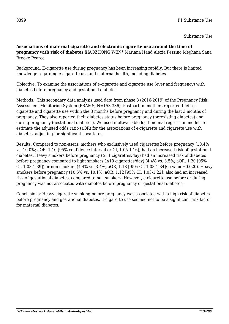### **Associations of maternal cigarette and electronic cigarette use around the time of pregnancy with risk of diabetes** XIAOZHONG WEN\* Mariana Hand Alexia Pezzino Meghana Sana Brooke Pearce

Background: E-cigarette use during pregnancy has been increasing rapidly. But there is limited knowledge regarding e-cigarette use and maternal health, including diabetes.

Objective: To examine the associations of e-cigarette and cigarette use (ever and frequency) with diabetes before pregnancy and gestational diabetes.

Methods: This secondary data analysis used data from phase 8 (2016-2019) of the Pregnancy Risk Assessment Monitoring System (PRAMS, N=153,336). Postpartum mothers reported their ecigarette and cigarette use within the 3 months before pregnancy and during the last 3 months of pregnancy. They also reported their diabetes status before pregnancy (preexisting diabetes) and during pregnancy (gestational diabetes). We used multivariable log-binomial regression models to estimate the adjusted odds ratio (aOR) for the associations of e-cigarette and cigarette use with diabetes, adjusting for significant covariates.

Results: Compared to non-users, mothers who exclusively used cigarettes before pregnancy (10.4% vs. 10.0%; aOR, 1.10 [95% confidence interval or CI, 1.05-1.16]) had an increased risk of gestational diabetes. Heavy smokers before pregnancy  $(\geq 11 \text{ eigenttes/day})$  had an increased risk of diabetes before pregnancy compared to light smokers  $(\leq 10 \text{ eigenttes/day})$   $(4.4\% \text{ vs. } 3.5\%; aOR, 1.20 \text{ [}95\%)$ CI, 1.03-1.39]) or non-smokers (4.4% vs. 3.4%; aOR, 1.18 [95% CI, 1.03-1.34]; p-value=0.020). Heavy smokers before pregnancy (10.5% vs. 10.1%; aOR, 1.12 [95% CI, 1.03-1.22]) also had an increased risk of gestational diabetes, compared to non-smokers. However, e-cigarette use before or during pregnancy was not associated with diabetes before pregnancy or gestational diabetes.

Conclusions: Heavy cigarette smoking before pregnancy was associated with a high risk of diabetes before pregnancy and gestational diabetes. E-cigarette use seemed not to be a significant risk factor for maternal diabetes.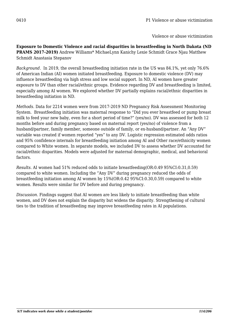Violence or abuse victimization

**Exposure to Domestic Violence and racial disparities in breastfeeding in North Dakota (ND PRAMS 2017-2019)** Andrew Williams\* MichaeLynn Kanichy Lexie Schmidt Grace Njau Matthew Schmidt Anastasia Stepanov

*Background.* In 2019, the overall breastfeeding initiation rate in the US was 84.1%, yet only 76.6% of American Indian (AI) women initiated breastfeeding. Exposure to domestic violence (DV) may influence breastfeeding via high stress and low social support. In ND, AI women have greater exposure to DV than other racial/ethnic groups. Evidence regarding DV and breastfeeding is limited, especially among AI women. We explored whether DV partially explains racial/ethnic disparities in breastfeeding initiation in ND.

*Methods.* Data for 2214 women were from 2017-2019 ND Pregnancy Risk Assessment Monitoring System. Breastfeeding initiation was maternal response to "Did you ever breastfeed or pump breast milk to feed your new baby, even for a short period of time?" (yes/no). DV was assessed for both 12 months before and during pregnancy based on maternal report (yes/no) of violence from a husband/partner, family member, someone outside of family, or ex-husband/partner. An "Any DV" variable was created if women reported "yes" to any DV. Logistic regression estimated odds ratios and 95% confidence internals for breastfeeding initiation among AI and Other race/ethnicity women compared to White women. In separate models, we included DV to assess whether DV accounted for racial/ethnic disparities. Models were adjusted for maternal demographic, medical, and behavioral factors.

*Results.* AI women had 51% reduced odds to initiate breastfeeding(OR:0.49 95%CI:0.31,0.59) compared to white women. Including the "Any DV" during pregnancy reduced the odds of breastfeeding initiation among AI women by 15%(OR:0.42 95%CI:0.30,0.59) compared to white women. Results were similar for DV before and during pregnancy.

*Discussion*. Findings suggest that AI women are less likely to initiate breastfeeding than white women, and DV does not explain the disparity but widens the disparity. Strengthening of cultural ties to the tradition of breastfeeding may improve breastfeeding rates in AI populations.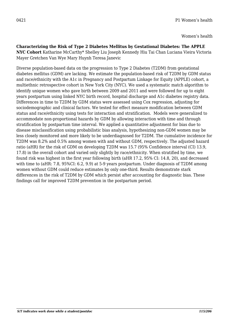**Characterizing the Risk of Type 2 Diabetes Mellitus by Gestational Diabetes: The APPLE NYC Cohort** Katharine McCarthy\* Shelley Liu Joseph Kennedy Hiu Tai Chan Luciana Vieira Victoria Mayer Gretchen Van Wye Mary Huynh Teresa Janevic

Diverse population-based data on the progression to Type 2 Diabetes (T2DM) from gestational diabetes mellitus (GDM) are lacking. We estimate the population-based risk of T2DM by GDM status and race/ethnicity with the A1c in Pregnancy and Postpartum Linkage for Equity (APPLE) cohort, a multiethnic retrospective cohort in New York City (NYC). We used a systematic match algorithm to identify unique women who gave birth between 2009 and 2011 and were followed for up to eight years postpartum using linked NYC birth record, hospital discharge and A1c diabetes registry data. Differences in time to T2DM by GDM status were assessed using Cox regression, adjusting for sociodemographic and clinical factors. We tested for effect measure modification between GDM status and race/ethnicity using tests for interaction and stratification. Models were generalized to accommodate non-proportional hazards by GDM by allowing interaction with time and through stratification by postpartum time interval. We applied a quantitative adjustment for bias due to disease misclassification using probabilistic bias analysis, hypothesizing non-GDM women may be less closely monitored and more likely to be underdiagnosed for T2DM. The cumulative incidence for T2DM was 8.2% and 0.5% among women with and without GDM, respectively. The adjusted hazard ratio (aHR) for the risk of GDM on developing T2DM was 15.7 (95% Confidence interval (CI) 13.9, 17.8) in the overall cohort and varied only slightly by race/ethnicity. When stratified by time, we found risk was highest in the first year following birth (aHR 17.2, 95% CI: 14.8, 20), and decreased with time to (aHR: 7.8, 95%CI: 6.2, 9.9) at 5-9 years postpartum. Under diagnosis of T2DM among women without GDM could reduce estimates by only one-third. Results demonstrate stark differences in the risk of T2DM by GDM which persist after accounting for diagnostic bias. These findings call for improved T2DM prevention in the postpartum period.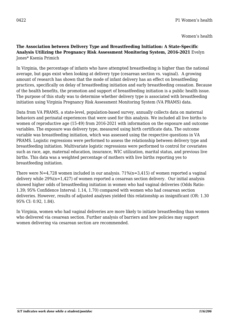### **The Association between Delivery Type and Breastfeeding Initiation: A State-Specific Analysis Utilizing the Pregnancy Risk Assessment Monitoring System, 2016-2021** Evelyn Jones\* Ksenia Primich

In Virginia, the percentage of infants who have attempted breastfeeding is higher than the national average, but gaps exist when looking at delivery type (cesarean section vs. vaginal). A growing amount of research has shown that the mode of infant delivery has an effect on breastfeeding practices, specifically on delay of breastfeeding initiation and early breastfeeding cessation. Because of the health benefits, the promotion and support of breastfeeding initiation is a public health issue. The purpose of this study was to determine whether delivery type is associated with breastfeeding initiation using Virginia Pregnancy Risk Assessment Monitoring System (VA PRAMS) data.

Data from VA PRAMS, a state-level, population-based survey, annually collects data on maternal behaviors and perinatal experiences that were used for this analysis. We included all live births to women of reproductive age (15-49) from 2016-2021 with information on the exposure and outcome variables. The exposure was delivery type, measured using birth certificate data. The outcome variable was breastfeeding initiation, which was assessed using the respective questions in VA PRAMS. Logistic regressions were performed to assess the relationship between delivery type and breastfeeding initiation. Multivariate logistic regressions were performed to control for covariates such as race, age, maternal education, insurance, WIC utilization, marital status, and previous live births. This data was a weighted percentage of mothers with live births reporting yes to breastfeeding initiation.

There were  $N=4,728$  women included in our analysis. 71%(n=3,415) of women reported a vaginal delivery while 29%(n=1,427) of women reported a cesarean section delivery. Our initial analysis showed higher odds of breastfeeding initiation in women who had vaginal deliveries (Odds Ratio: 1.39; 95% Confidence Interval: 1.14, 1.70) compared with women who had cesarean section deliveries. However, results of adjusted analyses yielded this relationship as insignificant (OR: 1.30 95% CI: 0.92, 1.84).

In Virginia, women who had vaginal deliveries are more likely to initiate breastfeeding than women who delivered via cesarean section. Further analysis of barriers and how policies may support women delivering via cesarean section are recommended.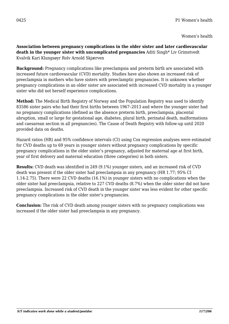**Association between pregnancy complications in the older sister and later cardiovascular death in the younger sister with uncomplicated pregnancies** Aditi Singh\* Liv Grimstvedt Kvalvik Kari Klungsøyr Rolv Arnold Skjærven

**Background:** Pregnancy complications like preeclampsia and preterm birth are associated with increased future cardiovascular (CVD) mortality. Studies have also shown an increased risk of preeclampsia in mothers who have sisters with preeclamptic pregnancies. It is unknown whether pregnancy complications in an older sister are associated with increased CVD mortality in a younger sister who did not herself experience complications.

**Method:** The Medical Birth Registry of Norway and the Population Registry was used to identify 83586 sister pairs who had their first births between 1967–2013 and where the younger sister had no pregnancy complications (defined as the absence preterm birth, preeclampsia, placental abruption, small or large for gestational age, diabetes, plural birth, perinatal death, malformations and caesarean section in all pregnancies). The Cause of Death Registry with follow-up until 2020 provided data on deaths.

Hazard ratios (HR) and 95% confidence intervals (CI) using Cox regression analyses were estimated for CVD deaths up to 69 years in younger sisters without pregnancy complications by specific pregnancy complications in the older sister's pregnancy, adjusted for maternal age at first birth, year of first delivery and maternal education (three categories) in both sisters.

**Results:** CVD death was identified in 249 (9.1%) younger sisters, and an increased risk of CVD death was present if the older sister had preeclampsia in any pregnancy (HR 1.77; 95% CI 1.14-2.75). There were 22 CVD deaths (16.1%) in younger sisters with no complications when the older sister had preeclampsia, relative to 227 CVD deaths (8.7%) when the older sister did not have preeclampsia. Increased risk of CVD death in the younger sister was less evident for other specific pregnancy complications in the older sister's pregnancies.

**Conclusion:** The risk of CVD death among younger sisters with no pregnancy complications was increased if the older sister had preeclampsia in any pregnancy.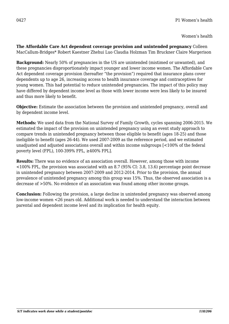**The Affordable Care Act dependent coverage provision and unintended pregnancy** Colleen MacCallum-Bridges\* Robert Kaestner Zhehui Luo Claudia Holzman Tim Bruckner Claire Margerison

**Background:** Nearly 50% of pregnancies in the US are unintended (mistimed or unwanted), and these pregnancies disproportionately impact younger and lower income women. The Affordable Care Act dependent coverage provision (hereafter "the provision") required that insurance plans cover dependents up to age 26, increasing access to health insurance coverage and contraceptives for young women. This had potential to reduce unintended pregnancies. The impact of this policy may have differed by dependent income level as those with lower income were less likely to be insured and thus more likely to benefit.

**Objective:** Estimate the association between the provision and unintended pregnancy, overall and by dependent income level.

**Methods:** We used data from the National Survey of Family Growth, cycles spanning 2006-2015. We estimated the impact of the provision on unintended pregnancy using an event study approach to compare trends in unintended pregnancy between those eligible to benefit (ages 18-25) and those ineligible to benefit (ages 26-44). We used 2007-2009 as the reference period, and we estimated unadjusted and adjusted associations overall and within income subgroups [<100% of the federal poverty level (FPL), 100-399% FPL, ≥400% FPL].

**Results:** There was no evidence of an association overall. However, among those with income <100% FPL, the provision was associated with an 8.7 (95% CI: 3.8, 13.6) percentage point decrease in unintended pregnancy between 2007-2009 and 2012-2014. Prior to the provision, the annual prevalence of unintended pregnancy among this group was 15%. Thus, the observed association is a decrease of >50%. No evidence of an association was found among other income groups.

**Conclusion:** Following the provision, a large decline in unintended pregnancy was observed among low-income women <26 years old. Additional work is needed to understand the interaction between parental and dependent income level and its implication for health equity.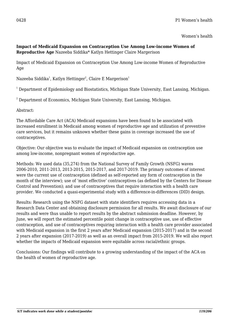## **Impact of Medicaid Expansion on Contraception Use Among Low-income Women of Reproductive Age** Nazeeba Siddika\* Katlyn Hettinger Claire Margerison

Impact of Medicaid Expansion on Contraception Use Among Low-income Women of Reproductive Age

Nazeeba Siddika $^{\rm 1}$ , Katlyn Hettinger $^{\rm 2}$ , Claire E Margerison $^{\rm 1}$ 

 $^{\rm 1}$  Department of Epidemiology and Biostatistics, Michigan State University, East Lansing, Michigan.

 $^{\rm 2}$  Department of Economics, Michigan State University, East Lansing, Michigan.

Abstract:

The Affordable Care Act (ACA) Medicaid expansions have been found to be associated with increased enrollment in Medicaid among women of reproductive age and utilization of preventive care services, but it remains unknown whether these gains in coverage increased the use of contraceptives.

Objective: Our objective was to evaluate the impact of Medicaid expansion on contraception use among low-income, nonpregnant women of reproductive age.

Methods: We used data (35,274) from the National Survey of Family Growth (NSFG) waves 2006-2010, 2011-2013, 2013-2015, 2015-2017, and 2017-2019. The primary outcomes of interest were the current use of contraception (defined as self-reported any form of contraception in the month of the interview); use of 'most effective' contraceptives (as defined by the Centers for Disease Control and Prevention); and use of contraceptives that require interaction with a health care provider. We conducted a quasi-experimental study with a difference-in-differences (DID) design.

Results: Research using the NSFG dataset with state identifiers requires accessing data in a Research Data Center and obtaining disclosure permission for all results. We await disclosure of our results and were thus unable to report results by the abstract submission deadline. However, by June, we will report the estimated percentile point change in contraceptive use, use of effective contraception, and use of contraceptives requiring interaction with a health care provider associated with Medicaid expansion in the first 2 years after Medicaid expansion (2015-2017) and in the second 2 years after expansion (2017-2019) as well as an overall impact from 2015-2019. We will also report whether the impacts of Medicaid expansion were equitable across racial/ethnic groups.

Conclusions: Our findings will contribute to a growing understanding of the impact of the ACA on the health of women of reproductive age.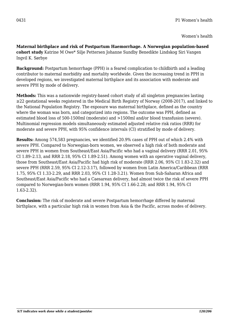**Maternal birthplace and risk of Postpartum Haemorrhage. A Norwegian population-based cohort study** Katrine M Owe\* Silje Pettersen Johanne Sundby Benedikte Lindskog Siri Vangen Ingvil K. Sørbye

**Background:** Postpartum hemorrhage (PPH) is a feared complication to childbirth and a leading contributor to maternal morbidity and mortality worldwide. Given the increasing trend in PPH in developed regions, we investigated maternal birthplace and its association with moderate and severe PPH by mode of delivery.

**Methods:** This was a nationwide registry-based cohort study of all singleton pregnancies lasting ≥22 gestational weeks registered in the Medical Birth Registry of Norway (2008-2017), and linked to the National Population Registry. The exposure was maternal birthplace, defined as the country where the woman was born, and categorized into regions. The outcome was PPH, defined as estimated blood loss of 500-1500ml (moderate) and >1500ml and/or blood transfusion (severe). Multinomial regression models simultaneously estimated adjusted relative risk ratios (RRR) for moderate and severe PPH, with 95% confidence intervals (CI) stratified by mode of delivery.

**Results:** Among 574,583 pregnancies, we identified 20.9% cases of PPH out of which 2.4% with severe PPH. Compared to Norwegian-born women, we observed a high risk of both moderate and severe PPH in women from Southeast/East Asia/Pacific who had a vaginal delivery (RRR 2.01, 95% CI 1.89–2.13, and RRR 2.18, 95% CI 1.89-2.51). Among women with an operative vaginal delivery, those from Southeast/East Asia/Pacific had high risk of moderate (RRR 2.06, 95% CI 1.83-2.32) and severe PPH (RRR 2.59, 95% CI 2.12-3.17), followed by women from Latin America/Caribbean (RRR 1.75, 95% CI 1.33-2.29, and RRR 2.03, 95% CI 1.28-3.21). Women from Sub-Saharan Africa and Southeast/East Asia/Pacific who had a Caesarean delivery, had almost twice the risk of severe PPH compared to Norwegian-born women (RRR 1.94, 95% CI 1.66-2.28; and RRR 1.94, 95% CI 1.63-2.32).

**Conclusion:** The risk of moderate and severe Postpartum hemorrhage differed by maternal birthplace, with a particular high risk in women from Asia & the Pacific, across modes of delivery.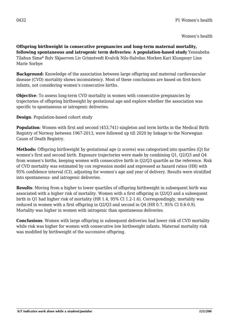**Offspring birthweight in consecutive pregnancies and long-term maternal mortality, following spontaneous and iatrogenic term deliveries: A population-based study** Yeneabeba Tilahun Sima\* Rolv Skjaerven Liv Grimstvedt Kvalvik Nils-Halvdan Morken Kari Klungsoyr Linn Marie Sorbye

**Background:** Knowledge of the association between large offspring and maternal cardiovascular disease (CVD) mortality shows inconsistency. Most of these conclusions are based on first-born infants, not considering women's consecutive births.

**Objective**: To assess long-term CVD mortality in women with consecutive pregnancies by trajectories of offspring birthweight by gestational age and explore whether the association was specific to spontaneous or iatrogenic deliveries.

**Design**: Population-based cohort study

**Population**: Women with first and second (453,741) singleton and term births in the Medical Birth Registry of Norway between 1967-2013, were followed up till 2020 by linkage to the Norwegian Cause of Death Registry.

**Methods:** Offspring birthweight by gestational age (z scores) was categorized into quartiles (Q) for women's first and second birth. Exposure trajectories were made by combining Q1, Q2/Q3 and Q4 from women's births, keeping women with consecutive birth in Q2/Q3 quartile as the reference. Risk of CVD mortality was estimated by cox regression model and expressed as hazard ratios (HR) with 95% confidence interval (CI), adjusting for women's age and year of delivery. Results were stratified into spontaneous- and iatrogenic deliveries.

**Results**: Moving from a higher to lower quartiles of offspring birthweight in subsequent birth was associated with a higher risk of mortality. Women with a first offspring in Q2/Q3 and a subsequent birth in Q1 had higher risk of mortality (HR 1.4, 95% CI 1.2-1.6). Correspondingly, mortality was reduced in women with a first offspring in Q2/Q3 and second in Q4 (HR 0.7, 95% CI 0.6-0.9). Mortality was higher in women with iatrogenic than spontaneous deliveries.

**Conclusions**: Women with large offspring in subsequent deliveries had lower risk of CVD mortality while risk was higher for women with consecutive low birthweight infants. Maternal mortality risk was modified by birthweight of the successive offspring.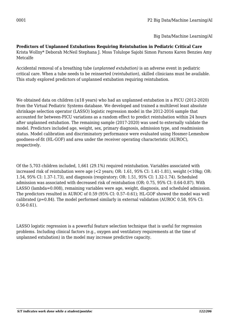Big Data/Machine Learning/AI

**Predictors of Unplanned Extubations Requiring Reintubation in Pediatric Critical Care** Krista Wollny\* Deborah McNeil Stephana J. Moss Tolulope Sajobi Simon Parsons Karen Benzies Amy Metcalfe

Accidental removal of a breathing tube (*unplanned extubation)* is an adverse event in pediatric critical care. When a tube needs to be reinserted (*reintubation*), skilled clinicians must be available. This study explored predictors of unplanned extubation requiring reintubation.

We obtained data on children  $(\leq 18$  years) who had an unplanned extubation in a PICU (2012-2020) from the Virtual Pediatric Systems database. We developed and trained a multilevel least absolute shrinkage selection operator (LASSO) logistic regression model in the 2012-2016 sample that accounted for between-PICU variations as a random effect to predict reintubation within 24 hours after unplanned extubation. The remaining sample (2017-2020) was used to externally validate the model. Predictors included age, weight, sex, primary diagnosis, admission type, and readmission status. Model calibration and discriminatory performance were evaluated using Hosmer-Lemeshow goodness-of-fit (HL-GOF) and area under the receiver operating characteristic (AUROC), respectively.

Of the 5,703 children included, 1,661 (29.1%) required reintubation. Variables associated with increased risk of reintubation were age (<2 years; OR: 1.61, 95% CI: 1.41-1.81), weight (<10kg; OR: 1.54, 95% CI: 1.37-1.73), and diagnosis (respiratory; OR: 1.51, 95% CI: 1.32-1.74). Scheduled admission was associated with decreased risk of reintubation (OR: 0.75, 95% CI: 0.64-0.87). With LASSO (lambda=0.008), remaining variables were age, weight, diagnosis, and scheduled admission. The predictors resulted in AUROC of 0.59 (95% CI: 0.57–0.61); HL-GOF showed the model was well calibrated (*p*=0.84). The model performed similarly in external validation (AUROC 0.58, 95% CI: 0.56-0.61).

LASSO logistic regression is a powerful feature selection technique that is useful for regression problems. Including clinical factors (e.g., oxygen and ventilatory requirements at the time of unplanned extubation) in the model may increase predictive capacity.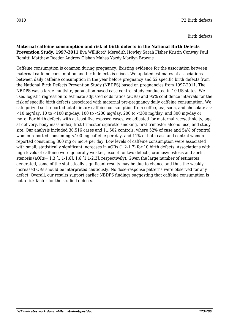**Maternal caffeine consumption and risk of birth defects in the National Birth Defects Prevention Study, 1997-2011** Eva Williford\* Meredith Howley Sarah Fisher Kristin Conway Paul Romitti Matthew Reeder Andrew Olshan Mahsa Yazdy Marilyn Browne

Caffeine consumption is common during pregnancy. Existing evidence for the association between maternal caffeine consumption and birth defects is mixed. We updated estimates of associations between daily caffeine consumption in the year before pregnancy and 52 specific birth defects from the National Birth Defects Prevention Study (NBDPS) based on pregnancies from 1997-2011. The NBDPS was a large multisite, population-based case-control study conducted in 10 US states. We used logistic regression to estimate adjusted odds ratios (aORs) and 95% confidence intervals for the risk of specific birth defects associated with maternal pre-pregnancy daily caffeine consumption. We categorized self-reported total dietary caffeine consumption from coffee, tea, soda, and chocolate as:  $\langle$  <10 mg/day, 10 to <100 mg/day, 100 to <200 mg/day, 200 to <300 mg/day, and 300 mg/day or more. For birth defects with at least five exposed cases, we adjusted for maternal race/ethnicity, age at delivery, body mass index, first trimester cigarette smoking, first trimester alcohol use, and study site. Our analysis included 30,516 cases and 11,502 controls, where 52% of case and 54% of control women reported consuming <100 mg caffeine per day, and 11% of both case and control women reported consuming 300 mg or more per day. Low levels of caffeine consumption were associated with small, statistically significant increases in aORs (1.2-1.7) for 10 birth defects. Associations with high levels of caffeine were generally weaker, except for two defects, craniosynostosis and aortic stenosis (aORs= 1.3 [1.1-1.6], 1.6 [1.1-2.3], respectively). Given the large number of estimates generated, some of the statistically significant results may be due to chance and thus the weakly increased ORs should be interpreted cautiously. No dose-response patterns were observed for any defect. Overall, our results support earlier NBDPS findings suggesting that caffeine consumption is not a risk factor for the studied defects.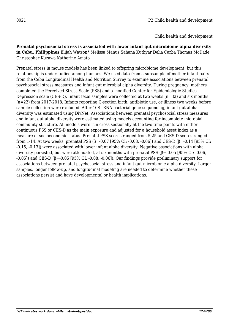**Prenatal psychosocial stress is associated with lower infant gut microbiome alpha diversity in Cebu, Philippines** Elijah Watson\* Melissa Manus Sahana Kuthyar Delia Carba Thomas McDade Christopher Kuzawa Katherine Amato

Prenatal stress in mouse models has been linked to offspring microbiome development, but this relationship is understudied among humans. We used data from a subsample of mother-infant pairs from the Cebu Longitudinal Health and Nutrition Survey to examine associations between prenatal psychosocial stress measures and infant gut microbial alpha diversity. During pregnancy, mothers completed the Perceived Stress Scale (PSS) and a modified Center for Epidemiologic Studies-Depression scale (CES-D). Infant fecal samples were collected at two weeks (n=32) and six months (n=22) from 2017-2018. Infants reporting C-section birth, antibiotic use, or illness two weeks before sample collection were excluded. After 16S rRNA bacterial gene sequencing, infant gut alpha diversity was estimated using DivNet. Associations between prenatal psychosocial stress measures and infant gut alpha diversity were estimated using models accounting for incomplete microbial community structure. All models were run cross-sectionally at the two time points with either continuous PSS or CES-D as the main exposure and adjusted for a household asset index as a measure of socioeconomic status. Prenatal PSS scores ranged from 5-25 and CES-D scores ranged from 1-14. At two weeks, prenatal PSS (β=-0.07 [95% CI: -0.08, -0.06]) and CES-D (β=-0.14 [95% CI: -0.15, -0.13]) were associated with lower infant alpha diversity. Negative associations with alpha diversity persisted, but were attenuated, at six months with prenatal PSS (β= $-0.05$  [95% CI:  $-0.06$ ,  $-0.05$ ]) and CES-D ( $\beta$ = $-0.05$  [95% CI:  $-0.08$ ,  $-0.06$ ]). Our findings provide preliminary support for associations between prenatal psychosocial stress and infant gut microbiome alpha diversity. Larger samples, longer follow-up, and longitudinal modeling are needed to determine whether these associations persist and have developmental or health implications.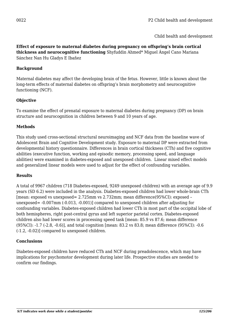**Effect of exposure to maternal diabetes during pregnancy on offspring's brain cortical thickness and neurocognitive functioning** Shyfuddin Ahmed\* Miguel Ángel Cano Mariana Sánchez Nan Hu Gladys E Ibañez

### **Background**

Maternal diabetes may affect the developing brain of the fetus. However, little is known about the long-term effects of maternal diabetes on offspring's brain morphometry and neurocognitive functioning (NCF).

## **Objective**

To examine the effect of prenatal exposure to maternal diabetes during pregnancy (DP) on brain structure and neurocognition in children between 9 and 10 years of age.

## **Methods**

This study used cross-sectional structural neuroimaging and NCF data from the baseline wave of Adolescent Brain and Cognitive Development study. Exposure to maternal DP were extracted from developmental history questionnaire. Differences in brain cortical thickness (CTh) and five cognitive abilities (executive function, working and episodic memory, processing speed, and language abilities) were examined in diabetes-exposed and unexposed children. Linear mixed effect models and generalized linear models were used to adjust for the effect of confounding variables.

# **Results**

A total of 9967 children (718 Diabetes-exposed, 9249 unexposed children) with an average age of 9.9 years (SD 6.2) were included in the analysis. Diabetes-exposed children had lower whole-brain CTh [mean: exposed vs unexposed= 2.725mm vs 2.732mm; mean difference(95%CI): exposed – unexposed= -0.007mm (-0.013, -0.001)] compared to unexposed children after adjusting for confounding variables. Diabetes-exposed children had lower CTh in most part of the occipital lobe of both hemispheres, right post-central gyrus and left superior parietal cortex. Diabetes-exposed children also had lower scores in processing speed task [mean: 85.9 vs 87.6; mean difference (95%CI): -1.7 (-2.8, -0.6)], and total cognition [mean: 83.2 vs 83.8; mean difference (95%CI): -0.6 (-1.2, -0.02)] compared to unexposed children.

### **Conclusions**

Diabetes-exposed children have reduced CTh and NCF during preadolescence, which may have implications for psychomotor development during later life. Prospective studies are needed to confirm our findings.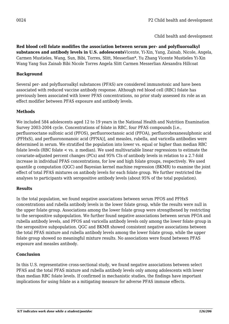**Red blood cell folate modifies the association between serum per- and polyfluoroalkyl substances and antibody levels in U.S. adolescents**Vicente, Yi-Xin, Yang, Zainab, Nicole, Angela, Carmen Mustieles, Wang, Sun, Bibi, Torres, Slitt, Messerlian\*, Yu Zhang Vicente Mustieles Yi-Xin Wang Yang Sun Zainab Bibi Nicole Torres Angela Slitt Carmen Messerlian Alexandra Hillcoat

# **Background**

Several per- and polyfluoroalkyl substances (PFAS) are considered immunotoxic and have been associated with reduced vaccine antibody response. Although red blood cell (RBC) folate has previously been associated with lower PFAS concentrations, no prior study assessed its role as an effect modifier between PFAS exposure and antibody levels.

## **Methods**

We included 584 adolescents aged 12 to 19 years in the National Health and Nutrition Examination Survey 2003-2004 cycle. Concentrations of folate in RBC, four PFAS compounds [i.e., perfluorooctane sulfonic acid (PFOS), perfluorooctanoic acid (PFOA), perfluorohexanesulphonic acid (PFHxS), and perfluorononanoic acid (PFNA)], and measles, rubella, and varicella antibodies were determined in serum. We stratified the population into lower vs. equal or higher than median RBC folate levels (RBC folate  $\lt$  vs.  $\geq$  median). We used multivariable linear regressions to estimate the covariate-adjusted percent changes (PCs) and 95% CIs of antibody levels in relation to a 2.7-fold increase in individual PFAS concentrations, for low and high folate groups, respectively. We used quantile g computation (QGC) and Bayesian kernel machine regression (BKMR) to examine the joint effect of total PFAS mixtures on antibody levels for each folate group. We further restricted the analyses to participants with seropositive antibody levels (about 95% of the total population).

# **Results**

In the total population, we found negative associations between serum PFOS and PFHxS concentrations and rubella antibody levels in the lower folate group, while the results were null in the upper folate group. Associations among the lower folate group were strengthened by restricting to the seropositive subpopulation. We further found negative associations between serum PFOA and rubella antibody levels, and PFOS and varicella antibody levels only among the lower folate group in the seropositive subpopulation. QGC and BKMR showed consistent negative associations between the total PFAS mixture and rubella antibody levels among the lower folate group, while the upper folate group showed no meaningful mixture results. No associations were found between PFAS exposure and measles antibody.

### **Conclusion**

In this U.S. representative cross-sectional study, we found negative associations between select PFAS and the total PFAS mixture and rubella antibody levels only among adolescents with lower than median RBC folate levels. If confirmed in mechanistic studies, the findings have important implications for using folate as a mitigating measure for adverse PFAS immune effects.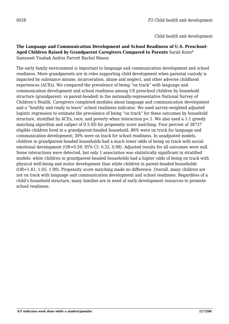### **The Language and Communication Development and School Readiness of U.S. Preschool-Aged Children Raised by Grandparent Caregivers Compared to Parents** Sarah Keim\* Samrawit Yisahak Andria Parrott Rachel Mason

The early family environment is important to language and communication development and school readiness. More grandparents are in roles supporting child development when parental custody is impacted by substance misuse, incarceration, abuse and neglect, and other adverse childhood experiences (ACEs). We compared the prevalence of being "on track" with language and communication development and school readiness among US preschool children by household structure (grandparent- vs parent-headed) in the nationally-representative National Survey of Children's Health. Caregivers completed modules about language and communication development and a "healthy and ready to learn" school readiness indicator. We used survey-weighted adjusted logistic regression to estimate the prevalence of being "on track" for these outcomes by household structure, stratified by ACEs, race, and poverty when interaction p<.1. We also used a 1:1 greedy matching algorithm and caliper of 0.5-SD for propensity score matching. Four percent of 38737 eligible children lived in a grandparent-headed household. 86% were on track for language and communication development; 30% were on track for school readiness. In unadjusted models, children in grandparent-headed households had a much lower odds of being on track with socialemotional development (OR=0.59; 95% CI: 0.35, 0.99). Adjusted results for all outcomes were null. Some interactions were detected, but only 1 association was statistically significant in stratified models: white children in grandparent-headed households had a higher odds of being on track with physical well-being and motor development than white children in parent-headed households (OR=1.41; 1.05, 1.90). Propensity score matching made no difference. Overall, many children are not on track with language and communication development and school readiness. Regardless of a child's household structure, many families are in need of early development resources to promote school readiness.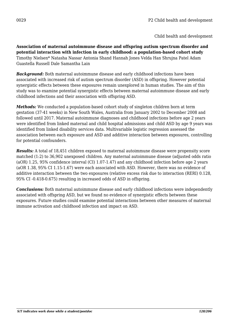**Association of maternal autoimmune disease and offspring autism spectrum disorder and potential interaction with infection in early childhood: a population-based cohort study** Timothy Nielsen\* Natasha Nassar Antonia Shand Hannah Jones Velda Han Shrujna Patel Adam Guastella Russell Dale Samantha Lain

*Background:* Both maternal autoimmune disease and early childhood infections have been associated with increased risk of autism spectrum disorder (ASD) in offspring. However potential synergistic effects between these exposures remain unexplored in human studies. The aim of this study was to examine potential synergistic effects between maternal autoimmune disease and early childhood infections and their association with offspring ASD.

*Methods:* We conducted a population-based cohort study of singleton children born at term gestation (37-41 weeks) in New South Wales, Australia from January 2002 to December 2008 and followed until 2017. Maternal autoimmune diagnoses and childhood infections before age 2 years were identified from linked maternal and child hospital admissions and child ASD by age 9 years was identified from linked disability services data. Multivariable logistic regression assessed the association between each exposure and ASD and additive interaction between exposures, controlling for potential confounders.

*Results:* A total of 18,451 children exposed to maternal autoimmune disease were propensity score matched (1:2) to 36,902 unexposed children. Any maternal autoimmune disease (adjusted odds ratio (aOR) 1.25, 95% confidence interval (CI) 1.07-1.47) and any childhood infection before age 2 years (aOR 1.38, 95% CI 1.15-1.67) were each associated with ASD. However, there was no evidence of additive interaction between the two exposures (relative excess risk due to interaction (RERI) 0.128, 95% CI -0.418-0.675) resulting in increased odds of ASD in offspring.

*Conclusions:* Both maternal autoimmune disease and early childhood infections were independently associated with offspring ASD, but we found no evidence of synergistic effects between these exposures. Future studies could examine potential interactions between other measures of maternal immune activation and childhood infection and impact on ASD.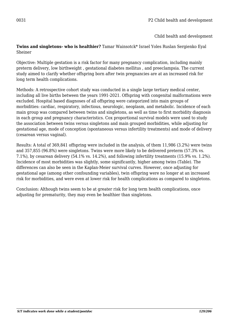**Twins and singletons- who is healthier?** Tamar Wainsotck\* Israel Yoles Ruslan Sergienko Eyal Sheiner

Objective: Multiple gestation is a risk factor for many pregnancy complication, including mainly preterm delivery, low birthweight , gestational diabetes mellitus , and preeclampsia. The current study aimed to clarify whether offspring born after twin pregnancies are at an increased risk for long term health complications.

Methods: A retrospective cohort study was conducted in a single large tertiary medical center, including all live births between the years 1991-2021. Offspring with congenital malformations were excluded. Hospital based diagnoses of all offspring were categorized into main groups of morbidities: cardiac, respiratory, infectious, neurologic, neoplasm, and metabolic. Incidence of each main group was compared between twins and singletons, as well as time to first morbidity diagnosis in each group and pregnancy characteristics. Cox proportional survival models were used to study the association between twins versus singletons and main grouped morbidities, while adjusting for gestational age, mode of conception (spontaneous versus infertility treatments) and mode of delivery (cesarean versus vaginal).

Results: A total of 369,841 offspring were included in the analysis, of them 11,986 (3.2%) were twins and 357,855 (96.8%) were singletons. Twins were more likely to be delivered preterm (57.3% vs. 7.1%), by cesarean delivery (54.1% vs. 14.2%), and following infertility treatments (15.9% vs. 1.2%). Incidence of most morbidities was slightly, some significantly, higher among twins (Table). The differences can also be seen in the Kaplan-Meier survival curves. However, once adjusting for gestational age (among other confounding variables), twin offspring were no longer at an increased risk for morbidities, and were even at lower risk for health complications as compared to singletons.

Conclusion: Although twins seem to be at greater risk for long term health complications, once adjusting for prematurity, they may even be healthier than singletons.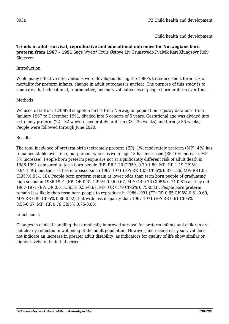### **Trends in adult survival, reproductive and educational outcomes for Norwegians born preterm from 1967 – 1991** Sage Wyatt\* Truls Østbye Liv Grimstvedt-Kvalvik Kari Klungsøyr Rolv Skjærven

### Introduction

While many effective interventions were developed during the 1980's to reduce short term risk of mortality for preterm infants, change in adult outcomes is unclear. The purpose of this study is to compare adult educational, reproductive, and survival outcomes of people born preterm over time.

### Methods

We used data from 1249878 singleton births from Norwegian population registry data born from January 1967 to December 1991, divided into 5 cohorts of 5 years. Gestational age was divided into extremely preterm (22 – 32 weeks), moderately preterm (33 – 36 weeks) and term (>36 weeks). People were followed through June 2020.

### Results

The total incidence of preterm birth (extremely preterm (EP): 1%, moderately preterm (MP): 4%) has remained stable over time, but percent who survive to age 18 has increased (EP 16% increase, MP 3% increase). People born preterm people are not at significantly different risk of adult death in 1986-1991 compared to term born people (EP: RR 1.20 CI95% 0.79-1.80, MP: RR 1.19 CI95% 0.94-1.49), but the risk has increased since 1967-1971 (EP: RR 1.09 CI95% 0.87-1.36, MP: RR1.05 CI95%0.93-1.18). People born preterm remain at lower odds than term born people of graduating high school in 1986-1991 (EP: OR 0.61 CI95% 0.56-0.67, MP: OR 0.76 CI95% 0.74-0.81) as they did 1967-1971 (EP: OR 0.61 CI95% 0.55-0.67, MP: OR 0.79 CI95% 0.75-0.83). People born preterm remain less likely than term born people to reproduce in 1986-1991 (EP: RR 0.65 CI95% 0.61-0.69, MP: RR 0.89 CI95% 0.86-0.92), but with less disparity than 1967-1971 (EP: RR 0.61 CI95% 0.55-0.67, MP: RR 0.79 CI95% 0.75-0.83).

### **Conclusions**

Changes in clinical handling that drastically improved survival for preterm infants and children are not clearly reflected in wellbeing of the adult population. However, increasing early survival does not indicate an increase in greater adult disability, as indicators for quality of life show similar or higher levels to the initial period.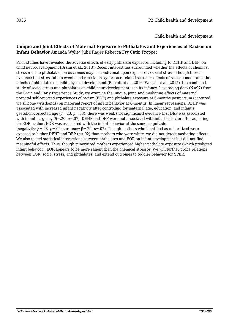#### **Unique and Joint Effects of Maternal Exposure to Phthalates and Experiences of Racism on Infant Behavior** Amanda Wylie\* Julia Rager Rebecca Fry Cathi Propper

Prior studies have revealed the adverse effects of early phthalate exposure, including to DEHP and DEP, on child neurodevelopment (Braun et al., 2013). Recent interest has surrounded whether the effects of chemical stressors, like phthalates, on outcomes may be conditional upon exposure to social stress. Though there is evidence that stressful life events and race (a proxy for race-related stress or effects of racism) moderates the effects of phthalates on child physical development (Barrett et al., 2016; Wenzel et al., 2015), the combined study of social stress and phthalates on child neurodevelopment is in its infancy. Leveraging data (N=97) from the Brain and Early Experience Study, we examine the unique, joint, and mediating effects of maternal prenatal self-reported experiences of racism (EOR) and phthalate exposure at 6-months postpartum (captured via silicone wristbands) on maternal report of infant behavior at 6-months. In linear regressions, DEHP was associated with increased infant negativity after controlling for maternal age, education, and infant's gestation-corrected age (*β*=.23, *p*=.03); there was weak (not significant) evidence that DEP was associated with infant surgency (β=.20, p=.07). DEHP and DEP were not associated with infant behavior after adjusting for EOR; rather, EOR was associated with the infant behavior at the same magnitude (negativity: *β*=.28, *p*=.02; surgency: β=.20, *p*=.07). Though mothers who identified as minoritized were exposed to higher DEHP and DEP  $(p<.02)$  than mothers who were white, we did not detect mediating effects. We also tested statistical interactions between phthalates and EOR on infant development but did not find meaningful effects. Thus, though minoritized mothers experienced higher phthalate exposure (which predicted infant behavior), EOR appears to be more salient than the chemical stressor. We will further probe relations between EOR, social stress, and phthalates, and extend outcomes to toddler behavior for SPER.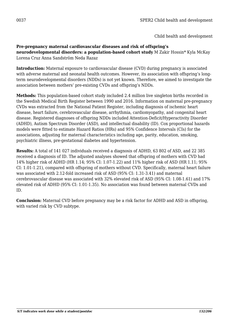## **Pre-pregnancy maternal cardiovascular diseases and risk of offspring's**

**neurodevelopmental disorders: a population-based cohort study** M Zakir Hossin\* Kyla McKay Lorena Cruz Anna Sandström Neda Razaz

**Introduction:** Maternal exposure to cardiovascular disease (CVD) during pregnancy is associated with adverse maternal and neonatal health outcomes. However, its association with offspring's longterm neurodevelopmental disorders (NDDs) is not yet known. Therefore, we aimed to investigate the association between mothers' pre-existing CVDs and offspring's NDDs.

**Methods:** This population-based cohort study included 2.4 million live singleton births recorded in the Swedish Medical Birth Register between 1990 and 2016. Information on maternal pre-pregnancy CVDs was extracted from the National Patient Register, including diagnosis of ischemic heart disease, heart failure, cerebrovascular disease, arrhythmia, cardiomyopathy, and congenital heart disease. Registered diagnoses of offspring NDDs included Attention-Deficit/Hyperactivity Disorder (ADHD), Autism Spectrum Disorder (ASD), and intellectual disability (ID). Cox proportional hazards models were fitted to estimate Hazard Ratios (HRs) and 95% Confidence Intervals (CIs) for the associations, adjusting for maternal characteristics including age, parity, education, smoking, psychiatric illness, pre-gestational diabetes and hypertension.

**Results:** A total of 141 027 individuals received a diagnosis of ADHD, 63 802 of ASD, and 22 385 received a diagnosis of ID. The adjusted analyses showed that offspring of mothers with CVD had 14% higher risk of ADHD (HR 1.14; 95% CI: 1.07-1.22) and 11% higher risk of ASD (HR 1.11; 95% CI: 1.01-1.21), compared with offspring of mothers without CVD. Specifically, maternal heart failure was associated with 2.12-fold increased risk of ASD (95% CI: 1.31-3.41) and maternal cerebrovascular disease was associated with 32% elevated risk of ASD (95% CI: 1.08-1.61) and 17% elevated risk of ADHD (95% CI: 1.01-1.35). No association was found between maternal CVDs and ID.

**Conclusion:** Maternal CVD before pregnancy may be a risk factor for ADHD and ASD in offspring, with varied risk by CVD subtype.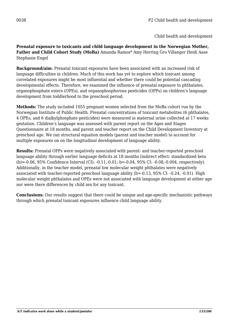**Prenatal exposure to toxicants and child language development in the Norwegian Mother, Father and Child Cohort Study (MoBa)** Amanda Ramos\* Amy Herring Gro Villanger Heidi Aase Stephanie Engel

**Background/aim**: Prenatal toxicant exposures have been associated with an increased risk of language difficulties in children. Much of this work has yet to explore which toxicant among correlated exposures might be most influential and whether there could be potential cascading developmental effects. Therefore, we examined the influence of prenatal exposure to phthalates, organophosphate esters (OPEs), and organophosphorous pesticides (OPPs) on children's language development from toddlerhood to the preschool period.

**Methods:** The study included 1055 pregnant women selected from the MoBa cohort run by the Norwegian Institute of Public Health. Prenatal concentrations of toxicant metabolites (6 phthalates, 4 OPEs, and 6 dialkylphosphate pesticides) were measured in maternal urine collected at 17 weeks gestation. Children's language was assessed with parent report on the Ages and Stages Questionnaire at 18 months, and parent and teacher report on the Child Development Inventory at preschool age. We ran structural equation models (parent and teacher model) to account for multiple exposures on on the longitudinal development of language ability.

**Results:** Prenatal OPPs were negatively associated with parent- and teacher-reported preschool language ability through earlier language deficits at 18 months (indirect effect: standardized beta (b)=-0.06, 95% Confidence Interval (CI): -0.11,-0.01; b=-0.04, 95% CI: -0.08,-0.004, respectively). Additionally, in the teacher model, prenatal low molecular weight phthalates were negatively associated with teacher-reported preschool language ability (b=-0.13, 95% CI: -0.24, -0.01). High molecular weight phthalates and OPEs were not associated with language development at either age nor were there differences by child sex for any toxicant.

**Conclusions:** Our results suggest that there could be unique and age-specific mechanistic pathways through which prenatal toxicant exposures influence child language ability.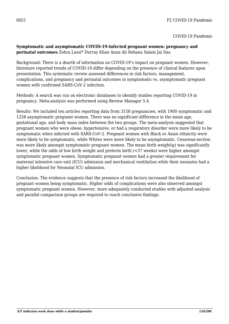## **Symptomatic and asymptomatic COVID-19-infected pregnant women: pregnancy and perinatal outcomes** Zohra Lassi\* Durray Khan Anna Ali Rehana Salam Jai Das

Background: There is a dearth of information on COVID-19's impact on pregnant women. However, literature reported trends of COVID-19 differ depending on the presence of clinical features upon presentation. This systematic review assessed differences in risk factors, management, complications, and pregnancy and perinatal outcomes in symptomatic vs. asymptomatic pregnant women with confirmed SARS-CoV-2 infection.

Methods: A search was run on electronic databases to identify studies reporting COVID-19 in pregnancy. Meta-analysis was performed using Review Manager 5.4.

Results: We included ten articles reporting data from 3158 pregnancies, with 1900 symptomatic and 1258 asymptomatic pregnant women. There was no significant difference in the mean age, gestational age, and body mass index between the two groups. The meta-analysis suggested that pregnant women who were obese, hypertensive, or had a respiratory disorder were more likely to be symptomatic when infected with SARS-CoV-2. Pregnant women with Black or Asian ethnicity were more likely to be symptomatic, while Whites were more likely to be asymptomatic. Cesarean-section was more likely amongst symptomatic pregnant women. The mean birth weight(g) was significantly lower, while the odds of low birth weight and preterm birth (<37 weeks) were higher amongst symptomatic pregnant women. Symptomatic pregnant women had a greater requirement for maternal intensive care unit (ICU) admission and mechanical ventilation while their neonates had a higher likelihood for Neonatal ICU admission.

Conclusion: The evidence suggests that the presence of risk factors increased the likelihood of pregnant women being symptomatic. Higher odds of complications were also observed amongst symptomatic pregnant women. However, more adequately conducted studies with adjusted analysis and parallel comparison groups are required to reach conclusive findings.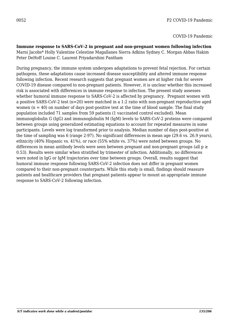**Immune response to SARS-CoV-2 in pregnant and non-pregnant women following infection** Marni Jacobs\* Holly Valentine Celestine Magallanes Sierra Adkins Sydney C. Morgan Abbas Hakim Peter DeHoff Louise C. Laurent Priyadarshini Pantham

During pregnancy, the immune system undergoes adaptations to prevent fetal rejection. For certain pathogens, these adaptations cause increased disease susceptibility and altered immune response following infection. Recent research suggests that pregnant women are at higher risk for severe COVID-19 disease compared to non-pregnant patients. However, it is unclear whether this increased risk is associated with differences in immune response to infection. The present study assesses whether humoral immune response to SARS-CoV-2 is affected by pregnancy. Pregnant women with a positive SARS-CoV-2 test (n=20) were matched in a 1:2 ratio with non-pregnant reproductive aged women  $(n = 40)$  on number of days post-positive test at the time of blood sample. The final study population included 71 samples from 59 patients (1 vaccinated control excluded). Mean immunoglobulin G (IgG) and immunoglobulin M (IgM) levels to SARS-CoV-2 proteins were compared between groups using generalized estimating equations to account for repeated measures in some participants. Levels were log transformed prior to analysis. Median number of days post-positive at the time of sampling was 6 (range 2-97). No significant differences in mean age (29.6 vs. 26.9 years), ethnicity (40% Hispanic vs. 41%), or race (55% white vs. 37%) were noted between groups. No differences in mean antibody levels were seen between pregnant and non-pregnant groups (all  $p \ge$ 0.53). Results were similar when stratified by trimester of infection. Additionally, no differences were noted in IgG or IgM trajectories over time between groups. Overall, results suggest that humoral immune response following SARS-CoV-2 infection does not differ in pregnant women compared to their non-pregnant counterparts. While this study is small, findings should reassure patients and healthcare providers that pregnant patients appear to mount an appropriate immune response to SARS-CoV-2 following infection.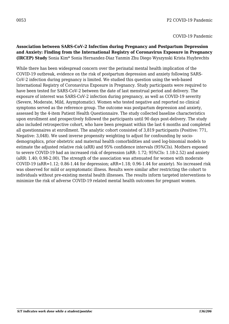### **Association between SARS-CoV-2 Infection during Pregnancy and Postpartum Depression and Anxiety: Finding from the International Registry of Coronavirus Exposure in Pregnancy (IRCEP) Study** Sonia Kim\* Sonia Hernandez-Diaz Yanmin Zhu Diego Wyszynski Krista Huybrechts

While there has been widespread concern over the perinatal mental health implication of the COVID-19 outbreak, evidence on the risk of postpartum depression and anxiety following SARS-CoV-2 infection during pregnancy is limited. We studied this question using the web-based International Registry of Coronavirus Exposure in Pregnancy. Study participants were required to have been tested for SARS-CoV-2 between the date of last menstrual period and delivery. The exposure of interest was SARS-CoV-2 infection during pregnancy, as well as COVID-19 severity (Severe, Moderate, Mild, Asymptomatic). Women who tested negative and reported no clinical symptoms served as the reference group. The outcome was postpartum depression and anxiety, assessed by the 4-item Patient Health Questionnaire. The study collected baseline characteristics upon enrollment and prospectively followed the participants until 90 days post-delivery. The study also included retrospective cohort, who have been pregnant within the last 6 months and completed all questionnaires at enrollment. The analytic cohort consisted of 3,819 participants (Positive: 771, Negative: 3,048). We used inverse propensity weighting to adjust for confounding by sociodemographics, prior obstetric and maternal health comorbidities and used log-binomial models to estimate the adjusted relative risk (aRR) and 95% confidence intervals (95%CIs). Mothers exposed to severe COVID-19 had an increased risk of depression (aRR: 1.72; 95%CIs: 1.18-2.52) and anxiety (aRR: 1.40; 0.98-2.00). The strength of the association was attenuated for women with moderate COVID-19 (aRR=1.12; 0.86-1.44 for depression; aRR=1.18; 0.96-1.44 for anxiety). No increased risk was observed for mild or asymptomatic illness. Results were similar after restricting the cohort to individuals without pre-existing mental health illnesses. The results inform targeted interventions to minimize the risk of adverse COVID-19 related mental health outcomes for pregnant women.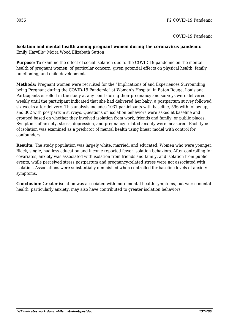#### **Isolation and mental health among pregnant women during the coronavirus pandemic** Emily Harville\* Moira Wood Elizabeth Sutton

**Purpose**: To examine the effect of social isolation due to the COVID-19 pandemic on the mental health of pregnant women, of particular concern, given potential effects on physical health, family functioning, and child development.

**Methods:** Pregnant women were recruited for the "Implications of and Experiences Surrounding being Pregnant during the COVID-19 Pandemic" at Woman's Hospital in Baton Rouge, Louisiana. Participants enrolled in the study at any point during their pregnancy and surveys were delivered weekly until the participant indicated that she had delivered her baby; a postpartum survey followed six weeks after delivery. This analysis includes 1037 participants with baseline, 596 with follow-up, and 302 with postpartum surveys. Questions on isolation behaviors were asked at baseline and grouped based on whether they involved isolation from work, friends and family, or public places. Symptoms of anxiety, stress, depression, and pregnancy-related anxiety were measured. Each type of isolation was examined as a predictor of mental health using linear model with control for confounders.

**Results:** The study population was largely white, married, and educated. Women who were younger, Black, single, had less education and income reported fewer isolation behaviors. After controlling for covariates, anxiety was associated with isolation from friends and family, and isolation from public events, while perceived stress postpartum and pregnancy-related stress were not associated with isolation. Associations were substantially diminished when controlled for baseline levels of anxiety symptoms.

**Conclusion:** Greater isolation was associated with more mental health symptoms, but worse mental health, particularly anxiety, may also have contributed to greater isolation behaviors.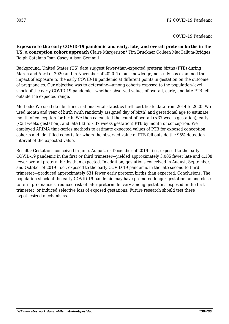**Exposure to the early COVID-19 pandemic and early, late, and overall preterm births in the US: a conception cohort approach** Claire Margerison\* Tim Bruckner Colleen MacCallum-Bridges Ralph Catalano Joan Casey Alison Gemmill

Background: United States (US) data suggest fewer-than-expected preterm births (PTB) during March and April of 2020 and in November of 2020. To our knowledge, no study has examined the impact of exposure to the early COVID-19 pandemic at different points in gestation on the outcome of pregnancies. Our objective was to determine—among cohorts exposed to the population-level shock of the early COVID-19 pandemic—whether observed values of overall, early, and late PTB fell outside the expected range.

Methods: We used de-identified, national vital statistics birth certificate data from 2014 to 2020. We used month and year of birth (with randomly assigned day of birth) and gestational age to estimate month of conception for birth. We then calculated the count of overall (<37 weeks gestation), early (<33 weeks gestation), and late (33 to <37 weeks gestation) PTB by month of conception. We employed ARIMA time-series methods to estimate expected values of PTB for exposed conception cohorts and identified cohorts for whom the observed value of PTB fell outside the 95% detection interval of the expected value.

Results: Gestations conceived in June, August, or December of 2019—i.e., exposed to the early COVID-19 pandemic in the first or third trimester—yielded approximately 3,005 fewer late and 4,108 fewer overall preterm births than expected. In addition, gestations conceived in August, September, and October of 2019—i.e., exposed to the early COVID-19 pandemic in the late second to third trimester—produced approximately 631 fewer early preterm births than expected. Conclusions: The population shock of the early COVID-19 pandemic may have promoted longer gestation among closeto-term pregnancies, reduced risk of later preterm delivery among gestations exposed in the first trimester, or induced selective loss of exposed gestations. Future research should test these hypothesized mechanisms.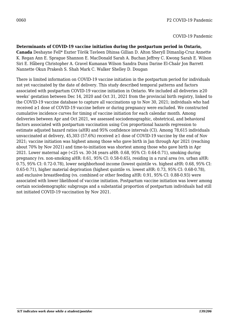**Determinants of COVID-19 vaccine initiation during the postpartum period in Ontario, Canada** Deshayne Fell\* Eszter Török Tavleen Dhinsa Gillian D. Alton Sheryll Dimanlig-Cruz Annette K. Regan Ann E. Sprague Shannon E. MacDonald Sarah A. Buchan Jeffrey C. Kwong Sarah E. Wilson Siri E. Håberg Christopher A. Gravel Kumanan Wilson Sandra Dunn Darine El-Chaâr Jon Barrett Nannette Okun Prakesh S. Shah Mark C. Walker Shelley D. Dougan

There is limited information on COVID-19 vaccine initiation in the postpartum period for individuals not yet vaccinated by the date of delivery. This study described temporal patterns and factors associated with postpartum COVID-19 vaccine initiation in Ontario. We included all deliveries ≥20 weeks' gestation between Dec 14, 2020 and Oct 31, 2021 from the provincial birth registry, linked to the COVID-19 vaccine database to capture all vaccinations up to Nov 30, 2021; individuals who had received ≥1 dose of COVID-19 vaccine before or during pregnancy were excluded. We constructed cumulative incidence curves for timing of vaccine initiation for each calendar month. Among deliveries between Apr and Oct 2021, we assessed sociodemographic, obstetrical, and behavioral factors associated with postpartum vaccination using Cox proportional hazards regression to estimate adjusted hazard ratios (aHR) and 95% confidence intervals (CI). Among 78,615 individuals unvaccinated at delivery, 45,303 (57.6%) received  $\geq 1$  dose of COVID-19 vaccine by the end of Nov 2021; vaccine initiation was highest among those who gave birth in Jan through Apr 2021 (reaching about 70% by Nov 2021) and time-to-initiation was shortest among those who gave birth in Apr 2021. Lower maternal age (<25 vs. 30-34 years aHR: 0.68, 95% CI: 0.64-0.71), smoking during pregnancy (vs. non-smoking aHR: 0.61, 95% CI: 0.58-0.65), residing in a rural area (vs. urban aHR: 0.75, 95% CI: 0.72-0.78), lower neighborhood income (lowest quintile vs. highest aHR: 0.68, 95% CI: 0.65-0.71), higher material deprivation (highest quintile vs. lowest aHR: 0.73, 95% CI: 0.68-0.78), and exclusive breastfeeding (vs. combined or other feeding aHR: 0.91, 95% CI: 0.88-0.93) were associated with lower likelihood of vaccine initiation. Postpartum vaccine initiation was lower among certain sociodemographic subgroups and a substantial proportion of postpartum individuals had still not initiated COVID-19 vaccination by Nov 2021.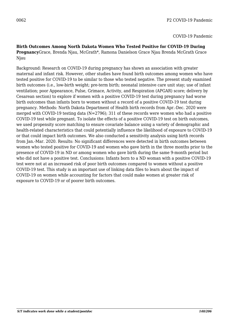**Birth Outcomes Among North Dakota Women Who Tested Positive for COVID-19 During Pregnancy**Grace, Brenda Njau, McGrath\*, Ramona Danielson Grace Njau Brenda McGrath Grace Njau

Background: Research on COVID-19 during pregnancy has shown an association with greater maternal and infant risk. However, other studies have found birth outcomes among women who have tested positive for COVID-19 to be similar to those who tested negative. The present study examined birth outcomes (i.e., low-birth weight; pre-term birth; neonatal intensive care unit stay; use of infant ventilation; poor Appearance, Pulse, Grimace, Activity, and Respiration (APGAR) score; delivery by Cesarean section) to explore if women with a positive COVID-19 test during pregnancy had worse birth outcomes than infants born to women without a record of a positive COVID-19 test during pregnancy. Methods: North Dakota Department of Health birth records from Apr.-Dec. 2020 were merged with COVID-19 testing data (N=2796); 311 of these records were women who had a positive COVID-19 test while pregnant. To isolate the effects of a positive COVID-19 test on birth outcomes, we used propensity score matching to ensure covariate balance using a variety of demographic and health-related characteristics that could potentially influence the likelihood of exposure to COVID-19 or that could impact birth outcomes. We also conducted a sensitivity analysis using birth records from Jan.-Mar. 2020. Results: No significant differences were detected in birth outcomes between women who tested positive for COVID-19 and women who gave birth in the three months prior to the presence of COVID-19 in ND or among women who gave birth during the same 9-month period but who did not have a positive test. Conclusions: Infants born to a ND woman with a positive COVID-19 test were not at an increased risk of poor birth outcomes compared to women without a positive COVID-19 test. This study is an important use of linking data files to learn about the impact of COVID-19 on women while accounting for factors that could make women at greater risk of exposure to COVID-19 or of poorer birth outcomes.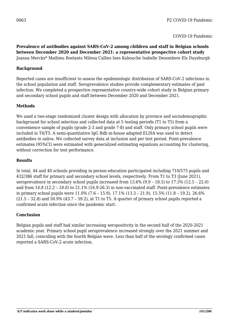**Prevalence of antibodies against SARS-CoV-2 among children and staff in Belgian schools between December 2020 and December 2021: a representative prospective cohort study** Joanna Merckx\* Mathieu Roelants Milena Callies Ines Kabouche Isabelle Desombere Els Duysburgh

### **Background**

Reported cases are insufficient to assess the epidemiologic distribution of SARS-CoV-2 infections in the school population and staff. Seroprevalence studies provide complementary estimates of past infection. We completed a prospective representative country-wide cohort study in Belgian primary and secondary school pupils and staff between December 2020 and December 2021.

### **Methods**

We used a two-stage randomized cluster design with allocation by province and sociodemographic background for school selection and collected data at 5 testing periods (T1 to T5) from a convenience sample of pupils (grade 2-3 and grade 7-8) and staff. Only primary school pupils were included in T4/T5. A semi-quantitative IgG Rdb in-house adapted ELISA was used to detect antibodies in saliva. We collected survey data at inclusion and per test period. Point-prevalence estimates (95%CI) were estimated with generalized estimating equations accounting for clustering, without correction for test performance.

#### **Results**

In total, 44 and 40 schools providing in-person education participated including 710/575 pupils and 432/386 staff for primary and secondary school levels, respectively. From T1 to T3 (June 2021), seroprevalence in secondary school pupils increased from 13.6% (9.9 – 18.5) to 17.3% (12.5 – 22.0) and from *14.8 (12.2 – 18.0)* to 21.1% (16.9-26.3) in non-vaccinated staff. Point-prevalence estimates in primary school pupils were 11.0% (7.6 – 15.9), 17.1% (13.3 – 21.9), 15.5% (11.8 – 19.2), 26.6% (21.5 – 32.8) and 50.9% (43.7 – 59.2), at T1 to T5. A quarter of primary school pupils reported a confirmed acute infection since the pandemic start.

#### **Conclusion**

Belgian pupils and staff had similar increasing seropositivity in the second half of the 2020-2021 academic year. Primary school pupil seroprevalence increased strongly over the 2021 summer and 2021 fall, coinciding with the fourth Belgian wave. Less than half of the serology confirmed cases reported a SARS-CoV-2 acute infection.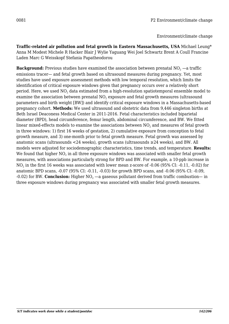Environment/climate change

**Traffic-related air pollution and fetal growth in Eastern Massachusetts, USA** Michael Leung\* Anna M Modest Michele R Hacker Blair J Wylie Yaguang Wei Joel Schwartz Brent A Coull Francine Laden Marc G Weisskopf Stefania Papatheodorou

 $\mathbf B$ a $\mathbf c$ kground: Previous studies have examined the association between prenatal NO $_2$  —a traffic emissions tracer— and fetal growth based on ultrasound measures during pregnancy. Yet, most studies have used exposure assessment methods with low temporal resolution, which limits the identification of critical exposure windows given that pregnancy occurs over a relatively short period. Here, we used NO $_{\text{2}}$  data estimated from a high-resolution spatiotemporal ensemble model to examine the association between prenatal NO $_2$  exposure and fetal growth measures (ultrasound parameters and birth weight [BW]) and identify critical exposure windows in a Massachusetts-based pregnancy cohort. **Methods:** We used ultrasound and obstetric data from 9,446 singleton births at Beth Israel Deaconess Medical Center in 2011-2016. Fetal characteristics included biparietal diameter (BPD), head circumference, femur length, abdominal circumference, and BW. We fitted linear mixed-effects models to examine the associations between  $\mathrm{NO}_2$  and measures of fetal growth in three windows: 1) first 16 weeks of gestation, 2) cumulative exposure from conception to fetal growth measure, and 3) one-month prior to fetal growth measure. Fetal growth was assessed by anatomic scans (ultrasounds <24 weeks), growth scans (ultrasounds ≥24 weeks), and BW. All models were adjusted for sociodemographic characteristics, time trends, and temperature. **Results:** We found that higher NO $_{\rm 2}$  in all three exposure windows was associated with smaller fetal growth measures, with associations particularly strong for BPD and BW. For example, a 10-ppb increase in  $\rm NO_2$  in the first  $16$  weeks was associated with lower mean z-score of -0.06 (95% CI: -0.11, -0.02) for anatomic BPD scans, -0.07 (95% CI: -0.11, -0.03) for growth BPD scans, and -0.06 (95% CI: -0.09, -0.02) for BW.  $\bf Conclusion\rm:$  Higher NO $_2$  —a gaseous pollutant derived from traffic combustion— in three exposure windows during pregnancy was associated with smaller fetal growth measures.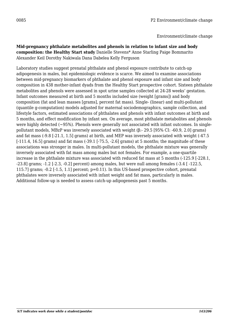**Mid-pregnancy phthalate metabolites and phenols in relation to infant size and body composition: the Healthy Start study** Danielle Stevens\* Anne Starling Paige Bommarito Alexander Keil Dorothy Nakiwala Dana Dabelea Kelly Ferguson

Laboratory studies suggest prenatal phthalate and phenol exposure contribute to catch-up adipogenesis in males, but epidemiologic evidence is scarce. We aimed to examine associations between mid-pregnancy biomarkers of phthalate and phenol exposure and infant size and body composition in 438 mother-infant dyads from the Healthy Start prospective cohort. Sixteen phthalate metabolites and phenols were assessed in spot urine samples collected at 24-28 weeks' gestation. Infant outcomes measured at birth and 5 months included size (weight [grams]) and body composition (fat and lean masses [grams], percent fat mass). Single- (linear) and multi-pollutant (quantile g-computation) models adjusted for maternal sociodemographics, sample collection, and lifestyle factors, estimated associations of phthalates and phenols with infant outcomes at birth and 5 months, and effect modification by infant sex. On average, most phthalate metabolites and phenols were highly detected (~95%). Phenols were generally not associated with infant outcomes. In singlepollutant models, MBzP was inversely associated with weight (β:- 29.5 [95% CI: -60.9, 2.0] grams) and fat mass (-9.8 [-21.1, 1.5] grams) at birth, and MEP was inversely associated with weight (-47.5  $[-111.4, 16.5]$  grams) and fat mass  $(-39.1 \div 75.5, -2.6]$  grams) at 5 months; the magnitude of these associations was stronger in males. In multi-pollutant models, the phthalate mixture was generally inversely associated with fat mass among males but not females. For example, a one-quartile increase in the phthalate mixture was associated with reduced fat mass at 5 months (-125.9 [-228.1, -23.8] grams; -1.2 [-2.3, -0.2] percent) among males, but were null among females (-3.4 [ -122.5, 115.7] grams; -0.2 [-1.5, 1.1] percent; p=0.11). In this US-based prospective cohort, prenatal phthalates were inversely associated with infant weight and fat mass, particularly in males. Additional follow-up is needed to assess catch-up adipogenesis past 5 months.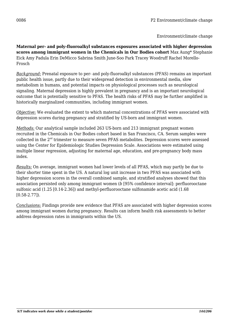Environment/climate change

**Maternal per- and poly-fluoroalkyl substances exposures associated with higher depression scores among immigrant women in the Chemicals in Our Bodies cohort** Max Aung\* Stephanie Eick Amy Padula Erin DeMicco Sabrina Smith June-Soo Park Tracey Woodruff Rachel Morello-Frosch

*Background:* Prenatal exposure to per- and poly-fluoroalkyl substances (PFAS) remains an important public health issue, partly due to their widespread detection in environmental media, slow metabolism in humans, and potential impacts on physiological processes such as neurological signaling. Maternal depression is highly prevalent in pregnancy and is an important neurological outcome that is potentially sensitive to PFAS. The health risks of PFAS may be further amplified in historically marginalized communities, including immigrant women.

*Objective:* We evaluated the extent to which maternal concentrations of PFAS were associated with depression scores during pregnancy and stratified by US-born and immigrant women.

*Methods:* Our analytical sample included 263 US-born and 213 immigrant pregnant women recruited in the Chemicals in Our Bodies cohort based in San Francisco, CA. Serum samples were collected in the  $2<sup>nd</sup>$  trimester to measure seven PFAS metabolites. Depression scores were assessed using the Center for Epidemiologic Studies Depression Scale. Associations were estimated using multiple linear regression, adjusting for maternal age, education, and pre-pregnancy body mass index.

*Results:* On average, immigrant women had lower levels of all PFAS, which may partly be due to their shorter time spent in the US. A natural log unit increase in two PFAS was associated with higher depression scores in the overall combined sample, and stratified analyses showed that this association persisted only among immigrant women (*b* [95% confidence interval]: perfluorooctane sulfonic acid (1.25 [0.14-2.36]) and methyl-perfluorooctane sulfonamide acetic acid (1.68 [0.58-2.77]).

*Conclusions:* Findings provide new evidence that PFAS are associated with higher depression scores among immigrant women during pregnancy. Results can inform health risk assessments to better address depression rates in immigrants within the US.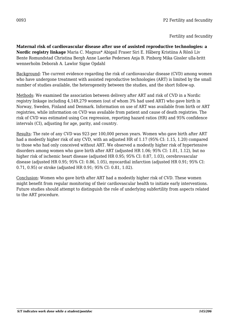**Maternal risk of cardiovascular disease after use of assisted reproductive technologies: a Nordic registry linkage** Maria C. Magnus\* Abigail Fraser Siri E. Håberg Kristiina A Rönö Liv Bente Romundstad Christina Bergh Anne Laerke Pedersen Anja B. Pinborg Mika Gissler ulla-britt wennerholm Deborah A. Lawlor Signe Opdahl

Background: The current evidence regarding the risk of cardiovascular disease (CVD) among women who have undergone treatment with assisted reproductive technologies (ART) is limited by the small number of studies available, the heterogeneity between the studies, and the short follow-up.

Methods: We examined the association between delivery after ART and risk of CVD in a Nordic registry linkage including 4,149,279 women (out of whom 3% had used ART) who gave birth in Norway, Sweden, Finland and Denmark. Information on use of ART was available from birth or ART registries, while information on CVD was available from patient and cause of death registries. The risk of CVD was estimated using Cox regression, reporting hazard ratios (HR) and 95% confidence intervals (CI), adjusting for age, parity, and country.

Results: The rate of any CVD was 923 per 100,000 person years. Women who gave birth after ART had a modestly higher risk of any CVD, with an adjusted HR of 1.17 (95% CI: 1.15, 1.20) compared to those who had only conceived without ART. We observed a modestly higher risk of hypertensive disorders among women who gave birth after ART (adjusted HR 1.06; 95% CI: 1.01, 1.12), but no higher risk of ischemic heart disease (adjusted HR 0.95; 95% CI: 0.87, 1.03), cerebrovascular disease (adjusted HR 0.95; 95% CI: 0.86, 1.05), myocardial infarction (adjusted HR 0.91; 95% CI: 0.71, 0.95) or stroke (adjusted HR 0.91; 95% CI: 0.81, 1.02).

Conclusion: Women who gave birth after ART had a modestly higher risk of CVD. These women might benefit from regular monitoring of their cardiovascular health to initiate early interventions. Future studies should attempt to distinguish the role of underlying subfertility from aspects related to the ART procedure.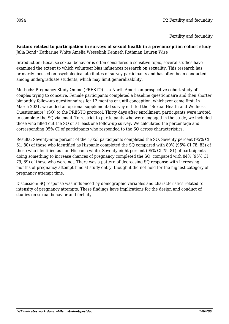Fertility and fecundity

#### **Factors related to participation in surveys of sexual health in a preconception cohort study** Julia Bond\* Katharine White Amelia Wesselink Kenneth Rothman Lauren Wise

Introduction: Because sexual behavior is often considered a sensitive topic, several studies have examined the extent to which volunteer bias influences research on sexuality. This research has primarily focused on psychological attributes of survey participants and has often been conducted among undergraduate students, which may limit generalizability.

Methods: Pregnancy Study Online (PRESTO) is a North American prospective cohort study of couples trying to conceive. Female participants completed a baseline questionnaire and then shorter bimonthly follow-up questionnaires for 12 months or until conception, whichever came first. In March 2021, we added an optional supplemental survey entitled the "Sexual Health and Wellness Questionnaire" (SQ) to the PRESTO protocol. Thirty days after enrollment, participants were invited to complete the SQ via email. To restrict to participants who were engaged in the study, we included those who filled out the SQ or at least one follow-up survey. We calculated the percentage and corresponding 95% CI of participants who responded to the SQ across characteristics.

Results: Seventy-nine percent of the 1,053 participants completed the SQ. Seventy percent (95% CI 61, 80) of those who identified as Hispanic completed the SQ compared with 80% (95% CI 78, 83) of those who identified as non-Hispanic white. Seventy-eight percent (95% CI 75, 81) of participants doing something to increase chances of pregnancy completed the SQ, compared with 84% (95% CI 79, 89) of those who were not. There was a pattern of decreasing SQ response with increasing months of pregnancy attempt time at study entry, though it did not hold for the highest category of pregnancy attempt time.

Discussion: SQ response was influenced by demographic variables and characteristics related to intensity of pregnancy attempts. These findings have implications for the design and conduct of studies on sexual behavior and fertility.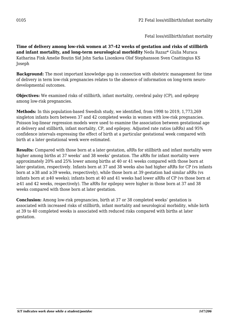**Time of delivery among low-risk women at 37-42 weeks of gestation and risks of stillbirth and infant mortality, and long-term neurological morbidity** Neda Razaz\* Giulia Muraca Katharina Fink Amelie Boutin Sid John Sarka Lisonkova Olof Stephansson Sven Cnattingius KS Joseph

**Background:** The most important knowledge gap in connection with obstetric management for time of delivery in term low-risk pregnancies relates to the absence of information on long-term neurodevelopmental outcomes.

**Objectives:** We examined risks of stillbirth, infant mortality, cerebral palsy (CP), and epilepsy among low-risk pregnancies.

**Methods:** In this population-based Swedish study, we identified, from 1998 to 2019, 1,773,269 singleton infants born between 37 and 42 completed weeks in women with low-risk pregnancies. Poisson log-linear regression models were used to examine the association between gestational age at delivery and stillbirth, infant mortality, CP, and epilepsy. Adjusted rate ratios (aRRs) and 95% confidence intervals expressing the effect of birth at a particular gestational week compared with birth at a later gestational week were estimated.

**Results:** Compared with those born at a later gestation, aRRs for stillbirth and infant mortality were higher among births at 37 weeks' and 38 weeks' gestation. The aRRs for infant mortality were approximately 20% and 25% lower among births at 40 or 41 weeks compared with those born at later gestation, respectively. Infants born at 37 and 38 weeks also had higher aRRs for CP (vs infants born at ≥38 and ≥39 weeks, respectively), while those born at 39 gestation had similar aRRs (vs infants born at ≥40 weeks); infants born at 40 and 41 weeks had lower aRRs of CP (vs those born at ≥41 and 42 weeks, respectively). The aRRs for epilepsy were higher in those born at 37 and 38 weeks compared with those born at later gestation.

**Conclusion:** Among low-risk pregnancies, birth at 37 or 38 completed weeks' gestation is associated with increased risks of stillbirth, infant mortality and neurological morbidity, while birth at 39 to 40 completed weeks is associated with reduced risks compared with births at later gestation.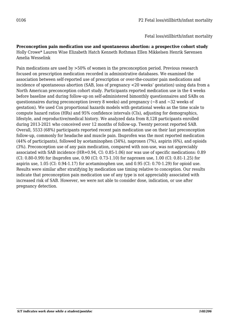Fetal loss/stillbirth/infant mortality

**Preconception pain medication use and spontaneous abortion: a prospective cohort study** Holly Crowe\* Lauren Wise Elizabeth Hatch Kenneth Rothman Ellen Mikkelsen Henrik Sørensen Amelia Wesselink

Pain medications are used by >50% of women in the preconception period. Previous research focused on prescription medication recorded in administrative databases. We examined the association between self-reported use of prescription or over-the-counter pain medications and incidence of spontaneous abortion (SAB, loss of pregnancy <20 weeks' gestation) using data from a North American preconception cohort study. Participants reported medication use in the 4 weeks before baseline and during follow-up on self-administered bimonthly questionnaires and SABs on questionnaires during preconception (every 8 weeks) and pregnancy ( $\sim$ 8 and  $\sim$ 32 weeks of gestation). We used Cox proportional hazards models with gestational weeks as the time scale to compute hazard ratios (HRs) and 95% confidence intervals (CIs), adjusting for demographics, lifestyle, and reproductive/medical history. We analyzed data from 8,128 participants enrolled during 2013-2021 who conceived over 12 months of follow-up. Twenty percent reported SAB. Overall, 5533 (68%) participants reported recent pain medication use on their last preconception follow-up, commonly for headache and muscle pain. Ibuprofen was the most reported medication (44% of participants), followed by acetaminophen (34%), naproxen (7%), aspirin (6%), and opioids (3%). Preconception use of any pain medication, compared with non-use, was not appreciably associated with SAB incidence (HR=0.94, CI: 0.85-1.06) nor was use of specific medications: 0.89 (CI: 0.80-0.99) for ibuprofen use, 0.90 (CI: 0.73-1.10) for naproxen use, 1.00 (CI: 0.81-1.25) for aspirin use, 1.05 (CI: 0.94-1.17) for acetaminophen use, and 0.95 (CI: 0.70-1.29) for opioid use. Results were similar after stratifying by medication use timing relative to conception. Our results indicate that preconception pain medication use of any type is not appreciably associated with increased risk of SAB. However, we were not able to consider dose, indication, or use after pregnancy detection.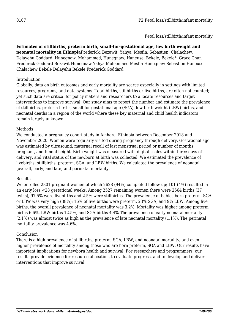## Fetal loss/stillbirth/infant mortality

**Estimates of stillbirths, preterm birth, small-for-gestational age, low birth weight and neonatal mortality in Ethiopia**Frederick, Bezawit, Yahya, Mesfin, Sebastien, Chalachew, Delayehu Goddard, Hunegnaw, Mohammed, Hunegnaw, Haneuse, Bekele, Bekele\*, Grace Chan Frederick Goddard Bezawit Hunegnaw Yahya Mohammed Mesfin Hunegnaw Sebastien Haneuse Chalachew Bekele Delayehu Bekele Frederick Goddard

## Introduction

Globally, data on birth outcomes and early mortality are scarce especially in settings with limited resources, programs, and data systems. Total births, stillbirths or live births, are often not counted; yet such data are critical for policy makers and researchers to allocate resources and target interventions to improve survival. Our study aims to report the number and estimate the prevalence of stillbirths, preterm births, small-for-gestational-age (SGA), low birth weight (LBW) births, and neonatal deaths in a region of the world where these key maternal and child health indicators remain largely unknown.

### Methods

We conducted a pregnancy cohort study in Amhara, Ethiopia between December 2018 and November 2020. Women were regularly visited during pregnancy through delivery. Gestational age was estimated by ultrasound, maternal recall of last menstrual period or number of months pregnant, and fundal height. Birth weight was measured with digital scales within three days of delivery, and vital status of the newborn at birth was collected. We estimated the prevalence of livebirths, stillbirths, preterm, SGA, and LBW births. We calculated the prevalence of neonatal (overall, early, and late) and perinatal mortality.

### Results

We enrolled 2801 pregnant women of which 2628 (94%) completed follow-up; 101 (4%) resulted in an early loss <28 gestational weeks. Among 2527 remaining women there were 2564 births (37 twins), 97.5% were livebirths and 2.5% were stillbirths. The prevalence of babies born preterm, SGA or LBW was very high (38%); 16% of live births were preterm, 23% SGA, and 9% LBW. Among live births, the overall prevalence of neonatal mortality was 3.2%. Mortality was higher among preterm births 6.6%, LBW births 12.5%, and SGA births 4.4% The prevalence of early neonatal mortality (2.1%) was almost twice as high as the prevalence of late neonatal mortality (1.1%). The perinatal mortality prevalence was 4.6%.

### Conclusion

There is a high prevalence of stillbirths, preterm, SGA, LBW, and neonatal mortality, and even higher prevalence of mortality among those who are born preterm, SGA and LBW. Our results have important implications for newborn health and survival. For researchers and programmers, our results provide evidence for resource allocation, to evaluate progress, and to develop and deliver interventions that improve survival.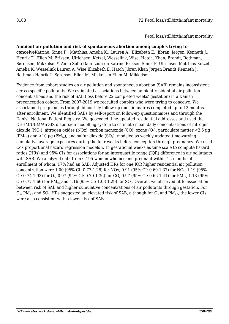Fetal loss/stillbirth/infant mortality

**Ambient air pollution and risk of spontaneous abortion among couples trying to conceive**Katrine, Sinna P., Matthias, Amelia K., Lauren A., Elizabeth E., Jibran, Jørgen, Kenneth J., Henrik T., Ellen M. Eriksen, Ulrichsen, Ketzel, Wesselink, Wise, Hatch, Khan, Brandt, Rothman, Sørensen, Mikkelsen\*, Anne Sofie Dam Laursen Katrine Eriksen Sinna P. Ulrichsen Matthias Ketzel Amelia K. Wesselink Lauren A. Wise Elizabeth E. Hatch Jibran Khan Jørgen Brandt Kenneth J. Rothman Henrik T. Sørensen Ellen M. Mikkelsen Ellen M. Mikkelsen

Evidence from cohort studies on air pollution and spontaneous abortion (SAB) remains inconsistent across specific pollutants. We estimated associations between ambient residential air pollution concentrations and the risk of SAB (loss before 22 completed weeks' gestation) in a Danish preconception cohort. From 2007-2019 we recruited couples who were trying to conceive. We ascertained pregnancies through bimonthly follow-up questionnaires completed up to 12 months after enrollment. We identified SABs by self-report on follow-up questionnaires and through the Danish National Patient Registry. We geocoded time-updated residential addresses and used the DEHM/UBM/AirGIS dispersion modelling system to estimate mean daily concentrations of nitrogen dioxide (NO $_{\rm 2}$ ), nitrogen oxides (NOx), carbon monoxide (CO), ozone (O $_{\rm 3}$ ), particulate matter <2.5  $\rm \mu g$ (PM $_{\rm 2.5}$ ) and <code><10</code>  $\rm \upmu g$  (PM $_{\rm 10}$ ), and sulfur dioxide (SO $_{\rm 2}$ ), modeled as weekly updated time-varying cumulative average exposures during the four weeks before conception through pregnancy. We used Cox proportional hazard regression models with gestational weeks as time scale to compute hazard ratios (HRs) and 95% CIs for associations for an interquartile range (IQR) difference in air pollutants with SAB. We analyzed data from 6,195 women who became pregnant within 12 months of enrollment of whom, 17% had an SAB. Adjusted HRs for one IQR higher residential air pollution concentration were  $1.00$  (95% CI: 0.77-1.28) for NOx, 0.91 (95% CI: 0.60-1.37) for NO<sub>2</sub>, 1.19 (95% CI: 0.74-1.93) for  ${\rm O}_{3}$ , 0.97 (95% CI: 0.70-1.36) for CO, 0.97 (95% CI: 0.66-1.41) for PM $_{10}$ , 1.13 (95% CI: 0.77-1.66) for PM $_{\text{2.5}}$  and 1.16 (95% CI: 1.03-1.29) for SO $_{\text{2}}$ . Overall, we observed little association between risk of SAB and higher cumulative concentrations of air pollutants through gestation. For  $\rm O_3$ , PM $_{2.5}$  and SO $_2$  HRs suggested an elevated risk of SAB, although for  $\rm O_3$  and PM $_{2.5}$ , the lower CIs were also consistent with a lower risk of SAB.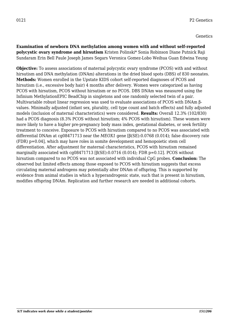**Examination of newborn DNA methylation among women with and without self-reported polycystic ovary syndrome and hirsutism** Kristen Polinski\* Sonia Robinson Diane Putnick Raji Sundaram Erin Bell Paule Joseph James Segars Veronica Gomez-Lobo Weihua Guan Edwina Yeung

**Objective:** To assess associations of maternal polycystic ovary syndrome (PCOS) with and without hirsutism and DNA methylation (DNAm) alterations in the dried blood spots (DBS) of 830 neonates. **Methods:** Women enrolled in the Upstate KIDS cohort self-reported diagnoses of PCOS and hirsutism (i.e., excessive body hair) 4 months after delivery. Women were categorized as having PCOS with hirsutism, PCOS without hirsutism or no PCOS. DBS DNAm was measured using the Infinium MethylationEPIC BeadChip in singletons and one randomly selected twin of a pair. Multivariable robust linear regression was used to evaluate associations of PCOS with DNAm βvalues. Minimally adjusted (infant sex, plurality, cell type count and batch effects) and fully adjusted models (inclusion of maternal characteristics) were considered. **Results:** Overall 12.3% (102/830) had a PCOS diagnosis (8.3% PCOS without hirsutism; 4% PCOS with hirsutism). These women were more likely to have a higher pre-pregnancy body mass index, gestational diabetes, or seek fertility treatment to conceive. Exposure to PCOS with hirsutism compared to no PCOS was associated with differential DNAm at cg08471713 near the *MEOX1* gene [β(SE):0.0768 (0.014); false discovery rate (FDR) p=0.04], which may have roles in somite development and hemopoietic stem cell differentiation. After adjustment for maternal characteristics, PCOS with hirsutism remained marginally associated with cg08471713  $\beta$ (SE):0.0716 (0.014); FDR p=0.12]. PCOS without hirsutism compared to no PCOS was not associated with individual CpG probes. **Conclusion:** The observed but limited effects among those exposed to PCOS with hirsutism suggests that excess circulating maternal androgens may potentially alter DNAm of offspring. This is supported by evidence from animal studies in which a hyperandrogenic state, such that is present in hirsutism, modifies offspring DNAm. Replication and further research are needed in additional cohorts.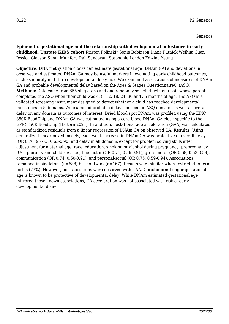**Epigenetic gestational age and the relationship with developmental milestones in early childhood: Upstate KIDS cohort** Kristen Polinski\* Sonia Robinson Diane Putnick Weihua Guan Jessica Gleason Sunni Mumford Raji Sundaram Stephanie London Edwina Yeung

**Objective:** DNA methylation clocks can estimate gestational age (DNAm GA) and deviations in observed and estimated DNAm GA may be useful markers in evaluating early childhood outcomes, such as identifying future developmental delay risk. We examined associations of measures of DNAm GA and probable developmental delay based on the Ages & Stages Questionnaire® (ASQ). **Methods:** Data came from 855 singletons and one randomly selected twin of a pair whose parents completed the ASQ when their child was 4, 8, 12, 18, 24, 30 and 36 months of age. The ASQ is a validated screening instrument designed to detect whether a child has reached developmental milestones in 5 domains. We examined probable delays on specific ASQ domains as well as overall delay on any domain as outcomes of interest. Dried blood spot DNAm was profiled using the EPIC 850K BeadChip and DNAm GA was estimated using a cord blood DNAm GA clock specific to the EPIC 850K BeadChip (Haftorn 2021). In addition, gestational age acceleration (GAA) was calculated as standardized residuals from a linear regression of DNAm GA on observed GA. **Results:** Using generalized linear mixed models, each week increase in DNAm GA was protective of overall delay (OR 0.76; 95%CI 0.65-0.90) and delay in all domains except for problem solving skills after adjustment for maternal age, race, education, smoking or alcohol during pregnancy, prepregnancy BMI, plurality and child sex, i.e., fine motor (OR 0.71; 0.56-0.91), gross motor (OR 0.68; 0.53-0.89), communication (OR 0.74; 0.60-0.91), and personal-social (OR 0.75; 0.59-0.94). Associations remained in singletons (n=688) but not twins (n=167). Results were similar when restricted to term births (73%). However, no associations were observed with GAA. **Conclusion:** Longer gestational age is known to be protective of developmental delay. While DNAm estimated gestational age mirrored those known associations, GA acceleration was not associated with risk of early developmental delay.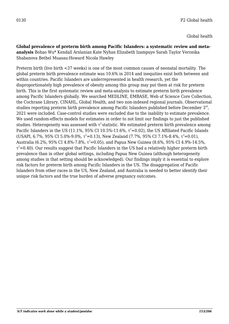**Global prevalence of preterm birth among Pacific Islanders: a systematic review and metaanalysis** Bohao Wu\* Kendall Arslanian Kate Nyhan Elizabeth Izampuye Sarah Taylor Veronika Shabanova Bethel Muasau-Howard Nicola Hawley

Preterm birth (live birth <37 weeks) is one of the most common causes of neonatal mortality. The global preterm birth prevalence estimate was 10.6% in 2014 and inequities exist both between and within countries. Pacific Islanders are underrepresented in health research, yet the disproportionately high prevalence of obesity among this group may put them at risk for preterm birth. This is the first systematic review and meta-analysis to estimate preterm birth prevalence among Pacific Islanders globally. We searched MEDLINE, EMBASE, Web of Science Core Collection, the Cochrane Library, CINAHL, Global Health, and two non-indexed regional journals. Observational studies reporting preterm birth prevalence among Pacific Islanders published before December  $3^{\text{rd}}$ , 2021 were included. Case-control studies were excluded due to the inability to estimate prevalence. We used random-effects models for estimates in order to not limit our findings to just the published studies. Heterogeneity was assessed with  $\tau^2$  statistic. We estimated preterm birth prevalence among Pacific Islanders in the US (11.1%, 95% CI 10.5%-11.6%,  $\tau^2$ =0.02), the US Affiliated Pacific Islands (USAPI, 6.7%, 95% CI 5.0%-9.0%,  $\tau^2$ =0.13), New Zealand (7.7%, 95% CI 7.1%-8.4%,  $\tau^2$ =0.01), Australia (6.2%, 95% CI 4.8%-7.8%,  $\tau^2$ =0.05), and Papua New Guinea (8.6%, 95% CI 4.9%-14.5%,  $\tau^2$ =0.40). Our results suggest that Pacific Islanders in the US had a relatively higher preterm birth prevalence than in other global settings, including Papua New Guinea (although heterogeneity among studies in that setting should be acknowledged). Our findings imply it is essential to explore risk factors for preterm birth among Pacific Islanders in the US. The disaggregation of Pacific Islanders from other races in the US, New Zealand, and Australia is needed to better identify their unique risk factors and the true burden of adverse pregnancy outcomes.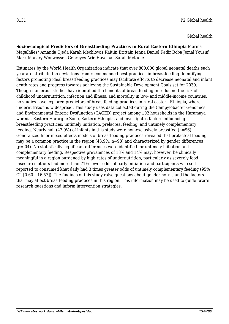Global health

**Socioecological Predictors of Breastfeeding Practices in Rural Eastern Ethiopia** Marina Magalhães\* Amanda Ojeda Karah Mechlowiz Kaitlin Brittain Jenna Daniel Kedir Roba Jemal Yousuf Mark Manary Wonwossen Gebreyes Arie Havelaar Sarah McKune

Estimates by the World Health Organization indicate that over 800,000 global neonatal deaths each year are attributed to deviations from recommended best practices in breastfeeding. Identifying factors promoting ideal breastfeeding practices may facilitate efforts to decrease neonatal and infant death rates and progress towards achieving the Sustainable Development Goals set for 2030. Though numerous studies have identified the benefits of breastfeeding in reducing the risk of childhood undernutrition, infection and illness, and mortality in low- and middle-income countries, no studies have explored predictors of breastfeeding practices in rural eastern Ethiopia, where undernutrition is widespread. This study uses data collected during the Campylobacter Genomics and Environmental Enteric Dysfunction (CAGED) project among 102 households in the Haramaya woreda, Eastern Hararghe Zone, Eastern Ethiopia, and investigates factors influencing breastfeeding practices: untimely initiation, prelacteal feeding, and untimely complementary feeding. Nearly half (47.9%) of infants in this study were non-exclusively breastfed (n=96). Generalized liner mixed effects models of breastfeeding practices revealed that prelacteal feeding may be a common practice in the region (43.9%, n=98) and characterized by gender differences (p=.04). No statistically significant differences were identified for untimely initiation and complementary feeding. Respective prevalences of 18% and 14% may, however, be clinically meaningful in a region burdened by high rates of undernutrition, particularly as severely food insecure mothers had more than 71% lower odds of early initiation and participants who selfreported to consumed khat daily had 3 times greater odds of untimely complementary feeding (95% CI, [0.60 – 16.57]). The findings of this study raise questions about gender norms and the factors that may affect breastfeeding practices in this region. This information may be used to guide future research questions and inform intervention strategies.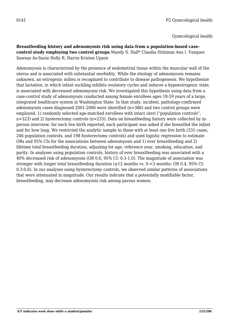Gynecological health

## **Breastfeeding history and adenomyosis risk using data from a population-based casecontrol study employing two control groups** Mandy S. Hall\* Claudia Holzman Ana I. Vazquez Sawsan As-Sanie Holly R. Harris Kristen Upson

Adenomyosis is characterized by the presence of endometrial tissue within the muscular wall of the uterus and is associated with substantial morbidity. While the etiology of adenomyosis remains unknown, an estrogenic milieu is recognized to contribute to disease pathogenesis. We hypothesize that lactation, in which infant suckling inhibits ovulatory cycles and induces a hypoestrogenic state, is associated with decreased adenomyosis risk. We investigated this hypothesis using data from a case-control study of adenomyosis conducted among female enrollees ages 18-59 years of a large, integrated healthcare system in Washington State. In that study, incident, pathology-confirmed adenomyosis cases diagnosed 2001-2006 were identified (n=386) and two control groups were employed: 1) randomly selected age-matched enrollees with intact uteri ("population controls", n=323) and 2) hysterectomy controls (n=233). Data on breastfeeding history were collected by inperson interview; for each live birth reported, each participant was asked if she breastfed the infant and for how long. We restricted the analytic sample to those with at least one live birth (331 cases, 246 population controls, and 198 hysterectomy controls) and used logistic regression to estimate ORs and 95% CIs for the associations between adenomyosis and 1) ever breastfeeding and 2) lifetime total breastfeeding duration, adjusting for age, reference year, smoking, education, and parity. In analyses using population controls, history of ever breastfeeding was associated with a 40% decreased risk of adenomyosis (OR 0.6, 95% CI: 0.3-1.0). The magnitude of association was stronger with longer total breastfeeding duration ( $\geq$ 12 months vs. 0-<3 months: OR 0.4, 95% CI: 0.3-0.6). In our analyses using hysterectomy controls, we observed similar patterns of associations that were attenuated in magnitude. Our results indicate that a potentially modifiable factor, breastfeeding, may decrease adenomyosis risk among parous women.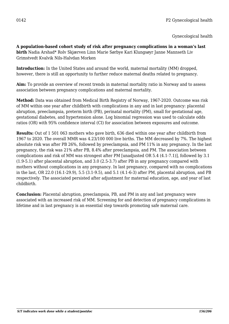**A population-based cohort study of risk after pregnancy complications in a woman's last birth** Nadia Arshad\* Rolv Skjærven Linn Marie Sørbye Kari Klungsøyr Janne Mannseth Liv Grimstvedt Kvalvik Nils-Halvdan Morken

**Introduction:** In the United States and around the world, maternal mortality (MM) dropped, however, there is still an opportunity to further reduce maternal deaths related to pregnancy.

**Aim:** To provide an overview of recent trends in maternal mortality ratio in Norway and to assess association between pregnancy complications and maternal mortality.

**Method:** Data was obtained from Medical Birth Registry of Norway, 1967-2020. Outcome was risk of MM within one year after childbirth with complications in any and in last pregnancy: placental abruption, preeclampsia, preterm birth (PB), perinatal mortality (PM), small for gestational age, gestational diabetes, and hypertension alone. Log binomial regression was used to calculate odds ratios (OR) with 95% confidence interval (CI) for association between exposures and outcome.

**Results:** Out of 1 501 063 mothers who gave birth, 636 died within one year after childbirth from 1967 to 2020. The overall MMR was 4.23/100 000 live births. The MM decreased by 7%. The highest absolute risk was after PB 26%, followed by preeclampsia, and PM 11% in any pregnancy. In the last pregnancy, the risk was 21% after PB, 8.4% after preeclampsia, and PM. The association between complications and risk of MM was strongest after PM [unadjusted OR 5.4 (4.1-7.1)], followed by 3.1 (1.9-5.1) after placental abruption, and 3.0 (2.5-3.7) after PB in any pregnancy compared with mothers without complications in any pregnancy. In last pregnancy, compared with no complications in the last, OR 22.0 (16.1-29.9), 5.5 (3.1-9.5), and 5.1 (4.1-6-3) after PM, placental abruption, and PB respectively. The associated persisted after adjustment for maternal education, age, and year of last childbirth.

**Conclusion:** Placental abruption, preeclampsia, PB, and PM in any and last pregnancy were associated with an increased risk of MM. Screening for and detection of pregnancy complications in lifetime and in last pregnancy is an essential step towards promoting safe maternal care.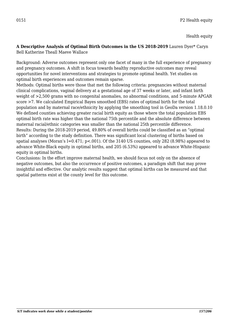Health equity

#### **A Descriptive Analysis of Optimal Birth Outcomes in the US 2018-2019** Lauren Dyer\* Caryn Bell Katherine Theall Maeve Wallace

Background: Adverse outcomes represent only one facet of many in the full experience of pregnancy and pregnancy outcomes. A shift in focus towards healthy reproductive outcomes may reveal opportunities for novel interventions and strategies to promote optimal health. Yet studies on optimal birth experiences and outcomes remain sparse.

Methods: Optimal births were those that met the following criteria: pregnancies without maternal clinical complications, vaginal delivery at a gestational age of 37 weeks or later, and infant birth weight of >2,500 grams with no congenital anomalies, no abnormal conditions, and 5-minute APGAR score >7. We calculated Empirical Bayes smoothed (EBS) rates of optimal birth for the total population and by maternal race/ethnicity by applying the smoothing tool in GeoDa version 1.18.0.10 We defined counties achieving greater racial birth equity as those where the total population EBS optimal birth rate was higher than the national 75th percentile and the absolute difference between maternal racial/ethnic categories was smaller than the national 25th percentile difference. Results: During the 2018-2019 period, 49.80% of overall births could be classified as an "optimal birth" according to the study definition. There was significant local clustering of births based on spatial analyses (Moran's I=0.471; p<.001). Of the 3140 US counties, only 282 (8.98%) appeared to advance White-Black equity in optimal births, and 205 (6.53%) appeared to advance White-Hispanic equity in optimal births.

Conclusions: In the effort improve maternal health, we should focus not only on the absence of negative outcomes, but also the occurrence of positive outcomes, a paradigm shift that may prove insightful and effective. Our analytic results suggest that optimal births can be measured and that spatial patterns exist at the county level for this outcome.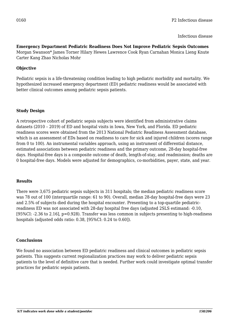Infectious disease

## **Emergency Department Pediatric Readiness Does Not Improve Pediatric Sepsis Outcomes**

Morgan Swanson\* James Torner Hilary Hewes Lawrence Cook Ryan Carnahan Monica Lieng Knute Carter Kang Zhao Nicholas Mohr

## **Objective**

Pediatric sepsis is a life-threatening condition leading to high pediatric morbidity and mortality. We hypothesized increased emergency department (ED) pediatric readiness would be associated with better clinical outcomes among pediatric sepsis patients.

## **Study Design**

A retrospective cohort of pediatric sepsis subjects were identified from administrative claims datasets (2010 – 2019) of ED and hospital visits in Iowa, New York, and Florida. ED pediatric readiness scores were obtained from the 2013 National Pediatric Readiness Assessment database, which is an assessment of EDs based on readiness to care for sick and injured children (scores range from 0 to 100). An instrumental variables approach, using an instrument of differential distance, estimated associations between pediatric readiness and the primary outcome, 28-day hospital-free days. Hospital-free days is a composite outcome of death, length-of-stay, and readmission; deaths are 0 hospital-free days. Models were adjusted for demographics, co-morbidities, payer, state, and year.

### **Results**

There were 3,675 pediatric sepsis subjects in 311 hospitals; the median pediatric readiness score was 78 out of 100 (interquartile range: 61 to 90). Overall, median 28-day hospital-free days were 23 and 2.5% of subjects died during the hospital encounter. Presenting to a top-quartile pediatricreadiness ED was not associated with 28-day hospital free days (adjusted 2SLS estimand: -0.10, [95%CI: -2.36 to 2.16], p=0.928). Transfer was less common in subjects presenting to high-readiness hospitals (adjusted odds ratio: 0.38, [95%CI: 0.24 to 0.60]).

### **Conclusions**

We found no association between ED pediatric readiness and clinical outcomes in pediatric sepsis patients. This suggests current regionalization practices may work to deliver pediatric sepsis patients to the level of definitive care that is needed. Further work could investigate optimal transfer practices for pediatric sepsis patients.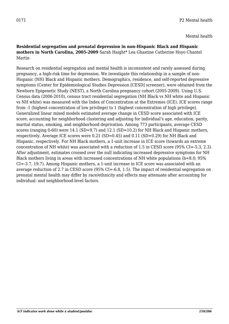Mental health

## **Residential segregation and prenatal depression in non-Hispanic Black and Hispanic mothers in North Carolina, 2005-2009** Sarah Haight\* Lea Ghastine Catherine Hoyo Chantel Martin

Research on residential segregation and mental health is inconsistent and rarely assessed during pregnancy, a high-risk time for depression. We investigate this relationship in a sample of non-Hispanic (NH) Black and Hispanic mothers. Demographics, residence, and self-reported depressive symptoms (Center for Epidemiological Studies Depression [CESD] screener), were obtained from the Newborn Epigenetic Study (NEST), a North Carolina pregnancy cohort (2005-2009). Using U.S. Census data (2006-2010), census tract residential segregation (NH Black vs NH white and Hispanic vs NH white) was measured with the Index of Concentration at the Extremes (ICE). ICE scores range from -1 (highest concentration of low privilege) to 1 (highest concentration of high privilege). Generalized linear mixed models estimated average change in CESD score associated with ICE score, accounting for neighborhood clustering and adjusting for individual's age, education, parity, marital status, smoking, and neighborhood deprivation. Among 773 participants, average CESD scores (ranging 0-60) were 14.1 (SD=9.7) and 12.1 (SD=10.2) for NH Black and Hispanic mothers, respectively. Average ICE scores were 0.21 (SD=0.45) and 0.11 (SD=0.29) for NH Black and Hispanic, respectively. For NH Black mothers, a 1-unit increase in ICE score (towards an extreme concentration of NH white) was associated with a reduction of 1.5 in CESD score (95% CI=-5.3, 2.3). After adjustment, estimates crossed over the null indicating increased depressive symptoms for NH Black mothers living in areas with increased concentrations of NH white populations (b=8.0; 95% CI=-3.7, 19.7). Among Hispanic mothers, a 1-unit increase in ICE score was associated with an average reduction of 2.7 in CESD score (95% CI=-6.8, 1.5). The impact of residential segregation on prenatal mental health may differ by race/ethnicity and effects may attenuate after accounting for individual- and neighborhood-level factors.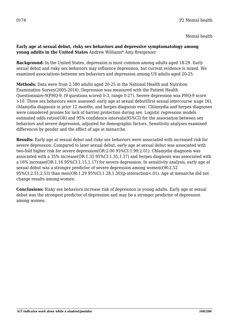Mental health

## **Early age at sexual debut, risky sex behaviors and depressive symptomatology among young adults in the United States** Andrew Williams\* Amy Breigenzer

**Background:** In the United States, depression is most common among adults aged 18-29. Early sexual debut and risky sex behaviors may influence depression, but current evidence is mixed. We examined associations between sex behaviors and depression among US adults aged 20-25.

**Methods:** Data were from 2,580 adults aged 20-25 in the National Health and Nutrition Examination Survey(2005-2016). Depression was measured with the Patient Health Questionnaire-9(PHQ-9, (9 questions scored 0-3, range 0-27). Severe depression was PHQ-9 score >10. Three sex behaviors were assessed: early age at sexual debut(first sexual intercourse ≤age 16), chlamydia diagnosis in prior 12 months, and herpes diagnosis ever. Chlamydia and herpes diagnoses were considered proxies for lack of barrier protection during sex. Logistic regression models estimated odds ratios(OR) and 95% confidence intervals(95%CI) for the association between sex behaviors and severe depression, adjusted for demographic factors. Sensitivity analyses examined differences by gender and the effect of age at menarche.

**Results:** Early age at sexual debut and risky sex behaviors were associated with increased risk for severe depression. Compared to later sexual debut, early age at sexual debut was associated with two-fold higher risk for severe depression(OR:2.00 95%CI:1.99,2.01). Chlamydia diagnosis was associated with a 35% increase(OR:1.35 95%CI:1.35,1.37) and herpes diagnosis was associated with a 16% increase(OR:1.16 95%CI:1.15,1.17) for severe depression. In sensitivity analysis, early age at sexual debut was a stronger predictor of severe depression among women(OR:2.52 95%CI:2.51,2.53) than men(OR:1.29 95%CI:1.28,1.30)(p-interaction<.01). Age at menarche did not change results among women.

**Conclusions:** Risky sex behaviors increase risk of depression in young adults. Early age at sexual debut was the strongest predictor of depression and may be a stronger predictor of depression among women.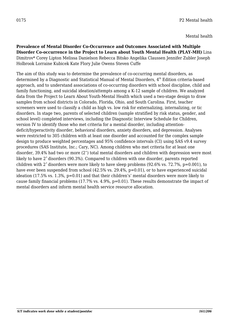**Prevalence of Mental Disorder Co-Occurrence and Outcomes Associated with Multiple Disorder Co-occurrence in the Project to Learn about Youth Mental Health (PLAY-MH)** Lina Dimitrov\* Corey Lipton Melissa Danielson Rebecca Bitsko Angelika Claussen Jennifer Zubler Joseph Holbrook Lorraine Kubicek Kate Flory Julie Owens Steven Cuffe

The aim of this study was to determine the prevalence of co-occurring mental disorders, as determined by a Diagnostic and Statistical Manual of Mental Disorders,  $4<sup>th</sup>$  Edition criteria-based approach, and to understand associations of co-occurring disorders with school discipline, child and family functioning, and suicidal ideation/attempts among a K-12 sample of children. We analyzed data from the Project to Learn About Youth-Mental Health which used a two-stage design to draw samples from school districts in Colorado, Florida, Ohio, and South Carolina. First, teacher screeners were used to classify a child as high vs. low risk for externalizing, internalizing, or tic disorders. In stage two, parents of selected children (sample stratified by risk status, gender, and school level) completed interviews, including the Diagnostic Interview Schedule for Children, version IV to identify those who met criteria for a mental disorder, including attentiondeficit/hyperactivity disorder, behavioral disorders, anxiety disorders, and depression. Analyses were restricted to 305 children with at least one disorder and accounted for the complex sample design to produce weighted percentages and 95% confidence intervals (CI) using SAS v9.4 survey procedures (SAS Institute, Inc.; Cary, NC). Among children who met criteria for at least one disorder, 39.4% had two or more (2<sup>+</sup>) total mental disorders and children with depression were most likely to have 2<sup>+</sup> disorders (90.3%). Compared to children with one disorder, parents reported children with  $2^+$  disorders were more likely to have sleep problems (92.6% vs. 72.7%, p=0.001), to have ever been suspended from school (42.5% vs. 29.4%, p=0.01), or to have experienced suicidal ideation (17.5% vs. 1.3%, p=0.01) and that their children's' mental disorders were more likely to cause family financial problems (17.7% vs. 4.9%, p=0.01). These results demonstrate the impact of mental disorders and inform mental health service resource allocation.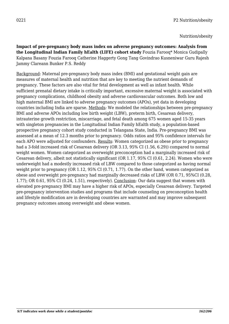Nutrition/obesity

**Impact of pre-pregnancy body mass index on adverse pregnancy outcomes: Analysis from the Longitudinal Indian Family hEalth (LIFE) cohort study** Fouzia Farooq\* Monica Gudipally Kalpana Basany Fouzia Farooq Catherine Haggerty Gong Tang Govindrao Kusneniwar Guru Rajesh Jammy Clareann Bunker P.S. Reddy

Background: Maternal pre-pregnancy body mass index (BMI) and gestational weight gain are measures of maternal health and nutrition that are key to meeting the nutrient demands of pregnancy. These factors are also vital for fetal development as well as infant health. While sufficient prenatal dietary intake is critically important, excessive maternal weight is associated with pregnancy complications, childhood obesity and adverse cardiovascular outcomes. Both low and high maternal BMI are linked to adverse pregnancy outcomes (APOs), yet data in developing countries including India are sparse. Methods*:* We modeled the relationships between pre-pregnancy BMI and adverse APOs including low birth weight (LBW), preterm birth, Cesarean delivery, intrauterine growth restriction, miscarriage, and fetal death among 675 women aged 15-35 years with singleton pregnancies in the Longitudinal Indian Family hEalth study, a population-based prospective pregnancy cohort study conducted in Telangana State, India. Pre-pregnancy BMI was assessed at a mean of 12.3 months prior to pregnancy. Odds ratios and 95% confidence intervals for each APO were adjusted for confounders. Results: Women categorized as obese prior to pregnancy had a 3-fold increased risk of Cesarean delivery (OR 3.13, 95% CI (1.56, 6.29)) compared to normal weight women. Women categorized as overweight preconception had a marginally increased risk of Cesarean delivery, albeit not statistically significant (OR 1.17, 95% CI (0.61, 2.24). Women who were underweight had a modestly increased risk of LBW compared to those categorized as having normal weight prior to pregnancy (OR 1.12, 95% CI (0.71, 1.77). On the other hand, women categorized as obese and overweight pre-pregnancy had marginally decreased risks of LBW (OR 0.71, 95%CI (0.28, 1.77); OR 0.61, 95% CI (0.24, 1.51), respectively). Conclusion: Our data suggest that women with elevated pre-pregnancy BMI may have a higher risk of APOs, especially Cesarean delivery. Targeted pre-pregnancy intervention studies and programs that include counseling on preconception health and lifestyle modification are in developing countries are warranted and may improve subsequent pregnancy outcomes among overweight and obese women.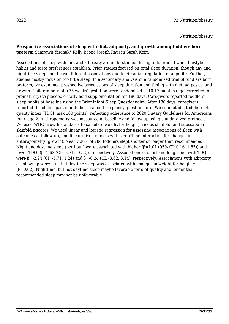Nutrition/obesity

#### **Prospective associations of sleep with diet, adiposity, and growth among toddlers born preterm** Samrawit Yisahak\* Kelly Boone Joseph Rausch Sarah Keim

Associations of sleep with diet and adiposity are understudied during toddlerhood when lifestyle habits and taste preferences establish. Prior studies focused on total sleep duration, though day and nighttime sleep could have different associations due to circadian regulation of appetite. Further, studies mostly focus on too little sleep. In a secondary analysis of a randomized trial of toddlers born preterm, we examined prospective associations of sleep duration and timing with diet, adiposity, and growth. Children born at <35 weeks' gestation were randomized at 10-17 months (age corrected for prematurity) to placebo or fatty acid supplementation for 180 days. Caregivers reported toddlers' sleep habits at baseline using the Brief Infant Sleep Questionnaire. After 180 days, caregivers reported the child's past month diet in a food frequency questionnaire. We computed a toddler diet quality index (TDQI, max 100 points), reflecting adherence to 2020 Dietary Guidelines for Americans for < age 2. Anthropometry was measured at baseline and follow-up using standardized protocols. We used WHO growth standards to calculate weight-for-height, triceps skinfold, and subscapular skinfold z-scores. We used linear and logistic regression for assessing associations of sleep with outcomes at follow-up, and linear mixed models with sleep\*time interaction for changes in anthropometry (growth). Nearly 30% of 284 toddlers slept shorter or longer than recommended. Night and daytime sleep (per hour) were associated with higher (β=1.01 (95% CI: 0.16, 1.85)) and lower TDQI (β -1.62 (CI: -2.71, -0.52)), respectively. Associations of short and long sleep with TDQI were β=-2.24 (CI: -5.71, 1.24) and β=-0.24 (CI: -3.62, 3.14), respectively. Associations with adiposity at follow-up were null, but daytime sleep was associated with changes in weight-for-height z (P=0.02). Nighttime, but not daytime sleep maybe favorable for diet quality and longer than recommended sleep may not be unfavorable.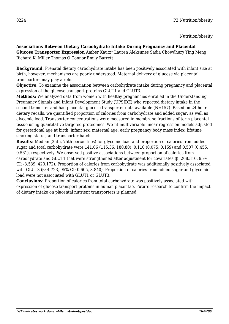## **Associations Between Dietary Carbohydrate Intake During Pregnancy and Placental**

**Glucose Transporter Expression** Amber Kautz\* Lauren Aleksunes Sadia Chowdhury Ying Meng Richard K. Miller Thomas O'Connor Emily Barrett

**Background:** Prenatal dietary carbohydrate intake has been positively associated with infant size at birth, however, mechanisms are poorly understood. Maternal delivery of glucose via placental transporters may play a role.

**Objective:** To examine the association between carbohydrate intake during pregnancy and placental expression of the glucose transport proteins GLUT1 and GLUT3.

**Methods:** We analyzed data from women with healthy pregnancies enrolled in the Understanding Pregnancy Signals and Infant Development Study (UPSIDE) who reported dietary intake in the second trimester and had placental glucose transporter data available (N=157). Based on 24-hour dietary recalls, we quantified proportion of calories from carbohydrate and added sugar, as well as glycemic load. Transporter concentrations were measured in membrane fractions of term placental tissue using quantitative targeted proteomics. We fit multivariable linear regression models adjusted for gestational age at birth, infant sex, maternal age, early pregnancy body mass index, lifetime smoking status, and transporter batch.

**Results:** Median (25th, 75th percentiles) for glycemic load and proportion of calories from added sugar and total carbohydrate were 141.06 (115.36, 180.80), 0.110 (0.075, 0.159) and 0.507 (0.455, 0.561), respectively. We observed positive associations between proportion of calories from carbohydrate and GLUT1 that were strengthened after adjustment for covariates (β: 208.316, 95% CI: -3.539, 420.172). Proportion of calories from carbohydrate was additionally positively associated with GLUT3 (β: 4.723, 95% CI: 0.605, 8.840). Proportion of calories from added sugar and glycemic load were not associated with GLUT1 or GLUT3.

**Conclusions:** Proportion of calories from total carbohydrate was positively associated with expression of glucose transport proteins in human placentae. Future research to confirm the impact of dietary intake on placental nutrient transporters is planned.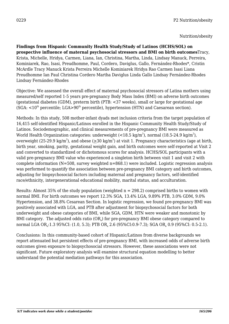**Findings from Hispanic Community Health Study/Study of Latinos (HCHS/SOL) on prospective influence of maternal psychosocial stressors and BMI on birth outcomes**Tracy, Krista, Michelle, Hridya, Carmen, Liana, Ian, Christina, Martha, Linda, Lindsay Manuck, Perreira, Kominiarek, Rao, Isasi, Preudhomme, Paul, Cordero, Daviglus, Gallo, Fernández-Rhodes\*, Cristin McArdle Tracy Manuck Krista Perreira Michelle Kominiarek Hridya Rao Carmen Isasi Liana Preudhomme Ian Paul Christina Cordero Martha Daviglus Linda Gallo Lindsay Fernández-Rhodes Lindsay Fernández-Rhodes

Objective: We assessed the overall effect of maternal psychosocial stressors of Latina mothers using measured/self reported 1-5 years pre-pregnancy Body Mass Index (BMI) on adverse birth outcomes (gestational diabetes (GDM), preterm birth (PTB: <37 weeks), small or large for gestational age  $(SGA: <10<sup>th</sup>$  percentile:  $LGA>90<sup>th</sup>$  percentile), hypertension (HTN) and Caesarean section).

Methods: In this study, 508 mother-infant dyads met inclusion criteria from the target population of 16,415 self-identified Hispanic/Latinos enrolled in the Hispanic Community Health Study/Study of Latinos. Sociodemographic, and clinical measurements of pre-pregnancy BMI were measured as World Health Organization categories: underweight (<18.5 kg/m $^2$ ), normal (18.5-24.9 kg/m $^2$ ), overweight (25-29.9 kg/m<sup>2</sup>), and obese ( $\geq$ 30 kg/m<sup>2</sup>) at visit 1. Pregnancy characteristics (age at birth, birth year, smoking, parity, gestational weight gain, and birth outcomes were self-reported at Visit 2 and converted to standardized or dichotomous scores for analysis. HCHS/SOL participants with a valid pre-pregnancy BMI value who experienced a singleton birth between visit 1 and visit 2 with complete information (N=508, survey weighted n=868.1) were included. Logistic regression analysis was performed to quantify the association between pre-pregnancy BMI category and birth outcomes, adjusting for biopsychosocial factors including maternal and pregnancy factors, self-identified race/ethnicity, intergenerational educational mobility, marital status, and acculturation.

Results: Almost 35% of the study population (weighted  $n = 298.2$ ) comprised births to women with normal BMI. For birth outcomes we report 12.3% SGA, 13.4% LGA, 9.89% PTB, 3.0% GDM, 9.0% Hypertension, and 38.8% Cesarean Section. In logistic regression, we found pre-pregnancy BMI was positively associated with LGA, and PTB after adjustment for biopsychosocial factors for both underweight and obese categories of BMI, while SGA, GDM, HTN were weaker and monotonic by BMI category. The adjusted odds ratio (OR $_{\tiny{\text{a}}}$ ) for pre-pregnancy BMI obese category compared to normal LGA OR $_{\rm a}$ :1.3 95%CI: (1.0, 5.3); PTB OR $_{\rm a}$  2.6 (95%CI:0.9-7.3); SGA OR $_{\rm a}$  0.9 (95%CI: 0.5-2.1).

Conclusions: In this community-based cohort of Hispanic/Latinos from diverse backgrounds we report attenuated but persistent effects of pre-pregnancy BMI, with increased odds of adverse birth outcomes given exposure to biopsychosocial stressors. However, these associations were not significant. Future exploratory analysis will examine structural equation modelling to better understand the potential mediation pathways for this association.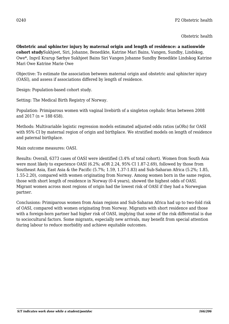**Obstetric anal sphincter injury by maternal origin and length of residence: a nationwide cohort study**Sukhjeet, Siri, Johanne, Benedikte, Katrine Mari Bains, Vangen, Sundby, Lindskog, Owe\*, Ingvil Krarup Sørbye Sukhjeet Bains Siri Vangen Johanne Sundby Benedikte Lindskog Katrine Mari Owe Katrine Marie Owe

Objective: To estimate the association between maternal origin and obstetric anal sphincter injury (OASI), and assess if associations differed by length of residence.

Design: Population-based cohort study.

Setting: The Medical Birth Registry of Norway.

Population: Primiparous women with vaginal livebirth of a singleton cephalic fetus between 2008 and 2017 ( $n = 188$  658).

Methods: Multivariable logistic regression models estimated adjusted odds ratios (aORs) for OASI with 95% CI by maternal region of origin and birthplace. We stratified models on length of residence and paternal birthplace.

Main outcome measures: OASI.

Results: Overall, 6373 cases of OASI were identified (3.4% of total cohort). Women from South Asia were most likely to experience OASI (6.2%; aOR 2.24, 95% CI 1.87-2.69), followed by those from Southeast Asia, East Asia & the Pacific (5.7%; 1.59, 1.37-1.83) and Sub-Saharan Africa (5.2%; 1.85, 1.55-2.20), compared with women originating from Norway. Among women born in the same region, those with short length of residence in Norway (0-4 years), showed the highest odds of OASI. Migrant women across most regions of origin had the lowest risk of OASI if they had a Norwegian partner.

Conclusions: Primiparous women from Asian regions and Sub-Saharan Africa had up to two-fold risk of OASI, compared with women originating from Norway. Migrants with short residence and those with a foreign-born partner had higher risk of OASI, implying that some of the risk differential is due to sociocultural factors. Some migrants, especially new arrivals, may benefit from special attention during labour to reduce morbidity and achieve equitable outcomes.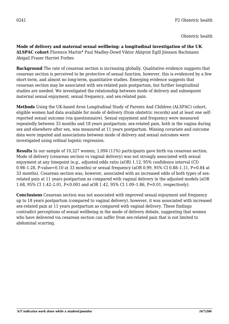**Mode of delivery and maternal sexual wellbeing: a longitudinal investigation of the UK ALSPAC cohort** Florence Martin\* Paul Madley-Dowd Viktor Ahlqvist Egill Jónsson Bachmann Abigail Fraser Harriet Forbes

**Background** The rate of cesarean section is increasing globally. Qualitative evidence suggests that cesarean section is perceived to be protective of sexual function, however, this is evidenced by a few short-term, and almost no long-term, quantitative studies. Emerging evidence suggests that cesarean section may be associated with sex-related pain postpartum, but further longitudinal studies are needed. We investigated the relationship between mode of delivery and subsequent maternal sexual enjoyment, sexual frequency, and sex-related pain.

**Methods** Using the UK-based Avon Longitudinal Study of Parents And Children (ALSPAC) cohort, eligible women had data available for mode of delivery (from obstetric records) and at least one selfreported sexual outcome (via questionnaire). Sexual enjoyment and frequency were measured repeatedly between 33 months and 18 years postpartum; sex-related pain, both in the vagina during sex and elsewhere after sex, was measured at 11 years postpartum. Missing covariate and outcome data were imputed and associations between mode of delivery and sexual outcomes were investigated using ordinal logistic regression.

**Results** In our sample of 10,327 women, 1,094 (11%) participants gave birth via cesarean section. Mode of delivery (cesarean section vs vaginal delivery) was not strongly associated with sexual enjoyment at any timepoint (e.g., adjusted odds ratio (aOR) 1.12, 95% confidence interval (CI) 0.98–1.28, P-value=0.10 at 33 months) or sexual frequency (aOR 0.99, 95% CI 0.88–1.11, P=0.84 at 33 months). Cesarean section was, however, associated with an increased odds of both types of sexrelated pain at 11 years postpartum as compared with vaginal delivery in the adjusted models (aOR 1.68, 95% CI 1.42–2.01, P<0.001 and aOR 1.42, 95% CI 1.09–1.86, P=0.01, respectively).

**Conclusions** Cesarean section was not associated with improved sexual enjoyment and frequency up to 18 years postpartum (compared to vaginal delivery), however, it was associated with increased sex-related pain at 11 years postpartum as compared with vaginal delivery. These findings contradict perceptions of sexual wellbeing in the mode of delivery debate, suggesting that women who have delivered via cesarean section can suffer from sex-related pain that is not limited to abdominal scarring.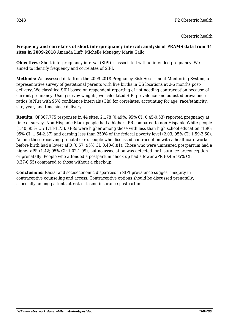**Frequency and correlates of short interpregnancy interval: analysis of PRAMS data from 44 sites in 2009-2018** Amanda Luff\* Michelle Menegay Maria Gallo

**Objectives:** Short interpregnancy interval (SIPI) is associated with unintended pregnancy. We aimed to identify frequency and correlates of SIPI.

**Methods:** We assessed data from the 2009-2018 Pregnancy Risk Assessment Monitoring System, a representative survey of gestational parents with live births in US locations at 2-6 months postdelivery. We classified SIPI based on respondent reporting of not needing contraception because of current pregnancy. Using survey weights, we calculated SIPI prevalence and adjusted prevalence ratios (aPRs) with 95% confidence intervals (CIs) for correlates, accounting for age, race/ethnicity, site, year, and time since delivery.

**Results:** Of 367,775 responses in 44 sites, 2,178 (0.49%; 95% CI: 0.45-0.53) reported pregnancy at time of survey. Non-Hispanic Black people had a higher aPR compared to non-Hispanic White people (1.40; 95% CI: 1.13-1.73). aPRs were higher among those with less than high school education (1.96; 95% CI: 1.64-2.37) and earning less than 250% of the federal poverty level (2.03, 95% CI: 1.59-2.60). Among those receiving prenatal care, people who discussed contraception with a healthcare worker before birth had a lower aPR (0.57; 95% CI: 0.40-0.81). Those who were uninsured postpartum had a higher aPR (1.42; 95% CI: 1.02-1.99), but no association was detected for insurance preconception or prenatally. People who attended a postpartum check-up had a lower aPR (0.45; 95% CI: 0.37-0.55) compared to those without a check-up.

**Conclusions:** Racial and socioeconomic disparities in SIPI prevalence suggest inequity in contraceptive counseling and access. Contraceptive options should be discussed prenatally, especially among patients at risk of losing insurance postpartum.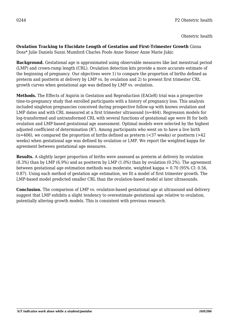## **Ovulation Tracking to Elucidate Length of Gestation and First-Trimester Growth** Ginna Doss\* Julie Daniels Sunni Mumford Charles Poole Anne Steiner Anne Marie Jukic

**Background.** Gestational age is approximated using observable measures like last menstrual period (LMP) and crown-rump length (CRL). Ovulation detection kits provide a more accurate estimate of the beginning of pregnancy. Our objectives were 1) to compare the proportion of births defined as preterm and postterm at delivery by LMP vs. by ovulation and 2) to present first trimester CRL growth curves when gestational age was defined by LMP vs. ovulation.

**Methods.** The Effects of Aspirin in Gestation and Reproduction (EAGeR) trial was a prospective time-to-pregnancy study that enrolled participants with a history of pregnancy loss. This analysis included singleton pregnancies conceived during prospective follow-up with known ovulation and LMP dates and with CRL measured at a first trimester ultrasound (n=464). Regression models for log-transformed and untransformed CRL with several functions of gestational age were fit for both ovulation and LMP-based gestational age assessment. Optimal models were selected by the highest adjusted coefficient of determination ( $R^2$ ). Among participants who went on to have a live birth  $(n=406)$ , we compared the proportion of births defined as preterm  $(\leq 37$  weeks) or postterm  $(\geq 42)$ weeks) when gestational age was defined by ovulation or LMP. We report the weighted kappa for agreement between gestational age measures.

**Results.** A slightly larger proportion of births were assessed as preterm at delivery by ovulation (8.3%) than by LMP (6.9%) and as postterm by LMP (1.0%) than by ovulation (0.2%). The agreement between gestational age estimation methods was moderate, weighted kappa = 0.70 (95% CI: 0.56, 0.87). Using each method of gestation age estimation, we fit a model of first trimester growth. The LMP-based model predicted smaller CRL than the ovulation-based model at later ultrasounds.

**Conclusion.** The comparison of LMP vs. ovulation-based gestational age at ultrasound and delivery suggest that LMP exhibits a slight tendency to overestimate gestational age relative to ovulation, potentially altering growth models. This is consistent with previous research.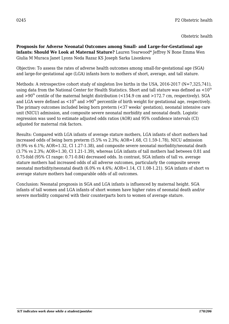**Prognosis for Adverse Neonatal Outcomes among Small- and Large-for-Gestational age infants: Should We Look at Maternal Stature?** Lauren Yearwood\* Jeffrey N Bone Emma Wen Giulia M Muraca Janet Lyons Neda Razaz KS Joseph Sarka Lisonkova

Objective: To assess the rates of adverse health outcomes among small-for-gestational age (SGA) and large-for-gestational age (LGA) infants born to mothers of short, average, and tall stature.

Methods: A retrospective cohort study of singleton live births in the USA, 2016-2017 (N=7,325,741), using data from the National Center for Health Statistics. Short and tall stature was defined as  $\leq 10^{\text{th}}$ and  $>90<sup>th</sup>$  centile of the maternal height distribution (<154.9 cm and  $>172.7$  cm, respectively). SGA and LGA were defined as  $\langle 10^{th} \text{ and } 290^{th}$  percentile of birth weight for gestational age, respectively. The primary outcomes included being born preterm (<37 weeks' gestation), neonatal intensive care unit (NICU) admission, and composite severe neonatal morbidity and neonatal death. Logistic regression was used to estimate adjusted odds ratios (AOR) and 95% confidence intervals (CI) adjusted for maternal risk factors.

Results: Compared with LGA infants of average stature mothers, LGA infants of short mothers had increased odds of being born preterm (5.5% vs 2.3%; AOR=1.68, Cl 1.59-1.78), NICU admission (9.9% vs 6.1%; AOR=1.32, Cl 1.27-1.38), and composite severe neonatal morbidity/neonatal death (3.7% vs 2.3%; AOR=1.30, Cl 1.21-1.39), whereas LGA infants of tall mothers had between 0.81 and 0.75-fold (95% CI range: 0.71-0.84) decreased odds. In contrast, SGA infants of tall vs. average stature mothers had increased odds of all adverse outcomes, particularly the composite severe neonatal morbidity/neonatal death (6.0% vs 4.6%; AOR=1.14, CI 1.08-1.21). SGA infants of short vs average stature mothers had comparable odds of all outcomes.

Conclusion: Neonatal prognosis in SGA and LGA infants is influenced by maternal height. SGA infants of tall women and LGA infants of short women have higher rates of neonatal death and/or severe morbidity compared with their counterparts born to women of average stature.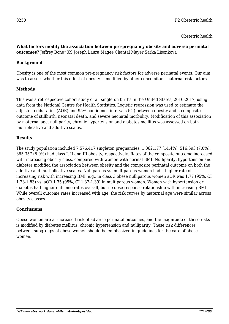## **What factors modify the association between pre-pregnancy obesity and adverse perinatal outcomes?** Jeffrey Bone\* KS Joseph Laura Magee Chantal Mayer Sarka Lisonkova

# **Background**

Obesity is one of the most common pre-pregnancy risk factors for adverse perinatal events. Our aim was to assess whether this effect of obesity is modified by other concomitant maternal risk factors.

# **Methods**

This was a retrospective cohort study of all singleton births in the United States, 2016-2017, using data from the National Centre for Health Statistics. Logistic regression was used to estimate the adjusted odds ratios (AOR) and 95% confidence intervals (CI) between obesity and a composite outcome of stillbirth, neonatal death, and severe neonatal morbidity. Modification of this association by maternal age, nulliparity, chronic hypertension and diabetes mellitus was assessed on both multiplicative and additive scales.

## **Results**

The study population included 7,576,417 singleton pregnancies; 1,062,177 (14.4%), 516,693 (7.0%), 365,357 (5.0%) had class I, II and III obesity, respectively. Rates of the composite outcome increased with increasing obesity class, compared with women with normal BMI. Nulliparity, hypertension and diabetes modified the association between obesity and the composite perinatal outcome on both the additive and multiplicative scales. Nulliparous vs. multiparous women had a higher rate of increasing risk with increasing BMI, e.g., in class 3 obese nulliparous women aOR was 1.77 (95%, CI 1.73-1.83) vs. aOR 1.35 (95%, CI 1.32-1.39) in multiparous women. Women with hypertension or diabetes had higher outcome rates overall, but no dose response relationship with increasing BMI. While overall outcome rates increased with age, the risk curves by maternal age were similar across obesity classes.

## **Conclusions**

Obese women are at increased risk of adverse perinatal outcomes, and the magnitude of these risks is modified by diabetes mellitus, chronic hypertension and nulliparity. These risk differences between subgroups of obese women should be emphasized in guidelines for the care of obese women.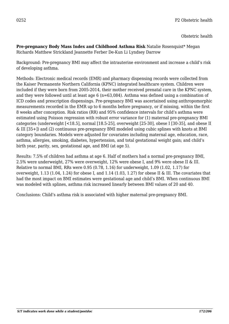**Pre-pregnancy Body Mass Index and Childhood Asthma Risk** Natalie Rosenquist\* Megan Richards Matthew Strickland Jeannette Ferber De-Kun Li Lyndsey Darrow

Background: Pre-pregnancy BMI may affect the intrauterine environment and increase a child's risk of developing asthma.

Methods: Electronic medical records (EMR) and pharmacy dispensing records were collected from the Kaiser Permanente Northern California (KPNC) integrated healthcare system. Children were included if they were born from 2005-2014, their mother received prenatal care in the KPNC system, and they were followed until at least age 6 (n=63,084). Asthma was defined using a combination of ICD codes and prescription dispensings. Pre-pregnancy BMI was ascertained using anthropomorphic measurements recorded in the EMR up to 6 months before pregnancy, or if missing, within the first 8 weeks after conception. Risk ratios (RR) and 95% confidence intervals for child's asthma were estimated using Poisson regression with robust error variance for (1) maternal pre-pregnancy BMI categories (underweight [<18.5], normal [18.5-25], overweight [25-30], obese I [30-35], and obese II & III [35+]) and (2) continuous pre-pregnancy BMI modeled using cubic splines with knots at BMI category boundaries. Models were adjusted for covariates including maternal age, education, race, asthma, allergies, smoking, diabetes, hypertension, and total gestational weight gain; and child's birth year, parity, sex, gestational age, and BMI (at age 5).

Results: 7.5% of children had asthma at age 6. Half of mothers had a normal pre-pregnancy BMI, 2.5% were underweight, 27% were overweight, 12% were obese I, and 9% were obese II & III. Relative to normal BMI, RRs were 0.95 (0.78, 1.16) for underweight, 1.09 (1.02, 1.17) for overweight, 1.13 (1.04, 1.24) for obese I, and 1.14 (1.03, 1.27) for obese II & III. The covariates that had the most impact on BMI estimates were gestational age and child's BMI. When continuous BMI was modeled with splines, asthma risk increased linearly between BMI values of 20 and 40.

Conclusions: Child's asthma risk is associated with higher maternal pre-pregnancy BMI.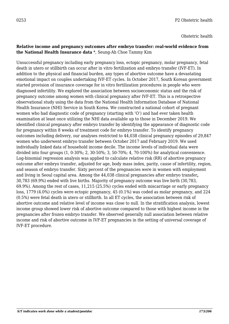## **Relative income and pregnancy outcomes after embryo transfer: real-world evidence from the National Health Insurance data** \*, Seung-Ah Choe Tammy Kim

Unsuccessful pregnancy including early pregnancy loss, ectopic pregnancy, molar pregnancy, fetal death in utero or stillbirth can occur after in vitro fertilization and embryo transfer (IVF-ET). In addition to the physical and financial burden, any types of abortive outcome have a devastating emotional impact on couples undertaking IVF-ET cycles. In October 2017, South Korean government started provision of insurance coverage for in vitro fertilization procedures in people who were diagnosed infertility. We explored the association between socioeconomic status and the risk of pregnancy outcome among women with clinical pregnancy after IVF-ET. This is a retrospective observational study using the data from the National Health Information Database of National Health Insurance (NHI) Service in South Korea. We constructed a national cohort of pregnant women who had diagnostic code of pregnancy (starting with 'O') and had ever taken health examination at least once utilizing the NHI data available up to those in December 2019. We identified clinical pregnancy after embryo transfer by identifying the appearance of diagnostic code for pregnancy within 8 weeks of treatment code for embryo transfer. To identify pregnancy outcomes including delivery, our analyses restricted to 44,038 clinical pregnancy episodes of 29,847 women who underwent embryo transfer between October 2017 and February 2019. We used individually linked data of household income decile. The income levels of individual data were divided into four groups (1, 0-30%; 2, 30-50%; 3, 50-70%; 4, 70-100%) for analytical convenience. Log-binomial regression analysis was applied to calculate relative risk (RR) of abortive pregnancy outcome after embryo transfer, adjusted for age, body mass index, parity, cause of infertility, region, and season of embryo transfer. Sixty percent of the pregnancies were in women with employment and living in Seoul capital area. Among the 44,038 clinical pregnancies after embryo transfer**,** 30,783 (69.9%) ended with live births. Majority of pregnancy outcome was live birth (30,783, 69.9%). Among the rest of cases, 11,215 (25.5%) cycles ended with miscarriage or early pregnancy loss, 1779 (4.0%) cycles were ectopic pregnancy, 45 (0.1%) was coded as molar pregnancy, and 224 (0.5%) were fetal death in utero or stillbirth. In all ET cycles, the association between risk of abortive outcome and relative level of income was close to null. In the stratification analysis, lowest income group showed lower risk of abortive outcome compared to those with highest income in the pregnancies after frozen embryo transfer. We observed generally null association between relative income and risk of abortive outcome in IVF-ET pregnancies in the setting of universal coverage of IVF-ET procedure.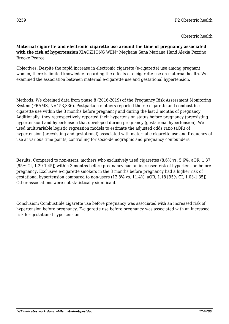## **Maternal cigarette and electronic cigarette use around the time of pregnancy associated with the risk of hypertension** XIAOZHONG WEN\* Meghana Sana Mariana Hand Alexia Pezzino Brooke Pearce

Objectives: Despite the rapid increase in electronic cigarette (e-cigarette) use among pregnant women, there is limited knowledge regarding the effects of e-cigarette use on maternal health. We examined the association between maternal e-cigarette use and gestational hypertension.

Methods: We obtained data from phase 8 (2016-2019) of the Pregnancy Risk Assessment Monitoring System (PRAMS, N=153,336). Postpartum mothers reported their e-cigarette and combustible cigarette use within the 3 months before pregnancy and during the last 3 months of pregnancy. Additionally, they retrospectively reported their hypertension status before pregnancy (preexisting hypertension) and hypertension that developed during pregnancy (gestational hypertension). We used multivariable logistic regression models to estimate the adjusted odds ratio (aOR) of hypertension (preexisting and gestational) associated with maternal e-cigarette use and frequency of use at various time points, controlling for socio-demographic and pregnancy confounders.

Results: Compared to non-users, mothers who exclusively used cigarettes (8.6% vs. 5.6%; aOR, 1.37 [95% CI, 1.29-1.45]) within 3 months before pregnancy had an increased risk of hypertension before pregnancy. Exclusive e-cigarette smokers in the 3 months before pregnancy had a higher risk of gestational hypertension compared to non-users (12.8% vs. 11.4%; aOR, 1.18 [95% CI, 1.03-1.35]). Other associations were not statistically significant.

Conclusion: Combustible cigarette use before pregnancy was associated with an increased risk of hypertension before pregnancy. E-cigarette use before pregnancy was associated with an increased risk for gestational hypertension.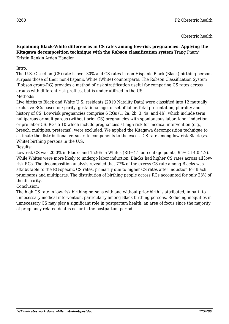**Explaining Black-White differences in CS rates among low-risk pregnancies: Applying the Kitagawa decomposition technique with the Robson classification system** Trang Pham\* Kristin Rankin Arden Handler

## Intro:

The U.S. C-section (CS) rate is over 30% and CS rates in non-Hispanic Black (Black) birthing persons surpass those of their non-Hispanic White (White) counterparts. The Robson Classification System (Robson group-RG) provides a method of risk stratification useful for comparing CS rates across groups with different risk profiles, but is under-utilized in the US. Methods:

Live births to Black and White U.S. residents (2019 Natality Data) were classified into 12 mutually exclusive RGs based on: parity, gestational age, onset of labor, fetal presentation, plurality and history of CS. Low-risk pregnancies comprise 6 RGs (1, 2a, 2b, 3, 4a, and 4b), which include term nulliparous or multiparous (without prior CS) pregnancies with spontaneous labor, labor induction or pre-labor CS. RGs 5-10 which include pregnancies at high risk for medical intervention (e.g., breech, multiples, preterms), were excluded. We applied the Kitagawa decomposition technique to estimate the distributional versus rate components to the excess CS rate among low-risk Black (vs. White) birthing persons in the U.S.

Results:

Low-risk CS was 20.0% in Blacks and 15.9% in Whites (RD=4.1 percentage points, 95% CI 4.0-4.2). While Whites were more likely to undergo labor induction, Blacks had higher CS rates across all lowrisk RGs. The decomposition analysis revealed that 77% of the excess CS rate among Blacks was attributable to the RG-specific CS rates, primarily due to higher CS rates after induction for Black primiparas and multiparas. The distribution of birthing people across RGs accounted for only 23% of the disparity.

Conclusion:

The high CS rate in low-risk birthing persons with and without prior birth is attributed, in part, to unnecessary medical intervention, particularly among Black birthing persons. Reducing inequities in unnecessary CS may play a significant role in postpartum health, an area of focus since the majority of pregnancy-related deaths occur in the postpartum period.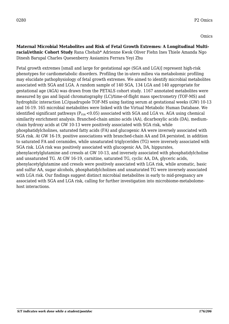## **Maternal Microbial Metabolites and Risk of Fetal Growth Extremes: A Longitudinal Multiracial/ethnic Cohort Study** Rana Chehab\* Adrienne Kwok Oliver Fiehn Ines Thiele Amanda Ngo Dinesh Barupal Charles Quesenberry Assiamira Ferrara Yeyi Zhu

Fetal growth extremes [small and large for gestational age (SGA and LGA)] represent high-risk phenotypes for cardiometabolic disorders. Profiling the in-utero milieu via metabolomic profiling may elucidate pathophysiology of fetal growth extremes. We aimed to identify microbial metabolites associated with SGA and LGA. A random sample of 140 SGA, 134 LGA and 140 appropriate for gestational age (AGA) was drawn from the PETALS cohort study. 1167 annotated metabolites were measured by gas and liquid chromatography (LC)/time-of-flight mass spectrometry (TOF-MS) and hydrophilic interaction LC/quadrupole TOF-MS using fasting serum at gestational weeks (GW) 10-13 and 16-19. 165 microbial metabolites were linked with the Virtual Metabolic Human Database. We identified significant pathways ( $P_{FDR}$  <0.05) associated with SGA and LGA vs. AGA using chemical similarity enrichment analysis. Branched-chain amino acids (AA), dicarboxylic acids (DA), mediumchain hydroxy acids at GW 10-13 were positively associated with SGA risk, while phosphatidylcholines, saturated fatty acids (FA) and glucogenic AA were inversely associated with SGA risk. At GW 16-19, positive associations with branched-chain AA and DA persisted, in addition to saturated FA and ceramides, while unsaturated triglycerides (TG) were inversely associated with SGA risk. LGA risk was positively associated with glucogenic AA, DA, hippurates, phenylacetylglutamine and cresols at GW 10-13, and inversely associated with phosphatidylcholine and unsaturated TG. At GW 16-19, carnitine, saturated TG, cyclic AA, DA, glyceric acids, phenylacetylglutamine and cresols were positively associated with LGA risk, while aromatic, basic and sulfur AA, sugar alcohols, phosphatidylcholines and unsaturated TG were inversely associated with LGA risk. Our findings suggest distinct microbial metabolites in early to mid-pregnancy are associated with SGA and LGA risk, calling for further investigation into microbiome-metabolomehost interactions.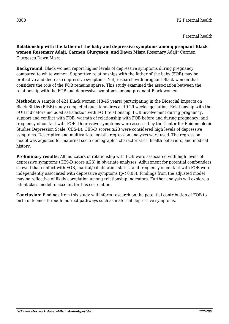**Relationship with the father of the baby and depressive symptoms among pregnant Black women Rosemary Adaji, Carmen Giurgescu, and Dawn Misra** Rosemary Adaji\* Carmen Giurgescu Dawn Misra

**Background:** Black women report higher levels of depressive symptoms during pregnancy compared to white women. Supportive relationships with the father of the baby (FOB) may be protective and decrease depressive symptoms. Yet, research with pregnant Black women that considers the role of the FOB remains sparse. This study examined the association between the relationship with the FOB and depressive symptoms among pregnant Black women.

**Methods:** A sample of 421 Black women (18-45 years) participating in the Biosocial Impacts on Black Births (BIBB) study completed questionnaires at 19-29 weeks' gestation. Relationship with the FOB indicators included satisfaction with FOB relationship, FOB involvement during pregnancy, support and conflict with FOB, warmth of relationship with FOB before and during pregnancy, and frequency of contact with FOB. Depressive symptoms were assessed by the Center for Epidemiologic Studies Depression Scale (CES-D). CES-D scores ≥23 were considered high levels of depressive symptoms. Descriptive and multivariate logistic regression analyses were used. The regression model was adjusted for maternal socio-demographic characteristics, health behaviors, and medical history.

**Preliminary results:** All indicators of relationship with FOB were associated with high levels of depressive symptoms (CES-D score ≥23) in bivariate analyses. Adjustment for potential confounders showed that conflict with FOB, marital/cohabitation status, and frequency of contact with FOB were independently associated with depressive symptoms (p< 0.05). Findings from the adjusted model may be reflective of likely correlation among relationship indicators. Further analysis will explore a latent class model to account for this correlation.

**Conclusion:** Findings from this study will inform research on the potential contribution of FOB to birth outcomes through indirect pathways such as maternal depressive symptoms.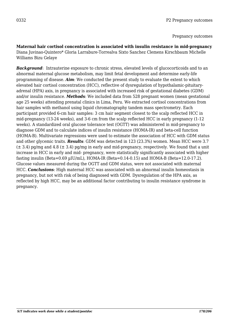Pregnancy outcomes

**Maternal hair cortisol concentration is associated with insulin resistance in mid-pregnancy** Diana Juvinao-Quintero\* Gloria Larrabure-Torrealva Sixto Sanchez Clemens Kirschbaum Michelle Williams Bizu Gelaye

**Background:** Intrauterine exposure to chronic stress, elevated levels of glucocorticoids and to an abnormal maternal glucose metabolism, may limit fetal development and determine early-life programming of disease. *Aim*: We conducted the present study to evaluate the extent to which elevated hair cortisol concentration (HCC), reflective of dysregulation of hypothalamic-pituitaryadrenal (HPA) axis, in pregnancy is associated with increased risk of gestational diabetes (GDM) and/or insulin resistance. *Methods*: We included data from 528 pregnant women (mean gestational age 25 weeks) attending prenatal clinics in Lima, Peru. We extracted cortisol concentrations from hair samples with methanol using liquid chromatography tandem mass spectrometry. Each participant provided 6-cm hair samples: 3 cm hair segment closest to the scalp reflected HCC in mid-pregnancy (13-24 weeks), and 3-6 cm from the scalp reflected HCC in early pregnancy (1-12 weeks). A standardized oral glucose tolerance test (OGTT) was administered in mid-pregnancy to diagnose GDM and to calculate indices of insulin resistance (HOMA-IR) and beta-cell function (HOMA-B). Multivariate regressions were used to estimate the association of HCC with GDM status and other glycemic traits. *Results*: GDM was detected in 123 (23.3%) women. Mean HCC were 3.7  $(\pm 3.4)$  pg/mg and 4.8 ( $\pm 3.4$ ) pg/mg in early and mid-pregnancy, respectively. We found that a unit increase in HCC in early and mid- pregnancy, were statistically significantly associated with higher fasting insulin (Beta=0.69  $\mu$ IU/mL), HOMA-IR (Beta=0.14-0.15) and HOMA-B (Beta=12.0-17.2). Glucose values measured during the OGTT and GDM status, were not associated with maternal HCC. *Conclusions*: High maternal HCC was associated with an abnormal insulin homeostasis in pregnancy, but not with risk of being diagnosed with GDM. Dysregulation of the HPA axis, as reflected by high HCC, may be an additional factor contributing to insulin resistance syndrome in pregnancy.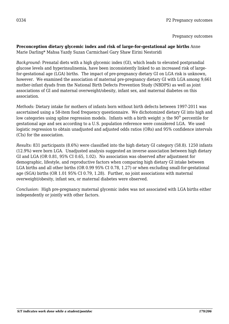Pregnancy outcomes

# **Preconception dietary glycemic index and risk of large-for-gestational age births** Anne

Marie Darling\* Mahsa Yazdy Suzan Carmichael Gary Shaw Eirini Nestoridi

*Background:* Prenatal diets with a high glycemic index (GI), which leads to elevated postprandial glucose levels and hyperinsulinemia, have been inconsistently linked to an increased risk of largefor-gestational age (LGA) births. The impact of pre-pregnancy dietary GI on LGA risk is unknown, however. We examined the association of maternal pre-pregnancy dietary GI with LGA among 9,661 mother-infant dyads from the National Birth Defects Prevention Study (NBDPS) as well as joint associations of GI and maternal overweight/obesity, infant sex, and maternal diabetes on this association.

*Methods:* Dietary intake for mothers of infants born without birth defects between 1997-2011 was ascertained using a 58-item food frequency questionnaire. We dichotomized dietary GI into high and low categories using spline regression models. Infants with a birth weight  $>$  the 90<sup>th</sup> percentile for gestational age and sex according to a U.S. population reference were considered LGA. We used logistic regression to obtain unadjusted and adjusted odds ratios (ORs) and 95% confidence intervals (CIs) for the association.

*Results:* 831 participants (8.6%) were classified into the high dietary GI category (58.8). 1250 infants (12.9%) were born LGA. Unadjusted analysis suggested an inverse association between high dietary GI and LGA (OR 0.81, 95% CI 0.65, 1.02). No association was observed after adjustment for demographic, lifestyle, and reproductive factors when comparing high dietary GI intake between LGA births and all other births (OR 0.99 95% CI 0.78, 1.27) or when excluding small-for-gestational age (SGA) births (OR 1.01 95% CI 0.79, 1.28). Further, no joint associations with maternal overweight/obesity, infant sex, or maternal diabetes were observed.

*Conclusion:* High pre-pregnancy maternal glycemic index was not associated with LGA births either independently or jointly with other factors.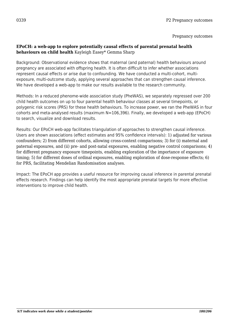#### **EPoCH: a web-app to explore potentially causal effects of parental prenatal health behaviours on child health** Kayleigh Easey\* Gemma Sharp

Background: Observational evidence shows that maternal (and paternal) health behaviours around pregnancy are associated with offspring health. It is often difficult to infer whether associations represent causal effects or arise due to confounding. We have conducted a multi-cohort, multiexposure, multi-outcome study, applying several approaches that can strengthen causal inference. We have developed a web-app to make our results available to the research community.

Methods: In a reduced phenome-wide association study (PheWAS), we separately regressed over 200 child health outcomes on up to four parental health behaviour classes at several timepoints, or polygenic risk scores (PRS) for these health behaviours. To increase power, we ran the PheWAS in four cohorts and meta-analysed results (maximum N=106,396). Finally, we developed a web-app (EPoCH) to search, visualize and download results.

Results: Our EPoCH web-app facilitates triangulation of approaches to strengthen causal inference. Users are shown associations (effect estimates and 95% confidence intervals): 1) adjusted for various confounders; 2) from different cohorts, allowing cross-context comparisons; 3) for (i) maternal and paternal exposures, and (ii) pre- and post-natal exposures, enabling negative control comparisons; 4) for different pregnancy exposure timepoints, enabling exploration of the importance of exposure timing; 5) for different doses of ordinal exposures, enabling exploration of dose-response effects; 6) for PRS, facilitating Mendelian Randomisation analyses.

Impact: The EPoCH app provides a useful resource for improving causal inference in parental prenatal effects research. Findings can help identify the most appropriate prenatal targets for more effective interventions to improve child health.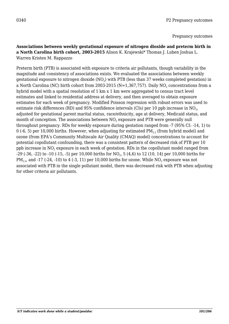#### **Associations between weekly gestational exposure of nitrogen dioxide and preterm birth in a North Carolina birth cohort, 2003-2015** Alison K. Krajewski\* Thomas J. Luben Joshua L. Warren Kristen M. Rappazzo

Preterm birth (PTB) is associated with exposure to criteria air pollutants, though variability in the magnitude and consistency of associations exists. We evaluated the associations between weekly gestational exposure to nitrogen dioxide (NO $_{\text{2}}$ ) with PTB (less than 37 weeks completed gestation) in a North Carolina (NC) birth cohort from 2003-2015 (N=1,367,757). Daily NO $_{\rm 2}$  concentrations from a hybrid model with a spatial resolution of 1 km x 1 km were aggregated to census tract level estimates and linked to residential address at delivery, and then averaged to obtain exposure estimates for each week of pregnancy. Modified Poisson regression with robust errors was used to estimate risk differences (RD) and 95% confidence intervals (CIs) per 10 ppb increase in NO<sub>2</sub>, adjusted for gestational parent marital status, race/ethnicity, age at delivery, Medicaid status, and month of conception. The associations between  $\rm NO_2$  exposure and PTB were generally null throughout pregnancy. RDs for weekly exposure during gestation ranged from -7 (95% CI: -14, 1) to 0 (-6, 5) per 10,000 births. However, when adjusting for estimated  $PM_{2.5}$  (from hybrid model) and ozone (from EPA's Community Multiscale Air Quality (CMAQ) model) concentrations to account for potential copollutant confounding, there was a consistent pattern of decreased risk of PTB per 10 ppb increase in NO $_{\scriptscriptstyle 2}$  exposure in each week of gestation. RDs in the copollutant model ranged from -29 (-36, -22) to -10 (-15, -5) per 10,000 births for NO<sub>2</sub>, 5 (4,6) to 12 (10, 14) per 10,000 births for PM $_{\rm 2.5}$ , and -17 (-24, -10) to 4 (-3, 11) per 10,000 births for ozone. While NO $_{\rm 2}$  exposure was not associated with PTB in the single pollutant model, there was decreased risk with PTB when adjusting for other criteria air pollutants.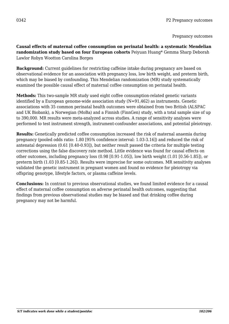**Causal effects of maternal coffee consumption on perinatal health: a systematic Mendelian randomization study based on four European cohorts** Peiyuan Huang\* Gemma Sharp Deborah Lawlor Robyn Wootton Carolina Borges

**Background:** Current guidelines for restricting caffeine intake during pregnancy are based on observational evidence for an association with pregnancy loss, low birth weight, and preterm birth, which may be biased by confounding. This Mendelian randomization (MR) study systematically examined the possible causal effect of maternal coffee consumption on perinatal health.

**Methods:** This two-sample MR study used eight coffee consumption-related genetic variants identified by a European genome-wide association study  $(N=91,462)$  as instruments. Genetic associations with 35 common perinatal health outcomes were obtained from two British (ALSPAC and UK Biobank), a Norwegian (MoBa) and a Finnish (FinnGen) study, with a total sample size of up to 390,000. MR results were meta-analyzed across studies. A range of sensitivity analyses were performed to test instrument strength, instrument-confounder associations, and potential pleiotropy.

**Results:** Genetically predicted coffee consumption increased the risk of maternal anaemia during pregnancy (pooled odds ratio: 1.80 [95% confidence interval: 1.03-3.16]) and reduced the risk of antenatal depression (0.61 [0.40-0.93]), but neither result passed the criteria for multiple testing corrections using the false discovery rate method. Little evidence was found for causal effects on other outcomes, including pregnancy loss (0.98 [0.91-1.05]), low birth weight (1.01 [0.56-1.85]), or preterm birth (1.03 [0.85-1.26]). Results were imprecise for some outcomes. MR sensitivity analyses validated the genetic instrument in pregnant women and found no evidence for pleiotropy via offspring genotype, lifestyle factors, or plasma caffeine levels.

**Conclusions:** In contrast to previous observational studies, we found limited evidence for a causal effect of maternal coffee consumption on adverse perinatal health outcomes, suggesting that findings from previous observational studies may be biased and that drinking coffee during pregnancy may not be harmful.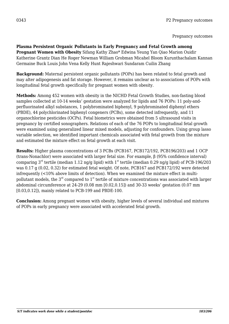**Plasma Persistent Organic Pollutants in Early Pregnancy and Fetal Growth among Pregnant Women with Obesity** Sifang Kathy Zhao\* Edwina Yeung Yan Qiao Marion Ouidir Katherine Grantz Dian He Roger Newman William Grobman Micahel Bloom Kurunthachalam Kannan Germaine Buck Louis John Vena Kelly Hunt Rajeshwari Sundaram Cuilin Zhang

**Background:** Maternal persistent organic pollutants (POPs) has been related to fetal growth and may alter adipogenesis and fat storage. However, it remains unclear as to associations of POPs with longitudinal fetal growth specifically for pregnant women with obesity.

**Methods:** Among 452 women with obesity in the NICHD Fetal Growth Studies, non-fasting blood samples collected at 10-14 weeks' gestation were analyzed for lipids and 76 POPs: 11 poly-andperfluorinated alkyl substances, 1 polybrominated biphenyl, 9 polybrominated diphenyl ethers (PBDE), 44 polychlorinated biphenyl congeners (PCBs), some detected infrequently, and 11 organochlorine pesticides (OCPs). Fetal biometrics were obtained from 5 ultrasound visits in pregnancy by certified sonographers. Relations of each of the 76 POPs to longitudinal fetal growth were examined using generalized linear mixed models, adjusting for confounders. Using group lasso variable selection, we identified important chemicals associated with fetal growth from the mixture and estimated the mixture effect on fetal growth at each visit.

**Results:** Higher plasma concentrations of 3 PCBs (PCB167, PCB172/192, PCB196/203) and 1 OCP (trans-Nonachlor) were associated with larger fetal size. For example, β (95% confidence interval) comparing  $3<sup>rd</sup>$  tertile (median 1.12 ng/g lipid) with 1<sup>st</sup> tertile (median 0.29 ng/g lipid) of PCB-196/203 was 0.17 g (0.02, 0.32) for estimated fetal weight. Of note, PCB167 and PCB172/192 were detected infrequently (<10% above limits of detection). When we examined the mixture effect in multipollutant models, the  $3<sup>rd</sup>$  compared to  $1<sup>st</sup>$  tertile of mixture concentrations was associated with larger abdominal circumference at 24-29 (0.08 mm [0.02,0.15]) and 30-33 weeks' gestation (0.07 mm [0.03,0.12]), mainly related to PCB-199 and PBDE-100.

**Conclusion:** Among pregnant women with obesity, higher levels of several individual and mixtures of POPs in early pregnancy were associated with accelerated fetal growth.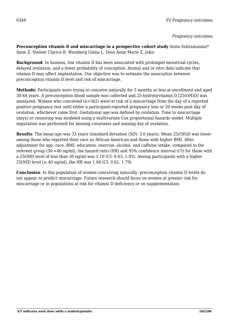**Preconception vitamin D and miscarriage in a prospective cohort study** Anita Subramanian\* Anne Z. Steiner Clarice R. Weinberg Ginna L. Doss Anne Marie Z. Jukic

**Background**: In humans, low vitamin D has been associated with prolonged menstrual cycles, delayed ovulation, and a lower probability of conception. Animal and in vitro data indicate that vitamin D may affect implantation. Our objective was to estimate the association between preconception vitamin D level and risk of miscarriage.

**Methods:** Participants were trying to conceive naturally for 3 months or less at enrollment and aged 30-44 years. A preconception blood sample was collected and 25-hydroxyvitamin D [25(OH)D] was measured. Women who conceived (n=362) were at risk of a miscarriage from the day of a reported positive pregnancy test until either a participant-reported pregnancy loss or 20 weeks post day of ovulation, whichever came first. Gestational age was defined by ovulation. Time to miscarriage (days) or censoring was modeled using a multivariate Cox proportional hazards model. Multiple imputation was performed for missing covariates and missing day of ovulation.

**Results**: The mean age was 33 years (standard deviation (SD): 3.0 years). Mean 25(OH)D was lower among those who reported their race as African-American and those with higher BMI. After adjustment for age, race, BMI, education, exercise, alcohol, and caffeine intake, compared to the referent group (30-<40 ng/ml), the hazard ratio (HR) and 95% confidence interval (CI) for those with a 25OHD level of less than 30 ng/ml was 1.10 (CI: 0.63, 1.93). Among participants with a higher 25OHD level ( $\geq 40$  ng/ml), the HR was 1.04 (CI: 0.61, 1.79).

**Conclusion**: In this population of women conceiving naturally, preconception vitamin D levels do not appear to predict miscarriage. Future research should focus on women at greater risk for miscarriage or in populations at risk for vitamin D deficiency or on supplementation.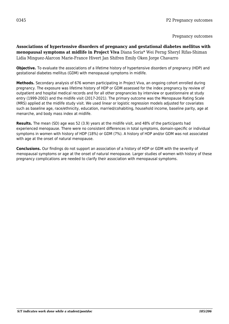**Associations of hypertensive disorders of pregnancy and gestational diabetes mellitus with menopausal symptoms at midlife in Project Viva** Diana Soria\* Wei Perng Sheryl Rifas-Shiman Lidia Minguez-Alarcon Marie-France Hivert Jan Shifren Emily Oken Jorge Chavarro

**Objective.** To evaluate the associations of a lifetime history of hypertensive disorders of pregnancy (HDP) and gestational diabetes mellitus (GDM) with menopausal symptoms in midlife.

**Methods.** Secondary analysis of 676 women participating in Project Viva, an ongoing cohort enrolled during pregnancy. The exposure was lifetime history of HDP or GDM assessed for the index pregnancy by review of outpatient and hospital medical records and for all other pregnancies by interview or questionnaire at study entry (1999-2002) and the midlife visit (2017-2021). The primary outcome was the Menopause Rating Scale (MRS) applied at the midlife study visit. We used linear or logistic regression models adjusted for covariates such as baseline age, race/ethnicity, education, married/cohabiting, household income, baseline parity, age at menarche, and body mass index at midlife.

**Results.** The mean (SD) age was 52 (3.9) years at the midlife visit, and 48% of the participants had experienced menopause. There were no consistent differences in total symptoms, domain-specific or individual symptoms in women with history of HDP (18%) or GDM (7%). A history of HDP and/or GDM was not associated with age at the onset of natural menopause.

**Conclusions.** Our findings do not support an association of a history of HDP or GDM with the severity of menopausal symptoms or age at the onset of natural menopause. Larger studies of women with history of these pregnancy complications are needed to clarify their association with menopausal symptoms.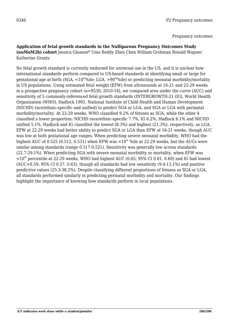#### **Application of fetal growth standards in the Nulliparous Pregnancy Outcomes Study (nuMoM2b) cohort** Jessica Gleason\* Uma Reddy Zhen Chen William Grobman Ronald Wapner Katherine Grantz

No fetal growth standard is currently endorsed for universal use in the US, and it is unclear how international standards perform compared to US-based standards at identifying small or large for gestational age at birth (SGA,  $\lt 10^{th}\%$ ile; LGA,  $\gt 90^{th}\%$ ile) or predicting neonatal morbidity/mortality in US populations. Using estimated fetal weight (EFW) from ultrasounds at 16-21 and 22-29 weeks in a prospective pregnancy cohort (n=9530; 2010-14), we compared area under the curve (AUC) and sensitivity of 5 commonly-referenced fetal growth standards (INTERGROWTH-21 (IG), World Health Organization (WHO), Hadlock 1991, National Institute of Child Health and Human Development (NICHD) race/ethnic-specific and unified) to predict SGA or LGA, and SGA or LGA with perinatal morbidity/mortality. At 22-29 weeks, WHO classified 9.2% of fetuses as SGA, while the other 4 classified a lower proportion: NICHD race/ethnic-specific 7.7%, IG 6.2%, Hadlock 6.1% and NICHD unified 5.1%. Hadlock and IG classified the lowest (8.3%) and highest (21.3%), respectively, as LGA. EFW at 22-29 weeks had better ability to predict SGA or LGA than EFW at 16-21 weeks, though AUC was low at both gestational age ranges. When predicting severe neonatal morbidity, WHO had the highest AUC of 0.525 (0.512, 0.531) when EFW was  $\lt 10^{th}$  %ile at 22-29 weeks, but the AUCs were similar among standards (range 0.517-0.521). Sensitivity was generally low across standards (22.7-29.1%). When predicting SGA with severe neonatal morbidity or mortality, when EFW was  $<$ 10<sup>th</sup> percentile at 22-29 weeks, WHO had highest AUC (0.65; 95% CI 0.61, 0.69) and IG had lowest (AUC=0.59; 95% CI 0.57, 0.63), though all standards had low sensitivity (9.4-13.1%) and positive predictive values (25.3-38.2%). Despite classifying different proportions of fetuses as SGA or LGA, all standards performed similarly in predicting perinatal morbidity and mortality. Our findings highlight the importance of knowing how standards perform in local populations.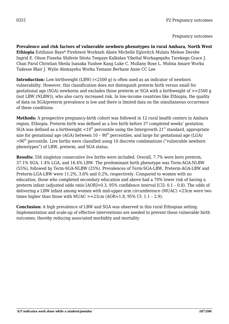**Prevalence and risk factors of vulnerable newborn phenotypes in rural Amhara, North West Ethiopia** Estifanos Baye\* Firehiwot Workneh Abate Michelle Eglovitch Mulatu Melese Derebe Ingrid E. Olson Fisseha Shiferie Sitota Tsegaye Kalkidan Yibeltal Workagegnhu Tarekegn Grace J. Chan Parul Christian Sheila Isanaka Yunhee Kang Luke C. Mullany Rose L. Molina Amare Worku Tadesse Blair J. Wylie Alemayehu Worku Yemane Berhane Anne CC Lee

**Introduction:** Low birthweight (LBW) (<2500 g) is often used as an indicator of newborn vulnerability. However, this classification does not distinguish preterm birth versus small for gestational age (SGA) newborns and excludes those preterm or SGA with a birthweight of >=2500 g (not LBW (NLBW)), who also carry increased risk. In low-income countries like Ethiopia, the quality of data on SGA/preterm prevalence is low and there is limited data on the simultaneous occurrence of these conditions.

**Methods:** A prospective pregnancy-birth cohort was followed in 12 rural health centers in Amhara region, Ethiopia. Preterm birth was defined as a live birth before 37 completed weeks' gestation. SGA was defined as a birthweight  $\lt 10^{th}$  percentile using the Intergrowth 21<sup>st</sup> standard, appropriate size for gestational age (AGA) between  $10 - 90<sup>th</sup>$  percentiles, and large for gestational age (LGA)  $>90<sup>th</sup>$  percentile. Live births were classified using 10 discrete combinations ("vulnerable newborn phenotypes") of LBW, preterm, and SGA status.

**Results:** 556 singleton consecutive live births were included. Overall, 7.7% were born preterm, 37.1% SGA, 1.4% LGA, and 16.4% LBW. The predominant birth phenotype was Term-AGA-NLBW (55%), followed by Term-SGA-NLBW (25%). Prevalences of Term-SGA-LBW, Preterm-AGA-LBW and Preterm-LGA-LBW were 11.2%, 3.6% and 0.2%, respectively. Compared to women with no education, those who completed secondary education and above had a 70% lower risk of having a preterm infant (adjusted odds ratio [AOR]=0.3, 95% confidence interval [CI]: 0.1 – 0.8). The odds of delivering a LBW infant among women with mid-upper arm circumference (MUAC) <23cm were two times higher than those with MUAC  $>=23$ cm (AOR=1.8, 95% CI: 1.1 – 2.9).

**Conclusion:** A high prevalence of LBW and SGA was observed in this rural Ethiopian setting. Implementation and scale-up of effective interventions are needed to prevent these vulnerable birth outcomes, thereby reducing associated morbidity and mortality.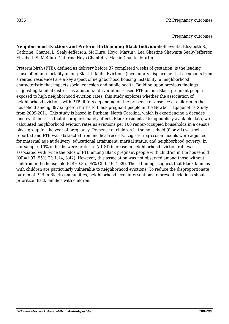**Neighborhood Evictions and Preterm Birth among Black Individuals**Shawnita, Elizabeth S., Cathrine, Chantel L. Sealy-Jefferson, McClure, Hoyo, Martin\*, Lea Ghastine Shawnita Sealy-Jefferson Elizabeth S. McClure Cathrine Hoyo Chantel L. Martin Chantel Martin

Preterm birth (PTB), defined as delivery before 37 completed weeks of gestation, is the leading cause of infant mortality among Black infants. Evictions (involuntary displacement of occupants from a rented residence) are a key aspect of neighborhood housing instability, a neighborhood characteristic that impacts social cohesion and public health. Building upon previous findings suggesting familial distress as a potential driver of increased PTB among Black pregnant people exposed to high neighborhood eviction rates, this study explores whether the association of neighborhood evictions with PTB differs depending on the presence or absence of children in the household among 397 singleton births to Black pregnant people in the Newborn Epigenetics Study from 2009-2011. This study is based in Durham, North Carolina, which is experiencing a decades long eviction crisis that disproportionately affects Black residents. Using publicly available data, we calculated neighborhood eviction rates as evictions per 100 renter-occupied households in a census block group for the year of pregnancy. Presence of children in the household (0 or  $\geq$ 1) was selfreported and PTB was abstracted from medical records. Logistic regression models were adjusted for maternal age at delivery, educational attainment, marital status, and neighborhood poverty. In our sample, 10% of births were preterm. A 1-SD increase in neighborhood eviction rate was associated with twice the odds of PTB among Black pregnant people with children in the household (OR=1.97, 95% CI: 1.14, 3.42). However, this association was not observed among those without children in the household (OR=0.85, 95% CI: 0.49, 1.39). These findings suggest that Black families with children are particularly vulnerable to neighborhood evictions. To reduce the disproportionate burden of PTB in Black communities, neighborhood level interventions to prevent evictions should prioritize Black families with children.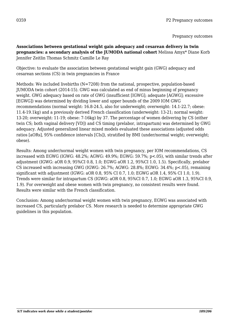**Associations between gestational weight gain adequacy and cesarean delivery in twin pregnancies: a secondary analysis of the JUMODA national cohort** Melissa Amyx\* Diane Korb Jennifer Zeitlin Thomas Schmitz Camille Le Ray

Objective: to evaluate the association between gestational weight gain (GWG) adequacy and cesarean sections (CS) in twin pregnancies in France

Methods: We included livebirths (N=7208) from the national, prospective, population-based JUMODA twin cohort (2014-15). GWG was calculated as end of minus beginning of pregnancy weight. GWG adequacy based on rate of GWG (insufficient [IGWG]; adequate [AGWG]; excessive [EGWG]) was determined by dividing lower and upper bounds of the 2009 IOM GWG recommendations (normal weight: 16.8-24.5, also for underweight; overweight: 14.1-22.7; obese: 11.4-19.1kg) and a previously derived French classification (underweight: 13-21; normal weight: 13-20; overweight: 11-19; obese: 7-16kg) by 37. The percentage of women delivering by CS (either twin CS; both vaginal delivery [VD]) and CS timing (prelabor, intrapartum) was determined by GWG adequacy. Adjusted generalized linear mixed models evaluated these associations (adjusted odds ratios [aORs], 95% confidence intervals [CIs]), stratified by BMI (under/normal weight; overweight; obese).

Results: Among under/normal weight women with twin pregnancy, per IOM recommendations, CS increased with EGWG (IGWG: 48.2%; AGWG: 49.9%; EGWG: 59.7%; p<.05), with similar trends after adjustment (IGWG: aOR 0.9, 95%CI 0.8, 1.0; EGWG aOR 1.2, 95%CI 1.0, 1.5). Specifically, prelabor CS increased with increasing GWG (IGWG: 26.7%; AGWG: 28.8%; EGWG: 34.4%; p<.05), remaining significant with adjustment (IGWG: aOR 0.8, 95% CI 0.7, 1.0; EGWG aOR 1.4, 95% CI 1.0, 1.9). Trends were similar for intrapartum CS (IGWG: aOR 0.8, 95%CI 0.7, 1.0; EGWG aOR 1.3, 95%CI 0.9, 1.9). For overweight and obese women with twin pregnancy, no consistent results were found. Results were similar with the French classification.

Conclusion: Among under/normal weight women with twin pregnancy, EGWG was associated with increased CS, particularly prelabor CS. More research is needed to determine appropriate GWG guidelines in this population.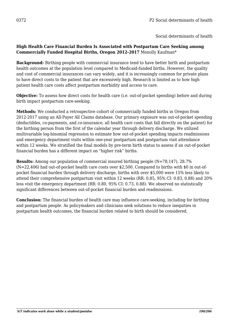#### **High Health Care Financial Burden Is Associated with Postpartum Care Seeking among Commercially Funded Hospital Births, Oregon 2012-2017** Menolly Kaufman\*

**Background:** Birthing people with commercial insurance tend to have better birth and postpartum health outcomes at the population level compared to Medicaid-funded births. However, the quality and cost of commercial insurances can vary widely, and it is increasingly common for private plans to have direct costs to the patient that are excessively high. Research is limited as to how high patient health care costs affect postpartum morbidity and access to care.

**Objective:** To assess how direct costs for health care (i.e. out-of-pocket spending) before and during birth impact postpartum care-seeking.

**Methods:** We conducted a retrospective cohort of commercially funded births in Oregon from 2012-2017 using an All-Payer All Claims database. Our primary exposure was out-of-pocket spending (deductibles, co-payments, and co-insurance, all health care costs that fall directly on the patient) for the birthing person from the first of the calendar year through delivery discharge. We utilized multivariable log-binomial regression to estimate how out-of-pocket spending impacts readmissions and emergency department visits within one-year postpartum and postpartum visit attendance within 12 weeks. We stratified the final models by pre-term birth status to assess if an out-of-pocket financial burden has a different impact on "higher risk" births.

**Results:** Among our population of commercial insured birthing people (N=78,147), 28.7% (N=22,406) had out-of-pocket health care costs over \$2,500. Compared to births with \$0 in out-ofpocket financial burden through delivery discharge, births with over \$5,000 were 15% less likely to attend their comprehensive postpartum visit within 12 weeks (RR: 0.85, 95% CI: 0.83, 0.88) and 20% less visit the emergency department (RR: 0.80, 95% CI: 0.73, 0.88). We observed no statistically significant differences between out-of-pocket financial burden and readmissions.

**Conclusion:** The financial burden of health care may influence care-seeking, including for birthing and postpartum people. As policymakers and clinicians seek solutions to reduce inequities in postpartum health outcomes, the financial burden related to birth should be considered.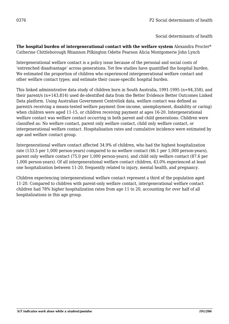**The hospital burden of intergenerational contact with the welfare system** Alexandra Procter\* Catherine Chittleborough Rhiannon Pilkington Odette Pearson Alicia Montgomerie John Lynch

Intergenerational welfare contact is a policy issue because of the personal and social costs of 'entrenched disadvantage' across generations. Yet few studies have quantified the hospital burden. We estimated the proportion of children who experienced intergenerational welfare contact and other welfare contact types; and estimate their cause-specific hospital burden.

This linked administrative data study of children born in South Australia, 1991-1995 (n=94,358), and their parent/s (n=143,814) used de-identified data from the Better Evidence Better Outcomes Linked Data platform. Using Australian Government Centrelink data, welfare contact was defined as parent/s receiving a means-tested welfare payment (low-income, unemployment, disability or caring) when children were aged 11-15, or children receiving payment at ages 16-20. Intergenerational welfare contact was welfare contact occurring in both parent and child generations. Children were classified as: No welfare contact, parent only welfare contact, child only welfare contact, or intergenerational welfare contact. Hospitalisation rates and cumulative incidence were estimated by age and welfare contact group.

Intergenerational welfare contact affected 34.9% of children, who had the highest hospitalization rate (133.5 per 1,000 person-years) compared to no welfare contact (46.1 per 1,000 person-years), parent only welfare contact (75.0 per 1,000 person-years), and child only welfare contact (87.6 per 1,000 person-years). Of all intergenerational welfare contact children, 43.0% experienced at least one hospitalization between 11-20, frequently related to injury, mental health, and pregnancy.

Children experiencing intergenerational welfare contact represent a third of the population aged 11-20. Compared to children with parent-only welfare contact, intergenerational welfare contact children had 78% higher hospitalization rates from age 11 to 20, accounting for over half of all hospitalizations in this age group.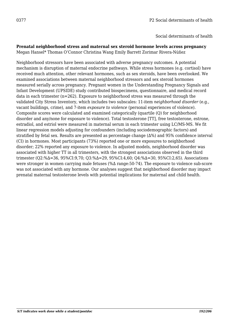# **Prenatal neighborhood stress and maternal sex steroid hormone levels across pregnancy**

Megan Hansel\* Thomas O'Connor Christina Wang Emily Barrett Zorimar Rivera-Núñez

Neighborhood stressors have been associated with adverse pregnancy outcomes. A potential mechanism is disruption of maternal endocrine pathways. While stress hormones (e.g. cortisol) have received much attention, other relevant hormones, such as sex steroids, have been overlooked. We examined associations between maternal neighborhood stressors and sex steroid hormones measured serially across pregnancy. Pregnant women in the Understanding Pregnancy Signals and Infant Development (UPSIDE) study contributed biospecimens, questionnaire, and medical record data in each trimester (n=262). Exposure to neighborhood stress was measured through the validated City Stress Inventory, which includes two subscales: 11-item *neighborhood disorder* (e.g., vacant buildings, crime), and 7-item *exposure to violence* (personal experiences of violence). Composite scores were calculated and examined categorically (quartile (Q) for neighborhood disorder and any/none for exposure to violence). Total testosterone [TT], free testosterone, estrone, estradiol, and estriol were measured in maternal serum in each trimester using LC/MS-MS. We fit linear regression models adjusting for confounders (including sociodemographic factors) and stratified by fetal sex. Results are presented as percentage change (∆%) and 95% confidence interval (CI) in hormones. Most participants (73%) reported one or more exposures to neighborhood disorder; 22% reported any exposure to violence. In adjusted models, neighborhood disorder was associated with higher TT in all trimesters, with the strongest associations observed in the third trimester (Q2:%∆=36, 95%CI:9,70; Q3:%∆=29, 95%CI:4,60; Q4:%∆=30, 95%CI:2,65). Associations were stronger in women carrying male fetuses (%∆ range:50-74). The exposure to violence sub-score was not associated with any hormone. Our analyses suggest that neighborhood disorder may impact prenatal maternal testosterone levels with potential implications for maternal and child health.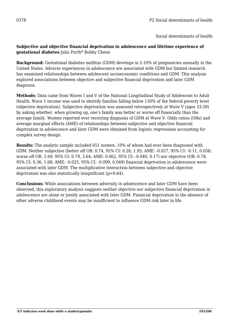### **Subjective and objective financial deprivation in adolescence and lifetime experience of gestational diabetes** Julia Porth\* Bobby Cheon

**Background:** Gestational diabetes mellitus (GDM) develops in 2-10% of pregnancies annually in the United States. Adverse experiences in adolescence are associated with GDM but limited research has examined relationships between adolescent socioeconomic conditions and GDM. This analysis explored associations between objective and subjective financial deprivation and later GDM diagnosis.

**Methods:** Data came from Waves I and V of the National Longitudinal Study of Adolescent to Adult Health. Wave 1 income was used to identify families falling below 130% of the federal poverty level (objective deprivation). Subjective deprivation was assessed retrospectively at Wave V (ages 33-39) by asking whether, when growing up, one's family was better or worse off financially than the average family. Women reported ever receiving diagnosis of GDM at Wave V. Odds ratios (ORs) and average marginal effects (AME) of relationships between subjective and objective financial deprivation in adolescence and later GDM were obtained from logistic regressions accounting for complex survey design.

**Results:** The analytic sample included 651 women, 10% of whom had ever been diagnosed with GDM. Neither subjective (better off OR: 0.74, 95% CI: 0.28, 1.95; AME: -0.027, 95% CI: -0.11, 0.058; worse off OR: 1.69, 95% CI: 0.79, 3.64; AME: 0.062, 95% CI: -0.040, 0.17) nor objective (OR: 0.78, 95% CI: 0.36, 1.68; AME: -0.025, 95% CI: -0.099, 0.049) financial deprivation in adolescence were associated with later GDM. The multiplicative interaction between subjective and objective deprivation was also statistically insignificant (p=0.64).

**Conclusions:** While associations between adversity in adolescence and later GDM have been observed, this exploratory analysis suggests neither objective nor subjective financial deprivation in adolescence are alone or jointly associated with later GDM. Financial deprivation in the absence of other adverse childhood events may be insufficient to influence GDM risk later in life.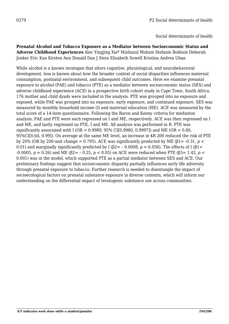**Prenatal Alcohol and Tobacco Exposure as a Mediator between Socioeconomic Status and Adverse Childhood Experiences** Alec Yingjing Xia\* Minhazul Mohsin Stefanie Bodison Deborah Jonker Eric Kan Kirsten Ann Donald Dan J Stein Elizabeth Sowell Kristina Andrea Uban

While alcohol is a known teratogen that alters cognitive, physiological, and neurobehavioral development, less is known about how the broader context of social disparities influences maternal consumption, postnatal environment, and subsequent child outcomes. Here we examine prenatal exposure to alcohol (PAE) and tobacco (PTE) as a mediator between socioeconomic status (SES) and adverse childhood experience (ACE) in a prospective birth cohort study in Cape Town, South Africa. 176 mother and child dyads were included in the analysis. PTE was grouped into no exposure and exposed, while PAE was grouped into no exposure, early exposure, and continued exposure. SES was measured by monthly household income (I) and maternal education (ME). ACE was measured by the total score of a 14-item questionnaire. Following the Baron and Kenny criteria for mediation analysis, PAE and PTE were each regressed on I and ME, respectively. ACE was then regressed on I and ME, and lastly regressed on PTE, I and ME. All analysis was performed in R. PTE was significantly associated with I (OR =  $0.9989$ ,  $95\%$  CI[0.9980, 0.9997]) and ME (OR = 0.80, 95%CI[0.64, 0.99]). On average at the same ME level, an increase in \$R 200 reduced the risk of PTE by 20% (OR by 200-unit change = 0.795). ACE was significantly predicted by ME ( $\beta$ 1= -0.31, *p* < 0.01) and marginally significantly predicted by I ( $\beta$ 2= - 0.0008, *p* = 0.056). The effects of I ( $\beta$ 1= -0.0005, *p* = 0.26) and ME (β2= – 0.25, *p* < 0.05) on ACE were reduced when PTE (β3= 1.42, *p* < 0.001) was in the model, which supported PTE as a partial mediator between SES and ACE. Our preliminary findings suggest that socioeconomic disparity partially influences early life adversity through prenatal exposure to tobacco. Further research is needed to disentangle the impact of socioecological factors on prenatal substance exposure in diverse contexts, which will inform our understanding on the differential impact of teratogenic substance use across communities.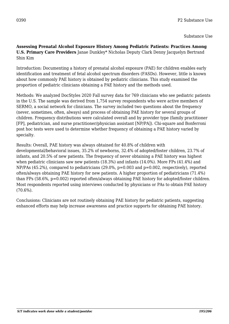**Assessing Prenatal Alcohol Exposure History Among Pediatric Patients: Practices Among U.S. Primary Care Providers** Janae Dunkley\* Nicholas Deputy Clark Denny Jacquelyn Bertrand Shin Kim

Introduction: Documenting a history of prenatal alcohol exposure (PAE) for children enables early identification and treatment of fetal alcohol spectrum disorders (FASDs). However, little is known about how commonly PAE history is obtained by pediatric clinicians. This study examined the proportion of pediatric clinicians obtaining a PAE history and the methods used.

Methods: We analyzed DocStyles 2020 Fall survey data for 769 clinicians who see pediatric patients in the U.S. The sample was derived from 1,754 survey respondents who were active members of SERMO, a social network for clinicians. The survey included two questions about the frequency (never, sometimes, often, always) and process of obtaining PAE history for several groups of children. Frequency distributions were calculated overall and by provider type (family practitioner [FP], pediatrician, and nurse practitioner/physician assistant [NP/PA]). Chi-square and Bonferroni post hoc tests were used to determine whether frequency of obtaining a PAE history varied by specialty.

Results: Overall, PAE history was always obtained for 40.8% of children with developmental/behavioral issues, 35.2% of newborns, 32.4% of adopted/foster children, 23.7% of infants, and 20.5% of new patients. The frequency of never obtaining a PAE history was highest when pediatric clinicians saw new patients (18.3%) and infants (14.0%). More FPs (41.4%) and NP/PAs (45.2%), compared to pediatricians (29.0%, p=0.003 and p=0.002, respectively), reported often/always obtaining PAE history for new patients. A higher proportion of pediatricians (71.4%) than FPs (58.6%, p=0.002) reported often/always obtaining PAE history for adopted/foster children. Most respondents reported using interviews conducted by physicians or PAs to obtain PAE history (70.6%).

Conclusions: Clinicians are not routinely obtaining PAE history for pediatric patients, suggesting enhanced efforts may help increase awareness and practice supports for obtaining PAE history.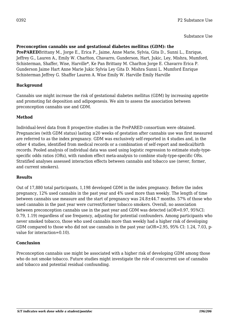### Substance Use

### **Preconception cannabis use and gestational diabetes mellitus (GDM): the**

**PrePARED**Brittany M., Jorge E., Erica P., Jaime, Anne Marie, Sylvia, Gita D., Sunni L., Enrique, Jeffrey G., Lauren A., Emily W. Charlton, Chavarro, Gunderson, Hart, Jukic, Ley, Mishra, Mumford, Schisterman, Shaffer, Wise, Harville\*, Ke Pan Brittany M. Charlton Jorge E. Chavarro Erica P. Gunderson Jaime Hart Anne Marie Jukic Sylvia Ley Gita D. Mishra Sunni L. Mumford Enrique Schisterman Jeffrey G. Shaffer Lauren A. Wise Emily W. Harville Emily Harville

# **Background**

Cannabis use might increase the risk of gestational diabetes mellitus (GDM) by increasing appetite and promoting fat deposition and adipogenesis. We aim to assess the association between preconception cannabis use and GDM.

# **Method**

Individual-level data from 8 prospective studies in the PrePARED consortium were obtained. Pregnancies (with GDM status) lasting ≥20 weeks of gestation after cannabis use was first measured are referred to as the index pregnancy. GDM was exclusively self-reported in 4 studies and, in the other 4 studies, identified from medical records or a combination of self-report and medical/birth records. Pooled analysis of individual data was used using logistic regression to estimate study-typespecific odds ratios (ORs), with random effect meta-analysis to combine study-type-specific ORs. Stratified analyses assessed interaction effects between cannabis and tobacco use (never, former, and current smokers).

### **Results**

Out of 17,880 total participants, 1,198 developed GDM in the index pregnancy. Before the index pregnancy, 12% used cannabis in the past year and 4% used more than weekly. The length of time between cannabis use measure and the start of pregnancy was 24.8±44.7 months. 57% of those who used cannabis in the past year were current/former tobacco smokers. Overall, no association between preconception cannabis use in the past year and GDM was detected (aOR=0.97, 95%CI: 0.79, 1.19) regardless of use frequency, adjusting for potential confounders. Among participants who never smoked tobacco, those who used cannabis more than weekly had a higher risk of developing GDM compared to those who did not use cannabis in the past year (aOR=2.95, 95% CI: 1.24, 7.03, pvalue for interaction=0.10).

### **Conclusion**

Preconception cannabis use might be associated with a higher risk of developing GDM among those who do not smoke tobacco. Future studies might investigate the role of concurrent use of cannabis and tobacco and potential residual confounding.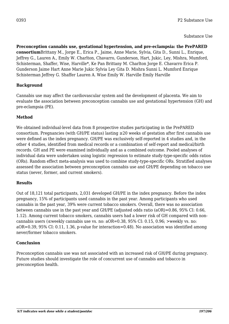**Preconception cannabis use, gestational hypertension, and pre-eclampsia: the PrePARED consortium**Brittany M., Jorge E., Erica P., Jaime, Anne Marie, Sylvia, Gita D., Sunni L., Enrique, Jeffrey G., Lauren A., Emily W. Charlton, Chavarro, Gunderson, Hart, Jukic, Ley, Mishra, Mumford, Schisterman, Shaffer, Wise, Harville\*, Ke Pan Brittany M. Charlton Jorge E. Chavarro Erica P. Gunderson Jaime Hart Anne Marie Jukic Sylvia Ley Gita D. Mishra Sunni L. Mumford Enrique Schisterman Jeffrey G. Shaffer Lauren A. Wise Emily W. Harville Emily Harville

# **Background**

Cannabis use may affect the cardiovascular system and the development of placenta. We aim to evaluate the association between preconception cannabis use and gestational hypertension (GH) and pre-eclampsia (PE).

# **Method**

We obtained individual-level data from 8 prospective studies participating in the PrePARED consortium. Pregnancies (with GH/PE status) lasting ≥20 weeks of gestation after first cannabis use were defined as the index pregnancy. GH/PE was exclusively self-reported in 4 studies and, in the other 4 studies, identified from medical records or a combination of self-report and medical/birth records. GH and PE were examined individually and as a combined outcome. Pooled analyses of individual data were undertaken using logistic regression to estimate study-type-specific odds ratios (ORs). Random effect meta-analysis was used to combine study-type-specific ORs. Stratified analyses assessed the association between preconception cannabis use and GH/PE depending on tobacco use status (never, former, and current smokers).

### **Results**

Out of 18,121 total participants, 2,031 developed GH/PE in the index pregnancy. Before the index pregnancy, 15% of participants used cannabis in the past year. Among participants who used cannabis in the past year, 39% were current tobacco smokers. Overall, there was no association between cannabis use in the past year and GH/PE (adjusted odds ratio (aOR)=0.86, 95% CI: 0.66, 1.12). Among current tobacco smokers, cannabis users had a lower risk of GH compared with noncannabis users ( $\leq$ weekly cannabis use vs. no:  $aOR=0.38$ , 95% CI: 0.15, 0.96;  $>$ weekly vs. no: aOR=0.39, 95% CI: 0.11, 1.36, p-value for interaction=0.48). No association was identified among never/former tobacco smokers.

### **Conclusion**

Preconception cannabis use was not associated with an increased risk of GH/PE during pregnancy. Future studies should investigate the role of concurrent use of cannabis and tobacco in preconception health.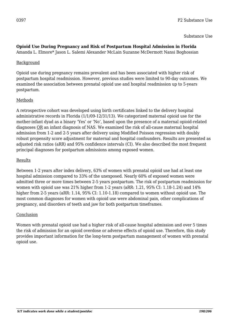Substance Use

# **Opioid Use During Pregnancy and Risk of Postpartum Hospital Admission in Florida**

Amanda L. Elmore\* Jason L. Salemi Alexander McLain Suzanne McDermott Nansi Boghossian

#### Background

Opioid use during pregnancy remains prevalent and has been associated with higher risk of postpartum hospital readmission. However, previous studies were limited to 90-day outcomes. We examined the association between prenatal opioid use and hospital readmission up to 5-years postpartum.

### Methods

A retrospective cohort was developed using birth certificates linked to the delivery hospital administrative records in Florida (1/1/09-12/31/13). We categorized maternal opioid use for the mother-infant dyad as a binary 'Yes' or 'No', based upon the presence of a maternal opioid-related diagnoses OR an infant diagnosis of NAS. We examined the risk of all-cause maternal hospital admission from 1-2 and 2-5 years after delivery using Modified Poisson regression with doubly robust propensity score adjustment for maternal and hospital confounders. Results are presented as adjusted risk ratios (aRR) and 95% confidence intervals (CI). We also described the most frequent principal diagnoses for postpartum admissions among exposed women.

### Results

Between 1-2 years after index delivery, 63% of women with prenatal opioid use had at least one hospital admission compared to 33% of the unexposed. Nearly 60% of exposed women were admitted three or more times between 2-5 years postpartum. The risk of postpartum readmission for women with opioid use was 21% higher from 1-2 years (aRR: 1.21, 95% CI: 1.18-1.24) and 14% higher from 2-5 years (aRR: 1.14, 95% CI: 1.10-1.18) compared to women without opioid use. The most common diagnoses for women with opioid use were abdominal pain, other complications of pregnancy, and disorders of teeth and jaw for both postpartum timeframes.

### Conclusion

Women with prenatal opioid use had a higher risk of all-cause hospital admission and over 5 times the risk of admission for an opioid overdose or adverse effects of opioid use. Therefore, this study provides important information for the long-term postpartum management of women with prenatal opioid use.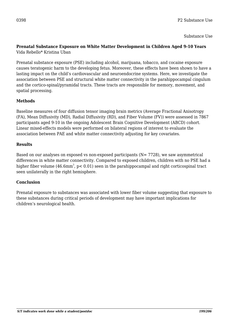Substance Use

#### **Prenatal Substance Exposure on White Matter Development in Children Aged 9-10 Years** Vida Rebello\* Kristina Uban

Prenatal substance exposure (PSE) including alcohol, marijuana, tobacco, and cocaine exposure causes teratogenic harm to the developing fetus. Moreover, these effects have been shown to have a lasting impact on the child's cardiovascular and neuroendocrine systems. Here, we investigate the association between PSE and structural white matter connectivity in the parahippocampal cingulum and the cortico-spinal/pyramidal tracts. These tracts are responsible for memory, movement, and spatial processing.

# **Methods**

Baseline measures of four diffusion tensor imaging brain metrics (Average Fractional Anisotropy (FA), Mean Diffusivity (MD), Radial Diffusivity (RD), and Fiber Volume (FV)) were assessed in 7867 participants aged 9-10 in the ongoing Adolescent Brain Cognitive Development (ABCD) cohort. Linear mixed-effects models were performed on bilateral regions of interest to evaluate the association between PAE and white matter connectivity adjusting for key covariates.

# **Results**

Based on our analyses on exposed vs non-exposed participants  $(N= 7728)$ , we saw asymmetrical differences in white matter connectivity. Compared to exposed children, children with no PSE had a higher fiber volume (46.6mm $^3$ , p< 0.01) seen in the parahippocampal and right corticospinal tract seen unilaterally in the right hemisphere.

# **Conclusion**

Prenatal exposure to substances was associated with lower fiber volume suggesting that exposure to these substances during critical periods of development may have important implications for children's neurological health.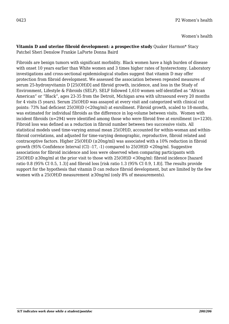Women's health

#### **Vitamin D and uterine fibroid development: a prospective study** Quaker Harmon\* Stacy Patchel Sheri Denslow Frankie LaPorte Donna Baird

Fibroids are benign tumors with significant morbidity. Black women have a high burden of disease with onset 10 years earlier than White women and 3 times higher rates of hysterectomy. Laboratory investigations and cross-sectional epidemiological studies suggest that vitamin D may offer protection from fibroid development. We assessed the association between repeated measures of serum 25-hydroxyvitamin D [25(OH)D] and fibroid growth, incidence, and loss in the Study of Environment, Lifestyle & Fibroids (SELF). SELF followed 1,610 women self-identified as "African American" or "Black", ages 23-35 from the Detroit, Michigan area with ultrasound every 20 months for 4 visits (5 years). Serum 25(OH)D was assayed at every visit and categorized with clinical cut points: 73% had deficient 25(OH)D (<20ng/ml) at enrollment. Fibroid growth, scaled to 18-months, was estimated for individual fibroids as the difference in log-volume between visits. Women with incident fibroids  $(n=294)$  were identified among those who were fibroid free at enrollment  $(n=1230)$ . Fibroid loss was defined as a reduction in fibroid number between two successive visits. All statistical models used time-varying annual mean 25(OH)D, accounted for within-woman and withinfibroid correlations, and adjusted for time-varying demographic, reproductive, fibroid related and contraceptive factors. Higher  $25(OH)D \approx 20\,\text{ng/ml}$  was associated with a 10% reduction in fibroid growth (95% Confidence Interval (CI) -17, -1) compared to 25(OH)D <20ng/ml. Suggestive associations for fibroid incidence and loss were observed when comparing participants with  $25(OH)D \geq 30\,\text{ng/ml}$  at the prior visit to those with  $25(OH)D \leq 30\,\text{ng/ml}$ : fibroid incidence [hazard ratio 0.8 (95% CI 0.5, 1.3)] and fibroid loss [risk ratio 1.3 (95% CI 0.9, 1.8)]. The results provide support for the hypothesis that vitamin D can reduce fibroid development, but are limited by the few women with a 25(OH)D measurement  $≥30$ ng/ml (only 8% of measurements).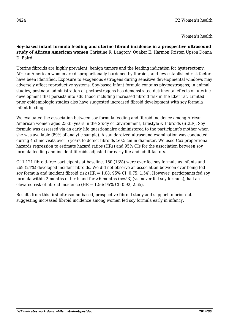**Soy-based infant formula feeding and uterine fibroid incidence in a prospective ultrasound study of African American women** Christine R. Langton\* Quaker E. Harmon Kristen Upson Donna D. Baird

Uterine fibroids are highly prevalent, benign tumors and the leading indication for hysterectomy. African American women are disproportionally burdened by fibroids, and few established risk factors have been identified. Exposure to exogenous estrogens during sensitive developmental windows may adversely affect reproductive systems. Soy-based infant formula contains phytoestrogens; in animal studies, postnatal administration of phytoestrogens has demonstrated detrimental effects on uterine development that persists into adulthood including increased fibroid risk in the Eker rat. Limited prior epidemiologic studies also have suggested increased fibroid development with soy formula infant feeding.

We evaluated the association between soy formula feeding and fibroid incidence among African American women aged 23-35 years in the Study of Environment, Lifestyle & Fibroids (SELF). Soy formula was assessed via an early life questionnaire administered to the participant's mother when she was available (89% of analytic sample). A standardized ultrasound examination was conducted during 4 clinic visits over 5 years to detect fibroids  $\geq 0.5$  cm in diameter. We used Cox proportional hazards regression to estimate hazard ratios (HRs) and 95% CIs for the association between soy formula feeding and incident fibroids adjusted for early life and adult factors.

Of 1,121 fibroid-free participants at baseline, 150 (13%) were ever fed soy formula as infants and 269 (24%) developed incident fibroids. We did not observe an association between ever being fed soy formula and incident fibroid risk (HR = 1.08; 95% CI: 0.75, 1.54). However, participants fed soy formula within 2 months of birth and for >6 months (n=53) (vs. never fed soy formula), had an elevated risk of fibroid incidence  $(HR = 1.56; 95\% \text{ CI: } 0.92, 2.65)$ .

Results from this first ultrasound-based, prospective fibroid study add support to prior data suggesting increased fibroid incidence among women fed soy formula early in infancy.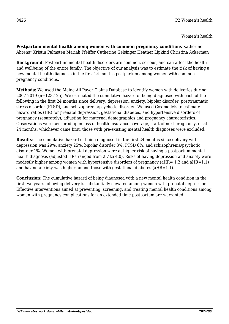**Postpartum mental health among women with common pregnancy conditions** Katherine Ahrens\* Kristin Palmsten Mariah Pfeiffer Catherine Gelsinger Heather Lipkind Christina Ackerman

**Background:** Postpartum mental health disorders are common, serious, and can affect the health and wellbeing of the entire family. The objective of our analysis was to estimate the risk of having a new mental health diagnosis in the first 24 months postpartum among women with common pregnancy conditions.

**Methods:** We used the Maine All Payer Claims Database to identify women with deliveries during 2007-2019 (n=123,125). We estimated the cumulative hazard of being diagnosed with each of the following in the first 24 months since delivery: depression, anxiety, bipolar disorder, posttraumatic stress disorder (PTSD), and schizophrenia/psychotic disorder. We used Cox models to estimate hazard ratios (HR) for prenatal depression, gestational diabetes, and hypertensive disorders of pregnancy (separately), adjusting for maternal demographics and pregnancy characteristics. Observations were censored upon loss of health insurance coverage, start of next pregnancy, or at 24 months, whichever came first; those with pre-existing mental health diagnoses were excluded.

**Results:** The cumulative hazard of being diagnosed in the first 24 months since delivery with depression was 29%, anxiety 25%, bipolar disorder 3%, PTSD 6%, and schizophrenia/psychotic disorder 1%. Women with prenatal depression were at higher risk of having a postpartum mental health diagnosis (adjusted HRs ranged from 2.7 to 4.0). Risks of having depression and anxiety were modestly higher among women with hypertensive disorders of pregnancy ( $aHR = 1.2$  and  $aHR = 1.1$ ) and having anxiety was higher among those with gestational diabetes (aHR=1.1).

**Conclusion:** The cumulative hazard of being diagnosed with a new mental health condition in the first two years following delivery is substantially elevated among women with prenatal depression. Effective interventions aimed at preventing, screening, and treating mental health conditions among women with pregnancy complications for an extended time postpartum are warranted.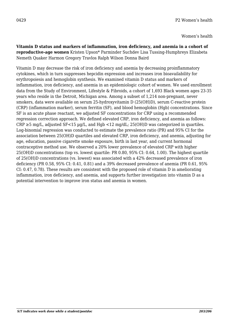Women's health

**Vitamin D status and markers of inflammation, iron deficiency, and anemia in a cohort of reproductive-age women** Kristen Upson\* Parminder Suchdev Lisa Tussing-Humphreys Elizabeta Nemeth Quaker Harmon Gregory Travlos Ralph Wilson Donna Baird

Vitamin D may decrease the risk of iron deficiency and anemia by decreasing proinflammatory cytokines, which in turn suppresses hepcidin expression and increases iron bioavailability for erythropoiesis and hemoglobin synthesis. We examined vitamin D status and markers of inflammation, iron deficiency, and anemia in an epidemiologic cohort of women. We used enrollment data from the Study of Environment, Lifestyle & Fibroids, a cohort of 1,693 Black women ages 23-35 years who reside in the Detroit, Michigan area. Among a subset of 1,214 non-pregnant, never smokers, data were available on serum 25-hydroxyvitamin D (25(OH)D), serum C-reactive protein (CRP) (inflammation marker), serum ferritin (SF), and blood hemoglobin (Hgb) concentrations. Since SF is an acute phase reactant, we adjusted SF concentrations for CRP using a recommended regression correction approach. We defined elevated CRP, iron deficiency, and anemia as follows:  $CRP \ge 5$  mg/L, adjusted  $SF < 15$  µg/L, and Hgb  $\lt 12$  mg/dL; 25(OH)D was categorized in quartiles. Log-binomial regression was conducted to estimate the prevalence ratio (PR) and 95% CI for the association between 25(OH)D quartiles and elevated CRP, iron deficiency, and anemia, adjusting for age, education, passive cigarette smoke exposure, birth in last year, and current hormonal contraceptive method use. We observed a 20% lower prevalence of elevated CRP with higher 25(OH)D concentrations (top vs. lowest quartile: PR 0.80, 95% CI: 0.64, 1.00). The highest quartile of 25(OH)D concentrations (vs. lowest) was associated with a 42% decreased prevalence of iron deficiency (PR 0.58, 95% CI: 0.41, 0.81) and a 39% decreased prevalence of anemia (PR 0.61, 95% CI: 0.47, 0.78). These results are consistent with the proposed role of vitamin D in ameliorating inflammation, iron deficiency, and anemia, and supports further investigation into vitamin D as a potential intervention to improve iron status and anemia in women.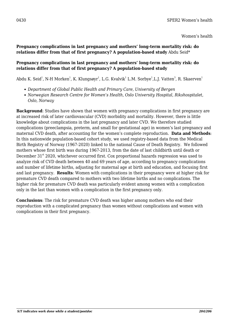#### **Pregnancy complications in last pregnancy and mothers' long-term mortality risk: do relations differ from that of first pregnancy? A population-based study** Abdu Seid\*

#### **Pregnancy complications in last pregnancy and mothers' long-term mortality risk: do relations differ from that of first pregnancy? A population-based study**

Abdu K. Seid $^1$ , N-H Morken $^1$ , K. Klungsøyr $^1$ , L.G. Kvalvik $^1$  L.M. Sorbye $^1$ ,L.J. Vatten $^3$ , R. Skaerven $^1$ 

- *Department of Global Public Health and Primary Care, University of Bergen*
- *Norwegian Research Centre for Women's Health, Oslo University Hospital, Rikshospitalet, Oslo, Norway*

**Background**: Studies have shown that women with pregnancy complications in first pregnancy are at increased risk of later cardiovascular (CVD) morbidity and mortality. However, there is little knowledge about complications in the last pregnancy and later CVD. We therefore studied complications (preeclampsia, preterm, and small for gestational age) in women's last pregnancy and maternal CVD death, after accounting for the women's complete reproduction. **Data and Methods**: In this nationwide population-based cohort study, we used registry-based data from the Medical Birth Registry of Norway (1967-2020) linked to the national Cause of Death Registry. We followed mothers whose first birth was during 1967-2013, from the date of last childbirth until death or December 31<sup>st</sup> 2020, whichever occurred first. Cox proportional hazards regression was used to analyze risk of CVD death between 40 and 69 years of age, according to pregnancy complications and number of lifetime births, adjusting for maternal age at birth and education, and focusing first and last pregnancy. **Results**: Women with complications in their pregnancy were at higher risk for premature CVD death compared to mothers with two lifetime births and no complications. The higher risk for premature CVD death was particularly evident among women with a complication only in the last than women with a complication in the first pregnancy only.

**Conclusions**: The risk for premature CVD death was higher among mothers who end their reproduction with a complicated pregnancy than women without complications and women with complications in their first pregnancy.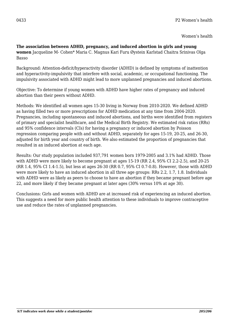**The association between ADHD, pregnancy, and induced abortion in girls and young women** Jacqueline M- Cohen\* Maria C. Magnus Kari Furu Øystein Karlstad Chaitra Srinivas Olga Basso

Background: Attention-deficit/hyperactivity disorder (ADHD) is defined by symptoms of inattention and hyperactivity-impulsivity that interfere with social, academic, or occupational functioning. The impulsivity associated with ADHD might lead to more unplanned pregnancies and induced abortions.

Objective: To determine if young women with ADHD have higher rates of pregnancy and induced abortion than their peers without ADHD.

Methods: We identified all women ages 15-30 living in Norway from 2010-2020. We defined ADHD as having filled two or more prescriptions for ADHD medication at any time from 2004-2020. Pregnancies, including spontaneous and induced abortions, and births were identified from registers of primary and specialist healthcare, and the Medical Birth Registry. We estimated risk ratios (RRs) and 95% confidence intervals (CIs) for having a pregnancy or induced abortion by Poisson regression comparing people with and without ADHD, separately for ages 15-19, 20-25, and 26-30, adjusted for birth year and country of birth. We also estimated the proportion of pregnancies that resulted in an induced abortion at each age.

Results: Our study population included 937,791 women born 1979-2005 and 3.1% had ADHD. Those with ADHD were more likely to become pregnant at ages 15-19 (RR 2.4, 95% CI 2.2-2.5), and 20-25 (RR 1.4, 95% CI 1.4-1.5), but less at ages 26-30 (RR 0.7, 95% CI 0.7-0.8). However, those with ADHD were more likely to have an induced abortion in all three age groups: RRs 2.2, 1.7, 1.8. Individuals with ADHD were as likely as peers to choose to have an abortion if they became pregnant before age 22, and more likely if they became pregnant at later ages (30% versus 10% at age 30).

Conclusions: Girls and women with ADHD are at increased risk of experiencing an induced abortion. This suggests a need for more public health attention to these individuals to improve contraceptive use and reduce the rates of unplanned pregnancies.